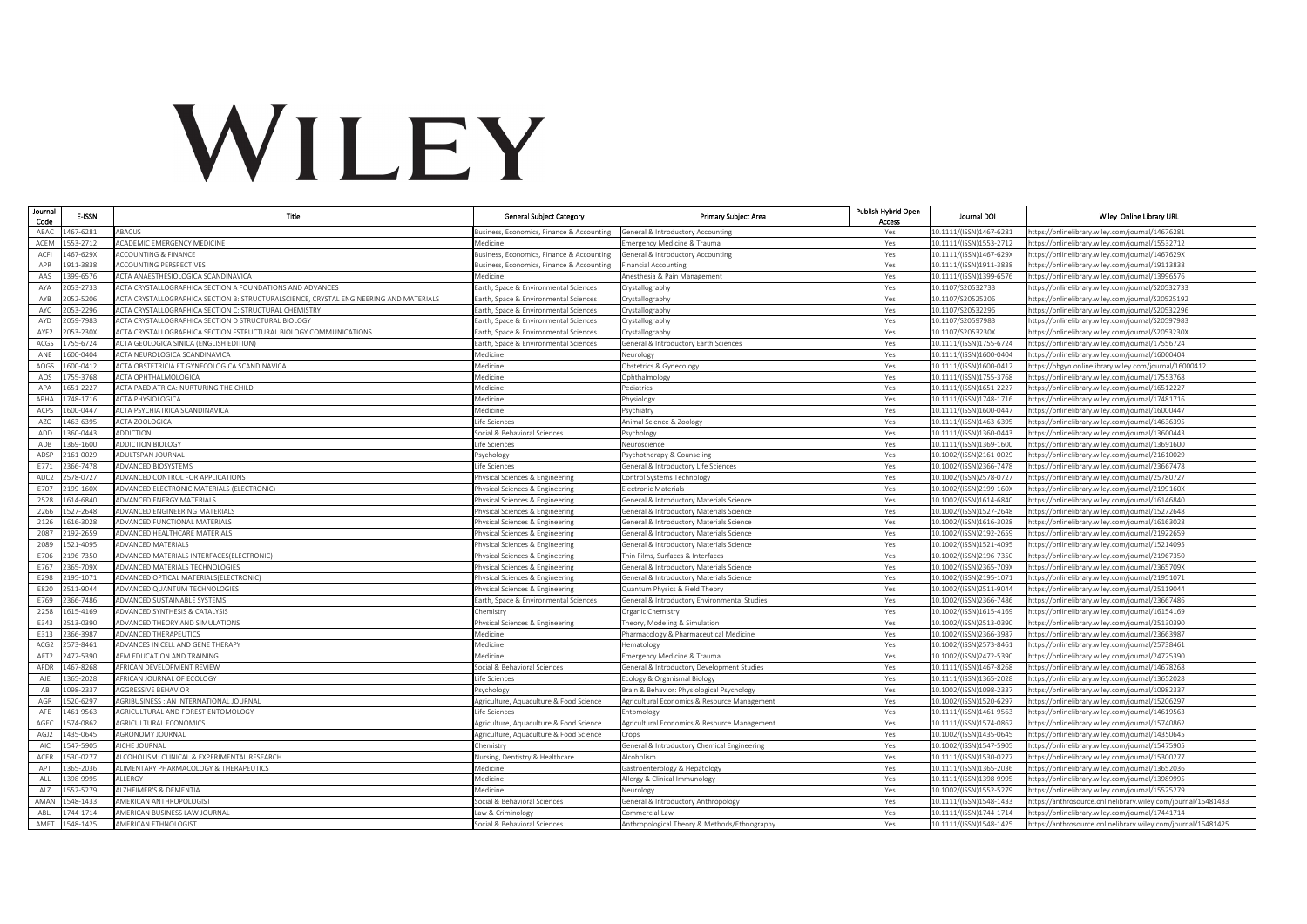## WILEY

| Journal<br>Code  | E-ISSN               | Title                                                                                  | <b>General Subject Category</b>                                        | <b>Primary Subject Area</b>                                                    | Publish Hybrid Open<br>Access | Journal DOI                                        | Wiley Online Library URL                                                                             |
|------------------|----------------------|----------------------------------------------------------------------------------------|------------------------------------------------------------------------|--------------------------------------------------------------------------------|-------------------------------|----------------------------------------------------|------------------------------------------------------------------------------------------------------|
| ABA0             | 167-6281             | ABACUS                                                                                 | usiness, Economics, Finance & Accounting                               | General & Introductory Accounting                                              | Yes                           | 10.1111/(ISSN)1467-6281                            | ttps://onlinelibrary.wiley.com/journal/14676281                                                      |
| ACEM             | 553-2712             | ACADEMIC EMERGENCY MEDICINE                                                            | Medicine                                                               | mergency Medicine & Trauma                                                     | Yes                           | 10.1111/(ISSN)1553-2712                            | ttps://onlinelibrary.wiley.com/journal/15532712                                                      |
| ACFI             | 467-629X             | <b>ACCOUNTING &amp; FINANCE</b>                                                        | Business, Economics, Finance & Accounting                              | General & Introductory Accounting                                              | Yes                           | 10.1111/(ISSN)1467-629X                            | nttps://onlinelibrary.wiley.com/journal/1467629X                                                     |
| APR              | 911-3838             | <b>ACCOUNTING PERSPECTIVES</b>                                                         | Business, Economics, Finance & Accounting                              | <b>Financial Accounting</b>                                                    | Yes                           | 10.1111/(ISSN)1911-3838                            | ttps://onlinelibrary.wiley.com/journal/19113838                                                      |
| AAS              | 399-6576             | ACTA ANAESTHESIOLOGICA SCANDINAVICA                                                    | Medicine                                                               | Anesthesia & Pain Management                                                   | Yes                           | 10.1111/(ISSN)1399-6576                            | https://onlinelibrary.wiley.com/journal/13996576                                                     |
| AYA              | 053-2733             | ACTA CRYSTALLOGRAPHICA SECTION A FOUNDATIONS AND ADVANCES                              | Earth, Space & Environmental Sciences                                  | Crystallography                                                                | Yes                           | 10.1107/S20532733                                  | nttps://onlinelibrary.wiley.com/journal/S20532733                                                    |
| AYB              | 152-5206             | ACTA CRYSTALLOGRAPHICA SECTION B: STRUCTURALSCIENCE. CRYSTAL ENGINEERING AND MATERIALS | Earth, Space & Environmental Sciences                                  | Crystallography                                                                | Yes                           | 10.1107/S20525206                                  | https://onlinelibrary.wiley.com/iournal/S20525192                                                    |
| AYC              | 153-2296             | ACTA CRYSTALLOGRAPHICA SECTION C: STRUCTURAL CHEMISTRY                                 | arth, Space & Environmental Sciences                                   | Crystallography                                                                | Yes                           | 10.1107/S20532296                                  | https://onlinelibrary.wiley.com/journal/S20532296                                                    |
| AYD              | 159-7983             | ACTA CRYSTALLOGRAPHICA SECTION D STRUCTURAL BIOLOGY                                    | Earth, Space & Environmental Sciences                                  | Crystallography                                                                | Yes                           | 10.1107/S20597983                                  | https://onlinelibrary.wiley.com/journal/S20597983                                                    |
| AYF2             | 53-230X              | ACTA CRYSTALLOGRAPHICA SECTION FSTRUCTURAL BIOLOGY COMMUNICATIONS                      | arth, Space & Environmental Sciences                                   | Crystallography                                                                | Yes                           | 10.1107/S2053230X                                  | ttps://onlinelibrary.wiley.com/journal/S2053230X                                                     |
| ACGS             | 755-6724             | <b>ACTA GEOLOGICA SINICA (ENGLISH EDITION)</b>                                         | Earth, Space & Environmental Sciences                                  | General & Introductory Earth Sciences                                          | Yes                           | 10.1111/(ISSN)1755-6724                            | https://onlinelibrary.wiley.com/journal/17556724                                                     |
| ANE              | 600-0404             | ACTA NEUROLOGICA SCANDINAVICA                                                          | Medicine                                                               | Neurology                                                                      | Yes                           | 10.1111/(ISSN)1600-0404                            | https://onlinelibrary.wiley.com/journal/16000404                                                     |
| AOGS             | 600-0412             | ACTA OBSTETRICIA ET GYNECOLOGICA SCANDINAVICA                                          | Medicine                                                               | Obstetrics & Gynecology                                                        | Yes                           | 10.1111/(ISSN)1600-0412                            | https://obgyn.onlinelibrary.wiley.com/journal/16000412                                               |
| AOS              | 55-3768              | <b>ACTA OPHTHALMOLOGICA</b>                                                            | Medicine                                                               | Ophthalmology                                                                  | Yes                           | 10.1111/(ISSN)1755-3768                            | ttps://onlinelibrary.wiley.com/journal/17553768                                                      |
| APA              | 651-2227             | ACTA PAEDIATRICA: NURTURING THE CHILD                                                  | Medicine                                                               | Pediatrics                                                                     | Yes                           | 10.1111/(ISSN)1651-2227                            | https://onlinelibrary.wiley.com/journal/16512227                                                     |
| APHA             | 748-1716             | <b>ACTA PHYSIOLOGICA</b>                                                               | Medicine                                                               | hysiology                                                                      | Yes                           | 10.1111/(ISSN)1748-1716                            | https://onlinelibrary.wiley.com/iournal/17481716                                                     |
| ACPS             | 600-0447             | <b>ACTA PSYCHIATRICA SCANDINAVICA</b>                                                  | Medicine                                                               | Psychiatry                                                                     | Yes                           | 10.1111/(ISSN)1600-0447                            | https://onlinelibrary.wiley.com/journal/16000447                                                     |
| AZO              | 463-6395             | <b>ACTA ZOOLOGICA</b>                                                                  | Life Sciences                                                          | Animal Science & Zoology                                                       | Yes                           | 10.1111/(ISSN)1463-6395                            | https://onlinelibrary.wiley.com/journal/14636395                                                     |
| ADD              | 360-0443             | ADDICTION                                                                              | ocial & Behavioral Sciences                                            | <sup>2</sup> sychology                                                         | Yes                           | 10.1111/(ISSN)1360-0443                            | https://onlinelibrary.wiley.com/journal/13600443                                                     |
| ADB              | 369-1600             | <b>ADDICTION BIOLOGY</b>                                                               | ife Sciences                                                           | Neuroscience                                                                   | Yes                           | 10.1111/(ISSN)1369-1600                            | ttps://onlinelibrary.wiley.com/journal/13691600                                                      |
| ADSP             | 161-0029             | ADULTSPAN JOURNAL                                                                      | Psychology                                                             | Psychotherapy & Counseling                                                     | Yes                           | 10.1002/(ISSN)2161-0029                            | https://onlinelibrary.wiley.com/iournal/21610029                                                     |
| E771             | 366-7478             | ADVANCED BIOSYSTEMS                                                                    | Life Sciences                                                          | General & Introductory Life Sciences                                           | Yes                           | 10.1002/(ISSN)2366-7478                            | https://onlinelibrary.wiley.com/journal/23667478                                                     |
| ADC2             | 578-0727             | ADVANCED CONTROL FOR APPLICATIONS                                                      | hysical Sciences & Engineering                                         | Control Systems Technology                                                     | Yes                           | 10.1002/(ISSN)2578-0727                            | ittps://onlinelibrary.wiley.com/journal/25780727                                                     |
| E707             | 199-160X             | ADVANCED ELECTRONIC MATERIALS (ELECTRONIC)                                             | Physical Sciences & Engineering                                        | Electronic Materials                                                           | Yes                           | 10.1002/(ISSN)2199-160X                            | https://onlinelibrary.wiley.com/journal/2199160X                                                     |
| 2528             | 614-6840             | ADVANCED ENERGY MATERIALS                                                              | hysical Sciences & Engineering                                         | General & Introductory Materials Science                                       | Yes                           | 10.1002/(ISSN)1614-6840                            | https://onlinelibrary.wiley.com/journal/16146840                                                     |
| 2266             | 527-2648             | ADVANCED ENGINEERING MATERIALS                                                         | hysical Sciences & Engineering                                         | Seneral & Introductory Materials Science                                       | Yes                           | 10.1002/(ISSN)1527-2648                            | ttps://onlinelibrary.wiley.com/journal/15272648                                                      |
| 2126             | 616-3028             | ADVANCED FUNCTIONAL MATERIALS                                                          | hysical Sciences & Engineering                                         | General & Introductory Materials Science                                       | Yes                           | 10.1002/(ISSN)1616-3028                            | https://onlinelibrary.wiley.com/journal/16163028                                                     |
| 2087             | 192-2659             | ADVANCED HEALTHCARE MATERIALS                                                          | hysical Sciences & Engineering                                         | Seneral & Introductory Materials Science                                       | Yes                           | 10.1002/(ISSN)2192-2659                            | nttps://onlinelibrary.wiley.com/journal/21922659                                                     |
| 2089<br>E706     | 521-4095             | <b>ADVANCED MATERIALS</b>                                                              | hysical Sciences & Engineering                                         | General & Introductory Materials Science                                       | Yes                           | 10.1002/(ISSN)1521-4095                            | https://onlinelibrary.wiley.com/journal/15214095                                                     |
|                  | 196-7350             | ADVANCED MATERIALS INTERFACES(ELECTRONIC)                                              | hysical Sciences & Engineering                                         | Thin Films, Surfaces & Interfaces                                              | Yes                           | 10.1002/(ISSN)2196-7350                            | https://onlinelibrary.wiley.com/journal/21967350                                                     |
| E767             | 365-709X             | ADVANCED MATERIALS TECHNOLOGIES                                                        | Physical Sciences & Engineering                                        | General & Introductory Materials Science                                       | Yes                           | 10.1002/(ISSN)2365-709X                            | https://onlinelibrary.wiley.com/journal/2365709X                                                     |
| E298<br>E820     | 195-1071<br>511-9044 | ADVANCED OPTICAL MATERIALS(ELECTRONIC)                                                 | hysical Sciences & Engineering                                         | General & Introductory Materials Science                                       | Yes                           | 10.1002/(ISSN)2195-1071<br>10.1002/(ISSN)2511-9044 | nttps://onlinelibrary.wiley.com/journal/21951071                                                     |
| E769             | 366-7486             | ADVANCED QUANTUM TECHNOLOGIES<br>ADVANCED SUSTAINABLE SYSTEMS                          | hysical Sciences & Engineering<br>arth, Space & Environmental Sciences | Quantum Physics & Field Theory<br>General & Introductory Environmental Studies | Yes<br>Yes                    | 10.1002/(ISSN)2366-7486                            | https://onlinelibrary.wiley.com/journal/25119044<br>https://onlinelibrary.wiley.com/journal/23667486 |
| 2258             | 615-4169             | ADVANCED SYNTHESIS & CATALYSIS                                                         | Chemistry                                                              | Organic Chemistry                                                              | Yes                           | 10.1002/(ISSN)1615-4169                            | https://onlinelibrary.wiley.com/journal/16154169                                                     |
| E343             | 13-0390              | ADVANCED THEORY AND SIMULATIONS                                                        |                                                                        |                                                                                | Yes                           | 0.1002/(ISSN)2513-0390                             | ttps://onlinelibrary.wiley.com/journal/25130390                                                      |
| E313             | 366-3987             | ADVANCED THERAPEUTICS                                                                  | hysical Sciences & Engineering<br>Medicine                             | heory, Modeling & Simulation<br>Pharmacology & Pharmaceutical Medicine         | Yes                           | 10.1002/(ISSN)2366-3987                            | https://onlinelibrary.wiley.com/iournal/23663987                                                     |
| ACG <sub>2</sub> | 573-8461             | ADVANCES IN CELL AND GENE THERAPY                                                      | Medicine                                                               | <b>Hematology</b>                                                              | Yes                           | 10.1002/(ISSN)2573-8461                            | https://onlinelibrary.wiley.com/journal/25738461                                                     |
| AET2             | 472-5390             | AEM EDUCATION AND TRAINING                                                             | Medicine                                                               | mergency Medicine & Trauma                                                     | Yes                           | 10.1002/(ISSN)2472-5390                            | ttps://onlinelibrary.wiley.com/journal/24725390                                                      |
| AFDR             | 467-8268             | AFRICAN DEVELOPMENT REVIEW                                                             | Social & Behavioral Sciences                                           | General & Introductory Development Studies                                     | Yes                           | 10.1111/(ISSN)1467-8268                            | ttps://onlinelibrary.wiley.com/journal/14678268                                                      |
| AJE              | 365-2028             | AFRICAN JOURNAL OF ECOLOGY                                                             | Life Sciences                                                          | Ecology & Organismal Biology                                                   | Yes                           | 10.1111/(ISSN)1365-2028                            | https://onlinelibrary.wiley.com/journal/13652028                                                     |
| AB               | 098-2337             | <b>AGGRESSIVE BEHAVIOR</b>                                                             | 'sychology                                                             | Brain & Behavior: Physiological Psychology                                     | Yes                           | 10.1002/(ISSN)1098-2337                            | ittps://onlinelibrary.wiley.com/journal/10982337                                                     |
| AGR              | 520-6297             | <b>AGRIBUSINESS : AN INTERNATIONAL JOURNAL</b>                                         | Agriculture, Aquaculture & Food Science                                | Agricultural Economics & Resource Management                                   | Yes                           | 10.1002/(ISSN)1520-6297                            | https://onlinelibrary.wiley.com/journal/15206297                                                     |
| AFE              | 461-9563             | AGRICULTURAL AND FOREST ENTOMOLOGY                                                     | Life Sciences                                                          | Entomology                                                                     | Yes                           | 10.1111/(ISSN)1461-9563                            | https://onlinelibrary.wiley.com/journal/14619563                                                     |
| AGEC             | 74-0862              | <b>AGRICULTURAL ECONOMICS</b>                                                          | Agriculture, Aquaculture & Food Science                                | Agricultural Economics & Resource Management                                   | Yes                           | 10.1111/(ISSN)1574-0862                            | ttps://onlinelibrary.wiley.com/journal/15740862                                                      |
| AGJ2             | 435-0645             | <b>AGRONOMY JOURNAL</b>                                                                | Agriculture, Aquaculture & Food Science                                | Crops                                                                          | Yes                           | 10.1002/(ISSN)1435-0645                            | ttps://onlinelibrary.wiley.com/iournal/14350645                                                      |
| AIC              | 547-5905             | AICHE JOURNAL                                                                          | Chemistry                                                              | General & Introductory Chemical Engineering                                    | Yes                           | 10.1002/(ISSN)1547-5905                            | https://onlinelibrary.wiley.com/journal/15475905                                                     |
| ACER             | 530-0277             | ALCOHOLISM: CLINICAL & EXPERIMENTAL RESEARCH                                           | Jursing, Dentistry & Healthcare                                        | Alcoholism                                                                     | Yes                           | 10.1111/(ISSN)1530-0277                            | ittps://onlinelibrary.wiley.com/journal/15300277                                                     |
| APT              | 365-2036             | ALIMENTARY PHARMACOLOGY & THERAPEUTICS                                                 | Medicine                                                               | Gastroenterology & Hepatology                                                  | Yes                           | 10.1111/(ISSN)1365-2036                            | https://onlinelibrary.wiley.com/journal/13652036                                                     |
| ALL              | 398-9995             | ALLERGY                                                                                | Medicine                                                               | Allergy & Clinical Immunology                                                  | Yes                           | 10.1111/(ISSN)1398-9995                            | https://onlinelibrary.wiley.com/journal/13989995                                                     |
| ALZ              | 552-5279             | <b>ALZHEIMER'S &amp; DEMENTIA</b>                                                      | Medicine                                                               | Veurology                                                                      | Yes                           | 10.1002/(ISSN)1552-5279                            | ttps://onlinelibrary.wiley.com/journal/15525279                                                      |
| AMAN             | 548-1433             | AMERICAN ANTHROPOLOGIST                                                                | Social & Behavioral Sciences                                           | General & Introductory Anthropology                                            | Yes                           | 10.1111/(ISSN)1548-1433                            | https://anthrosource.onlinelibrary.wiley.com/journal/15481433                                        |
| ABLI             | 744-1714             | <b>AMERICAN BUSINESS LAW JOURNAL</b>                                                   | Law & Criminology                                                      | Commercial Law                                                                 | Yes                           | 10.1111/(ISSN)1744-1714                            | https://onlinelibrary.wiley.com/journal/17441714                                                     |
| AMET             | 548-1425             | AMERICAN ETHNOLOGIST                                                                   | Social & Behavioral Sciences                                           | Anthropological Theory & Methods/Ethnography                                   | Yes                           | 10.1111/(ISSN)1548-1425                            | https://anthrosource.onlinelibrary.wiley.com/journal/15481425                                        |
|                  |                      |                                                                                        |                                                                        |                                                                                |                               |                                                    |                                                                                                      |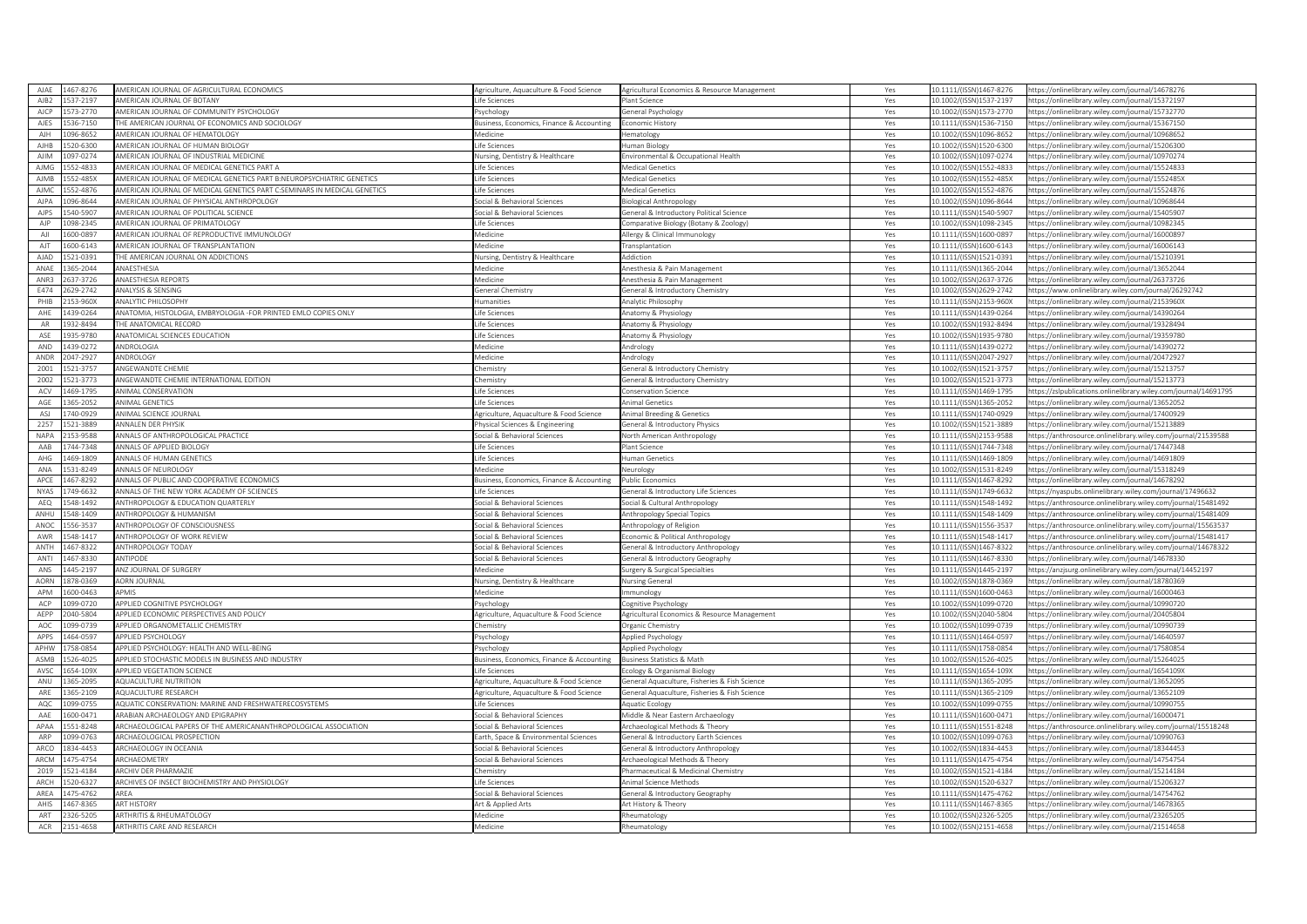| AJAE        | 467-8276              | AMERICAN IOURNAL OF AGRICULTURAL ECONOMICS                                                    | vericulture. Aquaculture & Food Science.  | Agricultural Economics & Resource Management  | Yes        | 0.1111/(ISSN)1467-8276                             | https://onlinelibrary.wiley.com/iournal/14678276                                                     |
|-------------|-----------------------|-----------------------------------------------------------------------------------------------|-------------------------------------------|-----------------------------------------------|------------|----------------------------------------------------|------------------------------------------------------------------------------------------------------|
| AJB2        | 537-2197              | AMERICAN JOURNAL OF BOTANY                                                                    | ife Sciences                              | lant Science                                  | Yes        | 10.1002/(ISSN)1537-2197                            | https://onlinelibrary.wiley.com/journal/15372197                                                     |
| <b>AICP</b> | 573-2770              | MERICAN JOURNAL OF COMMUNITY PSYCHOLOGY                                                       | sychology                                 | General Psychology                            | Yes        | 10.1002/(ISSN)1573-2770                            | ttps://onlinelibrary.wiley.com/journal/15732770                                                      |
| AJES        | 536-7150              | HE AMERICAN JOURNAL OF ECONOMICS AND SOCIOLOGY                                                | susiness, Economics, Finance & Accounting | conomic History                               | Yes        | 10.1111/(ISSN)1536-7150                            | https://onlinelibrary.wiley.com/iournal/15367150                                                     |
| AJH         | 096-8652              | MERICAN IOURNAL OF HEMATOLOGY                                                                 | edicine                                   | lematology                                    | Yes        | 0.1002/(ISSN)1096-8652                             | ttps://onlinelibrary.wiley.com/journal/10968652                                                      |
| <b>AJHB</b> | 520-6300              | AMERICAN JOURNAL OF HUMAN BIOLOGY                                                             | ife Sciences                              | Juman Biology                                 | Yes        | 10.1002/(ISSN)1520-6300                            | https://onlinelibrary.wiley.com/journal/15206300                                                     |
| <b>AJIM</b> | 097-0274              | AMERICAN JOURNAL OF INDUSTRIAL MEDICINE                                                       | Jursing, Dentistry & Healthcare           | nvironmental & Occupational Health            | Yes        | 10.1002/(ISSN)1097-0274                            | ttps://onlinelibrary.wiley.com/journal/10970274                                                      |
| AJMG        | 552-4833              | AMERICAN JOURNAL OF MEDICAL GENETICS PART A                                                   | ife Sciences                              | Medical Genetics                              | Yes        | 10.1002/(ISSN)1552-4833                            | ttps://onlinelibrary.wiley.com/journal/15524833                                                      |
| <b>AJMB</b> | 552-485X              | AMERICAN JOURNAL OF MEDICAL GENETICS PART B:NEUROPSYCHIATRIC GENETICS                         | ife Sciences                              | Medical Genetics                              | Yes        | 10.1002/(ISSN)1552-485X                            | ittps://onlinelibrary.wiley.com/journal/1552485X                                                     |
| <b>AIMO</b> | 52-4876               | AMERICAN JOURNAL OF MEDICAL GENETICS PART C:SEMINARS IN MEDICAL GENETICS                      | ife Sciences                              | Medical Genetics                              |            | 10.1002/(ISSN)1552-4876                            |                                                                                                      |
| AJPA        | 096-8644              | AMERICAN JOURNAL OF PHYSICAL ANTHROPOLOGY                                                     | ocial & Behavioral Sciences               | <b>Biological Anthropology</b>                | Yes<br>Yes | 10.1002/(ISSN)1096-8644                            | https://onlinelibrary.wiley.com/journal/15524876<br>https://onlinelibrary.wiley.com/iournal/10968644 |
| <b>AJPS</b> | 40-5907               | AMERICAN JOURNAL OF POLITICAL SCIENCE                                                         |                                           |                                               |            | 10.1111/(ISSN)1540-5907                            |                                                                                                      |
|             |                       |                                                                                               | ocial & Behavioral Sciences               | General & Introductory Political Science      | Yes        |                                                    | ttps://onlinelibrary.wiley.com/journal/15405907                                                      |
| AIP         | 098-2345              | AMERICAN IOURNAL OF PRIMATOLOGY                                                               | ife Sciences                              | omparative Biology (Botany & Zoology)         | Yes        | 10.1002/(ISSN)1098-2345                            | ttps://onlinelibrary.wiley.com/journal/10982345                                                      |
| AJI         | 600-0897              | AMERICAN JOURNAL OF REPRODUCTIVE IMMUNOLOGY                                                   | <i>A</i> edicine                          | Allergy & Clinical Immunology                 | Yes        | 10.1111/(ISSN)1600-0897                            | https://onlinelibrary.wiley.com/journal/16000897                                                     |
| AJT         | 600-6143              | AMERICAN JOURNAL OF TRANSPLANTATION                                                           | <b>Aedicine</b>                           | ransplantation                                | Yes        | 10.1111/(ISSN)1600-6143                            | https://onlinelibrary.wiley.com/journal/16006143                                                     |
| <b>AJAD</b> | 521-0391              | HE AMERICAN JOURNAL ON ADDICTIONS                                                             | Jursing, Dentistry & Healthcare           | Addiction                                     | Yes        | 10.1111/(ISSN)1521-0391                            | ttps://onlinelibrary.wiley.com/iournal/15210391                                                      |
| ANAE        | 365-2044              | ANAESTHESIA                                                                                   | <i><b>Aedicine</b></i>                    | Anesthesia & Pain Management                  | Yes        | 10.1111/(ISSN)1365-2044                            | ttps://onlinelibrary.wiley.com/journal/13652044                                                      |
| ANR3        | 37-3726               | ANAESTHESIA REPORTS                                                                           | dedicine                                  | Anesthesia & Pain Management                  | Yes        | 0.1002/(ISSN)2637-3726                             | ttps://onlinelibrary.wiley.com/journal/26373726                                                      |
| E474        | 629-2742              | ANALYSIS & SENSING                                                                            | eneral Chemistry                          | General & Introductory Chemistry              | Yes        | 10.1002/(ISSN)2629-2742                            | https://www.onlinelibrary.wiley.com/journal/26292742                                                 |
| PHIB        | 153-960X              | <b>ANALYTIC PHILOSOPHY</b>                                                                    | <b>lumanities</b>                         | Analytic Philosophy                           | Yes        | 10.1111/(ISSN)2153-960X                            | ttps://onlinelibrary.wiley.com/journal/2153960X                                                      |
| AHF         | 439-0264              | ANATOMIA, HISTOLOGIA, EMBRYOLOGIA -FOR PRINTED EMLO COPIES ONLY                               | ife Sciences                              | Anatomy & Physiology                          | Yes        | 10.1111/(ISSN)1439-0264                            | https://onlinelibrary.wiley.com/journal/14390264                                                     |
| AR          | 932-8494              | <b>HE ANATOMICAL RECORD</b>                                                                   | fe Sciences                               | Anatomy & Physiology                          | Yes        | 10.1002/(ISSN)1932-8494                            | ttps://onlinelibrary.wiley.com/journal/19328494                                                      |
| ASE         | 935-9780              | ANATOMICAL SCIENCES EDUCATION                                                                 | ife Sciences                              | Anatomy & Physiology                          | Yes        | 10.1002/(ISSN)1935-9780                            | https://onlinelibrary.wiley.com/journal/19359780                                                     |
| AND         | 439-0272              | <b>INDROLOGIA</b>                                                                             | edicine                                   | Andrology                                     | Yes        | 10.1111/(ISSN)1439-0272                            | ttps://onlinelibrary.wiley.com/journal/14390272                                                      |
| ANDF        | 047-2927              | <b>INDROLOGY</b>                                                                              | <i><b>Medicine</b></i>                    | Andrology                                     | Yes        | 10.1111/(ISSN)2047-2927                            | ittps://onlinelibrary.wiley.com/journal/20472927                                                     |
| 2001        | 521-3757              | <b>INGEWANDTE CHEMIE</b>                                                                      | hemistry                                  | ieneral & Introductory Chemistry              | Yes        | 10.1002/(ISSN)1521-3757                            | https://onlinelibrary.wiley.com/journal/15213757                                                     |
| 2002        | 521-3773              | ANGEWANDTE CHEMIE INTERNATIONAL EDITION                                                       | hemistry                                  | General & Introductory Chemistry              |            | LO.1002/(ISSN)1521-3773                            | ttps://onlinelibrary.wiley.com/iournal/15213773                                                      |
|             |                       |                                                                                               |                                           |                                               | Yes        |                                                    |                                                                                                      |
| ACV         | 469-1795              | <b>INIMAL CONSERVATION</b>                                                                    | ife Sciences                              | Conservation Science                          | Yes        | 10.1111/(ISSN)1469-1795                            | ttps://zslpublications.onlinelibrary.wiley.com/journal/14691795                                      |
| AGF         | 365-2052              | ANIMAL GENETICS                                                                               | ife Sciences                              | Animal Genetics                               | Yes        | 10.1111/(ISSN)1365-2052                            | https://onlinelibrary.wiley.com/journal/13652052                                                     |
| ASJ         | 740-0929              | <b>INIMAL SCIENCE JOURNAL</b>                                                                 | griculture, Aquaculture & Food Science    | nimal Breeding & Genetics                     | Yes        | 0.1111/(ISSN)1740-0929                             | ttps://onlinelibrary.wiley.com/journal/17400929                                                      |
| 2257        | 21-3889               | ANNALEN DER PHYSIK                                                                            | hysical Sciences & Engineering            | Seneral & Introductory Physics                | Yes        | LO.1002/(ISSN)1521-3889                            | ttps://onlinelibrary.wiley.com/journal/15213889                                                      |
| NAPA        | 153-9588              | ANNALS OF ANTHROPOLOGICAL PRACTICE                                                            | ocial & Behavioral Sciences               | <b>North American Anthropology</b>            | Yes        | 10.1111/(ISSN)2153-9588                            | https://anthrosource.onlinelibrary.wiley.com/journal/21539588                                        |
| AAB         | 744-7348              | <b>INNALS OF APPLIED BIOLOGY</b>                                                              | ife Sciences                              | lant Science                                  | Yes        | 10.1111/(ISSN)1744-7348                            | ttps://onlinelibrary.wiley.com/journal/17447348                                                      |
|             |                       |                                                                                               |                                           |                                               |            |                                                    |                                                                                                      |
| AHG         | 469-1809              | ANNALS OF HUMAN GENETICS                                                                      | ife Sciences                              | Iuman Genetics                                | Yes        | 10.1111/(ISSN)1469-1809                            | ttps://onlinelibrary.wiley.com/journal/14691809                                                      |
| ANA         | 31-8249               | <b>INNALS OF NEUROLOGY</b>                                                                    | <i>Aedicine</i>                           | Veurology                                     | Yes        | 0.1002/(ISSN)1531-8249                             | ttps://onlinelibrary.wiley.com/iournal/15318249                                                      |
| APCE        | 467-8292              | ANNALS OF PUBLIC AND COOPERATIVE ECONOMICS                                                    | Business, Economics, Finance & Accounting | Public Economics                              | Yes        | 10.1111/(ISSN)1467-8292                            | https://onlinelibrary.wiley.com/iournal/14678292                                                     |
| <b>NYAS</b> | 749-6632              | ANNALS OF THE NEW YORK ACADEMY OF SCIENCES                                                    | ife Sciences                              | Seneral & Introductory Life Sciences          | Yes        | 10.1111/(ISSN)1749-6632                            | sttps://nyaspubs.onlinelibrary.wiley.com/journal/17496632                                            |
|             |                       |                                                                                               | ocial & Behavioral Sciences               |                                               |            |                                                    | ttps://anthrosource.onlinelibrary.wiley.com/iournal/15481492                                         |
| AEQ         | 548-1492              | ANTHROPOLOGY & EDUCATION QUARTERLY<br><b>INTHROPOLOGY &amp; HUMANISM</b>                      |                                           | iocial & Cultural Anthropology                | Yes        | 10.1111/(ISSN)1548-1492                            |                                                                                                      |
| ANHU        | 548-1409<br>556-3537  |                                                                                               | ocial & Behavioral Sciences               | Anthropology Special Topics                   | Yes        | 0.1111/(ISSN)1548-1409                             | ttps://anthrosource.onlinelibrary.wiley.com/journal/15481409                                         |
| ANOC        |                       | ANTHROPOLOGY OF CONSCIOUSNESS                                                                 | ocial & Behavioral Sciences               | Inthropology of Religion                      | Yes        | 10.1111/(ISSN)1556-3537                            | https://anthrosource.onlinelibrary.wiley.com/journal/15563537                                        |
| AWR         | 548-1417              | ANTHROPOLOGY OF WORK REVIEW                                                                   | ocial & Behavioral Sciences               | conomic & Political Anthropology              | Yes        | 10.1111/(ISSN)1548-1417                            | ittps://anthrosource.onlinelibrary.wiley.com/journal/15481417                                        |
| ANTH        | 467-8322              | <b>ANTHROPOLOGY TODAY</b>                                                                     | ocial & Behavioral Sciences               | General & Introductory Anthropology           | Yes        | 10.1111/(ISSN)1467-8322                            | https://anthrosource.onlinelibrary.wiley.com/journal/14678322                                        |
| ANTI        | 467-8330              | <b>NTIPODE</b>                                                                                | Social & Behavioral Sciences              | General & Introductory Geography              | Yes        | 0.1111/(ISSN)1467-8330                             | ttps://onlinelibrary.wiley.com/journal/14678330                                                      |
| ANS         | 445-2197              | ANZ JOURNAL OF SURGERY                                                                        | Medicine                                  | Surgery & Surgical Specialties                | Yes        | 10.1111/(ISSN)1445-2197                            | https://anzjsurg.onlinelibrary.wiley.com/journal/14452197                                            |
| <b>AORN</b> | 878-0369              | <b>ORN JOURNAL</b>                                                                            | Jursing, Dentistry & Healthcare           | <b>Nursing General</b>                        | Yes        | 10.1002/(ISSN)1878-0369                            | ittps://onlinelibrary.wiley.com/journal/18780369                                                     |
| APM         | 600-0463              | <b>APMIS</b>                                                                                  | <i><b>Medicine</b></i>                    | mmunology                                     | Yes        | 10.1111/(ISSN)1600-0463                            | ttps://onlinelibrary.wiley.com/journal/16000463                                                      |
| <b>ACP</b>  | 099-0720              | <b>APPLIED COGNITIVE PSYCHOLOGY</b>                                                           | sychology                                 | ognitive Psychology                           | Yes        | 10.1002/(ISSN)1099-0720                            | ttps://onlinelibrary.wiley.com/journal/10990720                                                      |
| AFPP        | 140-5804              | APPLIED ECONOMIC PERSPECTIVES AND POLICY                                                      | griculture, Aquaculture & Food Science    | Agricultural Economics & Resource Management  | Yes        | 0.1002/(ISSN)2040-5804                             | ttps://onlinelibrary.wiley.com/iournal/20405804                                                      |
| AOC         | 099-0739              | APPLIED ORGANOMETALLIC CHEMISTRY                                                              | :hemistrv                                 | Organic Chemistry                             | Yes        | 10.1002/(ISSN)1099-0739                            | nttps://onlinelibrary.wiley.com/journal/10990739                                                     |
| APPS        | 464-0597              | <b>APPLIED PSYCHOLOGY</b>                                                                     | sychology                                 | Applied Psychology                            | Yes        | 10.1111/(ISSN)1464-0597                            | ttps://onlinelibrary.wiley.com/journal/14640597                                                      |
| APHW        | 758-0854              | APPLIED PSYCHOLOGY: HEALTH AND WELL-BEING                                                     | sychology                                 | Applied Psychology                            | Yes        | 10.1111/(ISSN)1758-0854                            | ttps://onlinelibrary.wiley.com/journal/17580854                                                      |
| ASMP        | 26-4025               | APPLIED STOCHASTIC MODELS IN BUSINESS AND INDUSTRY                                            | Business, Economics, Finance & Accounting | <b>Business Statistics &amp; Math</b>         | Yes        | L0.1002/(ISSN)1526-4025                            | ttps://onlinelibrary.wiley.com/journal/15264025                                                      |
| AVSC        | 654-109X              | <b>APPLIED VEGETATION SCIENCE</b>                                                             | ife Sciences                              | cology & Organismal Biology                   | Yes        | 10.1111/(ISSN)1654-109X                            | https://onlinelibrary.wiley.com/journal/1654109X                                                     |
| ANU         | 365-2095              | <b>AQUACULTURE NUTRITION</b>                                                                  | Agriculture, Aquaculture & Food Science   | General Aquaculture, Fisheries & Fish Science | Yes        | 10.1111/(ISSN)1365-2095                            | ttps://onlinelibrary.wiley.com/journal/13652095                                                      |
| ARF         | 365-2109              | <b>AOUACULTURE RESEARCH</b>                                                                   | Agriculture, Aguaculture & Food Science   | General Aquaculture, Fisheries & Fish Science | Yes        | 10.1111/(ISSN)1365-2109                            | https://onlinelibrary.wiley.com/journal/13652109                                                     |
| AQC         | 099-0755              | QUATIC CONSERVATION: MARINE AND FRESHWATERECOSYSTEMS                                          | fe Sciences                               | Aquatic Ecology                               | Yes        | 0.1002/(ISSN)1099-0755                             | ttps://onlinelibrary.wiley.com/journal/1099075                                                       |
| AAF         | 600-0471              | ARABIAN ARCHAEOI OGY AND EPIGRAPHY                                                            | ocial & Behavioral Sciences               |                                               |            | 10.1111/(ISSN)1600-0471                            | nttps://onlinelibrary.wiley.com/iournal/16000471                                                     |
|             |                       |                                                                                               |                                           | Middle & Near Eastern Archaeology             | Yes        |                                                    |                                                                                                      |
| APAA<br>ARP | 551-8248<br>099-0763  | RCHAEOLOGICAL PAPERS OF THE AMERICANANTHROPOLOGICAL ASSOCIATION<br>ARCHAEOLOGICAL PROSPECTION | Social & Behavioral Sciences              | Archaeological Methods & Theory               | Yes        | 10.1111/(ISSN)1551-8248                            | ttps://anthrosource.onlinelibrary.wiley.com/journal/15518248                                         |
|             |                       |                                                                                               | arth, Space & Environmental Sciences      | General & Introductory Earth Sciences         | Yes        | 10.1002/(ISSN)1099-0763                            | ttps://onlinelibrary.wiley.com/journal/10990763                                                      |
| ARCO        | 834-4453              | ARCHAEOLOGY IN OCEANIA                                                                        | ocial & Behavioral Sciences               | ieneral & Introductory Anthropology           | Yes        | LO.1002/(ISSN)1834-4453                            | ttps://onlinelibrary.wiley.com/iournal/18344453                                                      |
| <b>ARCM</b> | 175-4754              | ARCHAEOMETRY                                                                                  | ocial & Behavioral Sciences               | Archaeological Methods & Theorv               | Yes        | 10.1111/(ISSN)1475-4754                            | ttps://onlinelibrary.wiley.com/journal/14754754                                                      |
| 2019        | 521-4184              | <b>RCHIV DER PHARMAZII</b>                                                                    | hemistry                                  | harmaceutical & Medicinal Chemistr            | Yes        | 10.1002/(ISSN)1521-4184                            | /ttps://onlinelibrary.wiley.com/journal/1521418                                                      |
| ARCH        | 320-6327              | RCHIVES OF INSECT BIOCHEMISTRY AND PHYSIOLOGY                                                 | fe Sciences                               | Animal Science Methods                        | Yes        | 10.1002/(ISSN)1520-6327                            | ttps://onlinelibrary.wiley.com/journal/15206327                                                      |
| ARFA        | 475-4762              | <b>ARFA</b>                                                                                   | ocial & Behavioral Sciences               | ieneral & Introductory Geography              | Yes        | 0.1111/(ISSN)1475-4762                             | ttps://onlinelibrary.wiley.com/journal/14754762                                                      |
| AHIS        | 467-8365              | <b>RT HISTORY</b>                                                                             | Art & Annlied Arts                        | Art History & Theory                          | Yes        | 10.1111/(ISSN)1467-8365                            | ttps://onlinelibrary.wiley.com/journal/14678365                                                      |
| ART<br>ACR  | 326-5205<br>2151-4658 | ARTHRITIS & RHEUMATOLOGY<br>ARTHRITIS CARE AND RESEARCH                                       | <i><b>Medicine</b></i><br><i>Aedicine</i> | Rheumatology<br>Rheumatology                  | Yes<br>Yes | 10.1002/(ISSN)2326-5205<br>10.1002/(ISSN)2151-4658 | https://onlinelibrary.wiley.com/journal/23265205<br>https://onlinelibrary.wiley.com/journal/21514658 |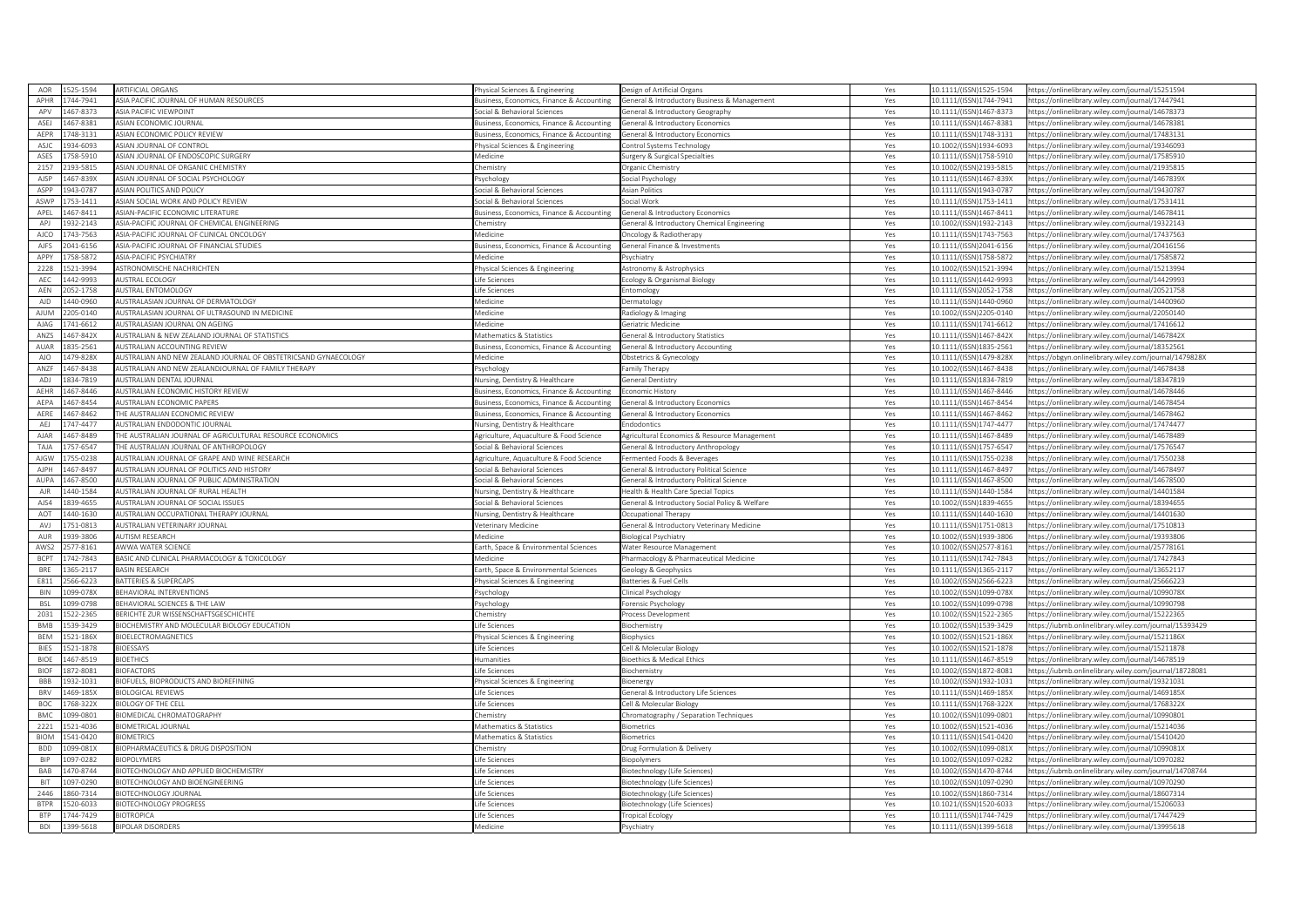| AOR         | 525-1594 | <b>ARTIFICIAL ORGANS</b>                                                          | hysical Sciences & Engineering                                  | Design of Artificial Organs                                                     | Yes        | 10.1111/(ISSN)1525-1594                            | https://onlinelibrary.wiley.com/journal/15251594                                                     |
|-------------|----------|-----------------------------------------------------------------------------------|-----------------------------------------------------------------|---------------------------------------------------------------------------------|------------|----------------------------------------------------|------------------------------------------------------------------------------------------------------|
| <b>APHR</b> | 744-7941 | ASIA PACIFIC JOURNAL OF HUMAN RESOURCES                                           | usiness, Economics, Finance & Accounting                        | General & Introductory Business & Management                                    | Yes        | 10.1111/(ISSN)1744-7941                            | https://onlinelibrary.wiley.com/journal/17447941                                                     |
| APV         | 467-8373 | <b>ASIA PACIFIC VIEWPOINT</b>                                                     | ocial & Behavioral Sciences                                     | eneral & Introductory Geography                                                 | Yes        | 10.1111/(ISSN)1467-8373                            | https://onlinelibrary.wiley.com/journal/14678375                                                     |
| ASEJ        | 467-8381 | ASIAN ECONOMIC JOURNAL                                                            | siness, Economics, Finance & Accounting                         | ieneral & Introductory Economics                                                | Yes        | 10.1111/(ISSN)1467-8381                            | https://onlinelibrary.wiley.com/journal/14678381                                                     |
| AEPR        | 748-3131 | ASIAN ECONOMIC POLICY REVIEW                                                      | siness, Economics, Finance & Accounting                         | ieneral & Introductory Economics                                                | Yes        | 10.1111/(ISSN)1748-3131                            | https://onlinelibrary.wiley.com/journal/17483131                                                     |
| ASJC        | 934-6093 | ASIAN IOURNAL OF CONTROL                                                          | hysical Sciences & Engineering                                  | ontrol Systems Technology                                                       | Yes        | 10.1002/(ISSN)1934-6093                            | https://onlinelibrary.wiley.com/journal/19346093                                                     |
| ASES        | 758-5910 | ASIAN JOURNAL OF ENDOSCOPIC SURGERY                                               | Aedicine                                                        | urgery & Surgical Specialties                                                   | Yes        | 10.1111/(ISSN)1758-5910                            | https://onlinelibrary.wiley.com/journal/17585910                                                     |
| 2157        | 193-5815 | ASIAN JOURNAL OF ORGANIC CHEMISTRY                                                | hemistry                                                        | <b>Drganic Chemistry</b>                                                        | Yes        | 10.1002/(ISSN)2193-5815                            | https://onlinelibrary.wiley.com/journal/21935815                                                     |
| AJSP        | 467-839X | ASIAN JOURNAL OF SOCIAL PSYCHOLOGY                                                | sychology                                                       | Social Psychology                                                               | Yes        | 10.1111/(ISSN)1467-839X                            | https://onlinelibrary.wiley.com/journal/1467839X                                                     |
| ASPP        | 943-0787 | ASIAN POLITICS AND POLICY                                                         | ocial & Behavioral Sciences                                     | <b>Asian Politics</b>                                                           | Yes        | 10.1111/(ISSN)1943-0787                            | https://onlinelibrary.wiley.com/journal/19430787                                                     |
| ASWE        | 753-1411 | ASIAN SOCIAL WORK AND POLICY REVIEW                                               | ocial & Behavioral Sciences                                     | Social Work                                                                     | Yes        | 10.1111/(ISSN)1753-1411                            | https://onlinelibrary.wiley.com/journal/17531411                                                     |
| APEL        | 467-8411 | ASIAN-PACIFIC ECONOMIC LITERATURE                                                 | usiness, Economics, Finance & Accounting                        | Seneral & Introductory Economics                                                | Yes        | 10.1111/(ISSN)1467-8411                            | https://onlinelibrary.wiley.com/iournal/14678411                                                     |
| APJ         | 32-2143  | ASIA-PACIFIC JOURNAL OF CHEMICAL ENGINEERING                                      | emistry                                                         | eneral & Introductory Chemical Engineering                                      | Yes        | 10.1002/(ISSN)1932-2143                            | https://onlinelibrary.wiley.com/iournal/19322143                                                     |
| AICO        |          |                                                                                   | <i><b>Aedicine</b></i>                                          |                                                                                 |            | 10.1111/(ISSN)1743-7563                            |                                                                                                      |
|             | 743-7563 | ASIA-PACIFIC JOURNAL OF CLINICAL ONCOLOGY                                         |                                                                 | Oncology & Radiotherapy                                                         | Yes        |                                                    | https://onlinelibrary.wiley.com/journal/17437563                                                     |
| AJFS        | 041-6156 | ASIA-PACIFIC JOURNAL OF FINANCIAL STUDIES                                         | usiness, Economics, Finance & Accounting                        | eneral Finance & Investments                                                    | Yes        | 10.1111/(ISSN)2041-6156                            | https://onlinelibrary.wiley.com/journal/20416156                                                     |
| APPY        | 758-5872 | <b>ASIA-PACIFIC PSYCHIATRY</b>                                                    | Aedicine                                                        | svchiatry                                                                       | Yes        | 10.1111/(ISSN)1758-5872                            | https://onlinelibrary.wiley.com/journal/17585872                                                     |
| 2228        | 521-3994 | ASTRONOMISCHE NACHRICHTEN                                                         | hysical Sciences & Engineering                                  | Astronomy & Astrophysics                                                        | Yes        | 10.1002/(ISSN)1521-3994                            | https://onlinelibrary.wiley.com/journal/15213994                                                     |
| AFC         | 442-9993 | <b>NUSTRAL ECOLOGY</b>                                                            | ife Sciences                                                    | cology & Organismal Biology                                                     | Yes        | 10.1111/(ISSN)1442-9993                            | https://onlinelibrary.wiley.com/journal/14429993                                                     |
| AEN         | 052-1758 | <b>IUSTRAL ENTOMOLOGY</b>                                                         | ife Sciences                                                    | ntomology                                                                       | Yes        | 10.1111/(ISSN)2052-1758                            | https://onlinelibrary.wiley.com/journal/20521758                                                     |
| AID         | 440-0960 | <b>NUSTRALASIAN JOURNAL OF DERMATOLOGY</b>                                        | <i><b>Medicine</b></i>                                          | ermatology                                                                      | Yes        | 10.1111/(ISSN)1440-0960                            | ttps://onlinelibrary.wiley.com/journal/14400960                                                      |
| AIUM        | 205-0140 | AUSTRALASIAN JOURNAL OF ULTRASOUND IN MEDICINE                                    | Medicine                                                        | Radiology & Imaging                                                             | Yes        | 10.1002/(ISSN)2205-0140                            | https://onlinelibrary.wiley.com/journal/22050140                                                     |
| AJAG        | 41-6612  | AUSTRALASIAN JOURNAL ON AGEING                                                    | Aedicine                                                        | Seriatric Medicine                                                              | Yes        | 10.1111/(ISSN)1741-6612                            | https://onlinelibrary.wiley.com/journal/17416612                                                     |
| ANZS        | 467-842X | AUSTRALIAN & NEW ZEALAND JOURNAL OF STATISTICS                                    | Mathematics & Statistics                                        | General & Introductory Statistics                                               | Yes        | 10.1111/(ISSN)1467-842X                            | https://onlinelibrary.wiley.com/journal/1467842X                                                     |
| AUAR        | 835-2561 | <b>NUSTRALIAN ACCOUNTING REVIEW</b>                                               | usiness, Economics, Finance & Accounting                        | eneral & Introductory Accounting                                                | Yes        | 10.1111/(ISSN)1835-2561                            | ttps://onlinelibrary.wiley.com/iournal/18352561                                                      |
| AJO         | 479-828X | AUSTRALIAN AND NEW ZEALAND JOURNAL OF OBSTETRICSAND GYNAECOLOGY                   | Aedicine                                                        | Obstetrics & Gynecology                                                         | Yes        | 10.1111/(ISSN)1479-828X                            | https://obgyn.onlinelibrary.wiley.com/journal/1479828X                                               |
| AN7F        | 167-8438 | <b>NUSTRALIAN AND NEW ZEALANDJOURNAL OF FAMILY THERAPY</b>                        | sychology                                                       | amily Therapy                                                                   | Yes        | 10.1002/(ISSN)1467-8438                            | https://onlinelibrary.wiley.com/journal/14678438                                                     |
| ADI         | 834-7819 | <b>AUSTRALIAN DENTAL JOURNAL</b>                                                  | Nursing, Dentistry & Healthcare                                 | <b>Seneral Dentistry</b>                                                        | Yes        | 10.1111/(ISSN)1834-7819                            | https://onlinelibrary.wiley.com/journal/18347819                                                     |
| AEHR        | 467-8446 | AUSTRALIAN ECONOMIC HISTORY REVIEW                                                | usiness, Economics, Finance & Accounting                        | conomic History                                                                 | Yes        | 10.1111/(ISSN)1467-8446                            | https://onlinelibrary.wiley.com/journal/14678446                                                     |
| AEPA        | 467-8454 | <b>AUSTRALIAN ECONOMIC PAPERS</b>                                                 | siness, Economics, Finance & Accounting                         | ieneral & Introductory Economics                                                | Yes        | 10.1111/(ISSN)1467-8454                            | https://onlinelibrary.wiley.com/journal/14678454                                                     |
| AFRF        | 467-8462 | HE AUSTRALIAN ECONOMIC REVIEW                                                     | siness, Economics, Finance & Accounting                         | eneral & Introductory Economics                                                 | Yes        | 10.1111/(ISSN)1467-8462                            | https://onlinelibrary.wiley.com/journal/14678462                                                     |
| AFI         | 747-4477 | <b>IUSTRALIAN ENDODONTIC IOURNAL</b>                                              | <b>Nursing, Dentistry &amp; Healthcare</b>                      | ndodontics                                                                      | Yes        | 10.1111/(ISSN)1747-4477                            | https://onlinelibrary.wiley.com/journal/17474477                                                     |
| AJAR        | 467-8489 | HE AUSTRALIAN JOURNAL OF AGRICULTURAL RESOURCE ECONOMICS                          | griculture, Aquaculture & Food Science                          | Agricultural Economics & Resource Management                                    | Yes        | 10.1111/(ISSN)1467-8489                            | https://onlinelibrary.wiley.com/journal/14678489                                                     |
| TAJA        | 757-6547 | HE AUSTRALIAN JOURNAL OF ANTHROPOLOGY                                             | ocial & Behavioral Sciences                                     | ieneral & Introductory Anthropology                                             | Yes        | 10.1111/(ISSN)1757-6547                            | ttps://onlinelibrary.wiley.com/journal/17576547                                                      |
| <b>AJGW</b> | 55-0238  | <b>IUSTRALIAN JOURNAL OF GRAPE AND WINE RESEARCH</b>                              | griculture, Aquaculture & Food Science                          | ermented Foods & Beverages                                                      | Yes        | 10.1111/(ISSN)1755-0238                            | ttps://onlinelibrary.wiley.com/journal/17550238                                                      |
| AIPH        | 467-8497 | <b>USTRALIAN JOURNAL OF POLITICS AND HISTORY</b>                                  | ocial & Behavioral Sciences                                     | eneral & Introductory Political Science                                         | Yes        | 10.1111/(ISSN)1467-8497                            | https://onlinelibrary.wiley.com/journal/14678497                                                     |
| AUPA        | 467-8500 |                                                                                   |                                                                 |                                                                                 |            |                                                    |                                                                                                      |
| AJR         | 440-1584 | AUSTRALIAN JOURNAL OF PUBLIC ADMINISTRATION<br>AUSTRALIAN JOURNAL OF RURAL HEALTH | iocial & Behavioral Sciences<br>lursing, Dentistry & Healthcare | General & Introductory Political Science<br>Health & Health Care Special Topics | Yes<br>Yes | 10.1111/(ISSN)1467-8500<br>10.1111/(ISSN)1440-1584 | https://onlinelibrary.wiley.com/journal/14678500<br>https://onlinelibrary.wiley.com/journal/14401584 |
|             | 839-4655 |                                                                                   |                                                                 |                                                                                 |            |                                                    |                                                                                                      |
| AJS4        |          | <b>NUSTRALIAN JOURNAL OF SOCIAL ISSUES</b>                                        | cial & Behavioral Sciences                                      | eneral & Introductory Social Policy & Welfare                                   | Yes        | 10.1002/(ISSN)1839-4655                            | https://onlinelibrary.wiley.com/journal/18394655                                                     |
| AOT         | 440-1630 | <b>NUSTRALIAN OCCUPATIONAL THERAPY JOURNAL</b>                                    | Iursing, Dentistry & Healthcare                                 | <b>Iccupational Therany</b>                                                     | Yes        | 10.1111/(ISSN)1440-1630                            | https://onlinelibrary.wiley.com/journal/14401630                                                     |
| AVJ         | 751-0813 | AUSTRALIAN VETERINARY IOURNAL                                                     | 'eterinary Medicine                                             | General & Introductory Veterinary Medicine                                      | Yes        | 10.1111/(ISSN)1751-0813                            | https://onlinelibrary.wiley.com/journal/17510813                                                     |
| AUR         | 39-3806  | <b>AUTISM RESEARCH</b>                                                            | <i><b>Medicine</b></i>                                          | siological Psychiatry                                                           | Yes        | 10.1002/(ISSN)1939-3806                            | https://onlinelibrary.wiley.com/journal/19393806                                                     |
| AWS2        | 577-8161 | <b>WWA WATER SCIENCE</b>                                                          | arth, Space & Environmental Sciences                            | <b>Nater Resource Management</b>                                                | Yes        | 10.1002/(ISSN)2577-8161                            | https://onlinelibrary.wiley.com/journal/25778161                                                     |
| <b>BCPT</b> | 42-7843  | BASIC AND CLINICAL PHARMACOLOGY & TOXICOLOGY                                      | Aedicine                                                        | harmacology & Pharmaceutical Medicine                                           | Yes        | 10.1111/(ISSN)1742-7843                            | https://onlinelibrary.wiley.com/journal/17427843                                                     |
| <b>BRF</b>  | 365-2117 | <b>BASIN RESEARCH</b>                                                             | arth. Space & Environmental Sciences                            | Geology & Geophysics                                                            | Yes        | 10.1111/(ISSN)1365-2117                            | https://onlinelibrary.wiley.com/journal/13652117                                                     |
| E811        | 66-6223  | <b>BATTERIES &amp; SUPERCAPS</b>                                                  | hysical Sciences & Engineering                                  | Batteries & Fuel Cells                                                          | Yes        | 10.1002/(ISSN)2566-6223                            | https://onlinelibrary.wiley.com/journal/25666223                                                     |
| <b>BIN</b>  | 099-078X | <b><i>REHAVIORAL INTERVENTIONS</i></b>                                            | sychology                                                       | linical Psychology                                                              | Yes        | 10.1002/(ISSN)1099-078X                            | ttps://onlinelibrary.wiley.com/journal/1099078X                                                      |
| <b>BSL</b>  | 099-0798 | BEHAVIORAL SCIENCES & THE LAW                                                     | sychology                                                       | orensic Psychology                                                              | Yes        | 10.1002/(ISSN)1099-0798                            | https://onlinelibrary.wiley.com/journal/10990798                                                     |
| 2031        | 522-2365 | BERICHTE ZUR WISSENSCHAFTSGESCHICHTE                                              | hemistry                                                        | rocess Development                                                              | Yes        | 10.1002/(ISSN)1522-2365                            | https://onlinelibrary.wiley.com/iournal/15222365                                                     |
| BMB         | 39-3429  | IOCHEMISTRY AND MOLECULAR BIOLOGY EDUCATION                                       | ife Sciences                                                    | ochemistry                                                                      | Yes        | 10.1002/(ISSN)1539-3429                            | https://iubmb.onlinelibrary.wiley.com/journal/15393429                                               |
| <b>BEM</b>  | 521-186X | <b>IOELECTROMAGNETICS</b>                                                         | hysical Sciences & Engineering                                  | iophysics                                                                       | Yes        | 10.1002/(ISSN)1521-186X                            | ttps://onlinelibrary.wiley.com/iournal/1521186X                                                      |
| <b>BIES</b> | 521-1878 | <b>BIOESSAYS</b>                                                                  | ife Sciences                                                    | ell & Molecular Biology                                                         | Yes        | 10.1002/(ISSN)1521-1878                            | https://onlinelibrary.wiley.com/journal/15211878                                                     |
| <b>BIOE</b> | 467-8519 | <b>BIOETHICS</b>                                                                  | lumanities                                                      | Bioethics & Medical Ethics                                                      | Yes        | 10.1111/(ISSN)1467-8519                            | https://onlinelibrary.wiley.com/journal/14678519                                                     |
| <b>BIOF</b> | 872-8081 | <b>BIOFACTORS</b>                                                                 | ife Sciences                                                    | <b>Biochemistry</b>                                                             | Yes        | 10.1002/(ISSN)1872-8081                            | https://iubmb.onlinelibrary.wiley.com/journal/18728081                                               |
| <b>BBB</b>  | 932-1031 | <b>IOFUELS, BIOPRODUCTS AND BIOREFINING</b>                                       | hysical Sciences & Engineering                                  | sioenergy                                                                       | Yes        | 10.1002/(ISSN)1932-1031                            | ttps://onlinelibrary.wiley.com/journal/19321031                                                      |
| <b>BRV</b>  | 469-185X | BIOLOGICAL REVIEWS                                                                | ife Sciences                                                    | Seneral & Introductory Life Sciences                                            | Yes        | 10.1111/(ISSN)1469-185X                            | https://onlinelibrary.wiley.com/journal/1469185X                                                     |
| BOC         | 68-322X  | <b>IOLOGY OF THE CELL</b>                                                         | fe Sciences                                                     | ell & Molecular Biology                                                         | Yes        | 10.1111/(ISSN)1768-322X                            | https://onlinelibrary.wiley.com/journal/1768322X                                                     |
| BMC         | 099-0801 | <b>IOMEDICAL CHROMATOGRAPHY</b>                                                   | hemistry                                                        | hromatography / Separation Techniques                                           | Yes        | 10.1002/(ISSN)1099-0801                            | https://onlinelibrary.wiley.com/iournal/10990801                                                     |
| 2221        | 521-4036 | <b>IOMETRICAL JOURNAL</b>                                                         | Mathematics & Statistics                                        | iometrics                                                                       | Yes        | 10.1002/(ISSN)1521-4036                            | ttps://onlinelibrary.wiley.com/journal/15214036                                                      |
| <b>BIOM</b> | 41-0420  | <b>IOMETRICS</b>                                                                  | Aathematics & Statistics                                        | iometrics                                                                       | Yes        | 10.1111/(ISSN)1541-0420                            | https://onlinelibrary.wiley.com/journal/15410420                                                     |
| <b>BDD</b>  | 99-081X  | IOPHARMACEUTICS & DRUG DISPOSITION                                                | hemistry                                                        | rug Formulation & Delivery                                                      | Yes        | 10.1002/(ISSN)1099-081X                            | https://onlinelibrary.wiley.com/journal/1099081X                                                     |
| <b>BIP</b>  | 197-0282 | <b>IOPOLYMERS</b>                                                                 | ife Sciences                                                    | siopolymers                                                                     | Yes        | 10.1002/(ISSN)1097-0282                            | https://onlinelibrary.wiley.com/journal/10970282                                                     |
| <b>BAB</b>  | 470-8744 | <b>IOTECHNOLOGY AND APPLIED BIOCHEMISTRY</b>                                      | ife Sciences                                                    | iotechnology (Life Sciences)                                                    | Yes        | 10.1002/(ISSN)1470-8744                            | https://iubmb.onlinelibrary.wiley.com/journal/14708744                                               |
| <b>BIT</b>  | 097-0290 | IOTECHNOLOGY AND BIOENGINEERING                                                   | ife Sciences                                                    |                                                                                 |            | 10.1002/(ISSN)1097-0290                            |                                                                                                      |
| 2446        | 360-7314 | <b>IOTECHNOLOGY JOURNA</b>                                                        | fe Sciences                                                     | iotechnology (Life Sciences)<br>iotechnology (Life Sciences)                    | Yes<br>Yes | 10.1002/(ISSN)1860-7314                            | https://onlinelibrary.wiley.com/journal/10970290<br>https://onlinelibrary.wiley.com/journal/18607314 |
| <b>BTPR</b> | 20-6033  | <b>BIOTECHNOLOGY PROGRESS</b>                                                     |                                                                 |                                                                                 | Yes        | 10.1021/(ISSN)1520-6033                            | https://onlinelibrary.wiley.com/journal/15206033                                                     |
|             |          |                                                                                   | ife Sciences                                                    | siotechnology (Life Sciences)                                                   |            |                                                    |                                                                                                      |
| <b>BTP</b>  | 744-7429 | BIOTROPICA                                                                        | ife Sciences                                                    | ropical Ecology                                                                 | Yes        | 10.1111/(ISSN)1744-7429                            | https://onlinelibrary.wiley.com/journal/17447429                                                     |
| <b>BDI</b>  | 399-5618 | <b>BIPOLAR DISORDERS</b>                                                          | Aedicine                                                        | Psychiatry                                                                      | Yes        | 10.1111/(ISSN)1399-5618                            | https://onlinelibrary.wiley.com/journal/13995618                                                     |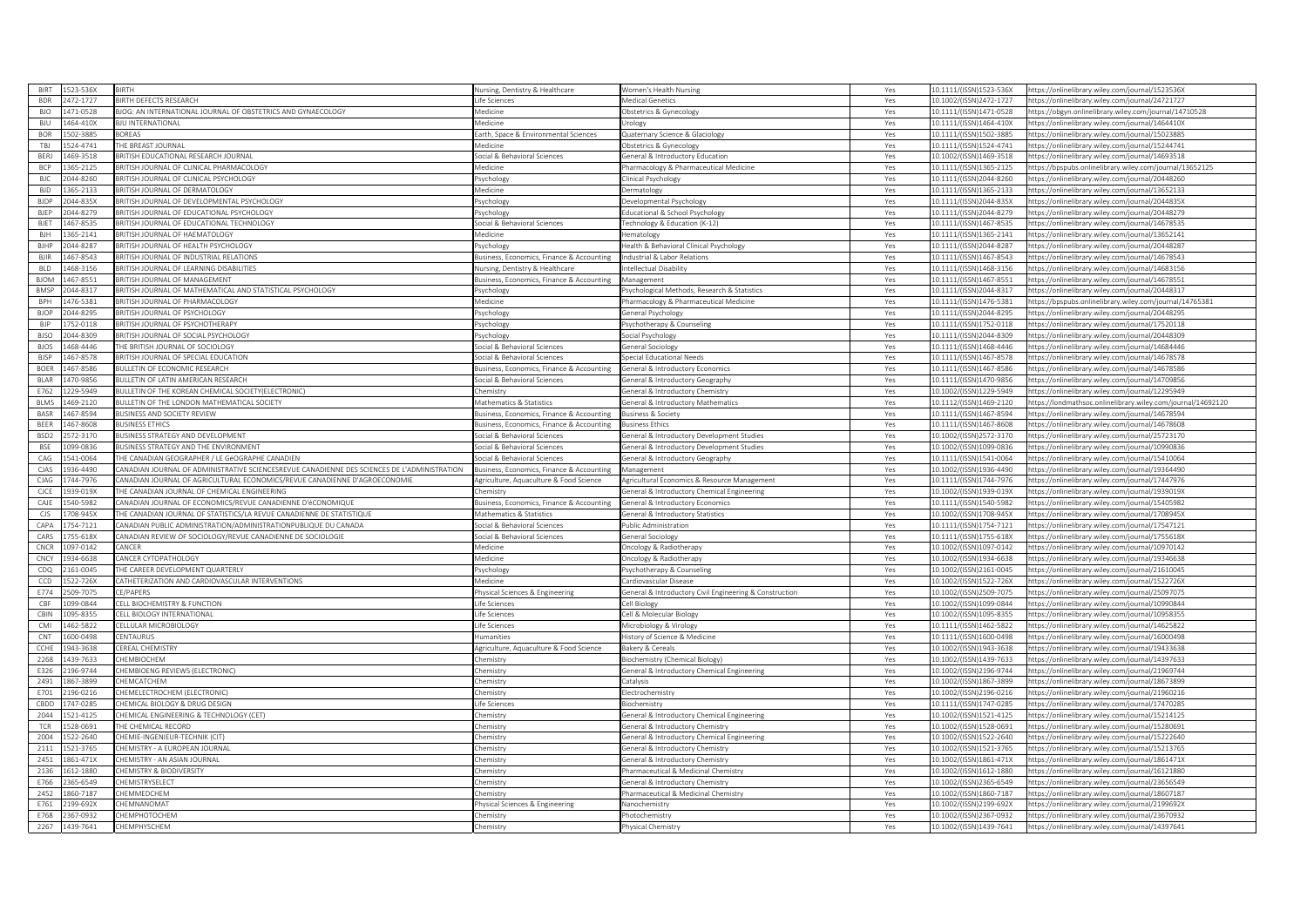| <b>BIRT</b>      | 523-536X  | <b>BIRTH</b>                                                                                 | Jursing, Dentistry & Healthcare            | <b>Nomen's Health Nursing</b>                            | Yes | 10.1111/(ISSN)1523-536X | https://onlinelibrary.wiley.com/journal/1523536X             |
|------------------|-----------|----------------------------------------------------------------------------------------------|--------------------------------------------|----------------------------------------------------------|-----|-------------------------|--------------------------------------------------------------|
| <b>BDR</b>       | 2472-1727 | <b>BIRTH DEFECTS RESEARCH</b>                                                                | ife Sciences                               | <b>Medical Genetics</b>                                  | Yes | 10.1002/(ISSN)2472-1727 | https://onlinelibrary.wiley.com/journal/24721727             |
| <b>BIO</b>       | 471-0528  | 3JOG: AN INTERNATIONAL JOURNAL OF OBSTETRICS AND GYNAECOLOGY                                 | <i><u><b>Aedicine</b></u></i>              | Obstetrics & Gynecology                                  | Yes | 10.1111/(ISSN)1471-0528 | https://obgyn.onlinelibrary.wiley.com/journal/14710528       |
| <b>BIU</b>       | 464-410X  | <b><i>RILLINTERNATIONAL</i></b>                                                              | Aedicine                                   | Jrology                                                  | Yes | 10.1111/(ISSN)1464-410X | ttps://onlinelibrary.wiley.com/journal/1464410)              |
| <b>BOR</b>       | 02-3885   | <b>ORFAS</b>                                                                                 | arth, Space & Environmental Sciences       | Quaternary Science & Glaciology                          | Yes | 10.1111/(ISSN)1502-3885 | https://onlinelibrary.wiley.com/journal/15023885             |
| TBJ              | 524-4741  | THE BREAST JOURNAL                                                                           | <i><b>Aedicine</b></i>                     | Obstetrics & Gynecology                                  | Yes | 10.1111/(ISSN)1524-4741 | https://onlinelibrary.wiley.com/journal/15244741             |
| BERJ             | 469-3518  | <b>BRITISH EDUCATIONAL RESEARCH JOURNAL</b>                                                  | ocial & Behavioral Sciences                | eneral & Introductory Education                          | Yes | 10.1002/(ISSN)1469-3518 | https://onlinelibrary.wiley.com/journal/14693518             |
| <b>BCP</b>       | 365-2125  | RITISH JOURNAL OF CLINICAL PHARMACOLOGY                                                      | Aedicine                                   | harmacology & Pharmaceutical Medicine                    | Yes | 10.1111/(ISSN)1365-2125 | https://bpspubs.onlinelibrary.wiley.com/journal/13652125     |
| <b>BJC</b>       | 044-8260  | RITISH JOURNAL OF CLINICAL PSYCHOLOGY                                                        |                                            |                                                          | Yes | 10.1111/(ISSN)2044-8260 |                                                              |
|                  |           |                                                                                              | sychology                                  | linical Psychology                                       |     |                         | ttps://onlinelibrary.wiley.com/journal/20448260              |
| <b>BID</b>       | 365-2133  | BRITISH JOURNAL OF DERMATOLOGY                                                               | <i><b>Medicine</b></i>                     | <b>Dermatology</b>                                       | Yes | 10.1111/(ISSN)1365-2133 | https://onlinelibrary.wiley.com/journal/13652133             |
| <b>BJDP</b>      | 044-835X  | BRITISH JOURNAL OF DEVELOPMENTAL PSYCHOLOGY                                                  | sychology                                  | evelopmental Psychology                                  | Yes | 10.1111/(ISSN)2044-835X | https://onlinelibrary.wiley.com/journal/2044835X             |
| <b>BJEP</b>      | 044-8279  | RITISH JOURNAL OF EDUCATIONAL PSYCHOLOGY                                                     | sychology                                  | ducational & School Psychology                           | Yes | 10.1111/(ISSN)2044-8279 | ttps://onlinelibrary.wiley.com/journal/20448279              |
| <b>BJET</b>      | 467-8535  | BRITISH JOURNAL OF EDUCATIONAL TECHNOLOGY                                                    | ocial & Behavioral Sciences                | echnology & Education (K-12)                             | Yes | 10.1111/(ISSN)1467-8535 | https://onlinelibrary.wiley.com/journal/14678535             |
| BJH              | 365-2141  | <b>BRITISH JOURNAL OF HAEMATOLOGY</b>                                                        | <i><b>Aedicine</b></i>                     | Hematology                                               | Yes | 10.1111/(ISSN)1365-2141 | https://onlinelibrary.wiley.com/journal/13652141             |
| <b>BIHP</b>      | 044-8287  | <b>BRITISH JOURNAL OF HEALTH PSYCHOLOGY</b>                                                  | svchology                                  | Health & Behavioral Clinical Psychology                  | Yes | 10.1111/(ISSN)2044-8287 | /12044828/https://onlinelibrary.wiley.com/iournal            |
| BIIF             | 467-8543  | RITISH JOURNAL OF INDUSTRIAL RELATIONS                                                       | siness, Economics, Finance & Accounting    | ndustrial & Labor Relations                              | Yes | 10.1111/(ISSN)1467-8543 | ttps://onlinelibrary.wiley.com/journal/14678543              |
| <b>BLD</b>       | 468-3156  | BRITISH JOURNAL OF LEARNING DISABILITIES                                                     | <b>Nursing, Dentistry &amp; Healthcare</b> | ntellectual Disability                                   | Yes | 10.1111/(ISSN)1468-3156 | https://onlinelibrary.wiley.com/journal/14683156             |
| <b>BJOM</b>      | 167-8551  | <b>BRITISH JOURNAL OF MANAGEMENT</b>                                                         | usiness, Economics, Finance & Accounting   | Management                                               | Yes | 10.1111/(ISSN)1467-8551 | https://onlinelibrary.wiley.com/journal/14678551             |
| <b>BMSF</b>      | 044-8317  | BRITISH JOURNAL OF MATHEMATICAL AND STATISTICAL PSYCHOLOGY                                   | sychology                                  | <sup>2</sup> sychological Methods, Research & Statistics | Yes | 10.1111/(ISSN)2044-8317 | https://onlinelibrary.wiley.com/journal/20448317             |
| BPH              | 476-5381  | BRITISH JOURNAL OF PHARMACOLOGY                                                              | <i>Aedicine</i>                            | harmacology & Pharmaceutical Medicine                    | Yes | 10.1111/(ISSN)1476-5381 | ttps://bpspubs.onlinelibrary.wiley.com/iournal/14765381      |
| <b>BJOP</b>      | 044-8295  | BRITISH JOURNAL OF PSYCHOLOGY                                                                |                                            |                                                          |     | 10.1111/(ISSN)2044-8295 | https://onlinelibrary.wiley.com/iournal/20448295             |
| <b>BIP</b>       |           | <b>RITISH IOURNAL OF PSYCHOTHERAPY</b>                                                       | sychology                                  | eneral Psychology                                        | Yes |                         |                                                              |
|                  | 752-0118  |                                                                                              | sychology                                  | sychotherapy & Counseling                                | Yes | 10.1111/(ISSN)1752-0118 | ttps://onlinelibrary.wiley.com/journal/17520118              |
| <b>BISO</b>      | 0028-400  | BRITISH JOURNAL OF SOCIAL PSYCHOLOGY                                                         | sychology                                  | Social Psychology                                        | Yes | 10.1111/(ISSN)2044-8309 | https://onlinelibrary.wiley.com/journal/20448309             |
| <b>BJOS</b>      | 468-4446  | HE BRITISH JOURNAL OF SOCIOLOGY                                                              | ocial & Behavioral Sciences                | eneral Sociology                                         | Yes | 10.1111/(ISSN)1468-4446 | ttps://onlinelibrary.wiley.com/journal/14684446              |
| <b>BJSP</b>      | 467-8578  | BRITISH JOURNAL OF SPECIAL EDUCATION                                                         | ocial & Behavioral Sciences                | Special Educational Needs                                | Yes | 10.1111/(ISSN)1467-8578 | https://onlinelibrary.wiley.com/journal/14678578             |
| <b>BOFR</b>      | 167-8586  | <b>IULLETIN OF ECONOMIC RESEARCH</b>                                                         | siness, Economics, Finance & Accounting    | eneral & Introductory Economics                          | Yes | 10.1111/(ISSN)1467-8586 | ttps://onlinelibrary.wiley.com/journal/14678586              |
| RI AR            | 470-9856  | <b>BULLETIN OF LATIN AMERICAN RESEARCH</b>                                                   | ocial & Behavioral Sciences                | ieneral & Introductory Geography                         | Yes | 10.1111/(ISSN)1470-9856 | https://onlinelibrary.wiley.com/journal/14709856             |
| E762             | 229-5949  | BULLETIN OF THE KOREAN CHEMICAL SOCIETY(ELECTRONIC)                                          | hemistry                                   | ieneral & Introductory Chemistry                         | Yes | 10.1002/(ISSN)1229-5949 | https://onlinelibrary.wiley.com/journal/12295949             |
| <b>BLMS</b>      | 469-2120  | <b>BULLETIN OF THE LONDON MATHEMATICAL SOCIETY</b>                                           | Mathematics & Statistics                   | ieneral & Introductory Mathematics                       | Yes | 10.1112/(ISSN)1469-2120 | https://londmathsoc.onlinelibrary.wiley.com/journal/14692120 |
| BASR             | 167-8594  | <b>BUSINESS AND SOCIETY REVIEW</b>                                                           | siness, Economics, Finance & Accounting    | usiness & Society                                        | Yes | 10.1111/(ISSN)1467-8594 | ttps://onlinelibrary.wiley.com/journal/14678594              |
| BEER             | 467-8608  | <b>BUSINESS ETHICS</b>                                                                       | usiness, Economics, Finance & Accounting   | <b>Business Ethics</b>                                   | Yes | 10.1111/(ISSN)1467-8608 | https://onlinelibrary.wiley.com/journal/14678608             |
| BSD <sub>2</sub> | 572-3170  | <b>BUSINESS STRATEGY AND DEVELOPMENT</b>                                                     | ocial & Behavioral Sciences                | ieneral & Introductory Development Studies               | Yes | 10.1002/(ISSN)2572-3170 | https://onlinelibrary.wiley.com/journal/25723170             |
| <b>BSE</b>       | 099-0836  | <b>BUSINESS STRATEGY AND THE ENVIRONMENT</b>                                                 | ocial & Behavioral Sciences                |                                                          | Yes | 10.1002/(ISSN)1099-0836 |                                                              |
|                  |           |                                                                                              |                                            | eneral & Introductory Development Studies                |     |                         | ttps://onlinelibrary.wiley.com/journal/10990836              |
| CAG              | 41-0064   | HE CANADIAN GEOGRAPHER / LE GéOGRAPHE CANADIEN                                               | ocial & Behavioral Sciences                | Seneral & Introductory Geography                         | Yes | 10.1111/(ISSN)1541-0064 | https://onlinelibrary.wiley.com/journal/15410064             |
| CIAS             | 936-4490  | ANADIAN JOURNAL OF ADMINISTRATIVE SCIENCESREVUE CANADIENNE DES SCIENCES DE L'ADMINISTRATION. | usiness, Economics, Finance & Accounting   | Management                                               | Yes | 10.1002/(ISSN)1936-4490 | https://onlinelibrary.wiley.com/iournal/19364490             |
| CIAG             | 744-7976  | CANADIAN JOURNAL OF AGRICULTURAL ECONOMICS/REVUE CANADIENNE D'AGROECONOMIE                   | griculture, Aquaculture & Food Science     | Agricultural Economics & Resource Management             | Yes | 10.1111/(ISSN)1744-7976 | https://onlinelibrary.wiley.com/journal/17447976             |
| CJCE             | 939-019X  | THE CANADIAN JOURNAL OF CHEMICAL ENGINEERING                                                 | hemistry                                   | Seneral & Introductory Chemical Engineering              | Yes | 10.1002/(ISSN)1939-019X | https://onlinelibrary.wiley.com/journal/1939019X             |
| CAJE             | 540-5982  | CANADIAN JOURNAL OF ECONOMICS/REVUE CANADIENNE D'éCONOMIQUI                                  | siness, Economics, Finance & Accounting    | eneral & Introductory Economics                          | Yes | 10.1111/(ISSN)1540-5982 | https://onlinelibrary.wiley.com/journal/15405982             |
| <b>CJS</b>       | 708-945X  | HE CANADIAN JOURNAL OF STATISTICS/LA REVUE CANADIENNE DE STATISTIQUI                         | Aathematics & Statistics                   | eneral & Introductory Statistics                         | Yes | 10.1002/(ISSN)1708-945X | https://onlinelibrary.wiley.com/journal/1708945)             |
| CAPA             | 754-7121  | ANADIAN PUBLIC ADMINISTRATION/ADMINISTRATIONPUBLIQUE DU CANADA                               | ocial & Behavioral Sciences                | Public Administration                                    | Yes | 10.1111/(ISSN)1754-7121 | https://onlinelibrary.wiley.com/journal/17547121             |
| CARS             | 755-618X  | CANADIAN REVIEW OF SOCIOLOGY/REVUE CANADIENNE DE SOCIOLOGIE                                  | ocial & Behavioral Sciences                | eneral Sociology                                         | Yes | 10.1111/(ISSN)1755-618X | ttps://onlinelibrary.wiley.com/journal/1755618X              |
| CNCR             | 097-0142  | ANCER'                                                                                       | <i><b>Medicine</b></i>                     | ncology & Radiotherapy                                   | Yes | 10.1002/(ISSN)1097-0142 | https://onlinelibrary.wiley.com/journal/10970142             |
| CNCY             | 34-6638   | ANCER CYTOPATHOLOGY                                                                          | Aedicine                                   | Oncology & Radiotherapy                                  | Yes | 10.1002/(ISSN)1934-6638 | https://onlinelibrary.wiley.com/journal/19346638             |
| CDQ              | 161-0045  | HE CAREER DEVELOPMENT QUARTERLY                                                              | sychology                                  | 'sychotherapy & Counseling                               | Yes | 10.1002/(ISSN)2161-0045 | https://onlinelibrary.wiley.com/journal/21610045             |
| CCD              | 522-726X  | <b>CATHETERIZATION AND CARDIOVASCULAR INTERVENTIONS</b>                                      | <i><b>Medicine</b></i>                     | Cardiovascular Disease                                   | Yes | 10.1002/(ISSN)1522-726X | https://onlinelibrary.wiley.com/journal/1522726X             |
| F774             | 509-7075  | <b>CE/PAPERS</b>                                                                             |                                            |                                                          |     |                         |                                                              |
|                  |           |                                                                                              | hysical Sciences & Engineering             | ieneral & Introductory Civil Engineering & Construction  | Yes | 10.1002/(ISSN)2509-7075 | https://onlinelibrary.wiley.com/journal/25097075             |
| CBF              | 099-0844  | CELL BIOCHEMISTRY & FUNCTION                                                                 | ife Sciences                               | ell Biology                                              | Yes | 10.1002/(ISSN)1099-0844 | https://onlinelibrary.wiley.com/journal/10990844             |
| CBIN             | 095-8355  | CELL BIOLOGY INTERNATIONAL                                                                   | ife Sciences                               | Cell & Molecular Biology                                 | Yes | 10.1002/(ISSN)1095-8355 | https://onlinelibrary.wiley.com/journal/10958355             |
| CMI              | 462-5822  | CELLULAR MICROBIOLOGY                                                                        | ife Sciences                               | Microbiology & Virology                                  | Yes | 10.1111/(ISSN)1462-5822 | https://onlinelibrary.wiley.com/journal/14625822             |
| CN <sub>1</sub>  | 600-0498  | <b>FNTAURUS</b>                                                                              | umanities                                  | listory of Science & Medicine                            | Yes | 10.1111/(ISSN)1600-0498 | ttps://onlinelibrary.wiley.com/journal/16000498              |
| CCHE             | 943-3638  | <b>EREAL CHEMISTRY</b>                                                                       | griculture, Aquaculture & Food Science     | Bakery & Cereals                                         | Yes | 10.1002/(ISSN)1943-3638 | https://onlinelibrary.wiley.com/journal/19433638             |
| 2268             | 439-7633  | <b>HEMBIOCHEM</b>                                                                            | hemistry                                   | Biochemistry (Chemical Biology)                          | Yes | 10.1002/(ISSN)1439-7633 | https://onlinelibrary.wiley.com/journal/14397633             |
| E326             | 196-9744  | <b>CHEMBIOENG REVIEWS (ELECTRONIC)</b>                                                       | hemistry                                   | ieneral & Introductory Chemical Engineering              | Yes | 10.1002/(ISSN)2196-9744 | https://onlinelibrary.wiley.com/journal/21969744             |
| 2491             | 867-3899  | <b>HEMCATCHEM</b>                                                                            | hemistry                                   | <b>Catalysis</b>                                         | Yes | 10.1002/(ISSN)1867-3899 | ttps://onlinelibrary.wiley.com/journal/18673899              |
| E701             | 196-0216  | <b>CHEMELECTROCHEM (ELECTRONIC)</b>                                                          | emistry                                    | ectrochemistrv                                           | Yes | 10.1002/(ISSN)2196-0216 | https://onlinelibrary.wiley.com/journal/21960216             |
| CBDD             | 47-0285   | HEMICAL BIOLOGY & DRUG DESIGN                                                                | ife Sciences                               | iochemistrv                                              | Yes | 10.1111/(ISSN)1747-0285 | https://onlinelibrary.wiley.com/iournal/17470285             |
|                  |           |                                                                                              |                                            |                                                          |     |                         |                                                              |
| 2044             | 21-4125   | HEMICAL ENGINEERING & TECHNOLOGY (CET)                                                       | emistry                                    | eneral & Introductory Chemical Engineering               | Yes | 10.1002/(ISSN)1521-4125 | https://onlinelibrary.wiley.com/journal/15214125             |
| <b>TCR</b>       | 28-0691   | HE CHEMICAL RECORD                                                                           | hemistry                                   | eneral & Introductory Chemistry                          | Yes | 10.1002/(ISSN)1528-0691 | ttps://onlinelibrary.wiley.com/journal/15280691              |
| 2004             | 522-2640  | CHEMIE-INGENIEUR-TECHNIK (CIT)                                                               | hemistry                                   | General & Introductory Chemical Engineering              | Yes | 10.1002/(ISSN)1522-2640 | https://onlinelibrary.wiley.com/journal/15222640             |
| 2111             | 521-3765  | HEMISTRY - A EUROPEAN JOURNAL                                                                | hemistry                                   | eneral & Introductory Chemistry                          | Yes | 10.1002/(ISSN)1521-3765 | https://onlinelibrary.wiley.com/journal/15213765             |
| 2451             | 861-471X  | HEMISTRY - AN ASIAN JOURNAL                                                                  | hemistry                                   | General & Introductory Chemistry                         | Yes | 10.1002/(ISSN)1861-471X | https://onlinelibrary.wiley.com/journal/1861471X             |
| 2136             | 612-1880  | <b>HEMISTRY &amp; BIODIVERSITY</b>                                                           | hemistry                                   | harmaceutical & Medicinal Chemistry                      | Yes | 10.1002/(ISSN)1612-1880 | https://onlinelibrary.wiley.com/journal/16121880             |
| E766             | 365-6549  | CHEMISTRYSELECT                                                                              | hemistry                                   | Seneral & Introductory Chemistry                         | Yes | 10.1002/(ISSN)2365-6549 | https://onlinelibrary.wiley.com/journal/23656549             |
| 2452             | 360-7187  | <b>HEMMEDCHEM</b>                                                                            | emistrv                                    | harmaceutical & Medicinal Chemistry                      | Yes | 10.1002/(ISSN)1860-7187 | ttps://onlinelibrary.wiley.com/journal/18607187              |
| F761             | 199-692X  | <b>HEMNANOMAT</b>                                                                            | hysical Sciences & Engineering             | <b>Nanochemistry</b>                                     | Yes | 10.1002/(ISSN)2199-692X | https://onlinelibrary.wiley.com/iournal/2199692X             |
| E768             | 367-0932  | <b>HEMPHOTOCHEM</b>                                                                          | hemistry                                   | hotochemistry                                            | Yes | 10.1002/(ISSN)2367-0932 | https://onlinelibrary.wiley.com/journal/23670932             |
| 2267             | 1439-7641 | CHEMPHYSCHEM                                                                                 | hemistry                                   | hysical Chemistry                                        | Yes | 10.1002/(ISSN)1439-7641 | https://onlinelibrary.wiley.com/journal/14397641             |
|                  |           |                                                                                              |                                            |                                                          |     |                         |                                                              |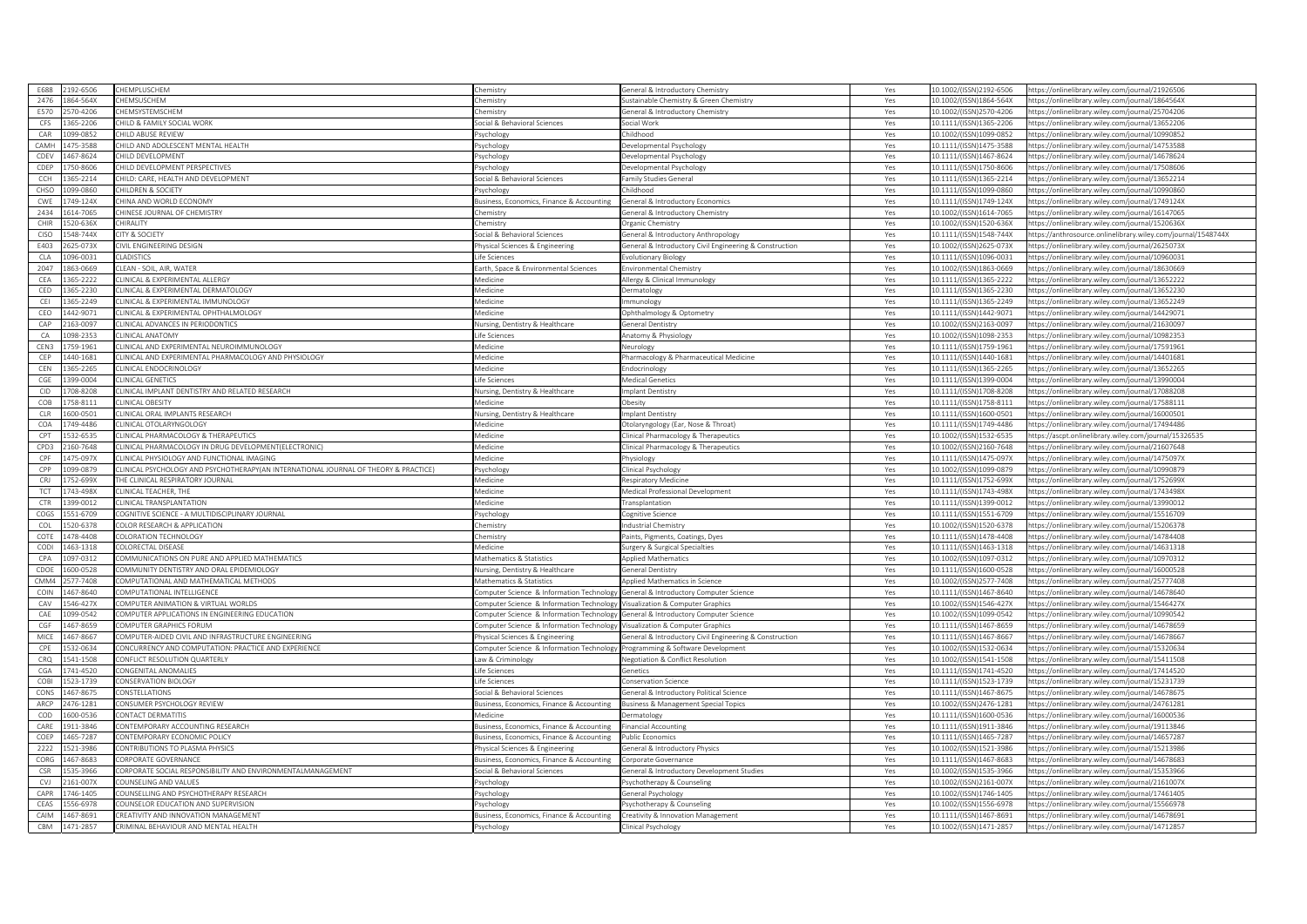| F688        | 192-6506 | <b>HEMPLUSCHEM</b>                                                                                                               | hemistry                                               | Seneral & Introductory Chemistry                        | Yes        | 10.1002/(ISSN)2192-6506                            | https://onlinelibrary.wiley.com/journal/21926506              |
|-------------|----------|----------------------------------------------------------------------------------------------------------------------------------|--------------------------------------------------------|---------------------------------------------------------|------------|----------------------------------------------------|---------------------------------------------------------------|
| 2476        | 864-564X | <b>HEMSUSCHEM</b>                                                                                                                | hemistry                                               | Sustainable Chemistry & Green Chemistry                 | Yes        | 10.1002/(ISSN)1864-564X                            | https://onlinelibrary.wiley.com/journal/1864564X              |
| <b>F570</b> | 570-4206 | <b>HEMSYSTEMSCHEM</b>                                                                                                            | hemistry                                               | eneral & Introductory Chemistry                         | Yes        | 10.1002/(ISSN)2570-4206                            | https://onlinelibrary.wiley.com/journal/25704206              |
| CES         | 365-2206 | CHILD & FAMILY SOCIAL WORK                                                                                                       | ocial & Behavioral Sciences                            | Social Work                                             | Yes        | 10.1111/(ISSN)1365-2206                            | https://onlinelibrary.wiley.com/journal/13652206              |
| CAR         | 099-0852 | HILD ABUSE REVIEW                                                                                                                | svchology                                              | hildhood                                                | Yes        | 10.1002/(ISSN)1099-0852                            | https://onlinelibrary.wiley.com/journal/10990852              |
| CAMH        | 475-3588 | CHILD AND ADOLESCENT MENTAL HEALTH                                                                                               | sychology                                              | Developmental Psychology                                | Yes        | 10.1111/(ISSN)1475-3588                            | https://onlinelibrary.wiley.com/journal/14753588              |
| CDEV        | 467-8624 | HILD DEVELOPMENT                                                                                                                 | sychology                                              | evelopmental Psychology                                 | Yes        | 10.1111/(ISSN)1467-8624                            | https://onlinelibrary.wiley.com/journal/14678624              |
| CDEP        | 750-8606 | HILD DEVELOPMENT PERSPECTIVES                                                                                                    | sychology                                              | evelopmental Psychology                                 | Yes        | 10.1111/(ISSN)1750-8606                            | https://onlinelibrary.wiley.com/journal/17508606              |
| CCH         | 865-2214 | CHILD: CARE, HEALTH AND DEVELOPMENT                                                                                              | ocial & Behavioral Sciences                            | amily Studies General                                   | Yes        | 10.1111/(ISSN)1365-2214                            | ttps://onlinelibrary.wiley.com/journal/13652214               |
| CHSO        | 0380-090 | HILDREN & SOCIETY                                                                                                                |                                                        | hildhood                                                |            | 10.1111/(ISSN)1099-0860                            | https://onlinelibrary.wiley.com/journal/10990860              |
| CWE         | 749-124X | <b>HINA AND WORLD ECONOMY</b>                                                                                                    | 'sychology<br>usiness, Economics, Finance & Accounting | Seneral & Introductory Economics                        | Yes<br>Yes | 10.1111/(ISSN)1749-124X                            | https://onlinelibrary.wiley.com/journal/1749124X              |
| 2434        | 614-7065 | HINESE JOURNAL OF CHEMISTRY                                                                                                      | hemistry                                               |                                                         | Yes        | 10.1002/(ISSN)1614-7065                            | ttps://onlinelibrary.wiley.com/journal/16147065               |
| CHIR        | 520-636X | CHIRALITY                                                                                                                        |                                                        | eneral & Introductory Chemistry                         | Yes        | 10.1002/(ISSN)1520-636X                            | https://onlinelibrary.wiley.com/journal/1520636X              |
|             |          |                                                                                                                                  | hemistry                                               | Organic Chemistry                                       |            |                                                    |                                                               |
| CISO        | 548-744X | <b>CITY &amp; SOCIETY</b>                                                                                                        | ocial & Behavioral Sciences                            | Seneral & Introductory Anthropology                     | Yes        | 10.1111/(ISSN)1548-744X                            | https://anthrosource.onlinelibrary.wiley.com/journal/1548744X |
| E403        | 625-073X | IVIL ENGINEERING DESIGN                                                                                                          | hysical Sciences & Engineering                         | General & Introductory Civil Engineering & Construction | Yes        | 10.1002/(ISSN)2625-073X                            | https://onlinelibrary.wiley.com/iournal/2625073)              |
| CLA         | 096-0031 | <b>LADISTICS</b>                                                                                                                 | ife Sciences                                           | volutionary Biology                                     | Yes        | 10.1111/(ISSN)1096-0031                            | ttps://onlinelibrary.wiley.com/journal/10960031               |
| 2047        | 863-0669 | LEAN - SOIL, AIR, WATER                                                                                                          | arth, Space & Environmental Sciences                   | Environmental Chemistry                                 | Yes        | 10.1002/(ISSN)1863-0669                            | https://onlinelibrary.wiley.com/journal/18630669              |
| CEA         | 865-2222 | LINICAL & EXPERIMENTAL ALLERGY                                                                                                   | Aedicine                                               | Allergy & Clinical Immunology                           | Yes        | 10.1111/(ISSN)1365-2222                            | https://onlinelibrary.wiley.com/journal/13652222              |
| CED         | 365-2230 | LINICAL & EXPERIMENTAL DERMATOLOGY                                                                                               | Aedicine                                               | ermatology                                              | Yes        | 10.1111/(ISSN)1365-2230                            | https://onlinelibrary.wiley.com/journal/13652230              |
| CEI         | 365-2249 | LINICAL & EXPERIMENTAL IMMUNOLOGY                                                                                                | Aedicine                                               | nmunology                                               | Yes        | 10.1111/(ISSN)1365-2249                            | ttps://onlinelibrary.wiley.com/iournal/13652249               |
| CEO         | 442-9071 | CLINICAL & EXPERIMENTAL OPHTHALMOLOGY                                                                                            | edicine                                                | phthalmology & Optometry                                | Yes        | 10.1111/(ISSN)1442-9071                            | https://onlinelibrary.wiley.com/journal/14429071              |
| CAP         | 63-0097  | LINICAL ADVANCES IN PERIODONTICS                                                                                                 | lursing, Dentistry & Healthcare                        | eneral Dentistry                                        | Yes        | 10.1002/(ISSN)2163-0097                            | ttps://onlinelibrary.wiley.com/journal/21630097               |
| CA          | 098-2353 | <b>CLINICAL ANATOMY</b>                                                                                                          | ife Sciences                                           | Anatomy & Physiology                                    | Yes        | 10.1002/(ISSN)1098-2353                            | https://onlinelibrary.wiley.com/journal/10982353              |
| CEN3        | 759-1961 | LINICAL AND EXPERIMENTAL NEUROIMMUNOLOGY                                                                                         | Aedicine                                               | eurology                                                | Yes        | 10.1111/(ISSN)1759-1961                            | https://onlinelibrary.wiley.com/journal/17591961              |
| CEP         | 440-1681 | CLINICAL AND EXPERIMENTAL PHARMACOLOGY AND PHYSIOLOGY                                                                            | Aedicine                                               | harmacology & Pharmaceutical Medicine                   | Yes        | 10.1111/(ISSN)1440-1681                            | https://onlinelibrary.wiley.com/journal/14401681              |
| CFN         | 65-2265  | <b>LINICAL ENDOCRINOLOGY</b>                                                                                                     | edicine                                                | ndocrinology                                            | Yes        | 10.1111/(ISSN)1365-2265                            | ttps://onlinelibrary.wiley.com/journal/13652265               |
| CGE         | 499-0004 | LINICAL GENETICS                                                                                                                 | ife Sciences                                           | Medical Genetics                                        | Yes        | 10.1111/(ISSN)1399-0004                            | https://onlinelibrary.wiley.com/journal/13990004              |
| CID         | 708-8208 | CLINICAL IMPLANT DENTISTRY AND RELATED RESEARCH                                                                                  | <b>Nursing, Dentistry &amp; Healthcare</b>             | mplant Dentistry                                        | Yes        | 10.1111/(ISSN)1708-8208                            | https://onlinelibrary.wiley.com/journal/17088208              |
| COB         | 758-8111 | CLINICAL OBESITY                                                                                                                 | Aedicine                                               | )besitv                                                 | Yes        | 10.1111/(ISSN)1758-8111                            | https://onlinelibrary.wiley.com/journal/17588111              |
| <b>CLR</b>  | 600-0501 | LINICAL ORAL IMPLANTS RESEARCH                                                                                                   | ursing, Dentistry & Healthcare                         | nplant Dentistry                                        | Yes        | 10.1111/(ISSN)1600-0501                            | ttps://onlinelibrary.wiley.com/journal/16000501               |
| COA         | 749-4486 | <b>LINICAL OTOLARYNGOLOGY</b>                                                                                                    | <i><b>Aedicine</b></i>                                 | Otolaryngology (Ear, Nose & Throat)                     | Yes        | 10.1111/(ISSN)1749-4486                            | https://onlinelibrary.wiley.com/journal/17494486              |
| CPT         | 32-6535  | LINICAL PHARMACOLOGY & THERAPEUTICS                                                                                              | Aedicine                                               | Iinical Pharmacology & Therapeutics                     | Yes        | 10.1002/(ISSN)1532-6535                            | https://ascpt.onlinelibrary.wiley.com/journal/1532653         |
| CPD3        | 160-7648 | LINICAL PHARMACOLOGY IN DRUG DEVELOPMENT(ELECTRONIC)                                                                             | Aedicine                                               |                                                         | Yes        | 10.1002/(ISSN)2160-7648                            | ttps://onlinelibrary.wiley.com/journal/21607648               |
| CPF         | 175-097X |                                                                                                                                  | Aedicine                                               | inical Pharmacology & Therapeutics                      |            |                                                    |                                                               |
| CPP         | 199-0879 | LINICAL PHYSIOLOGY AND FUNCTIONAL IMAGING<br>LINICAL PSYCHOLOGY AND PSYCHOTHERAPY(AN INTERNATIONAL JOURNAL OF THEORY & PRACTICE) |                                                        | hysiology                                               | Yes        | 10.1111/(ISSN)1475-097X<br>10.1002/(ISSN)1099-0879 | https://onlinelibrary.wiley.com/journal/1475097X              |
|             |          |                                                                                                                                  | sychology                                              | linical Psychology                                      | Yes        |                                                    | https://onlinelibrary.wiley.com/iournal/10990879              |
| CRJ         | 752-699X | THE CLINICAL RESPIRATORY JOURNAL                                                                                                 | Aedicine                                               | tespiratory Medicine                                    | Yes        | 10.1111/(ISSN)1752-699X                            | https://onlinelibrary.wiley.com/journal/1752699X              |
| <b>TCT</b>  | 743-498X | LINICAL TEACHER, THE                                                                                                             | Medicine                                               | <b>Medical Professional Development</b>                 | Yes        | 10.1111/(ISSN)1743-498X                            | https://onlinelibrary.wiley.com/journal/1743498X              |
| CTR         | 399-0012 | LINICAL TRANSPLANTATION                                                                                                          | edicine                                                | ansplantation                                           | Yes        | 10.1111/(ISSN)1399-0012                            | https://onlinelibrary.wiley.com/journal/13990012              |
| <b>COGS</b> | 551-6709 | OGNITIVE SCIENCE - A MULTIDISCIPLINARY JOURNAL                                                                                   | sychology                                              | ognitive Science                                        | Yes        | 10.1111/(ISSN)1551-6709                            | https://onlinelibrary.wiley.com/journal/15516709              |
| COL         | 520-6378 | COLOR RESEARCH & APPLICATION                                                                                                     | hemistry                                               | ndustrial Chemistry                                     | Yes        | 10.1002/(ISSN)1520-6378                            | https://onlinelibrary.wiley.com/journal/15206378              |
| COTE        | 478-4408 | <b>COLORATION TECHNOLOGY</b>                                                                                                     | hemistry                                               | aints, Pigments, Coatings, Dyes                         | Yes        | 10.1111/(ISSN)1478-4408                            | ttps://onlinelibrary.wiley.com/journal/14784408               |
| CODI        | 463-1318 | <b>OLORECTAL DISEASE</b>                                                                                                         | <i><b>Medicine</b></i>                                 | urgery & Surgical Specialties                           | Yes        | 10.1111/(ISSN)1463-1318                            | https://onlinelibrary.wiley.com/journal/14631318              |
| CPA         | 097-0312 | COMMUNICATIONS ON PURE AND APPLIED MATHEMATICS                                                                                   | Mathematics & Statistics                               | <b>Applied Mathematics</b>                              | Yes        | 10.1002/(ISSN)1097-0312                            | https://onlinelibrary.wiley.com/journal/10970312              |
| CDOE        | 600-0528 | COMMUNITY DENTISTRY AND ORAL EPIDEMIOLOGY                                                                                        | Nursing, Dentistry & Healthcare                        | General Dentistry                                       | Yes        | 10.1111/(ISSN)1600-0528                            | https://onlinelibrary.wiley.com/iournal/16000528              |
| CMM4        | 577-7408 | <b>COMPUTATIONAL AND MATHEMATICAL METHODS</b>                                                                                    | Aathematics & Statistics                               | Applied Mathematics in Science                          | Yes        | 10.1002/(ISSN)2577-7408                            | https://onlinelibrary.wiley.com/journal/25777408              |
| COIN        | 467-8640 | COMPUTATIONAL INTELLIGENCE                                                                                                       | mputer Science & Information Technology                | General & Introductory Computer Science                 | Yes        | 10.1111/(ISSN)1467-8640                            | https://onlinelibrary.wiley.com/journal/14678640              |
| CAV         | 546-427X | COMPUTER ANIMATION & VIRTUAL WORLDS                                                                                              | omputer Science & Information Technology               | /isualization & Computer Graphics                       | Yes        | 10.1002/(ISSN)1546-427X                            | https://onlinelibrary.wiley.com/journal/1546427X              |
| CAE         | 099-0542 | COMPUTER APPLICATIONS IN ENGINEERING EDUCATION                                                                                   | omputer Science & Information Technology               | General & Introductory Computer Science                 | Yes        | 10.1002/(ISSN)1099-0542                            | https://onlinelibrary.wiley.com/journal/10990542              |
| CGF         | 467-8659 | COMPUTER GRAPHICS FORUM                                                                                                          | omputer Science & Information Technology               | isualization & Computer Graphics                        | Yes        | 10.1111/(ISSN)1467-8659                            | https://onlinelibrary.wiley.com/journal/14678659              |
| MICE        | 467-8667 | COMPUTER-AIDED CIVIL AND INFRASTRUCTURE ENGINEERING                                                                              | hysical Sciences & Engineering                         | ieneral & Introductory Civil Engineering & Construction | Yes        | 10.1111/(ISSN)1467-8667                            | https://onlinelibrary.wiley.com/journal/14678667              |
| CPE         | 32-0634  | ONCURRENCY AND COMPUTATION: PRACTICE AND EXPERIENCE                                                                              | omputer Science & Information Technology               | rogramming & Software Development                       | Yes        | 10.1002/(ISSN)1532-0634                            | https://onlinelibrary.wiley.com/journal/15320634              |
| CRO         | 541-1508 | ONFLICT RESOLUTION QUARTERLY                                                                                                     | aw & Criminology                                       | legotiation & Conflict Resolution                       | Yes        | 10.1002/(ISSN)1541-1508                            | https://onlinelibrary.wiley.com/journal/15411508              |
| CGA         | 741-4520 | ONGENITAL ANOMALIES                                                                                                              | ife Sciences                                           | enetics                                                 | Yes        | 10.1111/(ISSN)1741-4520                            | https://onlinelibrary.wiley.com/journal/17414520              |
| COBI        | 523-1739 | ONSERVATION BIOLOGY                                                                                                              | ife Sciences                                           | onservation Science                                     | Yes        | 10.1111/(ISSN)1523-1739                            | oftns://onlinelibrary.wiley.com/journal/15231739              |
| CONS        | 467-8675 | <b>CONSTELLATIONS</b>                                                                                                            | cial & Behavioral Sciences                             | ieneral & Introductory Political Science                | Yes        | 10.1111/(ISSN)1467-8675                            | https://onlinelibrary.wiley.com/journal/14678675              |
| ARCP        | 476-1281 | CONSUMER PSYCHOLOGY REVIEW                                                                                                       | usiness, Economics, Finance & Accounting               | Business & Management Special Topics                    | Yes        | 10.1002/(ISSN)2476-1281                            | 124761281/ttps://onlinelibrary.wiley.com/iournal              |
| COD         | 600-0536 | CONTACT DERMATITIS                                                                                                               | dedicine                                               | ermatology                                              | Yes        | 10.1111/(ISSN)1600-0536                            | https://onlinelibrary.wiley.com/journal/16000536              |
| CARE        | 911-3846 | <b>CONTEMPORARY ACCOUNTING RESEARCH</b>                                                                                          | usiness, Economics, Finance & Accounting               | inancial Accounting                                     | Yes        | 10.1111/(ISSN)1911-3846                            | https://onlinelibrary.wiley.com/journal/19113846              |
| COEP        | 465-7287 | CONTEMPORARY ECONOMIC POLICY                                                                                                     | usiness, Economics, Finance & Accounting               | <b>Public Economics</b>                                 | Yes        | 10.1111/(ISSN)1465-7287                            | /ttps://onlinelibrary.wiley.com/journal/1465728               |
| 2222        | 521-3986 | CONTRIBUTIONS TO PLASMA PHYSICS                                                                                                  | hysical Sciences & Engineering                         | Seneral & Introductory Physics                          | Yes        | 10.1002/(ISSN)1521-3986                            | https://onlinelibrary.wiley.com/journal/15213986              |
| CORG        | 467-8683 | CORPORATE GOVERNANCE                                                                                                             |                                                        |                                                         |            | 10.1111/(ISSN)1467-8683                            | https://onlinelibrary.wiley.com/journal/14678683              |
|             |          |                                                                                                                                  | usiness, Economics, Finance & Accounting               | Corporate Governance                                    | Yes        |                                                    |                                                               |
| CSR         | 535-3966 | ORPORATE SOCIAL RESPONSIBILITY AND ENVIRONMENTALMANAGEMENT                                                                       | ocial & Behavioral Sciences                            | ieneral & Introductory Development Studies              | Yes        | 10.1002/(ISSN)1535-3966                            | https://onlinelibrary.wiley.com/journal/15353966              |
| CVJ         | 161-007X | OUNSELING AND VALUES                                                                                                             | sychology                                              | 'sychotherapy & Counseling                              | Yes        | 10.1002/(ISSN)2161-007X                            | https://onlinelibrary.wiley.com/iournal/2161007>              |
| CAPR        | 46-140   | OUNSELLING AND PSYCHOTHERAPY RESEARCH                                                                                            | vchology                                               | eneral Psychology                                       | Yes        | 10.1002/(ISSN)1746-1405                            | ttps://onlinelibrary.wiley.com/journal/17461405               |
| CEAS        | 556-6978 | COUNSELOR EDUCATION AND SUPERVISION                                                                                              | svchology                                              | 'sychotherapy & Counseling                              | Yes        | 10.1002/(ISSN)1556-6978                            | https://onlinelibrary.wiley.com/iournal/15566978              |
| CAIM<br>CRM | 467-8691 | CREATIVITY AND INNOVATION MANAGEMENT                                                                                             | usiness, Economics, Finance & Accounting               | Creativity & Innovation Management                      | Yes        | 10.1111/(ISSN)1467-8691                            | https://onlinelibrary.wiley.com/journal/14678691              |
|             | 471-2857 | CRIMINAL BEHAVIOUR AND MENTAL HEALTH                                                                                             | sychology                                              | linical Psychology                                      | Yes        | 10.1002/(ISSN)1471-2857                            | https://onlinelibrary.wiley.com/journal/14712857              |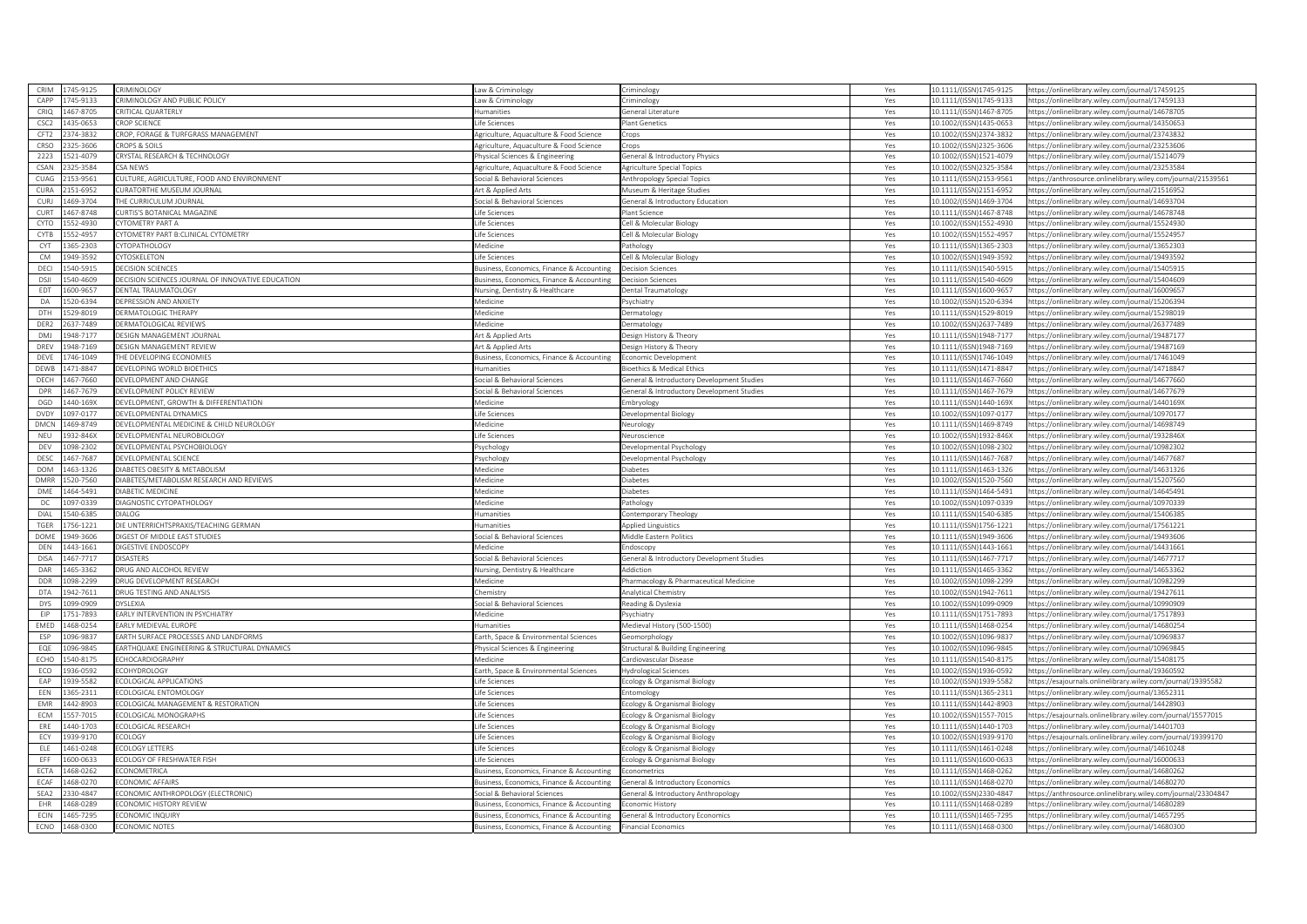| CAPP<br>1745-9133<br>RIMINOLOGY AND PUBLIC POLICY<br>10.1111/(ISSN)1745-9133<br>https://onlinelibrary.wiley.com/journal/17459133<br>Law & Criminology<br>riminology<br>Yes<br>467-8705<br>CRIO<br><b>RITICAL OUARTERLY</b><br><b>Humanities</b><br>eneral Literature<br>Yes<br>10.1111/(ISSN)1467-8705<br>https://onlinelibrary.wiley.com/journal/14678705<br>1435-0653<br>CSC <sub>2</sub><br><b>CROP SCIENCE</b><br>Life Sciences<br>10.1002/(ISSN)1435-0653<br>Mant Genetics<br>Yes<br>https://onlinelibrary.wiley.com/iournal/14350653<br>ROP, FORAGE & TURFGRASS MANAGEMENT<br>CFT2<br>374-3832<br>Agriculture, Aquaculture & Food Science<br>Yes<br>0.1002/(ISSN)2374-3832<br>https://onlinelibrary.wiley.com/journal/23743832<br>rops<br>CRSO<br>2325-3606<br>ROPS & SOILS<br>Agriculture, Aquaculture & Food Science<br>10.1002/(ISSN)2325-3606<br>https://onlinelibrary.wiley.com/journal/23253606<br>crops<br>Yes<br>2223<br>521-4079<br>RYSTAL RESEARCH & TECHNOLOGY<br>10.1002/(ISSN)1521-4079<br>https://onlinelibrary.wiley.com/journal/15214079<br>hysical Sciences & Engineering<br>eneral & Introductory Physics<br>Yes<br>CSAN<br>325-3584<br>SA NEWS<br>10.1002/(ISSN)2325-3584<br>Agriculture, Aquaculture & Food Science<br>Agriculture Special Topics<br>Yes<br>https://onlinelibrary.wiley.com/journal/23253584<br>CUAG<br>153-9561<br>ULTURE, AGRICULTURE, FOOD AND ENVIRONMENT<br>Yes<br>10.1111/(ISSN)2153-9561<br>ttps://anthrosource.onlinelibrary.wiley.com/journal/21539561<br>Social & Behavioral Sciences<br>nthropology Special Topics<br>CURA<br>151-6952<br>URATORTHE MUSEUM JOURNAL<br>Museum & Heritage Studies<br>10.1111/(ISSN)2151-6952<br>https://onlinelibrary.wiley.com/journal/21516952<br>Art & Annlied Arts<br>Yes<br>CURJ<br>469-3704<br>HE CURRICULUM JOURNAL<br>Social & Behavioral Sciences<br>eneral & Introductory Education<br>10.1002/(ISSN)1469-3704<br>https://onlinelibrary.wiley.com/journal/14693704<br>Yes<br>CURT<br>467-8748<br>URTIS'S BOTANICAL MAGAZINE<br>0.1111/(ISSN)1467-8748<br>ife Sciences<br>lant Science<br>Yes<br>ttps://onlinelibrary.wiley.com/journal/14678748<br>CYTO<br>552-4930<br><b>YTOMFTRY PART A</b><br>Life Sciences<br>ell & Molecular Biology<br>Yes<br>0.1002/(ISSN)1552-4930<br>https://onlinelibrary.wiley.com/journal/15524930<br>YTOMETRY PART B:CLINICAL CYTOMETRY<br>CYTB<br>552-4957<br>10.1002/(ISSN)1552-4957<br>https://onlinelibrary.wiley.com/journal/15524957<br>ife Sciences<br>ell & Molecular Biology<br>Yes<br>CYT<br>365-2303<br><b>YTOPATHOLOGY</b><br>Medicine<br>10.1111/(ISSN)1365-2303<br>https://onlinelibrary.wiley.com/journal/13652303<br>athology<br>Yes<br><b>CM</b><br>949-3592<br><b>YTOSKELETON</b><br>ife Sciences<br>ell & Molecular Biology<br>0.1002/(ISSN)1949-3592<br>ttps://onlinelibrary.wiley.com/journal/19493592<br>Yes<br>DECI<br>540-5915<br>DECISION SCIENCES<br>10.1111/(ISSN)1540-5915<br>https://onlinelibrary.wiley.com/journal/15405915<br>Business, Economics, Finance & Accounting<br>ecision Sciences<br>Yes<br>DECISION SCIENCES JOURNAL OF INNOVATIVE EDUCATION<br>DSJI<br>540-4609<br>Business, Economics, Finance & Accounting<br>Yes<br>0.1111/(ISSN)1540-4609<br>ttps://onlinelibrary.wiley.com/journal/15404609<br>ecision Sciences<br>EDT<br>600-9657<br>DENTAL TRAUMATOLOGY<br>Nursing, Dentistry & Healthcare<br>ental Traumatology<br>Yes<br>10.1111/(ISSN)1600-9657<br>https://onlinelibrary.wiley.com/journal/16009657<br>DA<br>520-6394<br>DEPRESSION AND ANXIETY<br>Medicine<br>svchiatry<br>Yes<br>10.1002/(ISSN)1520-6394<br>https://onlinelibrary.wiley.com/iournal/15206394<br>529-8019<br>Medicine<br>DTH<br>DERMATOLOGIC THERAPY<br>Yes<br>10.1111/(ISSN)1529-8019<br>ermatology<br>https://onlinelibrary.wiley.com/journal/15298019<br>DER2<br>637-7489<br><b>JERMATOLOGICAL REVIEWS</b><br>Medicine<br>ermatology<br>Yes<br>0.1002/(ISSN)2637-7489<br>ttps://onlinelibrary.wiley.com/journal/26377489<br><b>DMJ</b><br>948-7177<br><b>DESIGN MANAGEMENT JOURNAL</b><br>10.1111/(ISSN)1948-7177<br>https://onlinelibrary.wiley.com/journal/19487177<br>Art & Applied Arts<br>Jesign History & Theory<br>Yes<br>948-7169<br>DREV<br><b>DESIGN MANAGEMENT REVIEW</b><br>Art & Applied Arts<br>esign History & Theory<br>Yes<br>10.1111/(ISSN)1948-7169<br>ttps://onlinelibrary.wiley.com/journal/19487169<br>DEVE<br>746-1049<br>HE DEVELOPING ECONOMIES<br>Business, Economics, Finance & Accounting<br>10.1111/(ISSN)1746-1049<br>https://onlinelibrary.wiley.com/journal/17461049<br>conomic Development<br>Yes<br>471-8847<br>DEWB<br>EVELOPING WORLD BIOETHICS<br>lumanities<br>oethics & Medical Ethics<br>Yes<br>0.1111/(ISSN)1471-8847<br>ttps://onlinelibrary.wiley.com/journal/14718847<br>467-7660<br>DECH<br>DEVELOPMENT AND CHANGE<br>ocial & Behavioral Sciences<br>eneral & Introductory Development Studies<br>10.1111/(ISSN)1467-7660<br>https://onlinelibrary.wiley.com/journal/14677660<br>Yes<br><b>DPR</b><br>467-7679<br>DEVELOPMENT POLICY REVIEW<br>Social & Behavioral Sciences<br>General & Introductory Development Studies<br>10.1111/(ISSN)1467-7679<br>https://onlinelibrary.wiley.com/journal/14677679<br>Yes<br>440-169X<br>DGD<br>DEVELOPMENT, GROWTH & DIFFERENTIATION<br>Medicine<br>Yes<br>10.1111/(ISSN)1440-169X<br>mbryology<br>https://onlinelibrary.wiley.com/journal/1440169X<br><b>DVDY</b><br>097-0177<br>DEVELOPMENTAL DYNAMICS<br>ife Sciences<br>0.1002/(ISSN)1097-0177<br>evelopmental Biology<br>Yes<br>ttps://onlinelibrary.wiley.com/journal/10970177<br>DMCN<br>469-8749<br>DEVELOPMENTAL MEDICINE & CHILD NEUROLOGY<br>10.1111/(ISSN)1469-8749<br>https://onlinelibrary.wiley.com/journal/14698749<br><i><b>Aedicine</b></i><br>eurology<br>Yes<br>NEU<br>932-846X<br>DEVELOPMENTAL NEUROBIOLOGY<br>Life Sciences<br>Veuroscience<br>Yes<br>10.1002/(ISSN)1932-846X<br>https://onlinelibrary.wiley.com/journal/1932846X<br>DEV<br>098-2302<br><b>DEVELOPMENTAL PSYCHOBIOLOGY</b><br>sychology<br>evelopmental Psychology<br>Yes<br>10.1002/(ISSN)1098-2302<br>ttps://onlinelibrary.wiley.com/journal/10982302<br>DESC<br>467-7687<br>DEVELOPMENTAL SCIENCE<br>Psychology<br>evelopmental Psychology<br>Yes<br>10.1111/(ISSN)1467-7687<br>https://onlinelibrary.wiley.com/journal/14677687<br><b>DOM</b><br>463-1326<br><b>JIARETES ORESITY &amp; METAROLISM</b><br>Medicine<br>10.1111/(ISSN)1463-1326<br>https://onlinelibrary.wiley.com/journal/14631326<br>iahetes<br>Yes<br><b>DMRR</b><br>520-7560<br>DIABETES/METABOLISM RESEARCH AND REVIEWS<br>Medicine<br>iabetes<br>Yes<br>10.1002/(ISSN)1520-7560<br>https://onlinelibrary.wiley.com/journal/15207560<br>DME<br>464-5491<br><b>DIABETIC MEDICINE</b><br>Medicine<br>iabetes<br>Yes<br>10.1111/(ISSN)1464-5491<br>https://onlinelibrary.wiley.com/journal/14645491<br>Medicine<br>DC<br>097-0339<br>DIAGNOSTIC CYTOPATHOLOGY<br>athology<br>Yes<br>LO.1002/(ISSN)1097-0339<br>https://onlinelibrary.wiley.com/journal/10970339<br>DIAL<br>540-6385<br><b>DIALOG</b><br>10.1111/(ISSN)1540-6385<br>https://onlinelibrary.wiley.com/iournal/15406385<br>Humanities<br>ontemporary Theology<br>Yes<br>TGER<br>DIE UNTERRICHTSPRAXIS/TEACHING GERMAN<br>10.1111/(ISSN)1756-1221<br>756-1221<br>Humanities<br>Applied Linguistics<br>Yes<br>https://onlinelibrary.wiley.com/journal/17561221<br><b>DOME</b><br>949-3606<br>Aiddle Eastern Politics<br>IGEST OF MIDDLE EAST STUDIES<br>ocial & Behavioral Sciences<br>Yes<br>0.1111/(ISSN)1949-3606<br>ttps://onlinelibrary.wiley.com/journal/19493606<br>DEN<br>1443-1661<br>DIGESTIVE ENDOSCOPY<br>Medicine<br>Yes<br>10.1111/(ISSN)1443-1661<br>https://onlinelibrary.wiley.com/journal/14431661<br>ndoscopy<br>DISA<br>467-7717<br><b>DISASTERS</b><br>ocial & Behavioral Sciences<br>eneral & Introductory Development Studies<br>Yes<br>0.1111/(ISSN)1467-7717<br>https://onlinelibrary.wiley.com/journal/14677717<br>DAR<br>465-3362<br>Nursing, Dentistry & Healthcare<br>RUG AND ALCOHOL REVIEW<br><b>Addiction</b><br>10.1111/(ISSN)1465-3362<br>https://onlinelibrary.wiley.com/journal/14653362<br>Yes<br>098-2299<br>RUG DEVELOPMENT RESEARCH<br>Medicine<br>harmacology & Pharmaceutical Medicine<br>10.1002/(ISSN)1098-2299<br>DDR<br>Yes<br>https://onlinelibrary.wiley.com/journal/10982299<br>942-7611<br>DTA<br><b>DRUG TESTING AND ANALYSIS</b><br>hemistry<br>nalytical Chemistry<br>Yes<br>10.1002/(ISSN)1942-7611<br>https://onlinelibrary.wiley.com/journal/19427611<br>DYS<br>099-0909<br>DYSLEXIA<br>ocial & Behavioral Sciences<br>Reading & Dyslexia<br>Yes<br>LO.1002/(ISSN)1099-0909<br>https://onlinelibrary.wiley.com/journal/10990909<br>EIP<br>751-7893<br>EARLY INTERVENTION IN PSYCHIATRY<br>10.1111/(ISSN)1751-7893<br>Medicine<br>sychiatry<br>https://onlinelibrary.wiley.com/journal/17517893<br>Yes<br>EMED<br>468-0254<br>ARLY MEDIEVAL EUROPE<br>Medieval History (500-1500)<br>10.1111/(ISSN)1468-0254<br><b>lumanities</b><br>Yes<br>https://onlinelibrary.wiley.com/journal/14680254<br>096-9837<br>ARTH SURFACE PROCESSES AND LANDFORMS<br>ESP<br>arth, Space & Environmental Sciences<br>10.1002/(ISSN)1096-9837<br>https://onlinelibrary.wiley.com/journal/10969837<br>eomorphology<br>Yes<br>EQE<br>096-9845<br>ARTHQUAKE ENGINEERING & STRUCTURAL DYNAMICS<br>Physical Sciences & Engineering<br>tructural & Building Engineering<br>Yes<br>L0.1002/(ISSN)1096-9845<br>https://onlinelibrary.wiley.com/journal/10969845<br>ECHO<br>540-8175<br>CHOCARDIOGRAPHY<br>0.1111/(ISSN)1540-8175<br><i><b>Aedicine</b></i><br>ardiovascular Disease<br>Yes<br>https://onlinelibrary.wiley.com/journal/15408175<br>ECO<br>936-0592<br>COHYDROLOGY<br>Earth, Space & Environmental Sciences<br>lydrological Sciences<br>LO.1002/(ISSN)1936-0592<br>https://onlinelibrary.wiley.com/journal/19360592<br>Yes<br>EAP<br>939-5582<br>COLOGICAL APPLICATIONS<br>10.1002/(ISSN)1939-5582<br>life Sciences<br>cology & Organismal Biology<br>Yes<br>sttps://esajournals.onlinelibrary.wiley.com/journal/19395582<br>EEN<br>365-2311<br>COLOGICAL ENTOMOLOGY<br>ife Sciences<br>itomology<br>Yes<br>0.1111/(ISSN)1365-2311<br>https://onlinelibrary.wiley.com/journal/13652311<br>EMR<br>442-8903<br>COLOGICAL MANAGEMENT & RESTORATION<br>cology & Organismal Biology<br>0.1111/(ISSN)1442-8903<br>https://onlinelibrary.wiley.com/journal/14428903<br>ife Sciences<br>Yes<br>ECM<br>557-7015<br>COLOGICAL MONOGRAPHS<br>ife Sciences<br>cology & Organismal Biology<br>Yes<br>10.1002/(ISSN)1557-7015<br>https://esajournals.onlinelibrary.wiley.com/journal/15577015<br>ERE<br>440-1703<br>COLOGICAL RESEARCH<br>ife Sciences<br>10.1111/(ISSN)1440-1703<br>ttps://onlinelibrary.wiley.com/journal/14401703<br>cology & Organismal Biology<br>Yes<br>ECY<br>1939-9170<br>COLOGY<br>Life Sciences<br>10.1002/(ISSN)1939-9170<br>https://esajournals.onlinelibrary.wiley.com/journal/19399170<br>cology & Organismal Biology<br>Yes<br>ELE<br>461-0248<br><b>COLOGY LETTERS</b><br>ife Sciences<br>cology & Organismal Biology<br>Yes<br>0.1111/(ISSN)1461-0248<br>ttps://onlinelibrary.wiley.com/journal/14610248<br>EFF<br>600-0633<br>COLOGY OF FRESHWATER FISH<br>cology & Organismal Biology<br>10.1111/(ISSN)1600-0633<br>https://onlinelibrary.wiley.com/journal/16000633<br>Life Sciences<br>Yes<br>468-0262<br>ECTA<br>CONOMETRICA<br>Business, Economics, Finance & Accounting<br>Yes<br>10.1111/(ISSN)1468-0262<br>https://onlinelibrary.wiley.com/journal/14680262<br>conometrics<br>468-0270<br>ECAF<br>CONOMIC AFFAIRS<br>usiness, Economics, Finance & Accounting<br>Yes<br>10.1111/(ISSN)1468-0270<br>https://onlinelibrary.wiley.com/journal/14680270<br>ieneral & Introductory Economics<br>SEA2<br>330-4847<br>CONOMIC ANTHROPOLOGY (ELECTRONIC)<br>ocial & Behavioral Sciences<br>eneral & Introductory Anthropology<br>Yes<br>0.1002/(ISSN)2330-4847<br>ttps://anthrosource.onlinelibrary.wiley.com/journal/23304847<br>EHR<br>468-0289<br>CONOMIC HISTORY REVIEW<br>10.1111/(ISSN)1468-0289<br>https://onlinelibrary.wiley.com/journal/14680289<br>Business, Economics, Finance & Accounting<br>conomic History<br>Yes<br>ECIN<br>465-7295<br><b>CONOMIC INQUIRY</b><br>Business, Economics, Finance & Accounting<br>General & Introductory Economics<br>10.1111/(ISSN)1465-7295<br>https://onlinelibrary.wiley.com/journal/14657295<br>Yes | CRIM | 1745-9125 | <b>RIMINOLOGY</b>     | Law & Criminology                         | riminology                 | Yes | 0.1111/(ISSN)1745-9125  | https://onlinelibrary.wiley.com/iournal/17459125 |
|----------------------------------------------------------------------------------------------------------------------------------------------------------------------------------------------------------------------------------------------------------------------------------------------------------------------------------------------------------------------------------------------------------------------------------------------------------------------------------------------------------------------------------------------------------------------------------------------------------------------------------------------------------------------------------------------------------------------------------------------------------------------------------------------------------------------------------------------------------------------------------------------------------------------------------------------------------------------------------------------------------------------------------------------------------------------------------------------------------------------------------------------------------------------------------------------------------------------------------------------------------------------------------------------------------------------------------------------------------------------------------------------------------------------------------------------------------------------------------------------------------------------------------------------------------------------------------------------------------------------------------------------------------------------------------------------------------------------------------------------------------------------------------------------------------------------------------------------------------------------------------------------------------------------------------------------------------------------------------------------------------------------------------------------------------------------------------------------------------------------------------------------------------------------------------------------------------------------------------------------------------------------------------------------------------------------------------------------------------------------------------------------------------------------------------------------------------------------------------------------------------------------------------------------------------------------------------------------------------------------------------------------------------------------------------------------------------------------------------------------------------------------------------------------------------------------------------------------------------------------------------------------------------------------------------------------------------------------------------------------------------------------------------------------------------------------------------------------------------------------------------------------------------------------------------------------------------------------------------------------------------------------------------------------------------------------------------------------------------------------------------------------------------------------------------------------------------------------------------------------------------------------------------------------------------------------------------------------------------------------------------------------------------------------------------------------------------------------------------------------------------------------------------------------------------------------------------------------------------------------------------------------------------------------------------------------------------------------------------------------------------------------------------------------------------------------------------------------------------------------------------------------------------------------------------------------------------------------------------------------------------------------------------------------------------------------------------------------------------------------------------------------------------------------------------------------------------------------------------------------------------------------------------------------------------------------------------------------------------------------------------------------------------------------------------------------------------------------------------------------------------------------------------------------------------------------------------------------------------------------------------------------------------------------------------------------------------------------------------------------------------------------------------------------------------------------------------------------------------------------------------------------------------------------------------------------------------------------------------------------------------------------------------------------------------------------------------------------------------------------------------------------------------------------------------------------------------------------------------------------------------------------------------------------------------------------------------------------------------------------------------------------------------------------------------------------------------------------------------------------------------------------------------------------------------------------------------------------------------------------------------------------------------------------------------------------------------------------------------------------------------------------------------------------------------------------------------------------------------------------------------------------------------------------------------------------------------------------------------------------------------------------------------------------------------------------------------------------------------------------------------------------------------------------------------------------------------------------------------------------------------------------------------------------------------------------------------------------------------------------------------------------------------------------------------------------------------------------------------------------------------------------------------------------------------------------------------------------------------------------------------------------------------------------------------------------------------------------------------------------------------------------------------------------------------------------------------------------------------------------------------------------------------------------------------------------------------------------------------------------------------------------------------------------------------------------------------------------------------------------------------------------------------------------------------------------------------------------------------------------------------------------------------------------------------------------------------------------------------------------------------------------------------------------------------------------------------------------------------------------------------------------------------------------------------------------------------------------------------------------------------------------------------------------------------------------------------------------------------------------------------------------------------------------------------------------------------------------------------------------------------------------------------------------------------------------------------------------------------------------------------------------------------------------------------------------------------------------------------------------------------------------------------------------------------------------------------------------------------------------------------------------------------------------------------------------------------------------------------------------------------------------------------------------------------------------------------------------------------------------------------------------------------------------------------------------------------------------------------------------------------------------------------------------------------------------------------------------------------------------------------------------------------------------------------------------------------------------------------------------------------------------------------------------------------------------------------------------------------------------------------------------------------------------------------------------------------------------------------------------------------------------------------------------------------------------------------------------------------------------------------------------------------------------------------------------------------------------------------------------------------------------------------------------------------------------------------------------------------------------------------------------------------------------------------------------------------------------------------------------------------------------------------------------------------------------------------------------------------------------------------------------------------------------------------------------------------------------------------------------------------------------------------------------------------------------------------------------------------------------------------------------------------------------------------------------------------------------------------------------------------------------------------------------------------------------------------------------------------------------------------------------------------------------------------------------------------------------------------------------------------------------------------------------------------------------------------------------------------------------------------------------------------------------------------------------------------------------------------------------------------------------------------------------------------------------------------------------------------------------------------------------------------------------------------------------------------------------------------------------------------------------------------------------------------------------------------------------------------------------------------------------------------------------------------------------------------------------------------------------------------------------------------------------------------------------------------------------------------------------------------------------------------------------------------------------------------------------------------------------------------------------------------------------------------------------------------------------------------------------------------------------------------------------------------------------------------------------------------------------------------------------------------------------------------------------------------------------------------------------------------------------------------------------------------------------------------------------------------------------------------------------------------------------------------------------------------------------------------------------------------------------------------------------------------------------------------------------------------------------------------------------------------------------------------|------|-----------|-----------------------|-------------------------------------------|----------------------------|-----|-------------------------|--------------------------------------------------|
|                                                                                                                                                                                                                                                                                                                                                                                                                                                                                                                                                                                                                                                                                                                                                                                                                                                                                                                                                                                                                                                                                                                                                                                                                                                                                                                                                                                                                                                                                                                                                                                                                                                                                                                                                                                                                                                                                                                                                                                                                                                                                                                                                                                                                                                                                                                                                                                                                                                                                                                                                                                                                                                                                                                                                                                                                                                                                                                                                                                                                                                                                                                                                                                                                                                                                                                                                                                                                                                                                                                                                                                                                                                                                                                                                                                                                                                                                                                                                                                                                                                                                                                                                                                                                                                                                                                                                                                                                                                                                                                                                                                                                                                                                                                                                                                                                                                                                                                                                                                                                                                                                                                                                                                                                                                                                                                                                                                                                                                                                                                                                                                                                                                                                                                                                                                                                                                                                                                                                                                                                                                                                                                                                                                                                                                                                                                                                                                                                                                                                                                                                                                                                                                                                                                                                                                                                                                                                                                                                                                                                                                                                                                                                                                                                                                                                                                                                                                                                                                                                                                                                                                                                                                                                                                                                                                                                                                                                                                                                                                                                                                                                                                                                                                                                                                                                                                                                                                                                                                                                                                                                                                                                                                                                                                                                                                                                                                                                                                                                                                                                                                                                                                                                                                                                                                                                                                                                                                                                                                                                                                                                                                                                                                                                                                                                                                                                                                                                                                                                                                                                                                                                                                                                                                                                                                                                                                                                                                                                                                                                                                                                                                                                                                                                                                                                                                                                                                                                                                                                                                                                                                                                                                                                                                                                                                                                                                                                                                                                                                                                                                                                                                                                                                                                                                                                                                                                                                                                                                                                                                                                                                                                                                                                                                                                                                                                                                                                                                                                                  |      |           |                       |                                           |                            |     |                         |                                                  |
|                                                                                                                                                                                                                                                                                                                                                                                                                                                                                                                                                                                                                                                                                                                                                                                                                                                                                                                                                                                                                                                                                                                                                                                                                                                                                                                                                                                                                                                                                                                                                                                                                                                                                                                                                                                                                                                                                                                                                                                                                                                                                                                                                                                                                                                                                                                                                                                                                                                                                                                                                                                                                                                                                                                                                                                                                                                                                                                                                                                                                                                                                                                                                                                                                                                                                                                                                                                                                                                                                                                                                                                                                                                                                                                                                                                                                                                                                                                                                                                                                                                                                                                                                                                                                                                                                                                                                                                                                                                                                                                                                                                                                                                                                                                                                                                                                                                                                                                                                                                                                                                                                                                                                                                                                                                                                                                                                                                                                                                                                                                                                                                                                                                                                                                                                                                                                                                                                                                                                                                                                                                                                                                                                                                                                                                                                                                                                                                                                                                                                                                                                                                                                                                                                                                                                                                                                                                                                                                                                                                                                                                                                                                                                                                                                                                                                                                                                                                                                                                                                                                                                                                                                                                                                                                                                                                                                                                                                                                                                                                                                                                                                                                                                                                                                                                                                                                                                                                                                                                                                                                                                                                                                                                                                                                                                                                                                                                                                                                                                                                                                                                                                                                                                                                                                                                                                                                                                                                                                                                                                                                                                                                                                                                                                                                                                                                                                                                                                                                                                                                                                                                                                                                                                                                                                                                                                                                                                                                                                                                                                                                                                                                                                                                                                                                                                                                                                                                                                                                                                                                                                                                                                                                                                                                                                                                                                                                                                                                                                                                                                                                                                                                                                                                                                                                                                                                                                                                                                                                                                                                                                                                                                                                                                                                                                                                                                                                                                                                                                                  |      |           |                       |                                           |                            |     |                         |                                                  |
|                                                                                                                                                                                                                                                                                                                                                                                                                                                                                                                                                                                                                                                                                                                                                                                                                                                                                                                                                                                                                                                                                                                                                                                                                                                                                                                                                                                                                                                                                                                                                                                                                                                                                                                                                                                                                                                                                                                                                                                                                                                                                                                                                                                                                                                                                                                                                                                                                                                                                                                                                                                                                                                                                                                                                                                                                                                                                                                                                                                                                                                                                                                                                                                                                                                                                                                                                                                                                                                                                                                                                                                                                                                                                                                                                                                                                                                                                                                                                                                                                                                                                                                                                                                                                                                                                                                                                                                                                                                                                                                                                                                                                                                                                                                                                                                                                                                                                                                                                                                                                                                                                                                                                                                                                                                                                                                                                                                                                                                                                                                                                                                                                                                                                                                                                                                                                                                                                                                                                                                                                                                                                                                                                                                                                                                                                                                                                                                                                                                                                                                                                                                                                                                                                                                                                                                                                                                                                                                                                                                                                                                                                                                                                                                                                                                                                                                                                                                                                                                                                                                                                                                                                                                                                                                                                                                                                                                                                                                                                                                                                                                                                                                                                                                                                                                                                                                                                                                                                                                                                                                                                                                                                                                                                                                                                                                                                                                                                                                                                                                                                                                                                                                                                                                                                                                                                                                                                                                                                                                                                                                                                                                                                                                                                                                                                                                                                                                                                                                                                                                                                                                                                                                                                                                                                                                                                                                                                                                                                                                                                                                                                                                                                                                                                                                                                                                                                                                                                                                                                                                                                                                                                                                                                                                                                                                                                                                                                                                                                                                                                                                                                                                                                                                                                                                                                                                                                                                                                                                                                                                                                                                                                                                                                                                                                                                                                                                                                                                                                                  |      |           |                       |                                           |                            |     |                         |                                                  |
|                                                                                                                                                                                                                                                                                                                                                                                                                                                                                                                                                                                                                                                                                                                                                                                                                                                                                                                                                                                                                                                                                                                                                                                                                                                                                                                                                                                                                                                                                                                                                                                                                                                                                                                                                                                                                                                                                                                                                                                                                                                                                                                                                                                                                                                                                                                                                                                                                                                                                                                                                                                                                                                                                                                                                                                                                                                                                                                                                                                                                                                                                                                                                                                                                                                                                                                                                                                                                                                                                                                                                                                                                                                                                                                                                                                                                                                                                                                                                                                                                                                                                                                                                                                                                                                                                                                                                                                                                                                                                                                                                                                                                                                                                                                                                                                                                                                                                                                                                                                                                                                                                                                                                                                                                                                                                                                                                                                                                                                                                                                                                                                                                                                                                                                                                                                                                                                                                                                                                                                                                                                                                                                                                                                                                                                                                                                                                                                                                                                                                                                                                                                                                                                                                                                                                                                                                                                                                                                                                                                                                                                                                                                                                                                                                                                                                                                                                                                                                                                                                                                                                                                                                                                                                                                                                                                                                                                                                                                                                                                                                                                                                                                                                                                                                                                                                                                                                                                                                                                                                                                                                                                                                                                                                                                                                                                                                                                                                                                                                                                                                                                                                                                                                                                                                                                                                                                                                                                                                                                                                                                                                                                                                                                                                                                                                                                                                                                                                                                                                                                                                                                                                                                                                                                                                                                                                                                                                                                                                                                                                                                                                                                                                                                                                                                                                                                                                                                                                                                                                                                                                                                                                                                                                                                                                                                                                                                                                                                                                                                                                                                                                                                                                                                                                                                                                                                                                                                                                                                                                                                                                                                                                                                                                                                                                                                                                                                                                                                                                                  |      |           |                       |                                           |                            |     |                         |                                                  |
|                                                                                                                                                                                                                                                                                                                                                                                                                                                                                                                                                                                                                                                                                                                                                                                                                                                                                                                                                                                                                                                                                                                                                                                                                                                                                                                                                                                                                                                                                                                                                                                                                                                                                                                                                                                                                                                                                                                                                                                                                                                                                                                                                                                                                                                                                                                                                                                                                                                                                                                                                                                                                                                                                                                                                                                                                                                                                                                                                                                                                                                                                                                                                                                                                                                                                                                                                                                                                                                                                                                                                                                                                                                                                                                                                                                                                                                                                                                                                                                                                                                                                                                                                                                                                                                                                                                                                                                                                                                                                                                                                                                                                                                                                                                                                                                                                                                                                                                                                                                                                                                                                                                                                                                                                                                                                                                                                                                                                                                                                                                                                                                                                                                                                                                                                                                                                                                                                                                                                                                                                                                                                                                                                                                                                                                                                                                                                                                                                                                                                                                                                                                                                                                                                                                                                                                                                                                                                                                                                                                                                                                                                                                                                                                                                                                                                                                                                                                                                                                                                                                                                                                                                                                                                                                                                                                                                                                                                                                                                                                                                                                                                                                                                                                                                                                                                                                                                                                                                                                                                                                                                                                                                                                                                                                                                                                                                                                                                                                                                                                                                                                                                                                                                                                                                                                                                                                                                                                                                                                                                                                                                                                                                                                                                                                                                                                                                                                                                                                                                                                                                                                                                                                                                                                                                                                                                                                                                                                                                                                                                                                                                                                                                                                                                                                                                                                                                                                                                                                                                                                                                                                                                                                                                                                                                                                                                                                                                                                                                                                                                                                                                                                                                                                                                                                                                                                                                                                                                                                                                                                                                                                                                                                                                                                                                                                                                                                                                                                                                                  |      |           |                       |                                           |                            |     |                         |                                                  |
|                                                                                                                                                                                                                                                                                                                                                                                                                                                                                                                                                                                                                                                                                                                                                                                                                                                                                                                                                                                                                                                                                                                                                                                                                                                                                                                                                                                                                                                                                                                                                                                                                                                                                                                                                                                                                                                                                                                                                                                                                                                                                                                                                                                                                                                                                                                                                                                                                                                                                                                                                                                                                                                                                                                                                                                                                                                                                                                                                                                                                                                                                                                                                                                                                                                                                                                                                                                                                                                                                                                                                                                                                                                                                                                                                                                                                                                                                                                                                                                                                                                                                                                                                                                                                                                                                                                                                                                                                                                                                                                                                                                                                                                                                                                                                                                                                                                                                                                                                                                                                                                                                                                                                                                                                                                                                                                                                                                                                                                                                                                                                                                                                                                                                                                                                                                                                                                                                                                                                                                                                                                                                                                                                                                                                                                                                                                                                                                                                                                                                                                                                                                                                                                                                                                                                                                                                                                                                                                                                                                                                                                                                                                                                                                                                                                                                                                                                                                                                                                                                                                                                                                                                                                                                                                                                                                                                                                                                                                                                                                                                                                                                                                                                                                                                                                                                                                                                                                                                                                                                                                                                                                                                                                                                                                                                                                                                                                                                                                                                                                                                                                                                                                                                                                                                                                                                                                                                                                                                                                                                                                                                                                                                                                                                                                                                                                                                                                                                                                                                                                                                                                                                                                                                                                                                                                                                                                                                                                                                                                                                                                                                                                                                                                                                                                                                                                                                                                                                                                                                                                                                                                                                                                                                                                                                                                                                                                                                                                                                                                                                                                                                                                                                                                                                                                                                                                                                                                                                                                                                                                                                                                                                                                                                                                                                                                                                                                                                                                                                                  |      |           |                       |                                           |                            |     |                         |                                                  |
|                                                                                                                                                                                                                                                                                                                                                                                                                                                                                                                                                                                                                                                                                                                                                                                                                                                                                                                                                                                                                                                                                                                                                                                                                                                                                                                                                                                                                                                                                                                                                                                                                                                                                                                                                                                                                                                                                                                                                                                                                                                                                                                                                                                                                                                                                                                                                                                                                                                                                                                                                                                                                                                                                                                                                                                                                                                                                                                                                                                                                                                                                                                                                                                                                                                                                                                                                                                                                                                                                                                                                                                                                                                                                                                                                                                                                                                                                                                                                                                                                                                                                                                                                                                                                                                                                                                                                                                                                                                                                                                                                                                                                                                                                                                                                                                                                                                                                                                                                                                                                                                                                                                                                                                                                                                                                                                                                                                                                                                                                                                                                                                                                                                                                                                                                                                                                                                                                                                                                                                                                                                                                                                                                                                                                                                                                                                                                                                                                                                                                                                                                                                                                                                                                                                                                                                                                                                                                                                                                                                                                                                                                                                                                                                                                                                                                                                                                                                                                                                                                                                                                                                                                                                                                                                                                                                                                                                                                                                                                                                                                                                                                                                                                                                                                                                                                                                                                                                                                                                                                                                                                                                                                                                                                                                                                                                                                                                                                                                                                                                                                                                                                                                                                                                                                                                                                                                                                                                                                                                                                                                                                                                                                                                                                                                                                                                                                                                                                                                                                                                                                                                                                                                                                                                                                                                                                                                                                                                                                                                                                                                                                                                                                                                                                                                                                                                                                                                                                                                                                                                                                                                                                                                                                                                                                                                                                                                                                                                                                                                                                                                                                                                                                                                                                                                                                                                                                                                                                                                                                                                                                                                                                                                                                                                                                                                                                                                                                                                                                                  |      |           |                       |                                           |                            |     |                         |                                                  |
|                                                                                                                                                                                                                                                                                                                                                                                                                                                                                                                                                                                                                                                                                                                                                                                                                                                                                                                                                                                                                                                                                                                                                                                                                                                                                                                                                                                                                                                                                                                                                                                                                                                                                                                                                                                                                                                                                                                                                                                                                                                                                                                                                                                                                                                                                                                                                                                                                                                                                                                                                                                                                                                                                                                                                                                                                                                                                                                                                                                                                                                                                                                                                                                                                                                                                                                                                                                                                                                                                                                                                                                                                                                                                                                                                                                                                                                                                                                                                                                                                                                                                                                                                                                                                                                                                                                                                                                                                                                                                                                                                                                                                                                                                                                                                                                                                                                                                                                                                                                                                                                                                                                                                                                                                                                                                                                                                                                                                                                                                                                                                                                                                                                                                                                                                                                                                                                                                                                                                                                                                                                                                                                                                                                                                                                                                                                                                                                                                                                                                                                                                                                                                                                                                                                                                                                                                                                                                                                                                                                                                                                                                                                                                                                                                                                                                                                                                                                                                                                                                                                                                                                                                                                                                                                                                                                                                                                                                                                                                                                                                                                                                                                                                                                                                                                                                                                                                                                                                                                                                                                                                                                                                                                                                                                                                                                                                                                                                                                                                                                                                                                                                                                                                                                                                                                                                                                                                                                                                                                                                                                                                                                                                                                                                                                                                                                                                                                                                                                                                                                                                                                                                                                                                                                                                                                                                                                                                                                                                                                                                                                                                                                                                                                                                                                                                                                                                                                                                                                                                                                                                                                                                                                                                                                                                                                                                                                                                                                                                                                                                                                                                                                                                                                                                                                                                                                                                                                                                                                                                                                                                                                                                                                                                                                                                                                                                                                                                                                                                                  |      |           |                       |                                           |                            |     |                         |                                                  |
|                                                                                                                                                                                                                                                                                                                                                                                                                                                                                                                                                                                                                                                                                                                                                                                                                                                                                                                                                                                                                                                                                                                                                                                                                                                                                                                                                                                                                                                                                                                                                                                                                                                                                                                                                                                                                                                                                                                                                                                                                                                                                                                                                                                                                                                                                                                                                                                                                                                                                                                                                                                                                                                                                                                                                                                                                                                                                                                                                                                                                                                                                                                                                                                                                                                                                                                                                                                                                                                                                                                                                                                                                                                                                                                                                                                                                                                                                                                                                                                                                                                                                                                                                                                                                                                                                                                                                                                                                                                                                                                                                                                                                                                                                                                                                                                                                                                                                                                                                                                                                                                                                                                                                                                                                                                                                                                                                                                                                                                                                                                                                                                                                                                                                                                                                                                                                                                                                                                                                                                                                                                                                                                                                                                                                                                                                                                                                                                                                                                                                                                                                                                                                                                                                                                                                                                                                                                                                                                                                                                                                                                                                                                                                                                                                                                                                                                                                                                                                                                                                                                                                                                                                                                                                                                                                                                                                                                                                                                                                                                                                                                                                                                                                                                                                                                                                                                                                                                                                                                                                                                                                                                                                                                                                                                                                                                                                                                                                                                                                                                                                                                                                                                                                                                                                                                                                                                                                                                                                                                                                                                                                                                                                                                                                                                                                                                                                                                                                                                                                                                                                                                                                                                                                                                                                                                                                                                                                                                                                                                                                                                                                                                                                                                                                                                                                                                                                                                                                                                                                                                                                                                                                                                                                                                                                                                                                                                                                                                                                                                                                                                                                                                                                                                                                                                                                                                                                                                                                                                                                                                                                                                                                                                                                                                                                                                                                                                                                                                                                                  |      |           |                       |                                           |                            |     |                         |                                                  |
|                                                                                                                                                                                                                                                                                                                                                                                                                                                                                                                                                                                                                                                                                                                                                                                                                                                                                                                                                                                                                                                                                                                                                                                                                                                                                                                                                                                                                                                                                                                                                                                                                                                                                                                                                                                                                                                                                                                                                                                                                                                                                                                                                                                                                                                                                                                                                                                                                                                                                                                                                                                                                                                                                                                                                                                                                                                                                                                                                                                                                                                                                                                                                                                                                                                                                                                                                                                                                                                                                                                                                                                                                                                                                                                                                                                                                                                                                                                                                                                                                                                                                                                                                                                                                                                                                                                                                                                                                                                                                                                                                                                                                                                                                                                                                                                                                                                                                                                                                                                                                                                                                                                                                                                                                                                                                                                                                                                                                                                                                                                                                                                                                                                                                                                                                                                                                                                                                                                                                                                                                                                                                                                                                                                                                                                                                                                                                                                                                                                                                                                                                                                                                                                                                                                                                                                                                                                                                                                                                                                                                                                                                                                                                                                                                                                                                                                                                                                                                                                                                                                                                                                                                                                                                                                                                                                                                                                                                                                                                                                                                                                                                                                                                                                                                                                                                                                                                                                                                                                                                                                                                                                                                                                                                                                                                                                                                                                                                                                                                                                                                                                                                                                                                                                                                                                                                                                                                                                                                                                                                                                                                                                                                                                                                                                                                                                                                                                                                                                                                                                                                                                                                                                                                                                                                                                                                                                                                                                                                                                                                                                                                                                                                                                                                                                                                                                                                                                                                                                                                                                                                                                                                                                                                                                                                                                                                                                                                                                                                                                                                                                                                                                                                                                                                                                                                                                                                                                                                                                                                                                                                                                                                                                                                                                                                                                                                                                                                                                                                                  |      |           |                       |                                           |                            |     |                         |                                                  |
|                                                                                                                                                                                                                                                                                                                                                                                                                                                                                                                                                                                                                                                                                                                                                                                                                                                                                                                                                                                                                                                                                                                                                                                                                                                                                                                                                                                                                                                                                                                                                                                                                                                                                                                                                                                                                                                                                                                                                                                                                                                                                                                                                                                                                                                                                                                                                                                                                                                                                                                                                                                                                                                                                                                                                                                                                                                                                                                                                                                                                                                                                                                                                                                                                                                                                                                                                                                                                                                                                                                                                                                                                                                                                                                                                                                                                                                                                                                                                                                                                                                                                                                                                                                                                                                                                                                                                                                                                                                                                                                                                                                                                                                                                                                                                                                                                                                                                                                                                                                                                                                                                                                                                                                                                                                                                                                                                                                                                                                                                                                                                                                                                                                                                                                                                                                                                                                                                                                                                                                                                                                                                                                                                                                                                                                                                                                                                                                                                                                                                                                                                                                                                                                                                                                                                                                                                                                                                                                                                                                                                                                                                                                                                                                                                                                                                                                                                                                                                                                                                                                                                                                                                                                                                                                                                                                                                                                                                                                                                                                                                                                                                                                                                                                                                                                                                                                                                                                                                                                                                                                                                                                                                                                                                                                                                                                                                                                                                                                                                                                                                                                                                                                                                                                                                                                                                                                                                                                                                                                                                                                                                                                                                                                                                                                                                                                                                                                                                                                                                                                                                                                                                                                                                                                                                                                                                                                                                                                                                                                                                                                                                                                                                                                                                                                                                                                                                                                                                                                                                                                                                                                                                                                                                                                                                                                                                                                                                                                                                                                                                                                                                                                                                                                                                                                                                                                                                                                                                                                                                                                                                                                                                                                                                                                                                                                                                                                                                                                                                                  |      |           |                       |                                           |                            |     |                         |                                                  |
|                                                                                                                                                                                                                                                                                                                                                                                                                                                                                                                                                                                                                                                                                                                                                                                                                                                                                                                                                                                                                                                                                                                                                                                                                                                                                                                                                                                                                                                                                                                                                                                                                                                                                                                                                                                                                                                                                                                                                                                                                                                                                                                                                                                                                                                                                                                                                                                                                                                                                                                                                                                                                                                                                                                                                                                                                                                                                                                                                                                                                                                                                                                                                                                                                                                                                                                                                                                                                                                                                                                                                                                                                                                                                                                                                                                                                                                                                                                                                                                                                                                                                                                                                                                                                                                                                                                                                                                                                                                                                                                                                                                                                                                                                                                                                                                                                                                                                                                                                                                                                                                                                                                                                                                                                                                                                                                                                                                                                                                                                                                                                                                                                                                                                                                                                                                                                                                                                                                                                                                                                                                                                                                                                                                                                                                                                                                                                                                                                                                                                                                                                                                                                                                                                                                                                                                                                                                                                                                                                                                                                                                                                                                                                                                                                                                                                                                                                                                                                                                                                                                                                                                                                                                                                                                                                                                                                                                                                                                                                                                                                                                                                                                                                                                                                                                                                                                                                                                                                                                                                                                                                                                                                                                                                                                                                                                                                                                                                                                                                                                                                                                                                                                                                                                                                                                                                                                                                                                                                                                                                                                                                                                                                                                                                                                                                                                                                                                                                                                                                                                                                                                                                                                                                                                                                                                                                                                                                                                                                                                                                                                                                                                                                                                                                                                                                                                                                                                                                                                                                                                                                                                                                                                                                                                                                                                                                                                                                                                                                                                                                                                                                                                                                                                                                                                                                                                                                                                                                                                                                                                                                                                                                                                                                                                                                                                                                                                                                                                                                                  |      |           |                       |                                           |                            |     |                         |                                                  |
|                                                                                                                                                                                                                                                                                                                                                                                                                                                                                                                                                                                                                                                                                                                                                                                                                                                                                                                                                                                                                                                                                                                                                                                                                                                                                                                                                                                                                                                                                                                                                                                                                                                                                                                                                                                                                                                                                                                                                                                                                                                                                                                                                                                                                                                                                                                                                                                                                                                                                                                                                                                                                                                                                                                                                                                                                                                                                                                                                                                                                                                                                                                                                                                                                                                                                                                                                                                                                                                                                                                                                                                                                                                                                                                                                                                                                                                                                                                                                                                                                                                                                                                                                                                                                                                                                                                                                                                                                                                                                                                                                                                                                                                                                                                                                                                                                                                                                                                                                                                                                                                                                                                                                                                                                                                                                                                                                                                                                                                                                                                                                                                                                                                                                                                                                                                                                                                                                                                                                                                                                                                                                                                                                                                                                                                                                                                                                                                                                                                                                                                                                                                                                                                                                                                                                                                                                                                                                                                                                                                                                                                                                                                                                                                                                                                                                                                                                                                                                                                                                                                                                                                                                                                                                                                                                                                                                                                                                                                                                                                                                                                                                                                                                                                                                                                                                                                                                                                                                                                                                                                                                                                                                                                                                                                                                                                                                                                                                                                                                                                                                                                                                                                                                                                                                                                                                                                                                                                                                                                                                                                                                                                                                                                                                                                                                                                                                                                                                                                                                                                                                                                                                                                                                                                                                                                                                                                                                                                                                                                                                                                                                                                                                                                                                                                                                                                                                                                                                                                                                                                                                                                                                                                                                                                                                                                                                                                                                                                                                                                                                                                                                                                                                                                                                                                                                                                                                                                                                                                                                                                                                                                                                                                                                                                                                                                                                                                                                                                                                                  |      |           |                       |                                           |                            |     |                         |                                                  |
|                                                                                                                                                                                                                                                                                                                                                                                                                                                                                                                                                                                                                                                                                                                                                                                                                                                                                                                                                                                                                                                                                                                                                                                                                                                                                                                                                                                                                                                                                                                                                                                                                                                                                                                                                                                                                                                                                                                                                                                                                                                                                                                                                                                                                                                                                                                                                                                                                                                                                                                                                                                                                                                                                                                                                                                                                                                                                                                                                                                                                                                                                                                                                                                                                                                                                                                                                                                                                                                                                                                                                                                                                                                                                                                                                                                                                                                                                                                                                                                                                                                                                                                                                                                                                                                                                                                                                                                                                                                                                                                                                                                                                                                                                                                                                                                                                                                                                                                                                                                                                                                                                                                                                                                                                                                                                                                                                                                                                                                                                                                                                                                                                                                                                                                                                                                                                                                                                                                                                                                                                                                                                                                                                                                                                                                                                                                                                                                                                                                                                                                                                                                                                                                                                                                                                                                                                                                                                                                                                                                                                                                                                                                                                                                                                                                                                                                                                                                                                                                                                                                                                                                                                                                                                                                                                                                                                                                                                                                                                                                                                                                                                                                                                                                                                                                                                                                                                                                                                                                                                                                                                                                                                                                                                                                                                                                                                                                                                                                                                                                                                                                                                                                                                                                                                                                                                                                                                                                                                                                                                                                                                                                                                                                                                                                                                                                                                                                                                                                                                                                                                                                                                                                                                                                                                                                                                                                                                                                                                                                                                                                                                                                                                                                                                                                                                                                                                                                                                                                                                                                                                                                                                                                                                                                                                                                                                                                                                                                                                                                                                                                                                                                                                                                                                                                                                                                                                                                                                                                                                                                                                                                                                                                                                                                                                                                                                                                                                                                                                                  |      |           |                       |                                           |                            |     |                         |                                                  |
|                                                                                                                                                                                                                                                                                                                                                                                                                                                                                                                                                                                                                                                                                                                                                                                                                                                                                                                                                                                                                                                                                                                                                                                                                                                                                                                                                                                                                                                                                                                                                                                                                                                                                                                                                                                                                                                                                                                                                                                                                                                                                                                                                                                                                                                                                                                                                                                                                                                                                                                                                                                                                                                                                                                                                                                                                                                                                                                                                                                                                                                                                                                                                                                                                                                                                                                                                                                                                                                                                                                                                                                                                                                                                                                                                                                                                                                                                                                                                                                                                                                                                                                                                                                                                                                                                                                                                                                                                                                                                                                                                                                                                                                                                                                                                                                                                                                                                                                                                                                                                                                                                                                                                                                                                                                                                                                                                                                                                                                                                                                                                                                                                                                                                                                                                                                                                                                                                                                                                                                                                                                                                                                                                                                                                                                                                                                                                                                                                                                                                                                                                                                                                                                                                                                                                                                                                                                                                                                                                                                                                                                                                                                                                                                                                                                                                                                                                                                                                                                                                                                                                                                                                                                                                                                                                                                                                                                                                                                                                                                                                                                                                                                                                                                                                                                                                                                                                                                                                                                                                                                                                                                                                                                                                                                                                                                                                                                                                                                                                                                                                                                                                                                                                                                                                                                                                                                                                                                                                                                                                                                                                                                                                                                                                                                                                                                                                                                                                                                                                                                                                                                                                                                                                                                                                                                                                                                                                                                                                                                                                                                                                                                                                                                                                                                                                                                                                                                                                                                                                                                                                                                                                                                                                                                                                                                                                                                                                                                                                                                                                                                                                                                                                                                                                                                                                                                                                                                                                                                                                                                                                                                                                                                                                                                                                                                                                                                                                                                                                                  |      |           |                       |                                           |                            |     |                         |                                                  |
|                                                                                                                                                                                                                                                                                                                                                                                                                                                                                                                                                                                                                                                                                                                                                                                                                                                                                                                                                                                                                                                                                                                                                                                                                                                                                                                                                                                                                                                                                                                                                                                                                                                                                                                                                                                                                                                                                                                                                                                                                                                                                                                                                                                                                                                                                                                                                                                                                                                                                                                                                                                                                                                                                                                                                                                                                                                                                                                                                                                                                                                                                                                                                                                                                                                                                                                                                                                                                                                                                                                                                                                                                                                                                                                                                                                                                                                                                                                                                                                                                                                                                                                                                                                                                                                                                                                                                                                                                                                                                                                                                                                                                                                                                                                                                                                                                                                                                                                                                                                                                                                                                                                                                                                                                                                                                                                                                                                                                                                                                                                                                                                                                                                                                                                                                                                                                                                                                                                                                                                                                                                                                                                                                                                                                                                                                                                                                                                                                                                                                                                                                                                                                                                                                                                                                                                                                                                                                                                                                                                                                                                                                                                                                                                                                                                                                                                                                                                                                                                                                                                                                                                                                                                                                                                                                                                                                                                                                                                                                                                                                                                                                                                                                                                                                                                                                                                                                                                                                                                                                                                                                                                                                                                                                                                                                                                                                                                                                                                                                                                                                                                                                                                                                                                                                                                                                                                                                                                                                                                                                                                                                                                                                                                                                                                                                                                                                                                                                                                                                                                                                                                                                                                                                                                                                                                                                                                                                                                                                                                                                                                                                                                                                                                                                                                                                                                                                                                                                                                                                                                                                                                                                                                                                                                                                                                                                                                                                                                                                                                                                                                                                                                                                                                                                                                                                                                                                                                                                                                                                                                                                                                                                                                                                                                                                                                                                                                                                                                                                                  |      |           |                       |                                           |                            |     |                         |                                                  |
|                                                                                                                                                                                                                                                                                                                                                                                                                                                                                                                                                                                                                                                                                                                                                                                                                                                                                                                                                                                                                                                                                                                                                                                                                                                                                                                                                                                                                                                                                                                                                                                                                                                                                                                                                                                                                                                                                                                                                                                                                                                                                                                                                                                                                                                                                                                                                                                                                                                                                                                                                                                                                                                                                                                                                                                                                                                                                                                                                                                                                                                                                                                                                                                                                                                                                                                                                                                                                                                                                                                                                                                                                                                                                                                                                                                                                                                                                                                                                                                                                                                                                                                                                                                                                                                                                                                                                                                                                                                                                                                                                                                                                                                                                                                                                                                                                                                                                                                                                                                                                                                                                                                                                                                                                                                                                                                                                                                                                                                                                                                                                                                                                                                                                                                                                                                                                                                                                                                                                                                                                                                                                                                                                                                                                                                                                                                                                                                                                                                                                                                                                                                                                                                                                                                                                                                                                                                                                                                                                                                                                                                                                                                                                                                                                                                                                                                                                                                                                                                                                                                                                                                                                                                                                                                                                                                                                                                                                                                                                                                                                                                                                                                                                                                                                                                                                                                                                                                                                                                                                                                                                                                                                                                                                                                                                                                                                                                                                                                                                                                                                                                                                                                                                                                                                                                                                                                                                                                                                                                                                                                                                                                                                                                                                                                                                                                                                                                                                                                                                                                                                                                                                                                                                                                                                                                                                                                                                                                                                                                                                                                                                                                                                                                                                                                                                                                                                                                                                                                                                                                                                                                                                                                                                                                                                                                                                                                                                                                                                                                                                                                                                                                                                                                                                                                                                                                                                                                                                                                                                                                                                                                                                                                                                                                                                                                                                                                                                                                                                                  |      |           |                       |                                           |                            |     |                         |                                                  |
|                                                                                                                                                                                                                                                                                                                                                                                                                                                                                                                                                                                                                                                                                                                                                                                                                                                                                                                                                                                                                                                                                                                                                                                                                                                                                                                                                                                                                                                                                                                                                                                                                                                                                                                                                                                                                                                                                                                                                                                                                                                                                                                                                                                                                                                                                                                                                                                                                                                                                                                                                                                                                                                                                                                                                                                                                                                                                                                                                                                                                                                                                                                                                                                                                                                                                                                                                                                                                                                                                                                                                                                                                                                                                                                                                                                                                                                                                                                                                                                                                                                                                                                                                                                                                                                                                                                                                                                                                                                                                                                                                                                                                                                                                                                                                                                                                                                                                                                                                                                                                                                                                                                                                                                                                                                                                                                                                                                                                                                                                                                                                                                                                                                                                                                                                                                                                                                                                                                                                                                                                                                                                                                                                                                                                                                                                                                                                                                                                                                                                                                                                                                                                                                                                                                                                                                                                                                                                                                                                                                                                                                                                                                                                                                                                                                                                                                                                                                                                                                                                                                                                                                                                                                                                                                                                                                                                                                                                                                                                                                                                                                                                                                                                                                                                                                                                                                                                                                                                                                                                                                                                                                                                                                                                                                                                                                                                                                                                                                                                                                                                                                                                                                                                                                                                                                                                                                                                                                                                                                                                                                                                                                                                                                                                                                                                                                                                                                                                                                                                                                                                                                                                                                                                                                                                                                                                                                                                                                                                                                                                                                                                                                                                                                                                                                                                                                                                                                                                                                                                                                                                                                                                                                                                                                                                                                                                                                                                                                                                                                                                                                                                                                                                                                                                                                                                                                                                                                                                                                                                                                                                                                                                                                                                                                                                                                                                                                                                                                                                                  |      |           |                       |                                           |                            |     |                         |                                                  |
|                                                                                                                                                                                                                                                                                                                                                                                                                                                                                                                                                                                                                                                                                                                                                                                                                                                                                                                                                                                                                                                                                                                                                                                                                                                                                                                                                                                                                                                                                                                                                                                                                                                                                                                                                                                                                                                                                                                                                                                                                                                                                                                                                                                                                                                                                                                                                                                                                                                                                                                                                                                                                                                                                                                                                                                                                                                                                                                                                                                                                                                                                                                                                                                                                                                                                                                                                                                                                                                                                                                                                                                                                                                                                                                                                                                                                                                                                                                                                                                                                                                                                                                                                                                                                                                                                                                                                                                                                                                                                                                                                                                                                                                                                                                                                                                                                                                                                                                                                                                                                                                                                                                                                                                                                                                                                                                                                                                                                                                                                                                                                                                                                                                                                                                                                                                                                                                                                                                                                                                                                                                                                                                                                                                                                                                                                                                                                                                                                                                                                                                                                                                                                                                                                                                                                                                                                                                                                                                                                                                                                                                                                                                                                                                                                                                                                                                                                                                                                                                                                                                                                                                                                                                                                                                                                                                                                                                                                                                                                                                                                                                                                                                                                                                                                                                                                                                                                                                                                                                                                                                                                                                                                                                                                                                                                                                                                                                                                                                                                                                                                                                                                                                                                                                                                                                                                                                                                                                                                                                                                                                                                                                                                                                                                                                                                                                                                                                                                                                                                                                                                                                                                                                                                                                                                                                                                                                                                                                                                                                                                                                                                                                                                                                                                                                                                                                                                                                                                                                                                                                                                                                                                                                                                                                                                                                                                                                                                                                                                                                                                                                                                                                                                                                                                                                                                                                                                                                                                                                                                                                                                                                                                                                                                                                                                                                                                                                                                                                                                                  |      |           |                       |                                           |                            |     |                         |                                                  |
|                                                                                                                                                                                                                                                                                                                                                                                                                                                                                                                                                                                                                                                                                                                                                                                                                                                                                                                                                                                                                                                                                                                                                                                                                                                                                                                                                                                                                                                                                                                                                                                                                                                                                                                                                                                                                                                                                                                                                                                                                                                                                                                                                                                                                                                                                                                                                                                                                                                                                                                                                                                                                                                                                                                                                                                                                                                                                                                                                                                                                                                                                                                                                                                                                                                                                                                                                                                                                                                                                                                                                                                                                                                                                                                                                                                                                                                                                                                                                                                                                                                                                                                                                                                                                                                                                                                                                                                                                                                                                                                                                                                                                                                                                                                                                                                                                                                                                                                                                                                                                                                                                                                                                                                                                                                                                                                                                                                                                                                                                                                                                                                                                                                                                                                                                                                                                                                                                                                                                                                                                                                                                                                                                                                                                                                                                                                                                                                                                                                                                                                                                                                                                                                                                                                                                                                                                                                                                                                                                                                                                                                                                                                                                                                                                                                                                                                                                                                                                                                                                                                                                                                                                                                                                                                                                                                                                                                                                                                                                                                                                                                                                                                                                                                                                                                                                                                                                                                                                                                                                                                                                                                                                                                                                                                                                                                                                                                                                                                                                                                                                                                                                                                                                                                                                                                                                                                                                                                                                                                                                                                                                                                                                                                                                                                                                                                                                                                                                                                                                                                                                                                                                                                                                                                                                                                                                                                                                                                                                                                                                                                                                                                                                                                                                                                                                                                                                                                                                                                                                                                                                                                                                                                                                                                                                                                                                                                                                                                                                                                                                                                                                                                                                                                                                                                                                                                                                                                                                                                                                                                                                                                                                                                                                                                                                                                                                                                                                                                                                                  |      |           |                       |                                           |                            |     |                         |                                                  |
|                                                                                                                                                                                                                                                                                                                                                                                                                                                                                                                                                                                                                                                                                                                                                                                                                                                                                                                                                                                                                                                                                                                                                                                                                                                                                                                                                                                                                                                                                                                                                                                                                                                                                                                                                                                                                                                                                                                                                                                                                                                                                                                                                                                                                                                                                                                                                                                                                                                                                                                                                                                                                                                                                                                                                                                                                                                                                                                                                                                                                                                                                                                                                                                                                                                                                                                                                                                                                                                                                                                                                                                                                                                                                                                                                                                                                                                                                                                                                                                                                                                                                                                                                                                                                                                                                                                                                                                                                                                                                                                                                                                                                                                                                                                                                                                                                                                                                                                                                                                                                                                                                                                                                                                                                                                                                                                                                                                                                                                                                                                                                                                                                                                                                                                                                                                                                                                                                                                                                                                                                                                                                                                                                                                                                                                                                                                                                                                                                                                                                                                                                                                                                                                                                                                                                                                                                                                                                                                                                                                                                                                                                                                                                                                                                                                                                                                                                                                                                                                                                                                                                                                                                                                                                                                                                                                                                                                                                                                                                                                                                                                                                                                                                                                                                                                                                                                                                                                                                                                                                                                                                                                                                                                                                                                                                                                                                                                                                                                                                                                                                                                                                                                                                                                                                                                                                                                                                                                                                                                                                                                                                                                                                                                                                                                                                                                                                                                                                                                                                                                                                                                                                                                                                                                                                                                                                                                                                                                                                                                                                                                                                                                                                                                                                                                                                                                                                                                                                                                                                                                                                                                                                                                                                                                                                                                                                                                                                                                                                                                                                                                                                                                                                                                                                                                                                                                                                                                                                                                                                                                                                                                                                                                                                                                                                                                                                                                                                                                                                                  |      |           |                       |                                           |                            |     |                         |                                                  |
|                                                                                                                                                                                                                                                                                                                                                                                                                                                                                                                                                                                                                                                                                                                                                                                                                                                                                                                                                                                                                                                                                                                                                                                                                                                                                                                                                                                                                                                                                                                                                                                                                                                                                                                                                                                                                                                                                                                                                                                                                                                                                                                                                                                                                                                                                                                                                                                                                                                                                                                                                                                                                                                                                                                                                                                                                                                                                                                                                                                                                                                                                                                                                                                                                                                                                                                                                                                                                                                                                                                                                                                                                                                                                                                                                                                                                                                                                                                                                                                                                                                                                                                                                                                                                                                                                                                                                                                                                                                                                                                                                                                                                                                                                                                                                                                                                                                                                                                                                                                                                                                                                                                                                                                                                                                                                                                                                                                                                                                                                                                                                                                                                                                                                                                                                                                                                                                                                                                                                                                                                                                                                                                                                                                                                                                                                                                                                                                                                                                                                                                                                                                                                                                                                                                                                                                                                                                                                                                                                                                                                                                                                                                                                                                                                                                                                                                                                                                                                                                                                                                                                                                                                                                                                                                                                                                                                                                                                                                                                                                                                                                                                                                                                                                                                                                                                                                                                                                                                                                                                                                                                                                                                                                                                                                                                                                                                                                                                                                                                                                                                                                                                                                                                                                                                                                                                                                                                                                                                                                                                                                                                                                                                                                                                                                                                                                                                                                                                                                                                                                                                                                                                                                                                                                                                                                                                                                                                                                                                                                                                                                                                                                                                                                                                                                                                                                                                                                                                                                                                                                                                                                                                                                                                                                                                                                                                                                                                                                                                                                                                                                                                                                                                                                                                                                                                                                                                                                                                                                                                                                                                                                                                                                                                                                                                                                                                                                                                                                                                                  |      |           |                       |                                           |                            |     |                         |                                                  |
|                                                                                                                                                                                                                                                                                                                                                                                                                                                                                                                                                                                                                                                                                                                                                                                                                                                                                                                                                                                                                                                                                                                                                                                                                                                                                                                                                                                                                                                                                                                                                                                                                                                                                                                                                                                                                                                                                                                                                                                                                                                                                                                                                                                                                                                                                                                                                                                                                                                                                                                                                                                                                                                                                                                                                                                                                                                                                                                                                                                                                                                                                                                                                                                                                                                                                                                                                                                                                                                                                                                                                                                                                                                                                                                                                                                                                                                                                                                                                                                                                                                                                                                                                                                                                                                                                                                                                                                                                                                                                                                                                                                                                                                                                                                                                                                                                                                                                                                                                                                                                                                                                                                                                                                                                                                                                                                                                                                                                                                                                                                                                                                                                                                                                                                                                                                                                                                                                                                                                                                                                                                                                                                                                                                                                                                                                                                                                                                                                                                                                                                                                                                                                                                                                                                                                                                                                                                                                                                                                                                                                                                                                                                                                                                                                                                                                                                                                                                                                                                                                                                                                                                                                                                                                                                                                                                                                                                                                                                                                                                                                                                                                                                                                                                                                                                                                                                                                                                                                                                                                                                                                                                                                                                                                                                                                                                                                                                                                                                                                                                                                                                                                                                                                                                                                                                                                                                                                                                                                                                                                                                                                                                                                                                                                                                                                                                                                                                                                                                                                                                                                                                                                                                                                                                                                                                                                                                                                                                                                                                                                                                                                                                                                                                                                                                                                                                                                                                                                                                                                                                                                                                                                                                                                                                                                                                                                                                                                                                                                                                                                                                                                                                                                                                                                                                                                                                                                                                                                                                                                                                                                                                                                                                                                                                                                                                                                                                                                                                                                                  |      |           |                       |                                           |                            |     |                         |                                                  |
|                                                                                                                                                                                                                                                                                                                                                                                                                                                                                                                                                                                                                                                                                                                                                                                                                                                                                                                                                                                                                                                                                                                                                                                                                                                                                                                                                                                                                                                                                                                                                                                                                                                                                                                                                                                                                                                                                                                                                                                                                                                                                                                                                                                                                                                                                                                                                                                                                                                                                                                                                                                                                                                                                                                                                                                                                                                                                                                                                                                                                                                                                                                                                                                                                                                                                                                                                                                                                                                                                                                                                                                                                                                                                                                                                                                                                                                                                                                                                                                                                                                                                                                                                                                                                                                                                                                                                                                                                                                                                                                                                                                                                                                                                                                                                                                                                                                                                                                                                                                                                                                                                                                                                                                                                                                                                                                                                                                                                                                                                                                                                                                                                                                                                                                                                                                                                                                                                                                                                                                                                                                                                                                                                                                                                                                                                                                                                                                                                                                                                                                                                                                                                                                                                                                                                                                                                                                                                                                                                                                                                                                                                                                                                                                                                                                                                                                                                                                                                                                                                                                                                                                                                                                                                                                                                                                                                                                                                                                                                                                                                                                                                                                                                                                                                                                                                                                                                                                                                                                                                                                                                                                                                                                                                                                                                                                                                                                                                                                                                                                                                                                                                                                                                                                                                                                                                                                                                                                                                                                                                                                                                                                                                                                                                                                                                                                                                                                                                                                                                                                                                                                                                                                                                                                                                                                                                                                                                                                                                                                                                                                                                                                                                                                                                                                                                                                                                                                                                                                                                                                                                                                                                                                                                                                                                                                                                                                                                                                                                                                                                                                                                                                                                                                                                                                                                                                                                                                                                                                                                                                                                                                                                                                                                                                                                                                                                                                                                                                                                                  |      |           |                       |                                           |                            |     |                         |                                                  |
|                                                                                                                                                                                                                                                                                                                                                                                                                                                                                                                                                                                                                                                                                                                                                                                                                                                                                                                                                                                                                                                                                                                                                                                                                                                                                                                                                                                                                                                                                                                                                                                                                                                                                                                                                                                                                                                                                                                                                                                                                                                                                                                                                                                                                                                                                                                                                                                                                                                                                                                                                                                                                                                                                                                                                                                                                                                                                                                                                                                                                                                                                                                                                                                                                                                                                                                                                                                                                                                                                                                                                                                                                                                                                                                                                                                                                                                                                                                                                                                                                                                                                                                                                                                                                                                                                                                                                                                                                                                                                                                                                                                                                                                                                                                                                                                                                                                                                                                                                                                                                                                                                                                                                                                                                                                                                                                                                                                                                                                                                                                                                                                                                                                                                                                                                                                                                                                                                                                                                                                                                                                                                                                                                                                                                                                                                                                                                                                                                                                                                                                                                                                                                                                                                                                                                                                                                                                                                                                                                                                                                                                                                                                                                                                                                                                                                                                                                                                                                                                                                                                                                                                                                                                                                                                                                                                                                                                                                                                                                                                                                                                                                                                                                                                                                                                                                                                                                                                                                                                                                                                                                                                                                                                                                                                                                                                                                                                                                                                                                                                                                                                                                                                                                                                                                                                                                                                                                                                                                                                                                                                                                                                                                                                                                                                                                                                                                                                                                                                                                                                                                                                                                                                                                                                                                                                                                                                                                                                                                                                                                                                                                                                                                                                                                                                                                                                                                                                                                                                                                                                                                                                                                                                                                                                                                                                                                                                                                                                                                                                                                                                                                                                                                                                                                                                                                                                                                                                                                                                                                                                                                                                                                                                                                                                                                                                                                                                                                                                                                                  |      |           |                       |                                           |                            |     |                         |                                                  |
|                                                                                                                                                                                                                                                                                                                                                                                                                                                                                                                                                                                                                                                                                                                                                                                                                                                                                                                                                                                                                                                                                                                                                                                                                                                                                                                                                                                                                                                                                                                                                                                                                                                                                                                                                                                                                                                                                                                                                                                                                                                                                                                                                                                                                                                                                                                                                                                                                                                                                                                                                                                                                                                                                                                                                                                                                                                                                                                                                                                                                                                                                                                                                                                                                                                                                                                                                                                                                                                                                                                                                                                                                                                                                                                                                                                                                                                                                                                                                                                                                                                                                                                                                                                                                                                                                                                                                                                                                                                                                                                                                                                                                                                                                                                                                                                                                                                                                                                                                                                                                                                                                                                                                                                                                                                                                                                                                                                                                                                                                                                                                                                                                                                                                                                                                                                                                                                                                                                                                                                                                                                                                                                                                                                                                                                                                                                                                                                                                                                                                                                                                                                                                                                                                                                                                                                                                                                                                                                                                                                                                                                                                                                                                                                                                                                                                                                                                                                                                                                                                                                                                                                                                                                                                                                                                                                                                                                                                                                                                                                                                                                                                                                                                                                                                                                                                                                                                                                                                                                                                                                                                                                                                                                                                                                                                                                                                                                                                                                                                                                                                                                                                                                                                                                                                                                                                                                                                                                                                                                                                                                                                                                                                                                                                                                                                                                                                                                                                                                                                                                                                                                                                                                                                                                                                                                                                                                                                                                                                                                                                                                                                                                                                                                                                                                                                                                                                                                                                                                                                                                                                                                                                                                                                                                                                                                                                                                                                                                                                                                                                                                                                                                                                                                                                                                                                                                                                                                                                                                                                                                                                                                                                                                                                                                                                                                                                                                                                                                                                                  |      |           |                       |                                           |                            |     |                         |                                                  |
|                                                                                                                                                                                                                                                                                                                                                                                                                                                                                                                                                                                                                                                                                                                                                                                                                                                                                                                                                                                                                                                                                                                                                                                                                                                                                                                                                                                                                                                                                                                                                                                                                                                                                                                                                                                                                                                                                                                                                                                                                                                                                                                                                                                                                                                                                                                                                                                                                                                                                                                                                                                                                                                                                                                                                                                                                                                                                                                                                                                                                                                                                                                                                                                                                                                                                                                                                                                                                                                                                                                                                                                                                                                                                                                                                                                                                                                                                                                                                                                                                                                                                                                                                                                                                                                                                                                                                                                                                                                                                                                                                                                                                                                                                                                                                                                                                                                                                                                                                                                                                                                                                                                                                                                                                                                                                                                                                                                                                                                                                                                                                                                                                                                                                                                                                                                                                                                                                                                                                                                                                                                                                                                                                                                                                                                                                                                                                                                                                                                                                                                                                                                                                                                                                                                                                                                                                                                                                                                                                                                                                                                                                                                                                                                                                                                                                                                                                                                                                                                                                                                                                                                                                                                                                                                                                                                                                                                                                                                                                                                                                                                                                                                                                                                                                                                                                                                                                                                                                                                                                                                                                                                                                                                                                                                                                                                                                                                                                                                                                                                                                                                                                                                                                                                                                                                                                                                                                                                                                                                                                                                                                                                                                                                                                                                                                                                                                                                                                                                                                                                                                                                                                                                                                                                                                                                                                                                                                                                                                                                                                                                                                                                                                                                                                                                                                                                                                                                                                                                                                                                                                                                                                                                                                                                                                                                                                                                                                                                                                                                                                                                                                                                                                                                                                                                                                                                                                                                                                                                                                                                                                                                                                                                                                                                                                                                                                                                                                                                                                                  |      |           |                       |                                           |                            |     |                         |                                                  |
|                                                                                                                                                                                                                                                                                                                                                                                                                                                                                                                                                                                                                                                                                                                                                                                                                                                                                                                                                                                                                                                                                                                                                                                                                                                                                                                                                                                                                                                                                                                                                                                                                                                                                                                                                                                                                                                                                                                                                                                                                                                                                                                                                                                                                                                                                                                                                                                                                                                                                                                                                                                                                                                                                                                                                                                                                                                                                                                                                                                                                                                                                                                                                                                                                                                                                                                                                                                                                                                                                                                                                                                                                                                                                                                                                                                                                                                                                                                                                                                                                                                                                                                                                                                                                                                                                                                                                                                                                                                                                                                                                                                                                                                                                                                                                                                                                                                                                                                                                                                                                                                                                                                                                                                                                                                                                                                                                                                                                                                                                                                                                                                                                                                                                                                                                                                                                                                                                                                                                                                                                                                                                                                                                                                                                                                                                                                                                                                                                                                                                                                                                                                                                                                                                                                                                                                                                                                                                                                                                                                                                                                                                                                                                                                                                                                                                                                                                                                                                                                                                                                                                                                                                                                                                                                                                                                                                                                                                                                                                                                                                                                                                                                                                                                                                                                                                                                                                                                                                                                                                                                                                                                                                                                                                                                                                                                                                                                                                                                                                                                                                                                                                                                                                                                                                                                                                                                                                                                                                                                                                                                                                                                                                                                                                                                                                                                                                                                                                                                                                                                                                                                                                                                                                                                                                                                                                                                                                                                                                                                                                                                                                                                                                                                                                                                                                                                                                                                                                                                                                                                                                                                                                                                                                                                                                                                                                                                                                                                                                                                                                                                                                                                                                                                                                                                                                                                                                                                                                                                                                                                                                                                                                                                                                                                                                                                                                                                                                                                                                                  |      |           |                       |                                           |                            |     |                         |                                                  |
|                                                                                                                                                                                                                                                                                                                                                                                                                                                                                                                                                                                                                                                                                                                                                                                                                                                                                                                                                                                                                                                                                                                                                                                                                                                                                                                                                                                                                                                                                                                                                                                                                                                                                                                                                                                                                                                                                                                                                                                                                                                                                                                                                                                                                                                                                                                                                                                                                                                                                                                                                                                                                                                                                                                                                                                                                                                                                                                                                                                                                                                                                                                                                                                                                                                                                                                                                                                                                                                                                                                                                                                                                                                                                                                                                                                                                                                                                                                                                                                                                                                                                                                                                                                                                                                                                                                                                                                                                                                                                                                                                                                                                                                                                                                                                                                                                                                                                                                                                                                                                                                                                                                                                                                                                                                                                                                                                                                                                                                                                                                                                                                                                                                                                                                                                                                                                                                                                                                                                                                                                                                                                                                                                                                                                                                                                                                                                                                                                                                                                                                                                                                                                                                                                                                                                                                                                                                                                                                                                                                                                                                                                                                                                                                                                                                                                                                                                                                                                                                                                                                                                                                                                                                                                                                                                                                                                                                                                                                                                                                                                                                                                                                                                                                                                                                                                                                                                                                                                                                                                                                                                                                                                                                                                                                                                                                                                                                                                                                                                                                                                                                                                                                                                                                                                                                                                                                                                                                                                                                                                                                                                                                                                                                                                                                                                                                                                                                                                                                                                                                                                                                                                                                                                                                                                                                                                                                                                                                                                                                                                                                                                                                                                                                                                                                                                                                                                                                                                                                                                                                                                                                                                                                                                                                                                                                                                                                                                                                                                                                                                                                                                                                                                                                                                                                                                                                                                                                                                                                                                                                                                                                                                                                                                                                                                                                                                                                                                                                                                                  |      |           |                       |                                           |                            |     |                         |                                                  |
|                                                                                                                                                                                                                                                                                                                                                                                                                                                                                                                                                                                                                                                                                                                                                                                                                                                                                                                                                                                                                                                                                                                                                                                                                                                                                                                                                                                                                                                                                                                                                                                                                                                                                                                                                                                                                                                                                                                                                                                                                                                                                                                                                                                                                                                                                                                                                                                                                                                                                                                                                                                                                                                                                                                                                                                                                                                                                                                                                                                                                                                                                                                                                                                                                                                                                                                                                                                                                                                                                                                                                                                                                                                                                                                                                                                                                                                                                                                                                                                                                                                                                                                                                                                                                                                                                                                                                                                                                                                                                                                                                                                                                                                                                                                                                                                                                                                                                                                                                                                                                                                                                                                                                                                                                                                                                                                                                                                                                                                                                                                                                                                                                                                                                                                                                                                                                                                                                                                                                                                                                                                                                                                                                                                                                                                                                                                                                                                                                                                                                                                                                                                                                                                                                                                                                                                                                                                                                                                                                                                                                                                                                                                                                                                                                                                                                                                                                                                                                                                                                                                                                                                                                                                                                                                                                                                                                                                                                                                                                                                                                                                                                                                                                                                                                                                                                                                                                                                                                                                                                                                                                                                                                                                                                                                                                                                                                                                                                                                                                                                                                                                                                                                                                                                                                                                                                                                                                                                                                                                                                                                                                                                                                                                                                                                                                                                                                                                                                                                                                                                                                                                                                                                                                                                                                                                                                                                                                                                                                                                                                                                                                                                                                                                                                                                                                                                                                                                                                                                                                                                                                                                                                                                                                                                                                                                                                                                                                                                                                                                                                                                                                                                                                                                                                                                                                                                                                                                                                                                                                                                                                                                                                                                                                                                                                                                                                                                                                                                                                                  |      |           |                       |                                           |                            |     |                         |                                                  |
|                                                                                                                                                                                                                                                                                                                                                                                                                                                                                                                                                                                                                                                                                                                                                                                                                                                                                                                                                                                                                                                                                                                                                                                                                                                                                                                                                                                                                                                                                                                                                                                                                                                                                                                                                                                                                                                                                                                                                                                                                                                                                                                                                                                                                                                                                                                                                                                                                                                                                                                                                                                                                                                                                                                                                                                                                                                                                                                                                                                                                                                                                                                                                                                                                                                                                                                                                                                                                                                                                                                                                                                                                                                                                                                                                                                                                                                                                                                                                                                                                                                                                                                                                                                                                                                                                                                                                                                                                                                                                                                                                                                                                                                                                                                                                                                                                                                                                                                                                                                                                                                                                                                                                                                                                                                                                                                                                                                                                                                                                                                                                                                                                                                                                                                                                                                                                                                                                                                                                                                                                                                                                                                                                                                                                                                                                                                                                                                                                                                                                                                                                                                                                                                                                                                                                                                                                                                                                                                                                                                                                                                                                                                                                                                                                                                                                                                                                                                                                                                                                                                                                                                                                                                                                                                                                                                                                                                                                                                                                                                                                                                                                                                                                                                                                                                                                                                                                                                                                                                                                                                                                                                                                                                                                                                                                                                                                                                                                                                                                                                                                                                                                                                                                                                                                                                                                                                                                                                                                                                                                                                                                                                                                                                                                                                                                                                                                                                                                                                                                                                                                                                                                                                                                                                                                                                                                                                                                                                                                                                                                                                                                                                                                                                                                                                                                                                                                                                                                                                                                                                                                                                                                                                                                                                                                                                                                                                                                                                                                                                                                                                                                                                                                                                                                                                                                                                                                                                                                                                                                                                                                                                                                                                                                                                                                                                                                                                                                                                                                                  |      |           |                       |                                           |                            |     |                         |                                                  |
|                                                                                                                                                                                                                                                                                                                                                                                                                                                                                                                                                                                                                                                                                                                                                                                                                                                                                                                                                                                                                                                                                                                                                                                                                                                                                                                                                                                                                                                                                                                                                                                                                                                                                                                                                                                                                                                                                                                                                                                                                                                                                                                                                                                                                                                                                                                                                                                                                                                                                                                                                                                                                                                                                                                                                                                                                                                                                                                                                                                                                                                                                                                                                                                                                                                                                                                                                                                                                                                                                                                                                                                                                                                                                                                                                                                                                                                                                                                                                                                                                                                                                                                                                                                                                                                                                                                                                                                                                                                                                                                                                                                                                                                                                                                                                                                                                                                                                                                                                                                                                                                                                                                                                                                                                                                                                                                                                                                                                                                                                                                                                                                                                                                                                                                                                                                                                                                                                                                                                                                                                                                                                                                                                                                                                                                                                                                                                                                                                                                                                                                                                                                                                                                                                                                                                                                                                                                                                                                                                                                                                                                                                                                                                                                                                                                                                                                                                                                                                                                                                                                                                                                                                                                                                                                                                                                                                                                                                                                                                                                                                                                                                                                                                                                                                                                                                                                                                                                                                                                                                                                                                                                                                                                                                                                                                                                                                                                                                                                                                                                                                                                                                                                                                                                                                                                                                                                                                                                                                                                                                                                                                                                                                                                                                                                                                                                                                                                                                                                                                                                                                                                                                                                                                                                                                                                                                                                                                                                                                                                                                                                                                                                                                                                                                                                                                                                                                                                                                                                                                                                                                                                                                                                                                                                                                                                                                                                                                                                                                                                                                                                                                                                                                                                                                                                                                                                                                                                                                                                                                                                                                                                                                                                                                                                                                                                                                                                                                                                                                                  |      |           |                       |                                           |                            |     |                         |                                                  |
|                                                                                                                                                                                                                                                                                                                                                                                                                                                                                                                                                                                                                                                                                                                                                                                                                                                                                                                                                                                                                                                                                                                                                                                                                                                                                                                                                                                                                                                                                                                                                                                                                                                                                                                                                                                                                                                                                                                                                                                                                                                                                                                                                                                                                                                                                                                                                                                                                                                                                                                                                                                                                                                                                                                                                                                                                                                                                                                                                                                                                                                                                                                                                                                                                                                                                                                                                                                                                                                                                                                                                                                                                                                                                                                                                                                                                                                                                                                                                                                                                                                                                                                                                                                                                                                                                                                                                                                                                                                                                                                                                                                                                                                                                                                                                                                                                                                                                                                                                                                                                                                                                                                                                                                                                                                                                                                                                                                                                                                                                                                                                                                                                                                                                                                                                                                                                                                                                                                                                                                                                                                                                                                                                                                                                                                                                                                                                                                                                                                                                                                                                                                                                                                                                                                                                                                                                                                                                                                                                                                                                                                                                                                                                                                                                                                                                                                                                                                                                                                                                                                                                                                                                                                                                                                                                                                                                                                                                                                                                                                                                                                                                                                                                                                                                                                                                                                                                                                                                                                                                                                                                                                                                                                                                                                                                                                                                                                                                                                                                                                                                                                                                                                                                                                                                                                                                                                                                                                                                                                                                                                                                                                                                                                                                                                                                                                                                                                                                                                                                                                                                                                                                                                                                                                                                                                                                                                                                                                                                                                                                                                                                                                                                                                                                                                                                                                                                                                                                                                                                                                                                                                                                                                                                                                                                                                                                                                                                                                                                                                                                                                                                                                                                                                                                                                                                                                                                                                                                                                                                                                                                                                                                                                                                                                                                                                                                                                                                                                                                                  |      |           |                       |                                           |                            |     |                         |                                                  |
|                                                                                                                                                                                                                                                                                                                                                                                                                                                                                                                                                                                                                                                                                                                                                                                                                                                                                                                                                                                                                                                                                                                                                                                                                                                                                                                                                                                                                                                                                                                                                                                                                                                                                                                                                                                                                                                                                                                                                                                                                                                                                                                                                                                                                                                                                                                                                                                                                                                                                                                                                                                                                                                                                                                                                                                                                                                                                                                                                                                                                                                                                                                                                                                                                                                                                                                                                                                                                                                                                                                                                                                                                                                                                                                                                                                                                                                                                                                                                                                                                                                                                                                                                                                                                                                                                                                                                                                                                                                                                                                                                                                                                                                                                                                                                                                                                                                                                                                                                                                                                                                                                                                                                                                                                                                                                                                                                                                                                                                                                                                                                                                                                                                                                                                                                                                                                                                                                                                                                                                                                                                                                                                                                                                                                                                                                                                                                                                                                                                                                                                                                                                                                                                                                                                                                                                                                                                                                                                                                                                                                                                                                                                                                                                                                                                                                                                                                                                                                                                                                                                                                                                                                                                                                                                                                                                                                                                                                                                                                                                                                                                                                                                                                                                                                                                                                                                                                                                                                                                                                                                                                                                                                                                                                                                                                                                                                                                                                                                                                                                                                                                                                                                                                                                                                                                                                                                                                                                                                                                                                                                                                                                                                                                                                                                                                                                                                                                                                                                                                                                                                                                                                                                                                                                                                                                                                                                                                                                                                                                                                                                                                                                                                                                                                                                                                                                                                                                                                                                                                                                                                                                                                                                                                                                                                                                                                                                                                                                                                                                                                                                                                                                                                                                                                                                                                                                                                                                                                                                                                                                                                                                                                                                                                                                                                                                                                                                                                                                                                                  |      |           |                       |                                           |                            |     |                         |                                                  |
|                                                                                                                                                                                                                                                                                                                                                                                                                                                                                                                                                                                                                                                                                                                                                                                                                                                                                                                                                                                                                                                                                                                                                                                                                                                                                                                                                                                                                                                                                                                                                                                                                                                                                                                                                                                                                                                                                                                                                                                                                                                                                                                                                                                                                                                                                                                                                                                                                                                                                                                                                                                                                                                                                                                                                                                                                                                                                                                                                                                                                                                                                                                                                                                                                                                                                                                                                                                                                                                                                                                                                                                                                                                                                                                                                                                                                                                                                                                                                                                                                                                                                                                                                                                                                                                                                                                                                                                                                                                                                                                                                                                                                                                                                                                                                                                                                                                                                                                                                                                                                                                                                                                                                                                                                                                                                                                                                                                                                                                                                                                                                                                                                                                                                                                                                                                                                                                                                                                                                                                                                                                                                                                                                                                                                                                                                                                                                                                                                                                                                                                                                                                                                                                                                                                                                                                                                                                                                                                                                                                                                                                                                                                                                                                                                                                                                                                                                                                                                                                                                                                                                                                                                                                                                                                                                                                                                                                                                                                                                                                                                                                                                                                                                                                                                                                                                                                                                                                                                                                                                                                                                                                                                                                                                                                                                                                                                                                                                                                                                                                                                                                                                                                                                                                                                                                                                                                                                                                                                                                                                                                                                                                                                                                                                                                                                                                                                                                                                                                                                                                                                                                                                                                                                                                                                                                                                                                                                                                                                                                                                                                                                                                                                                                                                                                                                                                                                                                                                                                                                                                                                                                                                                                                                                                                                                                                                                                                                                                                                                                                                                                                                                                                                                                                                                                                                                                                                                                                                                                                                                                                                                                                                                                                                                                                                                                                                                                                                                                                                                  |      |           |                       |                                           |                            |     |                         |                                                  |
|                                                                                                                                                                                                                                                                                                                                                                                                                                                                                                                                                                                                                                                                                                                                                                                                                                                                                                                                                                                                                                                                                                                                                                                                                                                                                                                                                                                                                                                                                                                                                                                                                                                                                                                                                                                                                                                                                                                                                                                                                                                                                                                                                                                                                                                                                                                                                                                                                                                                                                                                                                                                                                                                                                                                                                                                                                                                                                                                                                                                                                                                                                                                                                                                                                                                                                                                                                                                                                                                                                                                                                                                                                                                                                                                                                                                                                                                                                                                                                                                                                                                                                                                                                                                                                                                                                                                                                                                                                                                                                                                                                                                                                                                                                                                                                                                                                                                                                                                                                                                                                                                                                                                                                                                                                                                                                                                                                                                                                                                                                                                                                                                                                                                                                                                                                                                                                                                                                                                                                                                                                                                                                                                                                                                                                                                                                                                                                                                                                                                                                                                                                                                                                                                                                                                                                                                                                                                                                                                                                                                                                                                                                                                                                                                                                                                                                                                                                                                                                                                                                                                                                                                                                                                                                                                                                                                                                                                                                                                                                                                                                                                                                                                                                                                                                                                                                                                                                                                                                                                                                                                                                                                                                                                                                                                                                                                                                                                                                                                                                                                                                                                                                                                                                                                                                                                                                                                                                                                                                                                                                                                                                                                                                                                                                                                                                                                                                                                                                                                                                                                                                                                                                                                                                                                                                                                                                                                                                                                                                                                                                                                                                                                                                                                                                                                                                                                                                                                                                                                                                                                                                                                                                                                                                                                                                                                                                                                                                                                                                                                                                                                                                                                                                                                                                                                                                                                                                                                                                                                                                                                                                                                                                                                                                                                                                                                                                                                                                                                                                  |      |           |                       |                                           |                            |     |                         |                                                  |
|                                                                                                                                                                                                                                                                                                                                                                                                                                                                                                                                                                                                                                                                                                                                                                                                                                                                                                                                                                                                                                                                                                                                                                                                                                                                                                                                                                                                                                                                                                                                                                                                                                                                                                                                                                                                                                                                                                                                                                                                                                                                                                                                                                                                                                                                                                                                                                                                                                                                                                                                                                                                                                                                                                                                                                                                                                                                                                                                                                                                                                                                                                                                                                                                                                                                                                                                                                                                                                                                                                                                                                                                                                                                                                                                                                                                                                                                                                                                                                                                                                                                                                                                                                                                                                                                                                                                                                                                                                                                                                                                                                                                                                                                                                                                                                                                                                                                                                                                                                                                                                                                                                                                                                                                                                                                                                                                                                                                                                                                                                                                                                                                                                                                                                                                                                                                                                                                                                                                                                                                                                                                                                                                                                                                                                                                                                                                                                                                                                                                                                                                                                                                                                                                                                                                                                                                                                                                                                                                                                                                                                                                                                                                                                                                                                                                                                                                                                                                                                                                                                                                                                                                                                                                                                                                                                                                                                                                                                                                                                                                                                                                                                                                                                                                                                                                                                                                                                                                                                                                                                                                                                                                                                                                                                                                                                                                                                                                                                                                                                                                                                                                                                                                                                                                                                                                                                                                                                                                                                                                                                                                                                                                                                                                                                                                                                                                                                                                                                                                                                                                                                                                                                                                                                                                                                                                                                                                                                                                                                                                                                                                                                                                                                                                                                                                                                                                                                                                                                                                                                                                                                                                                                                                                                                                                                                                                                                                                                                                                                                                                                                                                                                                                                                                                                                                                                                                                                                                                                                                                                                                                                                                                                                                                                                                                                                                                                                                                                                                                                  |      |           |                       |                                           |                            |     |                         |                                                  |
|                                                                                                                                                                                                                                                                                                                                                                                                                                                                                                                                                                                                                                                                                                                                                                                                                                                                                                                                                                                                                                                                                                                                                                                                                                                                                                                                                                                                                                                                                                                                                                                                                                                                                                                                                                                                                                                                                                                                                                                                                                                                                                                                                                                                                                                                                                                                                                                                                                                                                                                                                                                                                                                                                                                                                                                                                                                                                                                                                                                                                                                                                                                                                                                                                                                                                                                                                                                                                                                                                                                                                                                                                                                                                                                                                                                                                                                                                                                                                                                                                                                                                                                                                                                                                                                                                                                                                                                                                                                                                                                                                                                                                                                                                                                                                                                                                                                                                                                                                                                                                                                                                                                                                                                                                                                                                                                                                                                                                                                                                                                                                                                                                                                                                                                                                                                                                                                                                                                                                                                                                                                                                                                                                                                                                                                                                                                                                                                                                                                                                                                                                                                                                                                                                                                                                                                                                                                                                                                                                                                                                                                                                                                                                                                                                                                                                                                                                                                                                                                                                                                                                                                                                                                                                                                                                                                                                                                                                                                                                                                                                                                                                                                                                                                                                                                                                                                                                                                                                                                                                                                                                                                                                                                                                                                                                                                                                                                                                                                                                                                                                                                                                                                                                                                                                                                                                                                                                                                                                                                                                                                                                                                                                                                                                                                                                                                                                                                                                                                                                                                                                                                                                                                                                                                                                                                                                                                                                                                                                                                                                                                                                                                                                                                                                                                                                                                                                                                                                                                                                                                                                                                                                                                                                                                                                                                                                                                                                                                                                                                                                                                                                                                                                                                                                                                                                                                                                                                                                                                                                                                                                                                                                                                                                                                                                                                                                                                                                                                                                                  |      |           |                       |                                           |                            |     |                         |                                                  |
|                                                                                                                                                                                                                                                                                                                                                                                                                                                                                                                                                                                                                                                                                                                                                                                                                                                                                                                                                                                                                                                                                                                                                                                                                                                                                                                                                                                                                                                                                                                                                                                                                                                                                                                                                                                                                                                                                                                                                                                                                                                                                                                                                                                                                                                                                                                                                                                                                                                                                                                                                                                                                                                                                                                                                                                                                                                                                                                                                                                                                                                                                                                                                                                                                                                                                                                                                                                                                                                                                                                                                                                                                                                                                                                                                                                                                                                                                                                                                                                                                                                                                                                                                                                                                                                                                                                                                                                                                                                                                                                                                                                                                                                                                                                                                                                                                                                                                                                                                                                                                                                                                                                                                                                                                                                                                                                                                                                                                                                                                                                                                                                                                                                                                                                                                                                                                                                                                                                                                                                                                                                                                                                                                                                                                                                                                                                                                                                                                                                                                                                                                                                                                                                                                                                                                                                                                                                                                                                                                                                                                                                                                                                                                                                                                                                                                                                                                                                                                                                                                                                                                                                                                                                                                                                                                                                                                                                                                                                                                                                                                                                                                                                                                                                                                                                                                                                                                                                                                                                                                                                                                                                                                                                                                                                                                                                                                                                                                                                                                                                                                                                                                                                                                                                                                                                                                                                                                                                                                                                                                                                                                                                                                                                                                                                                                                                                                                                                                                                                                                                                                                                                                                                                                                                                                                                                                                                                                                                                                                                                                                                                                                                                                                                                                                                                                                                                                                                                                                                                                                                                                                                                                                                                                                                                                                                                                                                                                                                                                                                                                                                                                                                                                                                                                                                                                                                                                                                                                                                                                                                                                                                                                                                                                                                                                                                                                                                                                                                                                                  |      |           |                       |                                           |                            |     |                         |                                                  |
|                                                                                                                                                                                                                                                                                                                                                                                                                                                                                                                                                                                                                                                                                                                                                                                                                                                                                                                                                                                                                                                                                                                                                                                                                                                                                                                                                                                                                                                                                                                                                                                                                                                                                                                                                                                                                                                                                                                                                                                                                                                                                                                                                                                                                                                                                                                                                                                                                                                                                                                                                                                                                                                                                                                                                                                                                                                                                                                                                                                                                                                                                                                                                                                                                                                                                                                                                                                                                                                                                                                                                                                                                                                                                                                                                                                                                                                                                                                                                                                                                                                                                                                                                                                                                                                                                                                                                                                                                                                                                                                                                                                                                                                                                                                                                                                                                                                                                                                                                                                                                                                                                                                                                                                                                                                                                                                                                                                                                                                                                                                                                                                                                                                                                                                                                                                                                                                                                                                                                                                                                                                                                                                                                                                                                                                                                                                                                                                                                                                                                                                                                                                                                                                                                                                                                                                                                                                                                                                                                                                                                                                                                                                                                                                                                                                                                                                                                                                                                                                                                                                                                                                                                                                                                                                                                                                                                                                                                                                                                                                                                                                                                                                                                                                                                                                                                                                                                                                                                                                                                                                                                                                                                                                                                                                                                                                                                                                                                                                                                                                                                                                                                                                                                                                                                                                                                                                                                                                                                                                                                                                                                                                                                                                                                                                                                                                                                                                                                                                                                                                                                                                                                                                                                                                                                                                                                                                                                                                                                                                                                                                                                                                                                                                                                                                                                                                                                                                                                                                                                                                                                                                                                                                                                                                                                                                                                                                                                                                                                                                                                                                                                                                                                                                                                                                                                                                                                                                                                                                                                                                                                                                                                                                                                                                                                                                                                                                                                                                                                                  |      |           |                       |                                           |                            |     |                         |                                                  |
|                                                                                                                                                                                                                                                                                                                                                                                                                                                                                                                                                                                                                                                                                                                                                                                                                                                                                                                                                                                                                                                                                                                                                                                                                                                                                                                                                                                                                                                                                                                                                                                                                                                                                                                                                                                                                                                                                                                                                                                                                                                                                                                                                                                                                                                                                                                                                                                                                                                                                                                                                                                                                                                                                                                                                                                                                                                                                                                                                                                                                                                                                                                                                                                                                                                                                                                                                                                                                                                                                                                                                                                                                                                                                                                                                                                                                                                                                                                                                                                                                                                                                                                                                                                                                                                                                                                                                                                                                                                                                                                                                                                                                                                                                                                                                                                                                                                                                                                                                                                                                                                                                                                                                                                                                                                                                                                                                                                                                                                                                                                                                                                                                                                                                                                                                                                                                                                                                                                                                                                                                                                                                                                                                                                                                                                                                                                                                                                                                                                                                                                                                                                                                                                                                                                                                                                                                                                                                                                                                                                                                                                                                                                                                                                                                                                                                                                                                                                                                                                                                                                                                                                                                                                                                                                                                                                                                                                                                                                                                                                                                                                                                                                                                                                                                                                                                                                                                                                                                                                                                                                                                                                                                                                                                                                                                                                                                                                                                                                                                                                                                                                                                                                                                                                                                                                                                                                                                                                                                                                                                                                                                                                                                                                                                                                                                                                                                                                                                                                                                                                                                                                                                                                                                                                                                                                                                                                                                                                                                                                                                                                                                                                                                                                                                                                                                                                                                                                                                                                                                                                                                                                                                                                                                                                                                                                                                                                                                                                                                                                                                                                                                                                                                                                                                                                                                                                                                                                                                                                                                                                                                                                                                                                                                                                                                                                                                                                                                                                                                                  |      |           |                       |                                           |                            |     |                         |                                                  |
|                                                                                                                                                                                                                                                                                                                                                                                                                                                                                                                                                                                                                                                                                                                                                                                                                                                                                                                                                                                                                                                                                                                                                                                                                                                                                                                                                                                                                                                                                                                                                                                                                                                                                                                                                                                                                                                                                                                                                                                                                                                                                                                                                                                                                                                                                                                                                                                                                                                                                                                                                                                                                                                                                                                                                                                                                                                                                                                                                                                                                                                                                                                                                                                                                                                                                                                                                                                                                                                                                                                                                                                                                                                                                                                                                                                                                                                                                                                                                                                                                                                                                                                                                                                                                                                                                                                                                                                                                                                                                                                                                                                                                                                                                                                                                                                                                                                                                                                                                                                                                                                                                                                                                                                                                                                                                                                                                                                                                                                                                                                                                                                                                                                                                                                                                                                                                                                                                                                                                                                                                                                                                                                                                                                                                                                                                                                                                                                                                                                                                                                                                                                                                                                                                                                                                                                                                                                                                                                                                                                                                                                                                                                                                                                                                                                                                                                                                                                                                                                                                                                                                                                                                                                                                                                                                                                                                                                                                                                                                                                                                                                                                                                                                                                                                                                                                                                                                                                                                                                                                                                                                                                                                                                                                                                                                                                                                                                                                                                                                                                                                                                                                                                                                                                                                                                                                                                                                                                                                                                                                                                                                                                                                                                                                                                                                                                                                                                                                                                                                                                                                                                                                                                                                                                                                                                                                                                                                                                                                                                                                                                                                                                                                                                                                                                                                                                                                                                                                                                                                                                                                                                                                                                                                                                                                                                                                                                                                                                                                                                                                                                                                                                                                                                                                                                                                                                                                                                                                                                                                                                                                                                                                                                                                                                                                                                                                                                                                                                                                                  |      |           |                       |                                           |                            |     |                         |                                                  |
|                                                                                                                                                                                                                                                                                                                                                                                                                                                                                                                                                                                                                                                                                                                                                                                                                                                                                                                                                                                                                                                                                                                                                                                                                                                                                                                                                                                                                                                                                                                                                                                                                                                                                                                                                                                                                                                                                                                                                                                                                                                                                                                                                                                                                                                                                                                                                                                                                                                                                                                                                                                                                                                                                                                                                                                                                                                                                                                                                                                                                                                                                                                                                                                                                                                                                                                                                                                                                                                                                                                                                                                                                                                                                                                                                                                                                                                                                                                                                                                                                                                                                                                                                                                                                                                                                                                                                                                                                                                                                                                                                                                                                                                                                                                                                                                                                                                                                                                                                                                                                                                                                                                                                                                                                                                                                                                                                                                                                                                                                                                                                                                                                                                                                                                                                                                                                                                                                                                                                                                                                                                                                                                                                                                                                                                                                                                                                                                                                                                                                                                                                                                                                                                                                                                                                                                                                                                                                                                                                                                                                                                                                                                                                                                                                                                                                                                                                                                                                                                                                                                                                                                                                                                                                                                                                                                                                                                                                                                                                                                                                                                                                                                                                                                                                                                                                                                                                                                                                                                                                                                                                                                                                                                                                                                                                                                                                                                                                                                                                                                                                                                                                                                                                                                                                                                                                                                                                                                                                                                                                                                                                                                                                                                                                                                                                                                                                                                                                                                                                                                                                                                                                                                                                                                                                                                                                                                                                                                                                                                                                                                                                                                                                                                                                                                                                                                                                                                                                                                                                                                                                                                                                                                                                                                                                                                                                                                                                                                                                                                                                                                                                                                                                                                                                                                                                                                                                                                                                                                                                                                                                                                                                                                                                                                                                                                                                                                                                                                                                                  |      |           |                       |                                           |                            |     |                         |                                                  |
|                                                                                                                                                                                                                                                                                                                                                                                                                                                                                                                                                                                                                                                                                                                                                                                                                                                                                                                                                                                                                                                                                                                                                                                                                                                                                                                                                                                                                                                                                                                                                                                                                                                                                                                                                                                                                                                                                                                                                                                                                                                                                                                                                                                                                                                                                                                                                                                                                                                                                                                                                                                                                                                                                                                                                                                                                                                                                                                                                                                                                                                                                                                                                                                                                                                                                                                                                                                                                                                                                                                                                                                                                                                                                                                                                                                                                                                                                                                                                                                                                                                                                                                                                                                                                                                                                                                                                                                                                                                                                                                                                                                                                                                                                                                                                                                                                                                                                                                                                                                                                                                                                                                                                                                                                                                                                                                                                                                                                                                                                                                                                                                                                                                                                                                                                                                                                                                                                                                                                                                                                                                                                                                                                                                                                                                                                                                                                                                                                                                                                                                                                                                                                                                                                                                                                                                                                                                                                                                                                                                                                                                                                                                                                                                                                                                                                                                                                                                                                                                                                                                                                                                                                                                                                                                                                                                                                                                                                                                                                                                                                                                                                                                                                                                                                                                                                                                                                                                                                                                                                                                                                                                                                                                                                                                                                                                                                                                                                                                                                                                                                                                                                                                                                                                                                                                                                                                                                                                                                                                                                                                                                                                                                                                                                                                                                                                                                                                                                                                                                                                                                                                                                                                                                                                                                                                                                                                                                                                                                                                                                                                                                                                                                                                                                                                                                                                                                                                                                                                                                                                                                                                                                                                                                                                                                                                                                                                                                                                                                                                                                                                                                                                                                                                                                                                                                                                                                                                                                                                                                                                                                                                                                                                                                                                                                                                                                                                                                                                                                                  |      |           |                       |                                           |                            |     |                         |                                                  |
|                                                                                                                                                                                                                                                                                                                                                                                                                                                                                                                                                                                                                                                                                                                                                                                                                                                                                                                                                                                                                                                                                                                                                                                                                                                                                                                                                                                                                                                                                                                                                                                                                                                                                                                                                                                                                                                                                                                                                                                                                                                                                                                                                                                                                                                                                                                                                                                                                                                                                                                                                                                                                                                                                                                                                                                                                                                                                                                                                                                                                                                                                                                                                                                                                                                                                                                                                                                                                                                                                                                                                                                                                                                                                                                                                                                                                                                                                                                                                                                                                                                                                                                                                                                                                                                                                                                                                                                                                                                                                                                                                                                                                                                                                                                                                                                                                                                                                                                                                                                                                                                                                                                                                                                                                                                                                                                                                                                                                                                                                                                                                                                                                                                                                                                                                                                                                                                                                                                                                                                                                                                                                                                                                                                                                                                                                                                                                                                                                                                                                                                                                                                                                                                                                                                                                                                                                                                                                                                                                                                                                                                                                                                                                                                                                                                                                                                                                                                                                                                                                                                                                                                                                                                                                                                                                                                                                                                                                                                                                                                                                                                                                                                                                                                                                                                                                                                                                                                                                                                                                                                                                                                                                                                                                                                                                                                                                                                                                                                                                                                                                                                                                                                                                                                                                                                                                                                                                                                                                                                                                                                                                                                                                                                                                                                                                                                                                                                                                                                                                                                                                                                                                                                                                                                                                                                                                                                                                                                                                                                                                                                                                                                                                                                                                                                                                                                                                                                                                                                                                                                                                                                                                                                                                                                                                                                                                                                                                                                                                                                                                                                                                                                                                                                                                                                                                                                                                                                                                                                                                                                                                                                                                                                                                                                                                                                                                                                                                                                                                                  |      |           |                       |                                           |                            |     |                         |                                                  |
|                                                                                                                                                                                                                                                                                                                                                                                                                                                                                                                                                                                                                                                                                                                                                                                                                                                                                                                                                                                                                                                                                                                                                                                                                                                                                                                                                                                                                                                                                                                                                                                                                                                                                                                                                                                                                                                                                                                                                                                                                                                                                                                                                                                                                                                                                                                                                                                                                                                                                                                                                                                                                                                                                                                                                                                                                                                                                                                                                                                                                                                                                                                                                                                                                                                                                                                                                                                                                                                                                                                                                                                                                                                                                                                                                                                                                                                                                                                                                                                                                                                                                                                                                                                                                                                                                                                                                                                                                                                                                                                                                                                                                                                                                                                                                                                                                                                                                                                                                                                                                                                                                                                                                                                                                                                                                                                                                                                                                                                                                                                                                                                                                                                                                                                                                                                                                                                                                                                                                                                                                                                                                                                                                                                                                                                                                                                                                                                                                                                                                                                                                                                                                                                                                                                                                                                                                                                                                                                                                                                                                                                                                                                                                                                                                                                                                                                                                                                                                                                                                                                                                                                                                                                                                                                                                                                                                                                                                                                                                                                                                                                                                                                                                                                                                                                                                                                                                                                                                                                                                                                                                                                                                                                                                                                                                                                                                                                                                                                                                                                                                                                                                                                                                                                                                                                                                                                                                                                                                                                                                                                                                                                                                                                                                                                                                                                                                                                                                                                                                                                                                                                                                                                                                                                                                                                                                                                                                                                                                                                                                                                                                                                                                                                                                                                                                                                                                                                                                                                                                                                                                                                                                                                                                                                                                                                                                                                                                                                                                                                                                                                                                                                                                                                                                                                                                                                                                                                                                                                                                                                                                                                                                                                                                                                                                                                                                                                                                                                                                                  |      |           |                       |                                           |                            |     |                         |                                                  |
|                                                                                                                                                                                                                                                                                                                                                                                                                                                                                                                                                                                                                                                                                                                                                                                                                                                                                                                                                                                                                                                                                                                                                                                                                                                                                                                                                                                                                                                                                                                                                                                                                                                                                                                                                                                                                                                                                                                                                                                                                                                                                                                                                                                                                                                                                                                                                                                                                                                                                                                                                                                                                                                                                                                                                                                                                                                                                                                                                                                                                                                                                                                                                                                                                                                                                                                                                                                                                                                                                                                                                                                                                                                                                                                                                                                                                                                                                                                                                                                                                                                                                                                                                                                                                                                                                                                                                                                                                                                                                                                                                                                                                                                                                                                                                                                                                                                                                                                                                                                                                                                                                                                                                                                                                                                                                                                                                                                                                                                                                                                                                                                                                                                                                                                                                                                                                                                                                                                                                                                                                                                                                                                                                                                                                                                                                                                                                                                                                                                                                                                                                                                                                                                                                                                                                                                                                                                                                                                                                                                                                                                                                                                                                                                                                                                                                                                                                                                                                                                                                                                                                                                                                                                                                                                                                                                                                                                                                                                                                                                                                                                                                                                                                                                                                                                                                                                                                                                                                                                                                                                                                                                                                                                                                                                                                                                                                                                                                                                                                                                                                                                                                                                                                                                                                                                                                                                                                                                                                                                                                                                                                                                                                                                                                                                                                                                                                                                                                                                                                                                                                                                                                                                                                                                                                                                                                                                                                                                                                                                                                                                                                                                                                                                                                                                                                                                                                                                                                                                                                                                                                                                                                                                                                                                                                                                                                                                                                                                                                                                                                                                                                                                                                                                                                                                                                                                                                                                                                                                                                                                                                                                                                                                                                                                                                                                                                                                                                                                                                                  |      |           |                       |                                           |                            |     |                         |                                                  |
|                                                                                                                                                                                                                                                                                                                                                                                                                                                                                                                                                                                                                                                                                                                                                                                                                                                                                                                                                                                                                                                                                                                                                                                                                                                                                                                                                                                                                                                                                                                                                                                                                                                                                                                                                                                                                                                                                                                                                                                                                                                                                                                                                                                                                                                                                                                                                                                                                                                                                                                                                                                                                                                                                                                                                                                                                                                                                                                                                                                                                                                                                                                                                                                                                                                                                                                                                                                                                                                                                                                                                                                                                                                                                                                                                                                                                                                                                                                                                                                                                                                                                                                                                                                                                                                                                                                                                                                                                                                                                                                                                                                                                                                                                                                                                                                                                                                                                                                                                                                                                                                                                                                                                                                                                                                                                                                                                                                                                                                                                                                                                                                                                                                                                                                                                                                                                                                                                                                                                                                                                                                                                                                                                                                                                                                                                                                                                                                                                                                                                                                                                                                                                                                                                                                                                                                                                                                                                                                                                                                                                                                                                                                                                                                                                                                                                                                                                                                                                                                                                                                                                                                                                                                                                                                                                                                                                                                                                                                                                                                                                                                                                                                                                                                                                                                                                                                                                                                                                                                                                                                                                                                                                                                                                                                                                                                                                                                                                                                                                                                                                                                                                                                                                                                                                                                                                                                                                                                                                                                                                                                                                                                                                                                                                                                                                                                                                                                                                                                                                                                                                                                                                                                                                                                                                                                                                                                                                                                                                                                                                                                                                                                                                                                                                                                                                                                                                                                                                                                                                                                                                                                                                                                                                                                                                                                                                                                                                                                                                                                                                                                                                                                                                                                                                                                                                                                                                                                                                                                                                                                                                                                                                                                                                                                                                                                                                                                                                                                                                                  |      |           |                       |                                           |                            |     |                         |                                                  |
|                                                                                                                                                                                                                                                                                                                                                                                                                                                                                                                                                                                                                                                                                                                                                                                                                                                                                                                                                                                                                                                                                                                                                                                                                                                                                                                                                                                                                                                                                                                                                                                                                                                                                                                                                                                                                                                                                                                                                                                                                                                                                                                                                                                                                                                                                                                                                                                                                                                                                                                                                                                                                                                                                                                                                                                                                                                                                                                                                                                                                                                                                                                                                                                                                                                                                                                                                                                                                                                                                                                                                                                                                                                                                                                                                                                                                                                                                                                                                                                                                                                                                                                                                                                                                                                                                                                                                                                                                                                                                                                                                                                                                                                                                                                                                                                                                                                                                                                                                                                                                                                                                                                                                                                                                                                                                                                                                                                                                                                                                                                                                                                                                                                                                                                                                                                                                                                                                                                                                                                                                                                                                                                                                                                                                                                                                                                                                                                                                                                                                                                                                                                                                                                                                                                                                                                                                                                                                                                                                                                                                                                                                                                                                                                                                                                                                                                                                                                                                                                                                                                                                                                                                                                                                                                                                                                                                                                                                                                                                                                                                                                                                                                                                                                                                                                                                                                                                                                                                                                                                                                                                                                                                                                                                                                                                                                                                                                                                                                                                                                                                                                                                                                                                                                                                                                                                                                                                                                                                                                                                                                                                                                                                                                                                                                                                                                                                                                                                                                                                                                                                                                                                                                                                                                                                                                                                                                                                                                                                                                                                                                                                                                                                                                                                                                                                                                                                                                                                                                                                                                                                                                                                                                                                                                                                                                                                                                                                                                                                                                                                                                                                                                                                                                                                                                                                                                                                                                                                                                                                                                                                                                                                                                                                                                                                                                                                                                                                                                                                                  |      |           |                       |                                           |                            |     |                         |                                                  |
|                                                                                                                                                                                                                                                                                                                                                                                                                                                                                                                                                                                                                                                                                                                                                                                                                                                                                                                                                                                                                                                                                                                                                                                                                                                                                                                                                                                                                                                                                                                                                                                                                                                                                                                                                                                                                                                                                                                                                                                                                                                                                                                                                                                                                                                                                                                                                                                                                                                                                                                                                                                                                                                                                                                                                                                                                                                                                                                                                                                                                                                                                                                                                                                                                                                                                                                                                                                                                                                                                                                                                                                                                                                                                                                                                                                                                                                                                                                                                                                                                                                                                                                                                                                                                                                                                                                                                                                                                                                                                                                                                                                                                                                                                                                                                                                                                                                                                                                                                                                                                                                                                                                                                                                                                                                                                                                                                                                                                                                                                                                                                                                                                                                                                                                                                                                                                                                                                                                                                                                                                                                                                                                                                                                                                                                                                                                                                                                                                                                                                                                                                                                                                                                                                                                                                                                                                                                                                                                                                                                                                                                                                                                                                                                                                                                                                                                                                                                                                                                                                                                                                                                                                                                                                                                                                                                                                                                                                                                                                                                                                                                                                                                                                                                                                                                                                                                                                                                                                                                                                                                                                                                                                                                                                                                                                                                                                                                                                                                                                                                                                                                                                                                                                                                                                                                                                                                                                                                                                                                                                                                                                                                                                                                                                                                                                                                                                                                                                                                                                                                                                                                                                                                                                                                                                                                                                                                                                                                                                                                                                                                                                                                                                                                                                                                                                                                                                                                                                                                                                                                                                                                                                                                                                                                                                                                                                                                                                                                                                                                                                                                                                                                                                                                                                                                                                                                                                                                                                                                                                                                                                                                                                                                                                                                                                                                                                                                                                                                                                                  |      |           |                       |                                           |                            |     |                         |                                                  |
|                                                                                                                                                                                                                                                                                                                                                                                                                                                                                                                                                                                                                                                                                                                                                                                                                                                                                                                                                                                                                                                                                                                                                                                                                                                                                                                                                                                                                                                                                                                                                                                                                                                                                                                                                                                                                                                                                                                                                                                                                                                                                                                                                                                                                                                                                                                                                                                                                                                                                                                                                                                                                                                                                                                                                                                                                                                                                                                                                                                                                                                                                                                                                                                                                                                                                                                                                                                                                                                                                                                                                                                                                                                                                                                                                                                                                                                                                                                                                                                                                                                                                                                                                                                                                                                                                                                                                                                                                                                                                                                                                                                                                                                                                                                                                                                                                                                                                                                                                                                                                                                                                                                                                                                                                                                                                                                                                                                                                                                                                                                                                                                                                                                                                                                                                                                                                                                                                                                                                                                                                                                                                                                                                                                                                                                                                                                                                                                                                                                                                                                                                                                                                                                                                                                                                                                                                                                                                                                                                                                                                                                                                                                                                                                                                                                                                                                                                                                                                                                                                                                                                                                                                                                                                                                                                                                                                                                                                                                                                                                                                                                                                                                                                                                                                                                                                                                                                                                                                                                                                                                                                                                                                                                                                                                                                                                                                                                                                                                                                                                                                                                                                                                                                                                                                                                                                                                                                                                                                                                                                                                                                                                                                                                                                                                                                                                                                                                                                                                                                                                                                                                                                                                                                                                                                                                                                                                                                                                                                                                                                                                                                                                                                                                                                                                                                                                                                                                                                                                                                                                                                                                                                                                                                                                                                                                                                                                                                                                                                                                                                                                                                                                                                                                                                                                                                                                                                                                                                                                                                                                                                                                                                                                                                                                                                                                                                                                                                                                                                                  |      |           |                       |                                           |                            |     |                         |                                                  |
|                                                                                                                                                                                                                                                                                                                                                                                                                                                                                                                                                                                                                                                                                                                                                                                                                                                                                                                                                                                                                                                                                                                                                                                                                                                                                                                                                                                                                                                                                                                                                                                                                                                                                                                                                                                                                                                                                                                                                                                                                                                                                                                                                                                                                                                                                                                                                                                                                                                                                                                                                                                                                                                                                                                                                                                                                                                                                                                                                                                                                                                                                                                                                                                                                                                                                                                                                                                                                                                                                                                                                                                                                                                                                                                                                                                                                                                                                                                                                                                                                                                                                                                                                                                                                                                                                                                                                                                                                                                                                                                                                                                                                                                                                                                                                                                                                                                                                                                                                                                                                                                                                                                                                                                                                                                                                                                                                                                                                                                                                                                                                                                                                                                                                                                                                                                                                                                                                                                                                                                                                                                                                                                                                                                                                                                                                                                                                                                                                                                                                                                                                                                                                                                                                                                                                                                                                                                                                                                                                                                                                                                                                                                                                                                                                                                                                                                                                                                                                                                                                                                                                                                                                                                                                                                                                                                                                                                                                                                                                                                                                                                                                                                                                                                                                                                                                                                                                                                                                                                                                                                                                                                                                                                                                                                                                                                                                                                                                                                                                                                                                                                                                                                                                                                                                                                                                                                                                                                                                                                                                                                                                                                                                                                                                                                                                                                                                                                                                                                                                                                                                                                                                                                                                                                                                                                                                                                                                                                                                                                                                                                                                                                                                                                                                                                                                                                                                                                                                                                                                                                                                                                                                                                                                                                                                                                                                                                                                                                                                                                                                                                                                                                                                                                                                                                                                                                                                                                                                                                                                                                                                                                                                                                                                                                                                                                                                                                                                                                                                                  |      |           |                       |                                           |                            |     |                         |                                                  |
|                                                                                                                                                                                                                                                                                                                                                                                                                                                                                                                                                                                                                                                                                                                                                                                                                                                                                                                                                                                                                                                                                                                                                                                                                                                                                                                                                                                                                                                                                                                                                                                                                                                                                                                                                                                                                                                                                                                                                                                                                                                                                                                                                                                                                                                                                                                                                                                                                                                                                                                                                                                                                                                                                                                                                                                                                                                                                                                                                                                                                                                                                                                                                                                                                                                                                                                                                                                                                                                                                                                                                                                                                                                                                                                                                                                                                                                                                                                                                                                                                                                                                                                                                                                                                                                                                                                                                                                                                                                                                                                                                                                                                                                                                                                                                                                                                                                                                                                                                                                                                                                                                                                                                                                                                                                                                                                                                                                                                                                                                                                                                                                                                                                                                                                                                                                                                                                                                                                                                                                                                                                                                                                                                                                                                                                                                                                                                                                                                                                                                                                                                                                                                                                                                                                                                                                                                                                                                                                                                                                                                                                                                                                                                                                                                                                                                                                                                                                                                                                                                                                                                                                                                                                                                                                                                                                                                                                                                                                                                                                                                                                                                                                                                                                                                                                                                                                                                                                                                                                                                                                                                                                                                                                                                                                                                                                                                                                                                                                                                                                                                                                                                                                                                                                                                                                                                                                                                                                                                                                                                                                                                                                                                                                                                                                                                                                                                                                                                                                                                                                                                                                                                                                                                                                                                                                                                                                                                                                                                                                                                                                                                                                                                                                                                                                                                                                                                                                                                                                                                                                                                                                                                                                                                                                                                                                                                                                                                                                                                                                                                                                                                                                                                                                                                                                                                                                                                                                                                                                                                                                                                                                                                                                                                                                                                                                                                                                                                                                                                                  |      |           |                       |                                           |                            |     |                         |                                                  |
|                                                                                                                                                                                                                                                                                                                                                                                                                                                                                                                                                                                                                                                                                                                                                                                                                                                                                                                                                                                                                                                                                                                                                                                                                                                                                                                                                                                                                                                                                                                                                                                                                                                                                                                                                                                                                                                                                                                                                                                                                                                                                                                                                                                                                                                                                                                                                                                                                                                                                                                                                                                                                                                                                                                                                                                                                                                                                                                                                                                                                                                                                                                                                                                                                                                                                                                                                                                                                                                                                                                                                                                                                                                                                                                                                                                                                                                                                                                                                                                                                                                                                                                                                                                                                                                                                                                                                                                                                                                                                                                                                                                                                                                                                                                                                                                                                                                                                                                                                                                                                                                                                                                                                                                                                                                                                                                                                                                                                                                                                                                                                                                                                                                                                                                                                                                                                                                                                                                                                                                                                                                                                                                                                                                                                                                                                                                                                                                                                                                                                                                                                                                                                                                                                                                                                                                                                                                                                                                                                                                                                                                                                                                                                                                                                                                                                                                                                                                                                                                                                                                                                                                                                                                                                                                                                                                                                                                                                                                                                                                                                                                                                                                                                                                                                                                                                                                                                                                                                                                                                                                                                                                                                                                                                                                                                                                                                                                                                                                                                                                                                                                                                                                                                                                                                                                                                                                                                                                                                                                                                                                                                                                                                                                                                                                                                                                                                                                                                                                                                                                                                                                                                                                                                                                                                                                                                                                                                                                                                                                                                                                                                                                                                                                                                                                                                                                                                                                                                                                                                                                                                                                                                                                                                                                                                                                                                                                                                                                                                                                                                                                                                                                                                                                                                                                                                                                                                                                                                                                                                                                                                                                                                                                                                                                                                                                                                                                                                                                                                                  |      |           |                       |                                           |                            |     |                         |                                                  |
|                                                                                                                                                                                                                                                                                                                                                                                                                                                                                                                                                                                                                                                                                                                                                                                                                                                                                                                                                                                                                                                                                                                                                                                                                                                                                                                                                                                                                                                                                                                                                                                                                                                                                                                                                                                                                                                                                                                                                                                                                                                                                                                                                                                                                                                                                                                                                                                                                                                                                                                                                                                                                                                                                                                                                                                                                                                                                                                                                                                                                                                                                                                                                                                                                                                                                                                                                                                                                                                                                                                                                                                                                                                                                                                                                                                                                                                                                                                                                                                                                                                                                                                                                                                                                                                                                                                                                                                                                                                                                                                                                                                                                                                                                                                                                                                                                                                                                                                                                                                                                                                                                                                                                                                                                                                                                                                                                                                                                                                                                                                                                                                                                                                                                                                                                                                                                                                                                                                                                                                                                                                                                                                                                                                                                                                                                                                                                                                                                                                                                                                                                                                                                                                                                                                                                                                                                                                                                                                                                                                                                                                                                                                                                                                                                                                                                                                                                                                                                                                                                                                                                                                                                                                                                                                                                                                                                                                                                                                                                                                                                                                                                                                                                                                                                                                                                                                                                                                                                                                                                                                                                                                                                                                                                                                                                                                                                                                                                                                                                                                                                                                                                                                                                                                                                                                                                                                                                                                                                                                                                                                                                                                                                                                                                                                                                                                                                                                                                                                                                                                                                                                                                                                                                                                                                                                                                                                                                                                                                                                                                                                                                                                                                                                                                                                                                                                                                                                                                                                                                                                                                                                                                                                                                                                                                                                                                                                                                                                                                                                                                                                                                                                                                                                                                                                                                                                                                                                                                                                                                                                                                                                                                                                                                                                                                                                                                                                                                                                                                                  |      |           |                       |                                           |                            |     |                         |                                                  |
|                                                                                                                                                                                                                                                                                                                                                                                                                                                                                                                                                                                                                                                                                                                                                                                                                                                                                                                                                                                                                                                                                                                                                                                                                                                                                                                                                                                                                                                                                                                                                                                                                                                                                                                                                                                                                                                                                                                                                                                                                                                                                                                                                                                                                                                                                                                                                                                                                                                                                                                                                                                                                                                                                                                                                                                                                                                                                                                                                                                                                                                                                                                                                                                                                                                                                                                                                                                                                                                                                                                                                                                                                                                                                                                                                                                                                                                                                                                                                                                                                                                                                                                                                                                                                                                                                                                                                                                                                                                                                                                                                                                                                                                                                                                                                                                                                                                                                                                                                                                                                                                                                                                                                                                                                                                                                                                                                                                                                                                                                                                                                                                                                                                                                                                                                                                                                                                                                                                                                                                                                                                                                                                                                                                                                                                                                                                                                                                                                                                                                                                                                                                                                                                                                                                                                                                                                                                                                                                                                                                                                                                                                                                                                                                                                                                                                                                                                                                                                                                                                                                                                                                                                                                                                                                                                                                                                                                                                                                                                                                                                                                                                                                                                                                                                                                                                                                                                                                                                                                                                                                                                                                                                                                                                                                                                                                                                                                                                                                                                                                                                                                                                                                                                                                                                                                                                                                                                                                                                                                                                                                                                                                                                                                                                                                                                                                                                                                                                                                                                                                                                                                                                                                                                                                                                                                                                                                                                                                                                                                                                                                                                                                                                                                                                                                                                                                                                                                                                                                                                                                                                                                                                                                                                                                                                                                                                                                                                                                                                                                                                                                                                                                                                                                                                                                                                                                                                                                                                                                                                                                                                                                                                                                                                                                                                                                                                                                                                                                                                                  |      |           |                       |                                           |                            |     |                         |                                                  |
|                                                                                                                                                                                                                                                                                                                                                                                                                                                                                                                                                                                                                                                                                                                                                                                                                                                                                                                                                                                                                                                                                                                                                                                                                                                                                                                                                                                                                                                                                                                                                                                                                                                                                                                                                                                                                                                                                                                                                                                                                                                                                                                                                                                                                                                                                                                                                                                                                                                                                                                                                                                                                                                                                                                                                                                                                                                                                                                                                                                                                                                                                                                                                                                                                                                                                                                                                                                                                                                                                                                                                                                                                                                                                                                                                                                                                                                                                                                                                                                                                                                                                                                                                                                                                                                                                                                                                                                                                                                                                                                                                                                                                                                                                                                                                                                                                                                                                                                                                                                                                                                                                                                                                                                                                                                                                                                                                                                                                                                                                                                                                                                                                                                                                                                                                                                                                                                                                                                                                                                                                                                                                                                                                                                                                                                                                                                                                                                                                                                                                                                                                                                                                                                                                                                                                                                                                                                                                                                                                                                                                                                                                                                                                                                                                                                                                                                                                                                                                                                                                                                                                                                                                                                                                                                                                                                                                                                                                                                                                                                                                                                                                                                                                                                                                                                                                                                                                                                                                                                                                                                                                                                                                                                                                                                                                                                                                                                                                                                                                                                                                                                                                                                                                                                                                                                                                                                                                                                                                                                                                                                                                                                                                                                                                                                                                                                                                                                                                                                                                                                                                                                                                                                                                                                                                                                                                                                                                                                                                                                                                                                                                                                                                                                                                                                                                                                                                                                                                                                                                                                                                                                                                                                                                                                                                                                                                                                                                                                                                                                                                                                                                                                                                                                                                                                                                                                                                                                                                                                                                                                                                                                                                                                                                                                                                                                                                                                                                                                                                                  |      |           |                       |                                           |                            |     |                         |                                                  |
|                                                                                                                                                                                                                                                                                                                                                                                                                                                                                                                                                                                                                                                                                                                                                                                                                                                                                                                                                                                                                                                                                                                                                                                                                                                                                                                                                                                                                                                                                                                                                                                                                                                                                                                                                                                                                                                                                                                                                                                                                                                                                                                                                                                                                                                                                                                                                                                                                                                                                                                                                                                                                                                                                                                                                                                                                                                                                                                                                                                                                                                                                                                                                                                                                                                                                                                                                                                                                                                                                                                                                                                                                                                                                                                                                                                                                                                                                                                                                                                                                                                                                                                                                                                                                                                                                                                                                                                                                                                                                                                                                                                                                                                                                                                                                                                                                                                                                                                                                                                                                                                                                                                                                                                                                                                                                                                                                                                                                                                                                                                                                                                                                                                                                                                                                                                                                                                                                                                                                                                                                                                                                                                                                                                                                                                                                                                                                                                                                                                                                                                                                                                                                                                                                                                                                                                                                                                                                                                                                                                                                                                                                                                                                                                                                                                                                                                                                                                                                                                                                                                                                                                                                                                                                                                                                                                                                                                                                                                                                                                                                                                                                                                                                                                                                                                                                                                                                                                                                                                                                                                                                                                                                                                                                                                                                                                                                                                                                                                                                                                                                                                                                                                                                                                                                                                                                                                                                                                                                                                                                                                                                                                                                                                                                                                                                                                                                                                                                                                                                                                                                                                                                                                                                                                                                                                                                                                                                                                                                                                                                                                                                                                                                                                                                                                                                                                                                                                                                                                                                                                                                                                                                                                                                                                                                                                                                                                                                                                                                                                                                                                                                                                                                                                                                                                                                                                                                                                                                                                                                                                                                                                                                                                                                                                                                                                                                                                                                                                                                                  |      |           |                       |                                           |                            |     |                         |                                                  |
|                                                                                                                                                                                                                                                                                                                                                                                                                                                                                                                                                                                                                                                                                                                                                                                                                                                                                                                                                                                                                                                                                                                                                                                                                                                                                                                                                                                                                                                                                                                                                                                                                                                                                                                                                                                                                                                                                                                                                                                                                                                                                                                                                                                                                                                                                                                                                                                                                                                                                                                                                                                                                                                                                                                                                                                                                                                                                                                                                                                                                                                                                                                                                                                                                                                                                                                                                                                                                                                                                                                                                                                                                                                                                                                                                                                                                                                                                                                                                                                                                                                                                                                                                                                                                                                                                                                                                                                                                                                                                                                                                                                                                                                                                                                                                                                                                                                                                                                                                                                                                                                                                                                                                                                                                                                                                                                                                                                                                                                                                                                                                                                                                                                                                                                                                                                                                                                                                                                                                                                                                                                                                                                                                                                                                                                                                                                                                                                                                                                                                                                                                                                                                                                                                                                                                                                                                                                                                                                                                                                                                                                                                                                                                                                                                                                                                                                                                                                                                                                                                                                                                                                                                                                                                                                                                                                                                                                                                                                                                                                                                                                                                                                                                                                                                                                                                                                                                                                                                                                                                                                                                                                                                                                                                                                                                                                                                                                                                                                                                                                                                                                                                                                                                                                                                                                                                                                                                                                                                                                                                                                                                                                                                                                                                                                                                                                                                                                                                                                                                                                                                                                                                                                                                                                                                                                                                                                                                                                                                                                                                                                                                                                                                                                                                                                                                                                                                                                                                                                                                                                                                                                                                                                                                                                                                                                                                                                                                                                                                                                                                                                                                                                                                                                                                                                                                                                                                                                                                                                                                                                                                                                                                                                                                                                                                                                                                                                                                                                                                                  |      |           |                       |                                           |                            |     |                         |                                                  |
|                                                                                                                                                                                                                                                                                                                                                                                                                                                                                                                                                                                                                                                                                                                                                                                                                                                                                                                                                                                                                                                                                                                                                                                                                                                                                                                                                                                                                                                                                                                                                                                                                                                                                                                                                                                                                                                                                                                                                                                                                                                                                                                                                                                                                                                                                                                                                                                                                                                                                                                                                                                                                                                                                                                                                                                                                                                                                                                                                                                                                                                                                                                                                                                                                                                                                                                                                                                                                                                                                                                                                                                                                                                                                                                                                                                                                                                                                                                                                                                                                                                                                                                                                                                                                                                                                                                                                                                                                                                                                                                                                                                                                                                                                                                                                                                                                                                                                                                                                                                                                                                                                                                                                                                                                                                                                                                                                                                                                                                                                                                                                                                                                                                                                                                                                                                                                                                                                                                                                                                                                                                                                                                                                                                                                                                                                                                                                                                                                                                                                                                                                                                                                                                                                                                                                                                                                                                                                                                                                                                                                                                                                                                                                                                                                                                                                                                                                                                                                                                                                                                                                                                                                                                                                                                                                                                                                                                                                                                                                                                                                                                                                                                                                                                                                                                                                                                                                                                                                                                                                                                                                                                                                                                                                                                                                                                                                                                                                                                                                                                                                                                                                                                                                                                                                                                                                                                                                                                                                                                                                                                                                                                                                                                                                                                                                                                                                                                                                                                                                                                                                                                                                                                                                                                                                                                                                                                                                                                                                                                                                                                                                                                                                                                                                                                                                                                                                                                                                                                                                                                                                                                                                                                                                                                                                                                                                                                                                                                                                                                                                                                                                                                                                                                                                                                                                                                                                                                                                                                                                                                                                                                                                                                                                                                                                                                                                                                                                                                                                                  |      |           |                       |                                           |                            |     |                         |                                                  |
|                                                                                                                                                                                                                                                                                                                                                                                                                                                                                                                                                                                                                                                                                                                                                                                                                                                                                                                                                                                                                                                                                                                                                                                                                                                                                                                                                                                                                                                                                                                                                                                                                                                                                                                                                                                                                                                                                                                                                                                                                                                                                                                                                                                                                                                                                                                                                                                                                                                                                                                                                                                                                                                                                                                                                                                                                                                                                                                                                                                                                                                                                                                                                                                                                                                                                                                                                                                                                                                                                                                                                                                                                                                                                                                                                                                                                                                                                                                                                                                                                                                                                                                                                                                                                                                                                                                                                                                                                                                                                                                                                                                                                                                                                                                                                                                                                                                                                                                                                                                                                                                                                                                                                                                                                                                                                                                                                                                                                                                                                                                                                                                                                                                                                                                                                                                                                                                                                                                                                                                                                                                                                                                                                                                                                                                                                                                                                                                                                                                                                                                                                                                                                                                                                                                                                                                                                                                                                                                                                                                                                                                                                                                                                                                                                                                                                                                                                                                                                                                                                                                                                                                                                                                                                                                                                                                                                                                                                                                                                                                                                                                                                                                                                                                                                                                                                                                                                                                                                                                                                                                                                                                                                                                                                                                                                                                                                                                                                                                                                                                                                                                                                                                                                                                                                                                                                                                                                                                                                                                                                                                                                                                                                                                                                                                                                                                                                                                                                                                                                                                                                                                                                                                                                                                                                                                                                                                                                                                                                                                                                                                                                                                                                                                                                                                                                                                                                                                                                                                                                                                                                                                                                                                                                                                                                                                                                                                                                                                                                                                                                                                                                                                                                                                                                                                                                                                                                                                                                                                                                                                                                                                                                                                                                                                                                                                                                                                                                                                                                                  |      |           |                       |                                           |                            |     |                         |                                                  |
|                                                                                                                                                                                                                                                                                                                                                                                                                                                                                                                                                                                                                                                                                                                                                                                                                                                                                                                                                                                                                                                                                                                                                                                                                                                                                                                                                                                                                                                                                                                                                                                                                                                                                                                                                                                                                                                                                                                                                                                                                                                                                                                                                                                                                                                                                                                                                                                                                                                                                                                                                                                                                                                                                                                                                                                                                                                                                                                                                                                                                                                                                                                                                                                                                                                                                                                                                                                                                                                                                                                                                                                                                                                                                                                                                                                                                                                                                                                                                                                                                                                                                                                                                                                                                                                                                                                                                                                                                                                                                                                                                                                                                                                                                                                                                                                                                                                                                                                                                                                                                                                                                                                                                                                                                                                                                                                                                                                                                                                                                                                                                                                                                                                                                                                                                                                                                                                                                                                                                                                                                                                                                                                                                                                                                                                                                                                                                                                                                                                                                                                                                                                                                                                                                                                                                                                                                                                                                                                                                                                                                                                                                                                                                                                                                                                                                                                                                                                                                                                                                                                                                                                                                                                                                                                                                                                                                                                                                                                                                                                                                                                                                                                                                                                                                                                                                                                                                                                                                                                                                                                                                                                                                                                                                                                                                                                                                                                                                                                                                                                                                                                                                                                                                                                                                                                                                                                                                                                                                                                                                                                                                                                                                                                                                                                                                                                                                                                                                                                                                                                                                                                                                                                                                                                                                                                                                                                                                                                                                                                                                                                                                                                                                                                                                                                                                                                                                                                                                                                                                                                                                                                                                                                                                                                                                                                                                                                                                                                                                                                                                                                                                                                                                                                                                                                                                                                                                                                                                                                                                                                                                                                                                                                                                                                                                                                                                                                                                                                                                                  |      |           |                       |                                           |                            |     |                         |                                                  |
|                                                                                                                                                                                                                                                                                                                                                                                                                                                                                                                                                                                                                                                                                                                                                                                                                                                                                                                                                                                                                                                                                                                                                                                                                                                                                                                                                                                                                                                                                                                                                                                                                                                                                                                                                                                                                                                                                                                                                                                                                                                                                                                                                                                                                                                                                                                                                                                                                                                                                                                                                                                                                                                                                                                                                                                                                                                                                                                                                                                                                                                                                                                                                                                                                                                                                                                                                                                                                                                                                                                                                                                                                                                                                                                                                                                                                                                                                                                                                                                                                                                                                                                                                                                                                                                                                                                                                                                                                                                                                                                                                                                                                                                                                                                                                                                                                                                                                                                                                                                                                                                                                                                                                                                                                                                                                                                                                                                                                                                                                                                                                                                                                                                                                                                                                                                                                                                                                                                                                                                                                                                                                                                                                                                                                                                                                                                                                                                                                                                                                                                                                                                                                                                                                                                                                                                                                                                                                                                                                                                                                                                                                                                                                                                                                                                                                                                                                                                                                                                                                                                                                                                                                                                                                                                                                                                                                                                                                                                                                                                                                                                                                                                                                                                                                                                                                                                                                                                                                                                                                                                                                                                                                                                                                                                                                                                                                                                                                                                                                                                                                                                                                                                                                                                                                                                                                                                                                                                                                                                                                                                                                                                                                                                                                                                                                                                                                                                                                                                                                                                                                                                                                                                                                                                                                                                                                                                                                                                                                                                                                                                                                                                                                                                                                                                                                                                                                                                                                                                                                                                                                                                                                                                                                                                                                                                                                                                                                                                                                                                                                                                                                                                                                                                                                                                                                                                                                                                                                                                                                                                                                                                                                                                                                                                                                                                                                                                                                                                                                                  |      |           |                       |                                           |                            |     |                         |                                                  |
|                                                                                                                                                                                                                                                                                                                                                                                                                                                                                                                                                                                                                                                                                                                                                                                                                                                                                                                                                                                                                                                                                                                                                                                                                                                                                                                                                                                                                                                                                                                                                                                                                                                                                                                                                                                                                                                                                                                                                                                                                                                                                                                                                                                                                                                                                                                                                                                                                                                                                                                                                                                                                                                                                                                                                                                                                                                                                                                                                                                                                                                                                                                                                                                                                                                                                                                                                                                                                                                                                                                                                                                                                                                                                                                                                                                                                                                                                                                                                                                                                                                                                                                                                                                                                                                                                                                                                                                                                                                                                                                                                                                                                                                                                                                                                                                                                                                                                                                                                                                                                                                                                                                                                                                                                                                                                                                                                                                                                                                                                                                                                                                                                                                                                                                                                                                                                                                                                                                                                                                                                                                                                                                                                                                                                                                                                                                                                                                                                                                                                                                                                                                                                                                                                                                                                                                                                                                                                                                                                                                                                                                                                                                                                                                                                                                                                                                                                                                                                                                                                                                                                                                                                                                                                                                                                                                                                                                                                                                                                                                                                                                                                                                                                                                                                                                                                                                                                                                                                                                                                                                                                                                                                                                                                                                                                                                                                                                                                                                                                                                                                                                                                                                                                                                                                                                                                                                                                                                                                                                                                                                                                                                                                                                                                                                                                                                                                                                                                                                                                                                                                                                                                                                                                                                                                                                                                                                                                                                                                                                                                                                                                                                                                                                                                                                                                                                                                                                                                                                                                                                                                                                                                                                                                                                                                                                                                                                                                                                                                                                                                                                                                                                                                                                                                                                                                                                                                                                                                                                                                                                                                                                                                                                                                                                                                                                                                                                                                                                                                                  |      |           |                       |                                           |                            |     |                         |                                                  |
|                                                                                                                                                                                                                                                                                                                                                                                                                                                                                                                                                                                                                                                                                                                                                                                                                                                                                                                                                                                                                                                                                                                                                                                                                                                                                                                                                                                                                                                                                                                                                                                                                                                                                                                                                                                                                                                                                                                                                                                                                                                                                                                                                                                                                                                                                                                                                                                                                                                                                                                                                                                                                                                                                                                                                                                                                                                                                                                                                                                                                                                                                                                                                                                                                                                                                                                                                                                                                                                                                                                                                                                                                                                                                                                                                                                                                                                                                                                                                                                                                                                                                                                                                                                                                                                                                                                                                                                                                                                                                                                                                                                                                                                                                                                                                                                                                                                                                                                                                                                                                                                                                                                                                                                                                                                                                                                                                                                                                                                                                                                                                                                                                                                                                                                                                                                                                                                                                                                                                                                                                                                                                                                                                                                                                                                                                                                                                                                                                                                                                                                                                                                                                                                                                                                                                                                                                                                                                                                                                                                                                                                                                                                                                                                                                                                                                                                                                                                                                                                                                                                                                                                                                                                                                                                                                                                                                                                                                                                                                                                                                                                                                                                                                                                                                                                                                                                                                                                                                                                                                                                                                                                                                                                                                                                                                                                                                                                                                                                                                                                                                                                                                                                                                                                                                                                                                                                                                                                                                                                                                                                                                                                                                                                                                                                                                                                                                                                                                                                                                                                                                                                                                                                                                                                                                                                                                                                                                                                                                                                                                                                                                                                                                                                                                                                                                                                                                                                                                                                                                                                                                                                                                                                                                                                                                                                                                                                                                                                                                                                                                                                                                                                                                                                                                                                                                                                                                                                                                                                                                                                                                                                                                                                                                                                                                                                                                                                                                                                                                                  |      |           |                       |                                           |                            |     |                         |                                                  |
|                                                                                                                                                                                                                                                                                                                                                                                                                                                                                                                                                                                                                                                                                                                                                                                                                                                                                                                                                                                                                                                                                                                                                                                                                                                                                                                                                                                                                                                                                                                                                                                                                                                                                                                                                                                                                                                                                                                                                                                                                                                                                                                                                                                                                                                                                                                                                                                                                                                                                                                                                                                                                                                                                                                                                                                                                                                                                                                                                                                                                                                                                                                                                                                                                                                                                                                                                                                                                                                                                                                                                                                                                                                                                                                                                                                                                                                                                                                                                                                                                                                                                                                                                                                                                                                                                                                                                                                                                                                                                                                                                                                                                                                                                                                                                                                                                                                                                                                                                                                                                                                                                                                                                                                                                                                                                                                                                                                                                                                                                                                                                                                                                                                                                                                                                                                                                                                                                                                                                                                                                                                                                                                                                                                                                                                                                                                                                                                                                                                                                                                                                                                                                                                                                                                                                                                                                                                                                                                                                                                                                                                                                                                                                                                                                                                                                                                                                                                                                                                                                                                                                                                                                                                                                                                                                                                                                                                                                                                                                                                                                                                                                                                                                                                                                                                                                                                                                                                                                                                                                                                                                                                                                                                                                                                                                                                                                                                                                                                                                                                                                                                                                                                                                                                                                                                                                                                                                                                                                                                                                                                                                                                                                                                                                                                                                                                                                                                                                                                                                                                                                                                                                                                                                                                                                                                                                                                                                                                                                                                                                                                                                                                                                                                                                                                                                                                                                                                                                                                                                                                                                                                                                                                                                                                                                                                                                                                                                                                                                                                                                                                                                                                                                                                                                                                                                                                                                                                                                                                                                                                                                                                                                                                                                                                                                                                                                                                                                                                                                                  |      |           |                       |                                           |                            |     |                         |                                                  |
|                                                                                                                                                                                                                                                                                                                                                                                                                                                                                                                                                                                                                                                                                                                                                                                                                                                                                                                                                                                                                                                                                                                                                                                                                                                                                                                                                                                                                                                                                                                                                                                                                                                                                                                                                                                                                                                                                                                                                                                                                                                                                                                                                                                                                                                                                                                                                                                                                                                                                                                                                                                                                                                                                                                                                                                                                                                                                                                                                                                                                                                                                                                                                                                                                                                                                                                                                                                                                                                                                                                                                                                                                                                                                                                                                                                                                                                                                                                                                                                                                                                                                                                                                                                                                                                                                                                                                                                                                                                                                                                                                                                                                                                                                                                                                                                                                                                                                                                                                                                                                                                                                                                                                                                                                                                                                                                                                                                                                                                                                                                                                                                                                                                                                                                                                                                                                                                                                                                                                                                                                                                                                                                                                                                                                                                                                                                                                                                                                                                                                                                                                                                                                                                                                                                                                                                                                                                                                                                                                                                                                                                                                                                                                                                                                                                                                                                                                                                                                                                                                                                                                                                                                                                                                                                                                                                                                                                                                                                                                                                                                                                                                                                                                                                                                                                                                                                                                                                                                                                                                                                                                                                                                                                                                                                                                                                                                                                                                                                                                                                                                                                                                                                                                                                                                                                                                                                                                                                                                                                                                                                                                                                                                                                                                                                                                                                                                                                                                                                                                                                                                                                                                                                                                                                                                                                                                                                                                                                                                                                                                                                                                                                                                                                                                                                                                                                                                                                                                                                                                                                                                                                                                                                                                                                                                                                                                                                                                                                                                                                                                                                                                                                                                                                                                                                                                                                                                                                                                                                                                                                                                                                                                                                                                                                                                                                                                                                                                                                                                                  |      |           |                       |                                           |                            |     |                         |                                                  |
|                                                                                                                                                                                                                                                                                                                                                                                                                                                                                                                                                                                                                                                                                                                                                                                                                                                                                                                                                                                                                                                                                                                                                                                                                                                                                                                                                                                                                                                                                                                                                                                                                                                                                                                                                                                                                                                                                                                                                                                                                                                                                                                                                                                                                                                                                                                                                                                                                                                                                                                                                                                                                                                                                                                                                                                                                                                                                                                                                                                                                                                                                                                                                                                                                                                                                                                                                                                                                                                                                                                                                                                                                                                                                                                                                                                                                                                                                                                                                                                                                                                                                                                                                                                                                                                                                                                                                                                                                                                                                                                                                                                                                                                                                                                                                                                                                                                                                                                                                                                                                                                                                                                                                                                                                                                                                                                                                                                                                                                                                                                                                                                                                                                                                                                                                                                                                                                                                                                                                                                                                                                                                                                                                                                                                                                                                                                                                                                                                                                                                                                                                                                                                                                                                                                                                                                                                                                                                                                                                                                                                                                                                                                                                                                                                                                                                                                                                                                                                                                                                                                                                                                                                                                                                                                                                                                                                                                                                                                                                                                                                                                                                                                                                                                                                                                                                                                                                                                                                                                                                                                                                                                                                                                                                                                                                                                                                                                                                                                                                                                                                                                                                                                                                                                                                                                                                                                                                                                                                                                                                                                                                                                                                                                                                                                                                                                                                                                                                                                                                                                                                                                                                                                                                                                                                                                                                                                                                                                                                                                                                                                                                                                                                                                                                                                                                                                                                                                                                                                                                                                                                                                                                                                                                                                                                                                                                                                                                                                                                                                                                                                                                                                                                                                                                                                                                                                                                                                                                                                                                                                                                                                                                                                                                                                                                                                                                                                                                                                                                                  |      |           |                       |                                           |                            |     |                         |                                                  |
|                                                                                                                                                                                                                                                                                                                                                                                                                                                                                                                                                                                                                                                                                                                                                                                                                                                                                                                                                                                                                                                                                                                                                                                                                                                                                                                                                                                                                                                                                                                                                                                                                                                                                                                                                                                                                                                                                                                                                                                                                                                                                                                                                                                                                                                                                                                                                                                                                                                                                                                                                                                                                                                                                                                                                                                                                                                                                                                                                                                                                                                                                                                                                                                                                                                                                                                                                                                                                                                                                                                                                                                                                                                                                                                                                                                                                                                                                                                                                                                                                                                                                                                                                                                                                                                                                                                                                                                                                                                                                                                                                                                                                                                                                                                                                                                                                                                                                                                                                                                                                                                                                                                                                                                                                                                                                                                                                                                                                                                                                                                                                                                                                                                                                                                                                                                                                                                                                                                                                                                                                                                                                                                                                                                                                                                                                                                                                                                                                                                                                                                                                                                                                                                                                                                                                                                                                                                                                                                                                                                                                                                                                                                                                                                                                                                                                                                                                                                                                                                                                                                                                                                                                                                                                                                                                                                                                                                                                                                                                                                                                                                                                                                                                                                                                                                                                                                                                                                                                                                                                                                                                                                                                                                                                                                                                                                                                                                                                                                                                                                                                                                                                                                                                                                                                                                                                                                                                                                                                                                                                                                                                                                                                                                                                                                                                                                                                                                                                                                                                                                                                                                                                                                                                                                                                                                                                                                                                                                                                                                                                                                                                                                                                                                                                                                                                                                                                                                                                                                                                                                                                                                                                                                                                                                                                                                                                                                                                                                                                                                                                                                                                                                                                                                                                                                                                                                                                                                                                                                                                                                                                                                                                                                                                                                                                                                                                                                                                                                                                                  |      |           |                       |                                           |                            |     |                         |                                                  |
|                                                                                                                                                                                                                                                                                                                                                                                                                                                                                                                                                                                                                                                                                                                                                                                                                                                                                                                                                                                                                                                                                                                                                                                                                                                                                                                                                                                                                                                                                                                                                                                                                                                                                                                                                                                                                                                                                                                                                                                                                                                                                                                                                                                                                                                                                                                                                                                                                                                                                                                                                                                                                                                                                                                                                                                                                                                                                                                                                                                                                                                                                                                                                                                                                                                                                                                                                                                                                                                                                                                                                                                                                                                                                                                                                                                                                                                                                                                                                                                                                                                                                                                                                                                                                                                                                                                                                                                                                                                                                                                                                                                                                                                                                                                                                                                                                                                                                                                                                                                                                                                                                                                                                                                                                                                                                                                                                                                                                                                                                                                                                                                                                                                                                                                                                                                                                                                                                                                                                                                                                                                                                                                                                                                                                                                                                                                                                                                                                                                                                                                                                                                                                                                                                                                                                                                                                                                                                                                                                                                                                                                                                                                                                                                                                                                                                                                                                                                                                                                                                                                                                                                                                                                                                                                                                                                                                                                                                                                                                                                                                                                                                                                                                                                                                                                                                                                                                                                                                                                                                                                                                                                                                                                                                                                                                                                                                                                                                                                                                                                                                                                                                                                                                                                                                                                                                                                                                                                                                                                                                                                                                                                                                                                                                                                                                                                                                                                                                                                                                                                                                                                                                                                                                                                                                                                                                                                                                                                                                                                                                                                                                                                                                                                                                                                                                                                                                                                                                                                                                                                                                                                                                                                                                                                                                                                                                                                                                                                                                                                                                                                                                                                                                                                                                                                                                                                                                                                                                                                                                                                                                                                                                                                                                                                                                                                                                                                                                                                                                                  |      |           |                       |                                           |                            |     |                         |                                                  |
|                                                                                                                                                                                                                                                                                                                                                                                                                                                                                                                                                                                                                                                                                                                                                                                                                                                                                                                                                                                                                                                                                                                                                                                                                                                                                                                                                                                                                                                                                                                                                                                                                                                                                                                                                                                                                                                                                                                                                                                                                                                                                                                                                                                                                                                                                                                                                                                                                                                                                                                                                                                                                                                                                                                                                                                                                                                                                                                                                                                                                                                                                                                                                                                                                                                                                                                                                                                                                                                                                                                                                                                                                                                                                                                                                                                                                                                                                                                                                                                                                                                                                                                                                                                                                                                                                                                                                                                                                                                                                                                                                                                                                                                                                                                                                                                                                                                                                                                                                                                                                                                                                                                                                                                                                                                                                                                                                                                                                                                                                                                                                                                                                                                                                                                                                                                                                                                                                                                                                                                                                                                                                                                                                                                                                                                                                                                                                                                                                                                                                                                                                                                                                                                                                                                                                                                                                                                                                                                                                                                                                                                                                                                                                                                                                                                                                                                                                                                                                                                                                                                                                                                                                                                                                                                                                                                                                                                                                                                                                                                                                                                                                                                                                                                                                                                                                                                                                                                                                                                                                                                                                                                                                                                                                                                                                                                                                                                                                                                                                                                                                                                                                                                                                                                                                                                                                                                                                                                                                                                                                                                                                                                                                                                                                                                                                                                                                                                                                                                                                                                                                                                                                                                                                                                                                                                                                                                                                                                                                                                                                                                                                                                                                                                                                                                                                                                                                                                                                                                                                                                                                                                                                                                                                                                                                                                                                                                                                                                                                                                                                                                                                                                                                                                                                                                                                                                                                                                                                                                                                                                                                                                                                                                                                                                                                                                                                                                                                                                                                                  | ECNO | 1468-0300 | <b>ECONOMIC NOTES</b> | Business, Economics, Finance & Accounting | <b>Financial Economics</b> | Yes | 10.1111/(ISSN)1468-0300 | https://onlinelibrary.wiley.com/journal/14680300 |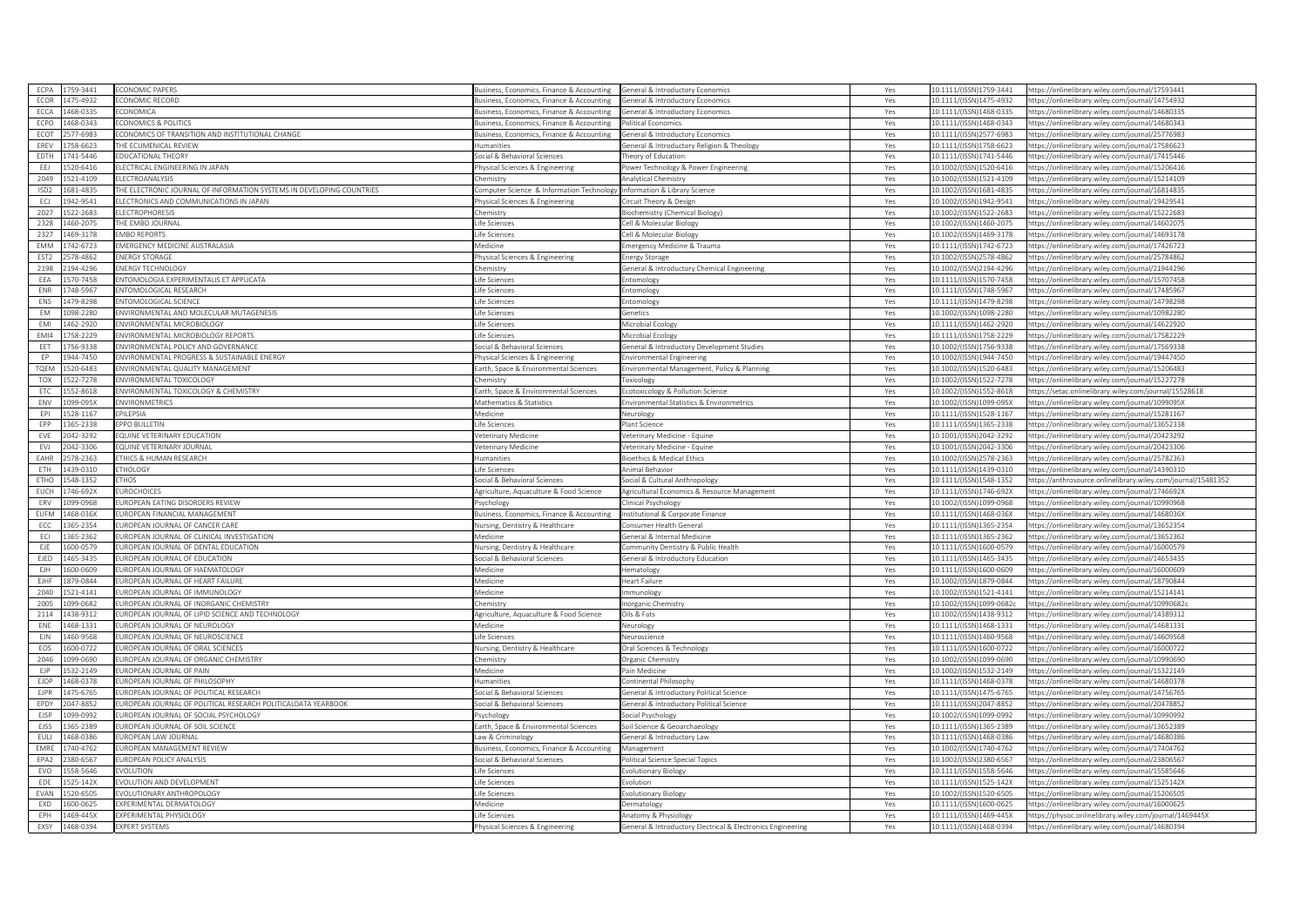|                  | 1759-3441             | ECONOMIC PAPERS                                                      | Business, Economics, Finance & Accounting | General & Introductory Economics                          | Yes | 10.1111/(ISSN)1759-3441 | https://onlinelibrary.wiley.com/iournal/17593441              |
|------------------|-----------------------|----------------------------------------------------------------------|-------------------------------------------|-----------------------------------------------------------|-----|-------------------------|---------------------------------------------------------------|
| ECOR             | 1475-4932             | <b>CONOMIC RECORD</b>                                                | Business, Economics, Finance & Accounting | General & Introductory Economics                          | Yes | 10.1111/(ISSN)1475-4932 | https://onlinelibrary.wiley.com/journal/14754932              |
| ECCA             | 468-0335              | CONOMICA                                                             | Business, Economics, Finance & Accounting | eneral & Introductory Economics                           | Yes | 10.1111/(ISSN)1468-0335 | https://onlinelibrary.wiley.com/journal/14680335              |
| ECPO             | 468-0343              | CONOMICS & POLITICS                                                  | usiness, Economics, Finance & Accounting  | olitical Economics                                        | Yes | 10.1111/(ISSN)1468-0343 | https://onlinelibrary.wiley.com/iournal/14680343              |
| ECOT             | 577-6983              | CONOMICS OF TRANSITION AND INSTITUTIONAL CHANGE                      | usiness, Economics, Finance & Accounting  | eneral & Introductory Economics                           | Yes | 0.1111/(ISSN)2577-6983  | https://onlinelibrary.wiley.com/journal/25776983              |
| EREV             | 758-6623              | HE ECUMENICAL REVIEW                                                 | Humanities                                | eneral & Introductory Religion & Theology                 | Yes | 10.1111/(ISSN)1758-6623 | https://onlinelibrary.wiley.com/journal/17586623              |
| EDTH             | 741-5446              | <b>DUCATIONAL THEORY</b>                                             | ocial & Behavioral Sciences               | eory of Education                                         | Yes | 10.1111/(ISSN)1741-5446 | ttps://onlinelibrary.wiley.com/journal/17415446               |
| EEJ              | 520-6416              | LECTRICAL ENGINEERING IN JAPAN                                       | hysical Sciences & Engineering            | ower Technology & Power Engineering                       | Yes | 10.1002/(ISSN)1520-6416 | https://onlinelibrary.wiley.com/journal/15206416              |
| 2049             | 521-4109              | <b>LECTROANALYSIS</b>                                                | emistry                                   | Analytical Chemistry                                      | Yes | 10.1002/(ISSN)1521-4109 | ttps://onlinelibrary.wiley.com/journal/15214109               |
| ISD <sub>2</sub> | 681-4835              | HE ELECTRONIC JOURNAL OF INFORMATION SYSTEMS IN DEVELOPING COUNTRIES | Computer Science & Information Technology | Information & Library Science                             | Yes | 10.1002/(ISSN)1681-4835 | https://onlinelibrary.wiley.com/journal/16814835              |
| ECJ              | 942-9541              | LECTRONICS AND COMMUNICATIONS IN JAPAN                               | hysical Sciences & Engineering            | ircuit Theory & Design                                    | Yes | 10.1002/(ISSN)1942-9541 | https://onlinelibrary.wiley.com/journal/19429541              |
| 2027             | 522-2683              | <b>LECTROPHORESIS</b>                                                | hemistry                                  |                                                           | Yes | 10.1002/(ISSN)1522-2683 | ttps://onlinelibrary.wiley.com/journal/15222683               |
| 2328             | 460-2075              | HE EMBO JOURNAL                                                      | Life Sciences                             | iochemistry (Chemical Biology)<br>ell & Molecular Biology | Yes | 10.1002/(ISSN)1460-2075 | 14602075/ttps://onlinelibrary.wiley.com/journal               |
|                  |                       |                                                                      |                                           |                                                           |     |                         |                                                               |
| 2327             | 469-3178              | <b>MBO REPORTS</b>                                                   | ife Sciences.                             | ell & Molecular Biology                                   | Yes | 10.1002/(ISSN)1469-3178 | https://onlinelibrary.wiley.com/journal/14693178              |
| EMM              | 742-6723              | EMERGENCY MEDICINE AUSTRALASIA                                       | Medicine                                  | mergency Medicine & Trauma                                | Yes | 10.1111/(ISSN)1742-6723 | https://onlinelibrary.wiley.com/iournal/17426723              |
| EST <sub>2</sub> | 578-4862              | <b>INERGY STORAGE</b>                                                | hysical Sciences & Engineering            | nergy Storage                                             | Yes | 0.1002/(ISSN)2578-4862  | ttps://onlinelibrary.wiley.com/journal/25784862               |
| 2198             | 194-4296              | NERGY TECHNOLOGY                                                     | Chemistry                                 | eneral & Introductory Chemical Engineering                | Yes | LO.1002/(ISSN)2194-4296 | https://onlinelibrary.wiley.com/journal/21944296              |
| EEA              | 570-7458              | <b>INTOMOLOGIA EXPERIMENTALIS ET APPLICATA</b>                       | ife Sciences                              | ntomology                                                 | Yes | 0.1111/(ISSN)1570-7458  | ttps://onlinelibrary.wiley.com/journal/15707458               |
| ENR              | 748-5967              | <b>INTOMOLOGICAL RESEARCH</b>                                        | Life Sciences                             | ntomology                                                 | Yes | 10.1111/(ISSN)1748-5967 | https://onlinelibrary.wiley.com/journal/17485967              |
| ENS              | 479-8298              | <b>INTOMOLOGICAL SCIENCE</b>                                         | Life Sciences                             | ntomology                                                 | Yes | 10.1111/(ISSN)1479-8298 | ttps://onlinelibrary.wiley.com/iournal/14798298               |
| EM               | 098-2280              | INVIRONMENTAL AND MOLECULAR MUTAGENESIS                              | ife Sciences                              | enetics                                                   | Yes | 10.1002/(ISSN)1098-2280 | https://onlinelibrary.wiley.com/journal/10982280              |
| EMI              | 462-2920              | NVIRONMENTAL MICROBIOLOGY                                            | ife Sciences                              | licrobial Ecology                                         | Yes | 0.1111/(ISSN)1462-2920  | ttps://onlinelibrary.wiley.com/journal/14622920               |
| EMI4             | 758-2229              | ENVIRONMENTAL MICROBIOLOGY REPORTS                                   | ife Sciences                              | Microbial Ecology                                         | Yes | 10.1111/(ISSN)1758-2229 | https://onlinelibrary.wiley.com/journal/17582229              |
| EET              | 756-9338              | <b>INVIRONMENTAL POLICY AND GOVERNANC</b>                            | ocial & Behavioral Sciences               | eneral & Introductory Development Studies                 | Yes | LO.1002/(ISSN)1756-9338 | ttps://onlinelibrary.wiley.com/journal/17569338               |
| EP               | 1944-7450             | INVIRONMENTAL PROGRESS & SUSTAINABLE ENERGY                          | Physical Sciences & Engineering           | nvironmental Engineering                                  | Yes | 10.1002/(ISSN)1944-7450 | https://onlinelibrary.wiley.com/journal/19447450              |
| TQEM             | 520-6483              | NVIRONMENTAL QUALITY MANAGEMENT                                      | Earth, Space & Environmental Sciences     | nvironmental Management, Policy & Planning                | Yes | 0.1002/(ISSN)1520-6483  | ttps://onlinelibrary.wiley.com/journal/15206483               |
| TOX              | 522-7278              | NVIRONMENTAL TOXICOLOGY                                              | Chemistry                                 | oxicology                                                 | Yes | 10.1002/(ISSN)1522-7278 | https://onlinelibrary.wiley.com/journal/15227278              |
| ETC              | 552-8618              | <b>INVIRONMENTAL TOXICOLOGY &amp; CHEMISTRY</b>                      | Earth, Space & Environmental Sciences     | cotoxicology & Pollution Science                          | Yes | 10.1002/(ISSN)1552-8618 | https://setac.onlinelibrary.wiley.com/journal/15528618        |
| ENV              | 099-095X              | <b>INVIRONMETRICS</b>                                                | Mathematics & Statistics                  | nvironmental Statistics & Environmetrics                  | Yes | 10.1002/(ISSN)1099-095X | https://onlinelibrary.wiley.com/journal/1099095X              |
| EPI              | 528-1167              | PILEPSIA                                                             | Aedicine                                  | eurology                                                  | Yes | 0.1111/(ISSN)1528-1167  | ttps://onlinelibrary.wiley.com/journal/15281167               |
| EPP              | 365-2338              | PPO BULLETIN                                                         | ife Sciences                              | lant Science                                              | Yes | 10.1111/(ISSN)1365-2338 | ttps://onlinelibrary.wiley.com/journal/13652338               |
| EVE              | 042-3292              | QUINE VETERINARY EDUCATION                                           | Veterinary Medicine                       | eterinary Medicine - Equine                               | Yes | 10.1001/(ISSN)2042-3292 | https://onlinelibrary.wiley.com/journal/20423292              |
|                  | 042-3306              | QUINE VETERINARY JOURNAL                                             |                                           |                                                           |     | 10.1001/(ISSN)2042-3306 |                                                               |
| EVJ              |                       |                                                                      | eterinary Medicine                        | eterinary Medicine - Equine                               | Yes |                         | ttps://onlinelibrary.wiley.com/journal/20423306               |
| EAHR             | 578-2363              | THICS & HUMAN RESEARCH                                               | <b>Humanities</b>                         | ioethics & Medical Ethics                                 | Yes | 0.1002/(ISSN)2578-2363  | https://onlinelibrary.wiley.com/journal/25782363              |
| FTH              | 439-0310              | THOLOGY                                                              | ife Sciences                              | nimal Behavior                                            | Yes | 10.1111/(ISSN)1439-0310 | https://onlinelibrary.wiley.com/iournal/14390310              |
| ETHC             | 548-1352              | THOS                                                                 | Social & Behavioral Sciences              | iocial & Cultural Anthropology                            | Yes | 10.1111/(ISSN)1548-1352 | https://anthrosource.onlinelibrary.wiley.com/journal/15481352 |
| EUCH             | 746-692X              | UROCHOICES                                                           | Agriculture, Aquaculture & Food Science   | Agricultural Economics & Resource Management              | Yes | 10.1111/(ISSN)1746-692X | https://onlinelibrary.wiley.com/journal/1746692X              |
|                  |                       |                                                                      |                                           |                                                           |     | LO.1002/(ISSN)1099-0968 |                                                               |
| ERV              | 099-0968              | UROPEAN EATING DISORDERS REVIEW                                      | sychology                                 | inical Psychology                                         | Yes |                         | https://onlinelibrary.wiley.com/journal/10990968              |
| EUFM             | 468-036X              | UROPEAN FINANCIAL MANAGEMENT                                         | usiness, Economics, Finance & Accounting  | stitutional & Corporate Finance                           | Yes | 10.1111/(ISSN)1468-036X | sttps://onlinelibrary.wiley.com/journal/1468036)              |
| ECC              | 365-2354              | UROPEAN JOURNAL OF CANCER CARE                                       | Nursing, Dentistry & Healthcare           | onsumer Health General                                    | Yes | 10.1111/(ISSN)1365-2354 | https://onlinelibrary.wiley.com/journal/13652354              |
| ECI              | 365-2362              | UROPEAN JOURNAL OF CLINICAL INVESTIGATION                            | Medicine                                  | eneral & Internal Medicine                                | Yes | 10.1111/(ISSN)1365-2362 | ttps://onlinelibrary.wiley.com/journal/13652362               |
|                  | 600-0579              | UROPEAN JOURNAL OF DENTAL EDUCATION                                  | Nursing, Dentistry & Healthcare           | ommunity Dentistry & Public Health                        | Yes | 10.1111/(ISSN)1600-0579 | https://onlinelibrary.wiley.com/journal/16000579              |
| EJE<br>EJED      | 465-3435              | UROPEAN JOURNAL OF EDUCATION                                         | ocial & Behavioral Sciences               | eneral & Introductory Education                           | Yes | 0.1111/(ISSN)1465-3435  | ttps://onlinelibrary.wiley.com/journal/14653435               |
| EJH              | 600-0609              | UROPEAN JOURNAL OF HAEMATOLOGY                                       | Medicine                                  | ematology                                                 | Yes | 10.1111/(ISSN)1600-0609 | https://onlinelibrary.wiley.com/journal/16000609              |
| FIHE             | 879-0844              | UROPEAN JOURNAL OF HEART FAILURE                                     | Medicine                                  | leart Failure                                             | Yes | 10.1002/(ISSN)1879-0844 | https://onlinelibrary.wiley.com/journal/18790844              |
| 2040             | 521-4141              | UROPEAN JOURNAL OF IMMUNOLOGY                                        | Medicine                                  |                                                           | Yes | 10.1002/(ISSN)1521-4141 | https://onlinelibrary.wiley.com/journal/15214141              |
| 2005             | 099-0682              | UROPEAN JOURNAL OF INORGANIC CHEMISTRY                               | Chemistry                                 | nmunology<br>organic Chemistry                            | Yes | 0.1002/(ISSN)1099-0682c | https://onlinelibrary.wiley.com/journal/10990682c             |
| 2114             | 1438-9312             | UROPEAN JOURNAL OF LIPID SCIENCE AND TECHNOLOGY                      | Agriculture, Aquaculture & Food Science   | Dils & Fats                                               | Yes | 10.1002/(ISSN)1438-9312 | https://onlinelibrary.wiley.com/journal/14389312              |
|                  | 468-1331              | UROPEAN JOURNAL OF NEUROLOGY                                         | Medicine                                  |                                                           |     | 10.1111/(ISSN)1468-1331 |                                                               |
| ENE              |                       |                                                                      |                                           | eurology<br>euroscience                                   | Yes |                         | https://onlinelibrary.wiley.com/journal/14681331              |
| EJN              | 460-9568              | UROPEAN JOURNAL OF NEUROSCIENCE                                      | ife Sciences                              |                                                           | Yes | 10.1111/(ISSN)1460-9568 | ittps://onlinelibrary.wiley.com/journal/14609568              |
| EOS              | 600-0722              | UROPEAN JOURNAL OF ORAL SCIENCES                                     | Nursing, Dentistry & Healthcare           | Oral Sciences & Technology<br>rganic Chemistry            | Yes | 0.1111/(ISSN)1600-0722  | https://onlinelibrary.wiley.com/journal/16000722              |
| 2046             | 099-0690              | UROPEAN JOURNAL OF ORGANIC CHEMISTRY                                 | hemistrv:                                 |                                                           | Yes | LO.1002/(ISSN)1099-0690 | https://onlinelibrary.wiley.com/journal/10990690              |
| EJP              | 532-2149              | UROPEAN JOURNAL OF PAIN                                              | Medicine                                  | ain Medicine                                              | Yes | 10.1002/(ISSN)1532-2149 | https://onlinelibrary.wiley.com/journal/15322149              |
| <b>EJOP</b>      | 468-0378              | UROPEAN JOURNAL OF PHILOSOPHY                                        | Humanities                                | ontinental Philosophy                                     | Yes | 10.1111/(ISSN)1468-0378 | https://onlinelibrary.wiley.com/journal/14680378              |
| EJPR             | 475-6765              | UROPEAN JOURNAL OF POLITICAL RESEARCH                                | ocial & Behavioral Sciences               | eneral & Introductory Political Science                   | Yes | 0.1111/(ISSN)1475-6765  | ttps://onlinelibrary.wiley.com/journal/14756765               |
| EPDY             | 047-8852              | UROPEAN JOURNAL OF POLITICAL RESEARCH POLITICALDATA YEARBOOK         | ocial & Behavioral Sciences               | eneral & Introductory Political Science                   | Yes | 0.1111/(ISSN)2047-8852  | https://onlinelibrary.wiley.com/journal/20478852              |
| EJSP             | 099-0992              | UROPEAN JOURNAL OF SOCIAL PSYCHOLOGY                                 | sychology                                 | ocial Psychology                                          | Yes | LO.1002/(ISSN)1099-0992 | https://onlinelibrary.wiley.com/journal/10990992              |
| <b>EJSS</b>      | 365-2389              | UROPEAN JOURNAL OF SOIL SCIENCE                                      | arth, Space & Environmental Sciences      | pil Science & Geoarchaeology                              | Yes | 10.1111/(ISSN)1365-2389 | ttps://onlinelibrary.wiley.com/journal/13652389               |
| EULJ             | 1468-0386             | UROPEAN LAW JOURNAL                                                  | Law & Criminology                         | eneral & Introductory Law                                 | Yes | 10.1111/(ISSN)1468-0386 | https://onlinelibrary.wiley.com/journal/14680386              |
| EMRE             | 740-4762              | UROPEAN MANAGEMENT REVIEW                                            | usiness, Economics, Finance & Accounting  | Management                                                | Yes | 0.1002/(ISSN)1740-4762  | ttps://onlinelibrary.wiley.com/journal/17404762               |
| EPA2             | 380-6567              | UROPEAN POLICY ANALYSIS                                              | Social & Behavioral Sciences              | olitical Science Special Topics                           | Yes | 10.1002/(ISSN)2380-6567 | https://onlinelibrary.wiley.com/journal/23806567              |
| EVO              | 558-5646              | VOLUTION                                                             | Life Sciences                             | volutionary Biology                                       | Yes | 10.1111/(ISSN)1558-5646 | https://onlinelibrary.wiley.com/journal/15585646              |
| EDE              | 525-142X              | VOLUTION AND DEVELOPMENT                                             | Life Sciences                             | volution                                                  | Yes | 10.1111/(ISSN)1525-142X | https://onlinelibrary.wiley.com/iournal/1525142>              |
| EVAN             | 520-6505              | VOLUTIONARY ANTHROPOLOGY                                             | ife Sciences                              | olutionary Biology                                        | Yes | 0.1002/(ISSN)1520-6505  | ttps://onlinelibrary.wiley.com/journal/15206505               |
| EXD              | 600-0625              | EXPERIMENTAL DERMATOLOGY                                             | Medicine                                  | ermatology                                                | Yes | 10.1111/(ISSN)1600-0625 | https://onlinelibrary.wilev.com/iournal/16000625              |
| EPH              | 469-445X<br>1468-0394 | EXPERIMENTAL PHYSIOLOGY                                              | Life Sciences                             | natomy & Physiology                                       | Yes | 10.1111/(ISSN)1469-445X | https://physoc.onlinelibrary.wiley.com/journal/1469445X       |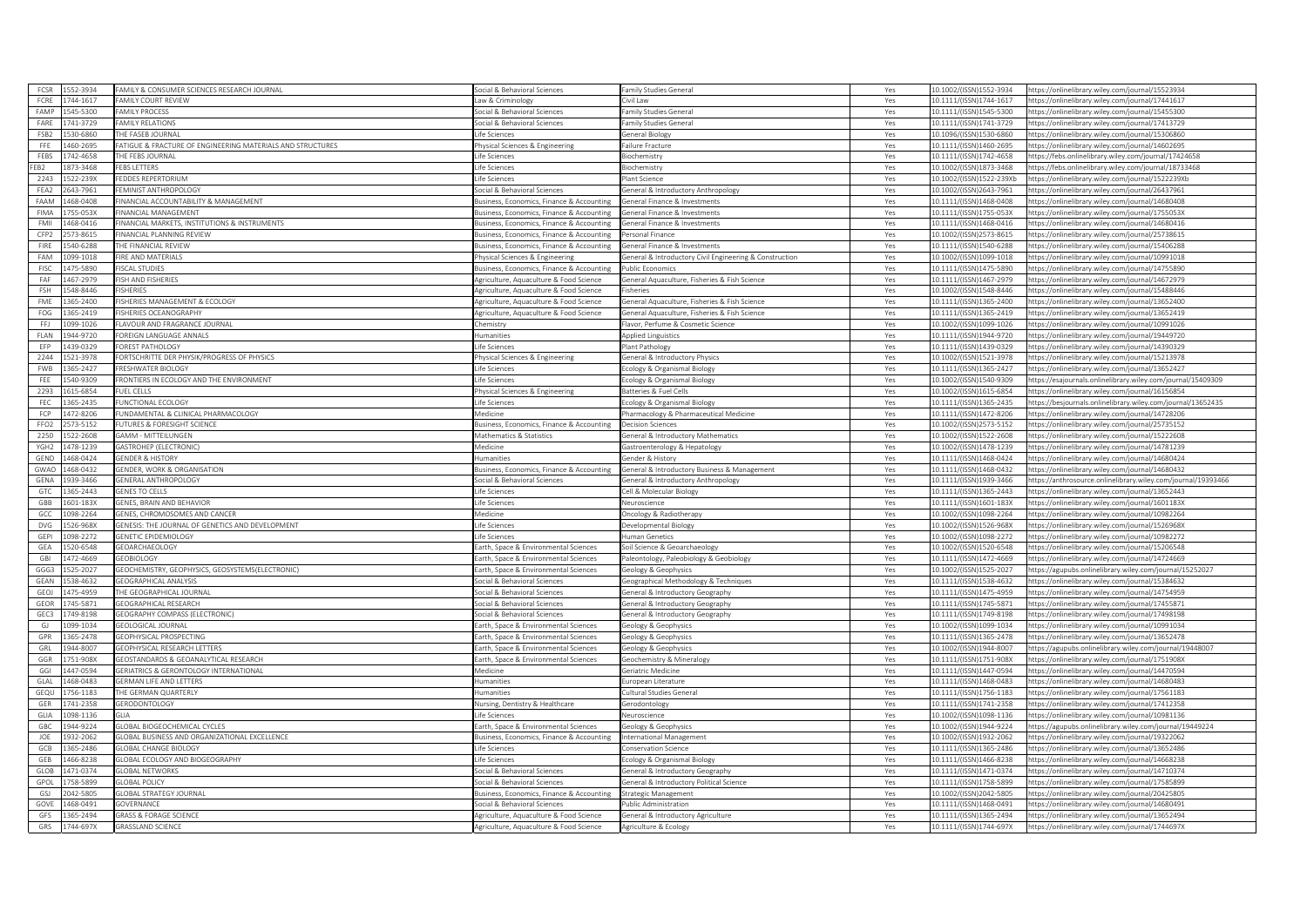|                  | 552-3934             | AMILY & CONSUMER SCIENCES RESEARCH JOURNAL                    | ocial & Behavioral Sciences                                                        | Family Studies General                                      | Yes        | 10.1002/(ISSN)1552-3934                            | https://onlinelibrary.wiley.com/iournal/15523934                                                     |
|------------------|----------------------|---------------------------------------------------------------|------------------------------------------------------------------------------------|-------------------------------------------------------------|------------|----------------------------------------------------|------------------------------------------------------------------------------------------------------|
| FCRE             | 744-1617             | FAMILY COURT REVIEW                                           | aw & Criminology                                                                   | ivil Law                                                    | Yes        | 10.1111/(ISSN)1744-1617                            | https://onlinelibrary.wiley.com/journal/17441617                                                     |
| FAMP             | 545-5300             | <b>AMILY PROCESS</b>                                          | ocial & Behavioral Sciences                                                        | amily Studies General                                       | Yes        | 10.1111/(ISSN)1545-5300                            | https://onlinelibrary.wiley.com/journal/15455300                                                     |
| $F\Delta RF$     | 741-3729             | <b>AMILY RELATIONS</b>                                        | ocial & Behavioral Sciences                                                        | amily Studies General                                       | Yes        | 10.1111/(ISSN)1741-3729                            | https://onlinelibrary.wiley.com/iournal/17413729                                                     |
| FSB <sub>2</sub> | 530-6860             | HE FASER IOURNAL                                              | fe Sciences                                                                        | ieneral Biology                                             | Yes        | 10.1096/(ISSN)1530-6860                            | https://onlinelibrary.wiley.com/journal/15306860                                                     |
| FFE              | 460-2695             | ATIGUE & FRACTURE OF ENGINEERING MATERIALS AND STRUCTURES     | hysical Sciences & Engineering                                                     | ailure Fracture                                             | Yes        | 10.1111/(ISSN)1460-2695                            | https://onlinelibrary.wiley.com/journal/14602695                                                     |
| FEBS             | 742-4658             | HE FEBS JOURNAL                                               | fe Sciences                                                                        | iochemistry                                                 | Yes        | 10.1111/(ISSN)1742-4658                            | https://febs.onlinelibrary.wiley.com/journal/17424658                                                |
| FEB <sub>2</sub> | 373-3468             | <b>EBS LETTERS</b>                                            | fe Sciences                                                                        | <b>Biochemistry</b>                                         | Yes        | 10.1002/(ISSN)1873-3468                            | https://febs.onlinelibrary.wiley.com/journal/18733468                                                |
| 2243             | 522-239X             | EDDES REPERTORIUM                                             | fe Sciences                                                                        | Plant Science                                               | Yes        | 10.1002/(ISSN)1522-239Xb                           | https://onlinelibrary.wiley.com/journal/1522239Xb                                                    |
| FEA2             | 643-7961             | EMINIST ANTHROPOLOGY                                          | iocial & Behavioral Sciences                                                       | General & Introductory Anthropology                         | Yes        | 10.1002/(ISSN)2643-7961                            | https://onlinelibrary.wiley.com/journal/26437961                                                     |
| FAAM             | 468-0408             | INANCIAL ACCOUNTABILITY & MANAGEMENT                          | Business, Economics, Finance & Accounting                                          | General Finance & Investments                               | Yes        | 10.1111/(ISSN)1468-0408                            | https://onlinelibrary.wiley.com/journal/14680408                                                     |
| <b>FIMA</b>      | 55-053X              | INANCIAL MANAGEMEN'                                           | usiness, Economics, Finance & Accounting                                           | General Finance & Investments                               | Yes        | 10.1111/(ISSN)1755-053X                            | https://onlinelibrary.wiley.com/journal/1755053X                                                     |
| FMII             | 468-0416             | INANCIAL MARKETS, INSTITUTIONS & INSTRUMENTS                  | usiness, Economics, Finance & Accounting                                           | General Finance & Investments                               | Yes        | 10.1111/(ISSN)1468-0416                            | https://onlinelibrary.wiley.com/journal/14680416                                                     |
| CFP2             | 73-8615              | INANCIAL PLANNING REVIEW                                      | Business, Economics, Finance & Accounting                                          | Personal Finance                                            | Yes        | 10.1002/(ISSN)2573-8615                            | https://onlinelibrary.wiley.com/iournal/25738615                                                     |
| FIRE             | 540-6288             | THE FINANCIAL REVIEW                                          | Business, Economics, Finance & Accounting                                          | General Finance & Investments                               | Yes        | 10.1111/(ISSN)1540-6288                            | https://onlinelibrary.wiley.com/journal/15406288                                                     |
| FAM              | 099-1018             | <b>IRE AND MATERIALS</b>                                      | hysical Sciences & Engineering                                                     | Seneral & Introductory Civil Engineering & Construction     | Yes        | 10.1002/(ISSN)1099-1018                            | ttps://onlinelibrary.wiley.com/iournal/10991018                                                      |
| FISC             | 175-5890             | <b>ISCAL STUDIES</b>                                          | Business, Economics, Finance & Accounting                                          | Public Economics                                            | Yes        | 10.1111/(ISSN)1475-5890                            | https://onlinelibrary.wiley.com/journal/14755890                                                     |
| FAF              | 467-2979             | SH AND FISHERIES                                              | Agriculture, Aquaculture & Food Science                                            | General Aquaculture, Fisheries & Fish Science               | Yes        | 10.1111/(ISSN)1467-2979                            | https://onlinelibrary.wiley.com/journal/14672979                                                     |
| FSH              | 548-8446             | ISHERIES                                                      | Agriculture, Aquaculture & Food Science                                            | Fisheries                                                   | Yes        | 10.1002/(ISSN)1548-8446                            | https://onlinelibrary.wiley.com/journal/15488446                                                     |
| FME              | 365-2400             | ISHERIES MANAGEMENT & ECOLOGY                                 | Agriculture, Aquaculture & Food Science                                            | General Aquaculture, Fisheries & Fish Science               | Yes        | 10.1111/(ISSN)1365-2400                            | https://onlinelibrary.wiley.com/journal/13652400                                                     |
|                  |                      |                                                               |                                                                                    |                                                             |            |                                                    |                                                                                                      |
| FOG              | 365-2419             | ISHERIES OCEANOGRAPHY                                         | griculture, Aquaculture & Food Science                                             | Seneral Aquaculture, Fisheries & Fish Science               | Yes        | 10.1111/(ISSN)1365-2419                            | https://onlinelibrary.wiley.com/journal/13652419                                                     |
| FFJ              | 199-1026             | LAVOUR AND FRAGRANCE JOURNAL<br>ORFIGN LANGUAGE ANNALS        | nemistry                                                                           | lavor, Perfume & Cosmetic Science                           | Yes        | 10.1002/(ISSN)1099-1026                            | ttps://onlinelibrary.wiley.com/journal/10991026                                                      |
| FLAN             | 344-9720             |                                                               | umanities                                                                          | Applied Linguistics                                         | Yes        | 10.1111/(ISSN)1944-9720                            | https://onlinelibrary.wiley.com/journal/19449720                                                     |
| EFP              | 139-0329             | OREST PATHOLOGY                                               | fe Sciences                                                                        | lant Pathology                                              | Yes        | 10.1111/(ISSN)1439-0329                            | https://onlinelibrary.wiley.com/journal/14390329                                                     |
| 2244             | 521-3978             | ORTSCHRITTE DER PHYSIK/PROGRESS OF PHYSICS                    | hysical Sciences & Engineering                                                     | General & Introductory Physics                              | Yes        | 10.1002/(ISSN)1521-3978                            | https://onlinelibrary.wiley.com/journal/15213978                                                     |
| <b>FWB</b>       | 65-2427              | RESHWATER BIOLOGY                                             | fe Sciences                                                                        | cology & Organismal Biology                                 | Yes        | 10.1111/(ISSN)1365-2427                            | https://onlinelibrary.wiley.com/journal/13652427                                                     |
| FEE              | 40-9309              | RONTIERS IN ECOLOGY AND THE ENVIRONMENT                       | fe Sciences                                                                        | cology & Organismal Biology                                 | Yes        | 10.1002/(ISSN)1540-9309                            | https://esajournals.onlinelibrary.wiley.com/journal/15409309                                         |
| 2293             | 515-6854             | UEL CELLS                                                     | nysical Sciences & Engineering                                                     | Batteries & Fuel Cells                                      | Yes        | 10.1002/(ISSN)1615-6854                            | https://onlinelibrary.wiley.com/journal/16156854                                                     |
| FEC              | 365-2435             | UNCTIONAL ECOLOGY                                             | fe Sciences                                                                        | cology & Organismal Biology                                 | Yes        | 10.1111/(ISSN)1365-2435                            | https://besjournals.onlinelibrary.wiley.com/journal/13652435                                         |
| FCP              | 472-8206             | UNDAMENTAL & CLINICAL PHARMACOLOGY                            | Medicine                                                                           | Pharmacology & Pharmaceutical Medicine                      | Yes        | 10.1111/(ISSN)1472-8206                            | https://onlinelibrary.wiley.com/journal/14728206                                                     |
| FFO <sub>2</sub> | 573-5152             | UTURES & FORESIGHT SCIENCE                                    | usiness, Economics, Finance & Accounting                                           | Decision Sciences                                           | Yes        | 10.1002/(ISSN)2573-5152                            | https://onlinelibrary.wiley.com/iournal/25735152                                                     |
| 2250             | 522-2608             | <b>GAMM - MITTEILUNGEN</b>                                    | Mathematics & Statistics                                                           | <b>Seneral &amp; Introductory Mathematics</b>               | Yes        | 10.1002/(ISSN)1522-2608                            | https://onlinelibrary.wiley.com/journal/15222608                                                     |
| YGH <sub>2</sub> | 478-1239             | <b>GASTROHEP (ELECTRONIC)</b>                                 | Aedicine                                                                           | Gastroenterology & Hepatology                               | Yes        | 10.1002/(ISSN)1478-1239                            | https://onlinelibrary.wiley.com/journal/14781239                                                     |
| GEND             | 468-0424             | <b>GENDER &amp; HISTORY</b>                                   | umanities                                                                          | Gender & History                                            | Yes        | 10.1111/(ISSN)1468-0424                            | https://onlinelibrary.wiley.com/journal/14680424                                                     |
| GWAC             | 68-0432              | <b>ENDER, WORK &amp; ORGANISATION</b>                         | Business, Economics, Finance & Accounting                                          | General & Introductory Business & Management                | Yes        | 10.1111/(ISSN)1468-0432                            | https://onlinelibrary.wiley.com/journal/14680432                                                     |
| GENA             | 39-3466              | <b>GENERAL ANTHROPOLOGY</b>                                   | Social & Behavioral Sciences                                                       | General & Introductory Anthropology                         | Yes        | 10.1111/(ISSN)1939-3466                            | https://anthrosource.onlinelibrary.wiley.com/journal/19393466                                        |
| GTC              | 365-2443             | <b>SENES TO CELLS</b>                                         | ife Sciences                                                                       | ell & Molecular Biology                                     | Yes        | 10.1111/(ISSN)1365-2443                            | https://onlinelibrary.wiley.com/journal/13652443                                                     |
| GBB              | 601-183X             | <b>ENES, BRAIN AND BEHAVIOR</b>                               | fe Sciences                                                                        | Veuroscience                                                | Yes        | 10.1111/(ISSN)1601-183X                            | https://onlinelibrary.wiley.com/journal/1601183X                                                     |
| GCC              |                      |                                                               | Aedicine                                                                           | Incology & Radiotherapy                                     | Yes        | 10.1002/(ISSN)1098-2264                            | https://onlinelibrary.wiley.com/journal/10982264                                                     |
|                  | 098-2264             | <b>ENES, CHROMOSOMES AND CANCER</b>                           |                                                                                    |                                                             |            |                                                    |                                                                                                      |
| DVG              | 526-968X             | GENESIS: THE JOURNAL OF GENETICS AND DEVELOPMENT              | ife Sciences                                                                       | <b>Developmental Biology</b>                                | Yes        | 10.1002/(ISSN)1526-968X                            | https://onlinelibrary.wiley.com/journal/1526968X                                                     |
| GEPI             | 098-2272             | <b>ENETIC EPIDEMIOLOGY</b>                                    | fe Sciences                                                                        | luman Genetics                                              | Yes        | 10.1002/(ISSN)1098-2272                            | https://onlinelibrary.wiley.com/journal/10982272                                                     |
| GEA              | 20-6548              | EOARCHAEOLOGY                                                 | arth, Space & Environmental Sciences                                               | ioil Science & Geoarchaeology                               | Yes        | 10.1002/(ISSN)1520-6548                            | ttps://onlinelibrary.wiley.com/journal/15206548                                                      |
| GBI              | 472-4669             | <b>FOBIOLOGY</b>                                              | arth, Space & Environmental Sciences                                               | aleontology, Paleobiology & Geobiology                      | Yes        | 10.1111/(ISSN)1472-4669                            | https://onlinelibrary.wiley.com/journal/14724669                                                     |
| GGG3             | 25-2027              | EOCHEMISTRY, GEOPHYSICS, GEOSYSTEMS(ELECTRONIC)               | arth, Space & Environmental Sciences                                               | Geology & Geophysics                                        |            | 10.1002/(ISSN)1525-2027                            | https://agupubs.onlinelibrary.wiley.com/journal/15252027                                             |
| GEAN             | 538-4632             | <b>GEOGRAPHICAL ANALYSIS</b>                                  | ocial & Behavioral Sciences                                                        | Seographical Methodology & Techniques                       | Yes<br>Yes | 10.1111/(ISSN)1538-4632                            | https://onlinelibrary.wiley.com/journal/15384632                                                     |
| GEOJ             | 475-4959             | HE GEOGRAPHICAL JOURNAL                                       | ocial & Behavioral Sciences                                                        | General & Introductory Geography                            | Yes        | 10.1111/(ISSN)1475-4959                            | ttps://onlinelibrary.wiley.com/journal/14754959                                                      |
| GEOR             | 745-5871             | <b>GEOGRAPHICAL RESEARCH</b>                                  | cial & Behavioral Sciences                                                         | ieneral & Introductory Geography                            | Yes        | 10.1111/(ISSN)1745-5871                            | https://onlinelibrary.wiley.com/journal/17455871                                                     |
| GEC3             | 749-8198             | <b>GEOGRAPHY COMPASS (ELECTRONIC)</b>                         | ocial & Behavioral Sciences                                                        | General & Introductory Geography                            | Yes        | 10.1111/(ISSN)1749-8198                            | https://onlinelibrary.wiley.com/journal/17498198                                                     |
| GJ               | 099-1034             | <b>EOLOGICAL JOURNAL</b>                                      | arth, Space & Environmental Sciences                                               |                                                             | Yes        | 10.1002/(ISSN)1099-1034                            | https://onlinelibrary.wiley.com/journal/10991034                                                     |
| GPR              | 365-2478             | <b>EOPHYSICAL PROSPECTING</b>                                 | arth, Space & Environmental Sciences                                               | Geology & Geophysics<br>Geology & Geophysics                | Yes        | 10.1111/(ISSN)1365-2478                            | https://onlinelibrary.wiley.com/journal/13652478                                                     |
| GRL              | 944-8007             | <b>GEOPHYSICAL RESEARCH LETTERS</b>                           | arth, Space & Environmental Sciences                                               | ieology & Geophysics                                        | Yes        | 10.1002/(ISSN)1944-8007                            | https://agupubs.onlinelibrary.wiley.com/journal/19448007                                             |
| GGR              | 51-908X              | <b>EOSTANDARDS &amp; GEOANALYTICAL RESEARCH</b>               | arth, Space & Environmental Sciences                                               | Geochemistry & Mineralogy                                   | Yes        | 10.1111/(ISSN)1751-908X                            | https://onlinelibrary.wiley.com/journal/1751908X                                                     |
|                  |                      |                                                               |                                                                                    |                                                             |            |                                                    |                                                                                                      |
| GGI              | 447-0594             | <b>SERIATRICS &amp; GERONTOLOGY INTERNATIONAL</b>             | Medicine                                                                           | Seriatric Medicine                                          | Yes        | 10.1111/(ISSN)1447-0594                            | https://onlinelibrary.wiley.com/journal/14470594                                                     |
| GLAL             | 468-0483<br>756-1183 | <b>ERMAN LIFE AND LETTERS</b>                                 | umanities<br>umanities                                                             | uropean Literature<br><b>Cultural Studies General</b>       | Yes        | 10.1111/(ISSN)1468-0483                            | https://onlinelibrary.wiley.com/journal/14680483                                                     |
| GEQU             |                      | HE GERMAN QUARTERLY                                           |                                                                                    |                                                             | Yes        | 10.1111/(ISSN)1756-1183                            | https://onlinelibrary.wiley.com/journal/17561183                                                     |
| GFR              | '41-2358             | <b>FRODONTOLOGY</b>                                           | lursing, Dentistry & Healthcare                                                    | ierodontology                                               | Yes        | 10.1111/(ISSN)1741-2358                            | https://onlinelibrary.wiley.com/journal/17412358                                                     |
| GLIA             | 098-1136             | AL li                                                         | ife Sciences                                                                       | Neuroscience                                                | Yes        | 10.1002/(ISSN)1098-1136                            | https://onlinelibrary.wiley.com/iournal/10981136                                                     |
| GBC              | 944-9224             | <b>GLOBAL BIOGEOCHEMICAL CYCLES</b>                           | arth, Space & Environmental Sciences                                               | eology & Geophysics                                         | Yes        | 10.1002/(ISSN)1944-9224                            | https://agupubs.onlinelibrary.wiley.com/journal/19449224                                             |
| JOE              | 932-2062             | LOBAL BUSINESS AND ORGANIZATIONAL EXCELLENCE                  | usiness, Economics, Finance & Accounting                                           | nternational Management                                     | Yes        | 10.1002/(ISSN)1932-2062                            | https://onlinelibrary.wiley.com/journal/19322062                                                     |
| GCB              | 65-2486              | LOBAL CHANGE BIOLOGY                                          | ife Sciences                                                                       | onservation Science                                         | Yes        | 10.1111/(ISSN)1365-2486                            | https://onlinelibrary.wiley.com/journal/13652486                                                     |
| <b>GFB</b>       | 166-8238             | LOBAL ECOLOGY AND BIOGEOGRAPHY                                | ife Sciences                                                                       | cology & Organismal Biology                                 | Yes        | 10.1111/(ISSN)1466-8238                            | https://onlinelibrary.wiley.com/iournal/14668238                                                     |
| GLOB             | 471-0374             | <b>ILOBAL NETWORKS</b>                                        | ocial & Behavioral Sciences                                                        | General & Introductory Geography                            | Yes        | 10.1111/(ISSN)1471-0374                            | https://onlinelibrary.wiley.com/journal/14710374                                                     |
| GPOI             | 58-5899              | <b>LOBAL POLICY</b>                                           | ocial & Behavioral Sciences                                                        | General & Introductory Political Science                    | Yes        | 10.1111/(ISSN)1758-5899                            | https://onlinelibrary.wiley.com/journal/17585899                                                     |
| <b>GSJ</b>       | 042-5805             | LOBAL STRATEGY JOURNAL                                        | usiness, Economics, Finance & Accounting                                           | Strategic Managemen                                         | Yes        | 10.1002/(ISSN)2042-5805                            | https://onlinelibrary.wiley.com/journal/2042580!                                                     |
| GOVE             | 168-0491             | <b>OVERNANCE</b>                                              | ocial & Behavioral Sciences                                                        | ublic Administration                                        | Yes        | 10.1111/(ISSN)1468-0491                            | https://onlinelibrary.wiley.com/journal/14680491                                                     |
| GFS<br>GRS       | 365-2494<br>744-697X | <b>GRASS &amp; FORAGE SCIENCE</b><br><b>GRASSLAND SCIENCE</b> | Agriculture, Aquaculture & Food Science<br>Agriculture, Aguaculture & Food Science | General & Introductory Agriculture<br>Agriculture & Ecology | Yes<br>Yes | 10.1111/(ISSN)1365-2494<br>10.1111/(ISSN)1744-697X | https://onlinelibrary.wiley.com/journal/13652494<br>https://onlinelibrary.wiley.com/journal/1744697X |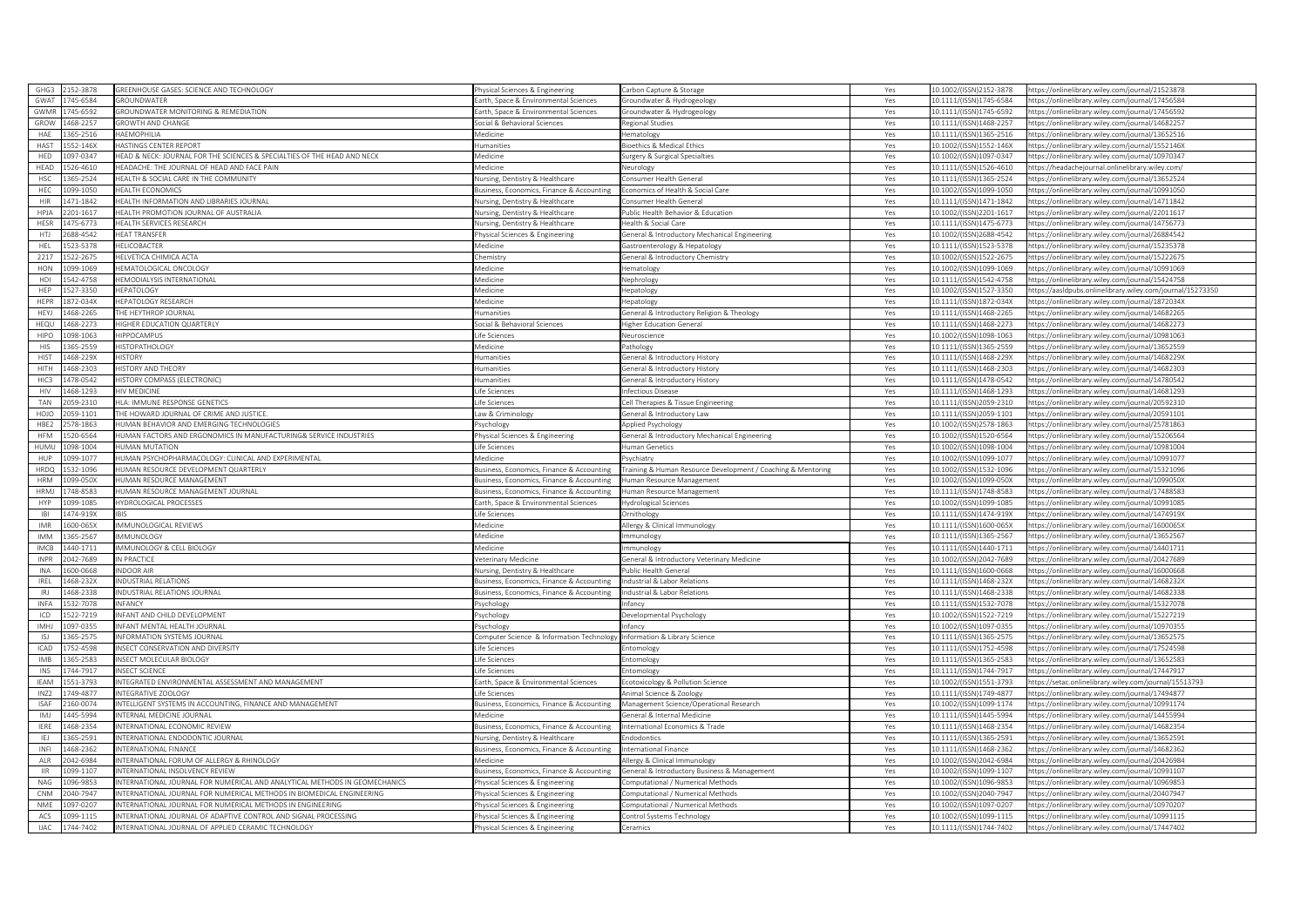| GHG3                              | 2152-3878            | REENHOUSE GASES: SCIENCE AND TECHNOLOGY                                   | hysical Sciences & Engineering                         | Carbon Capture & Storage                                    | Yes        | 10.1002/(ISSN)2152-3878                            | https://onlinelibrary.wiley.com/iournal/21523878                                                     |
|-----------------------------------|----------------------|---------------------------------------------------------------------------|--------------------------------------------------------|-------------------------------------------------------------|------------|----------------------------------------------------|------------------------------------------------------------------------------------------------------|
| GWAT                              | 745-6584             | <b>GROUNDWATER</b>                                                        | arth, Space & Environmental Sciences                   | Groundwater & Hydrogeology                                  | Yes        | 10.1111/(ISSN)1745-6584                            | https://onlinelibrary.wiley.com/journal/17456584                                                     |
| <b>GWMF</b>                       | 745-6592             | ROUNDWATER MONITORING & REMEDIATION                                       | arth, Space & Environmental Sciences                   | iroundwater & Hydrogeology                                  | Yes        | 10.1111/(ISSN)1745-6592                            | https://onlinelibrary.wiley.com/journal/17456592                                                     |
| GROW                              | 468-2257             | <b>GROWTH AND CHANGE</b>                                                  | ocial & Behavioral Sciences                            | Regional Studies                                            | Yes        | 10.1111/(ISSN)1468-2257                            | nttps://onlinelibrary.wiley.com/iournal/14682257                                                     |
| HAE                               | 365-2516             | ΙΑΕΜΟΡΗΙΙ ΙΑ                                                              | edicine                                                | ematology                                                   | Yes        | 10.1111/(ISSN)1365-2516                            | https://onlinelibrary.wiley.com/journal/13652516                                                     |
| HAST                              | 552-146X             | <b>HASTINGS CENTER REPORT</b>                                             | umanities                                              | Bioethics & Medical Ethics                                  | Yes        | 10.1002/(ISSN)1552-146X                            | https://onlinelibrary.wiley.com/iournal/1552146X                                                     |
| HED                               | 097-0347             | IEAD & NECK: JOURNAL FOR THE SCIENCES & SPECIALTIES OF THE HEAD AND NECK  | edicine                                                | urgery & Surgical Specialties                               | Yes        | 10.1002/(ISSN)1097-0347                            | https://onlinelibrary.wiley.com/journal/10970347                                                     |
| HEAD                              | 526-4610             | EADACHE: THE JOURNAL OF HEAD AND FACE PAIN                                | <i>Aedicine</i>                                        | Neurology                                                   | Yes        | 10.1111/(ISSN)1526-4610                            | https://headacheiournal.onlinelibrary.wiley.com/                                                     |
| HSC                               | 365-2524             | HEALTH & SOCIAL CARE IN THE COMMUNITY                                     | <b>Nursing, Dentistry &amp; Healthcare</b>             | onsumer Health General                                      | Yes        | 10.1111/(ISSN)1365-2524                            | https://onlinelibrary.wiley.com/journal/13652524                                                     |
| HFC                               | 039-1050             | <b>IEALTH ECONOMICS</b>                                                   | Business, Economics, Finance & Accounting              | Economics of Health & Social Care                           | Yes        | 10.1002/(ISSN)1099-1050                            | https://onlinelibrary.wiley.com/journal/10991050                                                     |
| <b>HIR</b>                        | 471-1842             | HEALTH INFORMATION AND LIBRARIES JOURNAL                                  | Vursing, Dentistry & Healthcare                        | Consumer Health General                                     | Yes        | 10.1111/(ISSN)1471-1842                            | https://onlinelibrary.wiley.com/journal/14711842                                                     |
| HPJA                              | 201-1617             | <b>IEALTH PROMOTION JOURNAL OF AUSTRALIA</b>                              | lursing, Dentistry & Healthcare                        | Public Health Behavior & Education                          | Yes        | 10.1002/(ISSN)2201-1617                            | https://onlinelibrary.wiley.com/journal/22011617                                                     |
| HESR                              | 475-6773             | HEALTH SERVICES RESEARCH                                                  |                                                        |                                                             |            | 10.1111/(ISSN)1475-6773                            | https://onlinelibrary.wiley.com/journal/14756773                                                     |
|                                   |                      |                                                                           | Jursing, Dentistry & Healthcare                        | Health & Social Care                                        | Yes        |                                                    |                                                                                                      |
| HTJ                               | 688-4542             | <b>HEAT TRANSFER</b>                                                      | hysical Sciences & Engineering                         | General & Introductory Mechanical Engineering               | Yes        | 10.1002/(ISSN)2688-4542                            | https://onlinelibrary.wiley.com/journal/26884542                                                     |
| <b>HEL</b>                        | 523-5378             | HELICOBACTER                                                              | Medicine                                               | Gastroenterology & Hepatology                               | Yes        | 10.1111/(ISSN)1523-5378                            | https://onlinelibrary.wiley.com/journal/15235378                                                     |
| 2217                              | 522-2675             | <b>IELVETICA CHIMICA ACTA</b>                                             | hemistry                                               | ieneral & Introductory Chemistry                            | Yes        | 10.1002/(ISSN)1522-2675                            | https://onlinelibrary.wiley.com/journal/15222675                                                     |
| HON                               | 099-1069             | EMATOLOGICAL ONCOLOGY                                                     | Aedicine                                               | lematology                                                  | Yes        | 10.1002/(ISSN)1099-1069                            | https://onlinelibrary.wiley.com/journal/10991069                                                     |
| HDI                               | 542-4758             | <b>IEMODIALYSIS INTERNATIONAL</b>                                         | Medicine                                               | Nephrology                                                  | Yes        | 10.1111/(ISSN)1542-4758                            | https://onlinelibrary.wiley.com/journal/15424758                                                     |
| <b>HFP</b>                        | 527-3350             | <b>HEPATOLOGY</b>                                                         | <i>A</i> edicine                                       | Hepatology                                                  | Yes        | 10.1002/(ISSN)1527-3350                            | nttps://aasIdpubs.onlinelibrary.wiley.com/journal/15273350                                           |
| HEPR                              | 872-034X             | <b>IEPATOLOGY RESEARCH</b>                                                | Aedicine                                               | lepatology                                                  | Yes        | 10.1111/(ISSN)1872-034X                            | https://onlinelibrary.wiley.com/journal/1872034X                                                     |
| <b>HFY</b>                        | 168-2265             | HE HEYTHROP JOURNAL                                                       | umanities                                              | General & Introductory Religion & Theology                  | Yes        | 10.1111/(ISSN)1468-2265                            | https://onlinelibrary.wiley.com/journal/14682265                                                     |
| HEQU                              | 468-2273             | <b>IIGHER EDUCATION OUARTERLY</b>                                         | ocial & Behavioral Sciences                            | <b>Higher Education General</b>                             | Yes        | 10.1111/(ISSN)1468-2273                            | nttps://onlinelibrary.wiley.com/journal/14682273                                                     |
| <b>HIPO</b>                       | 098-1063             | <b>IIPPOCAMPUS</b>                                                        | fe Sciences                                            | Veuroscience                                                | Yes        | 10.1002/(ISSN)1098-1063                            | https://onlinelibrary.wiley.com/journal/10981063                                                     |
| HIS                               | 365-2559             | <b>IISTOPATHOLOGY</b>                                                     | <i>Aedicine</i>                                        | athology                                                    | Yes        | 10.1111/(ISSN)1365-2559                            | nttps://onlinelibrary.wiley.com/journal/13652559                                                     |
| <b>HIST</b>                       | 468-229X             | <b>ISTORY</b>                                                             | umanities                                              | ieneral & Introductory History                              | Yes        | 10.1111/(ISSN)1468-229X                            | https://onlinelibrary.wiley.com/journal/1468229X                                                     |
| HITH                              | 468-2303             | <b>ISTORY AND THEORY</b>                                                  | umanities                                              | ieneral & Introductory History                              | Yes        | 10.1111/(ISSN)1468-2303                            | https://onlinelibrary.wiley.com/journal/14682303                                                     |
| HIC3                              | 178-0542             | ISTORY COMPASS (ELECTRONIC)                                               | umanities                                              | ieneral & Introductory History                              | Yes        | 10.1111/(ISSN)1478-0542                            | https://onlinelibrary.wiley.com/journal/14780542                                                     |
| <b>HIV</b>                        | 168-1293             | <b>IIV MEDICINE</b>                                                       | ife Sciences                                           | nfectious Disease                                           | Yes        | 10.1111/(ISSN)1468-1293                            | https://onlinelibrary.wiley.com/journal/14681293                                                     |
| <b>TAN</b>                        | 059-2310             | ILA: IMMUNE RESPONSE GENETICS                                             | fe Sciences                                            | Cell Therapies & Tissue Engineering                         | Yes        | 10.1111/(ISSN)2059-2310                            | https://onlinelibrary.wiley.com/journal/20592310                                                     |
| HOIC                              | 059-1101             | HE HOWARD JOURNAL OF CRIME AND JUSTICE                                    | aw & Criminology                                       | Seneral & Introductory Law                                  | Yes        | 10.1111/(ISSN)2059-1101                            | https://onlinelibrary.wiley.com/journal/20591101                                                     |
| HBE2                              | 78-1863              | IUMAN BEHAVIOR AND EMERGING TECHNOLOGIES                                  | svchology                                              | pplied Psychology                                           | Yes        | 10.1002/(ISSN)2578-1863                            | https://onlinelibrary.wiley.com/journal/25781863                                                     |
| <b>HFM</b>                        | 20-6564              | IUMAN FACTORS AND ERGONOMICS IN MANUFACTURING& SERVICE INDUSTRIES         | hysical Sciences & Engineering                         | Seneral & Introductory Mechanical Engineering               | Yes        | 10.1002/(ISSN)1520-6564                            | sttps://onlinelibrary.wiley.com/journal/15206564                                                     |
| HUMU                              | 098-1004             | <b>UMAN MUTATION</b>                                                      |                                                        |                                                             |            |                                                    |                                                                                                      |
|                                   |                      |                                                                           | ife Sciences                                           | Iuman Genetics                                              | Yes        | 10.1002/(ISSN)1098-1004                            | https://onlinelibrary.wiley.com/journal/10981004                                                     |
|                                   |                      |                                                                           |                                                        |                                                             |            |                                                    |                                                                                                      |
| HUP                               | 099-1077             | IUMAN PSYCHOPHARMACOLOGY: CLINICAL AND EXPERIMENTAL                       | dedicine                                               | sychiatry                                                   | Yes        | 10.1002/(ISSN)1099-1077                            | https://onlinelibrary.wiley.com/journal/10991077                                                     |
| HRDO                              | 532-1096             | IUMAN RESOURCE DEVELOPMENT QUARTERLY                                      | usiness, Economics, Finance & Accounting               | raining & Human Resource Development / Coaching & Mentoring | Yes        | 10.1002/(ISSN)1532-1096                            | https://onlinelibrary.wiley.com/journal/15321096                                                     |
| <b>HRM</b>                        | 09-050X              | <b>IUMAN RESOURCE MANAGEMENT</b>                                          | Business, Economics, Finance & Accounting              | Human Resource Management                                   | Yes        | 10.1002/(ISSN)1099-050X                            | https://onlinelibrary.wiley.com/journal/1099050X                                                     |
| <b>HRMI</b>                       | 748-8583             | <b>IUMAN RESOURCE MANAGEMENT JOURNAL</b>                                  | Business, Economics, Finance & Accounting              | Human Resource Management                                   | Yes        | 10.1111/(ISSN)1748-8583                            | https://onlinelibrary.wiley.com/journal/17488583                                                     |
| HYP                               | 099-1085             | IYDROLOGICAL PROCESSES                                                    | arth, Space & Environmental Sciences                   | <b>Hydrological Sciences</b>                                | Yes        | 10.1002/(ISSN)1099-1085                            | https://onlinelibrary.wiley.com/journal/10991085                                                     |
| IBI                               | 474-919X             |                                                                           | ife Sciences                                           | <i><b>Irnithology</b></i>                                   | Yes        | 10.1111/(ISSN)1474-919X                            | https://onlinelibrary.wiley.com/journal/1474919X                                                     |
| <b>IMR</b>                        | 600-065X             | MMUNOLOGICAL REVIEWS                                                      | edicine                                                | llergy & Clinical Immunology                                | Yes        | 10.1111/(ISSN)1600-065X                            | ttps://onlinelibrary.wiley.com/journal/1600065)                                                      |
| <b>IMM</b>                        | 365-2567             | <b>MMUNOLOGY</b>                                                          | <i>Aedicine</i>                                        | mmunology                                                   | Yes        | 10.1111/(ISSN)1365-2567                            | https://onlinelibrary.wiley.com/journal/13652567                                                     |
| <b>IMCB</b>                       | 440-1711             | MMUNOLOGY & CELL BIOLOGY                                                  | Aedicine                                               | nmunology                                                   | Yes        | 10.1111/(ISSN)1440-1711                            | https://onlinelibrary.wiley.com/journal/14401711                                                     |
| INPR                              | 042-7689             | N PRACTICE                                                                | eterinary Medicine                                     | Seneral & Introductory Veterinary Medicine                  | Yes        | 10.1002/(ISSN)2042-7689                            | https://onlinelibrary.wiley.com/journal/20427689                                                     |
| INA                               | 600-0668             | NDOOR AIR                                                                 | Vursing, Dentistry & Healthcare                        | Public Health General                                       | Yes        | 10.1111/(ISSN)1600-0668                            | https://onlinelibrary.wiley.com/journal/16000668                                                     |
| <b>IRFI</b>                       | 468-232X             | NDUSTRIAL RELATIONS                                                       | Business, Economics, Finance & Accounting              | Industrial & Labor Relations                                |            | 10.1111/(ISSN)1468-232X                            | https://onlinelibrary.wiley.com/journal/1468232X                                                     |
| IRJ                               | 468-2338             | NDUSTRIAL RELATIONS JOURNAL                                               |                                                        | Industrial & Labor Relations                                | Yes<br>Yes | 10.1111/(ISSN)1468-2338                            | https://onlinelibrary.wiley.com/journal/14682338                                                     |
| <b>INFA</b>                       | 532-7078             | NFANCY                                                                    | Business, Economics, Finance & Accounting<br>sychology | nfancy                                                      | Yes        | 10.1111/(ISSN)1532-7078                            | sttps://onlinelibrary.wiley.com/journal/15327078                                                     |
|                                   |                      |                                                                           |                                                        |                                                             |            |                                                    |                                                                                                      |
| ICD<br>IMHJ                       | 522-7219<br>097-0355 | INFANT AND CHILD DEVELOPMENT<br>NEANT MENTAL HEALTH JOURNAL               | sychology<br>svchology                                 | Developmental Psychology<br>nfancy                          | Yes<br>Yes | 10.1002/(ISSN)1522-7219<br>10.1002/(ISSN)1097-0355 | https://onlinelibrary.wiley.com/journal/15227219<br>https://onlinelibrary.wiley.com/journal/10970355 |
|                                   |                      |                                                                           |                                                        |                                                             |            |                                                    |                                                                                                      |
| <b>ISJ</b>                        | 365-2575             | NFORMATION SYSTEMS JOURNAL                                                | omputer Science & Information Technology               | Information & Library Science                               | Yes        | 10.1111/(ISSN)1365-2575                            | https://onlinelibrary.wiley.com/journal/13652575                                                     |
| ICAD                              | 752-4598             | NSECT CONSERVATION AND DIVERSITY                                          | fe Sciences                                            | ntomology                                                   | Yes        | 10.1111/(ISSN)1752-4598                            | https://onlinelibrary.wiley.com/journal/17524598                                                     |
| <b>IMB</b>                        | 365-2583             | NSECT MOLECULAR BIOLOGY                                                   | ife Sciences                                           | intomology                                                  | Yes        | 10.1111/(ISSN)1365-2583                            | https://onlinelibrary.wiley.com/journal/13652583                                                     |
| INS                               | 44-7917              | NSECT SCIENCE                                                             | fe Sciences                                            | ntomology                                                   | Yes        | 10.1111/(ISSN)1744-7917                            | https://onlinelibrary.wiley.com/journal/17447917                                                     |
| <b>IFAM</b>                       | 551-3793             | NTEGRATED ENVIRONMENTAL ASSESSMENT AND MANAGEMENT                         | arth, Space & Environmental Sciences                   | cotoxicology & Pollution Science                            | Yes        | 10.1002/(ISSN)1551-3793                            | https://setac.onlinelibrary.wiley.com/journal/15513793                                               |
| <b>IN72</b>                       | 749-4877             | NTEGRATIVE ZOOLOGY                                                        | ife Sciences                                           | Animal Science & Zoology                                    | Yes        | 10.1111/(ISSN)1749-4877                            | https://onlinelibrary.wiley.com/journal/17494877                                                     |
| <b>ISAF</b>                       | 160-0074             | INTELLIGENT SYSTEMS IN ACCOUNTING, FINANCE AND MANAGEMENT                 | usiness, Economics, Finance & Accounting               | Management Science/Operational Research                     | Yes        | 10.1002/(ISSN)1099-1174                            | https://onlinelibrary.wiley.com/journal/10991174                                                     |
| IMJ                               | 445-5994             | NTERNAL MEDICINE JOURNAL                                                  | ledicine                                               | eneral & Internal Medicine                                  | Yes        | 10.1111/(ISSN)1445-5994                            | https://onlinelibrary.wiley.com/journal/14455994                                                     |
| <b>IERE</b>                       | 168-2354             | NTERNATIONAL ECONOMIC REVIEW                                              | usiness, Economics, Finance & Accounting               | nternational Economics & Trade                              | Yes        | 10.1111/(ISSN)1468-2354                            | https://onlinelibrary.wiley.com/journal/14682354                                                     |
| IEJ                               | 365-2591             | NTERNATIONAL ENDODONTIC JOURNAL                                           | ursing, Dentistry & Healthcare                         | ndodontics                                                  | Yes        | 10.1111/(ISSN)1365-2591                            | https://onlinelibrary.wiley.com/journal/13652591                                                     |
| INFI                              | 168-2362             | NTERNATIONAL FINANCE                                                      | usiness, Economics, Finance & Accounting               | nternational Finance                                        | Yes        | 10.1111/(ISSN)1468-2362                            | ttps://onlinelibrary.wiley.com/journal/14682362                                                      |
| ALR                               | 042-6984             | INTERNATIONAL FORUM OF ALLERGY & RHINOLOGY                                | Medicine                                               | Allergy & Clinical Immunology                               | Yes        | 10.1002/(ISSN)2042-6984                            | https://onlinelibrary.wiley.com/journal/20426984                                                     |
| $\ensuremath{\mathsf{HR}}\xspace$ | 099-1107             | NTERNATIONAL INSOLVENCY REVIEW                                            | Business, Economics, Finance & Accounting              | General & Introductory Business & Management                | Yes        | 10.1002/(ISSN)1099-1107                            | https://onlinelibrary.wiley.com/journal/10991107                                                     |
| <b>NAG</b>                        | 096-9853             | NTERNATIONAL JOURNAL FOR NUMERICAL AND ANALYTICAL METHODS IN GEOMECHANICS | hysical Sciences & Engineering                         | omputational / Numerical Methods                            | Yes        | 10.1002/(ISSN)1096-9853                            | https://onlinelibrary.wiley.com/journal/10969853                                                     |
| CNM                               | 040-7947             | NTERNATIONAL JOURNAL FOR NUMERICAL METHODS IN BIOMEDICAL ENGINEERING      | nysical Sciences & Engineering                         | omputational / Numerical Methods                            | Yes        | 10.1002/(ISSN)2040-7947                            | ttps://onlinelibrary.wiley.com/journal/20407947                                                      |
| <b>NMF</b>                        | 097-0207             | NTERNATIONAL JOURNAL FOR NUMERICAL METHODS IN ENGINEERING                 | hysical Sciences & Engineering                         | omputational / Numerical Methods                            | Yes        | 10.1002/(ISSN)1097-0207                            | https://onlinelibrary.wiley.com/journal/10970207                                                     |
| ACS                               | 199-1115             | NTERNATIONAL JOURNAL OF ADAPTIVE CONTROL AND SIGNAL PROCESSING            | wsical Sciences & Engineering                          | ontrol Systems Technology                                   | Yes        | 10.1002/(ISSN)1099-1115                            | https://onlinelibrary.wiley.com/journal/10991115                                                     |
| <b>IJAC</b>                       | 744-7402             | INTERNATIONAL JOURNAL OF APPLIED CERAMIC TECHNOLOGY                       | hysical Sciences & Engineering                         | Ceramics                                                    | Yes        | 10.1111/(ISSN)1744-7402                            | https://onlinelibrary.wiley.com/journal/17447402                                                     |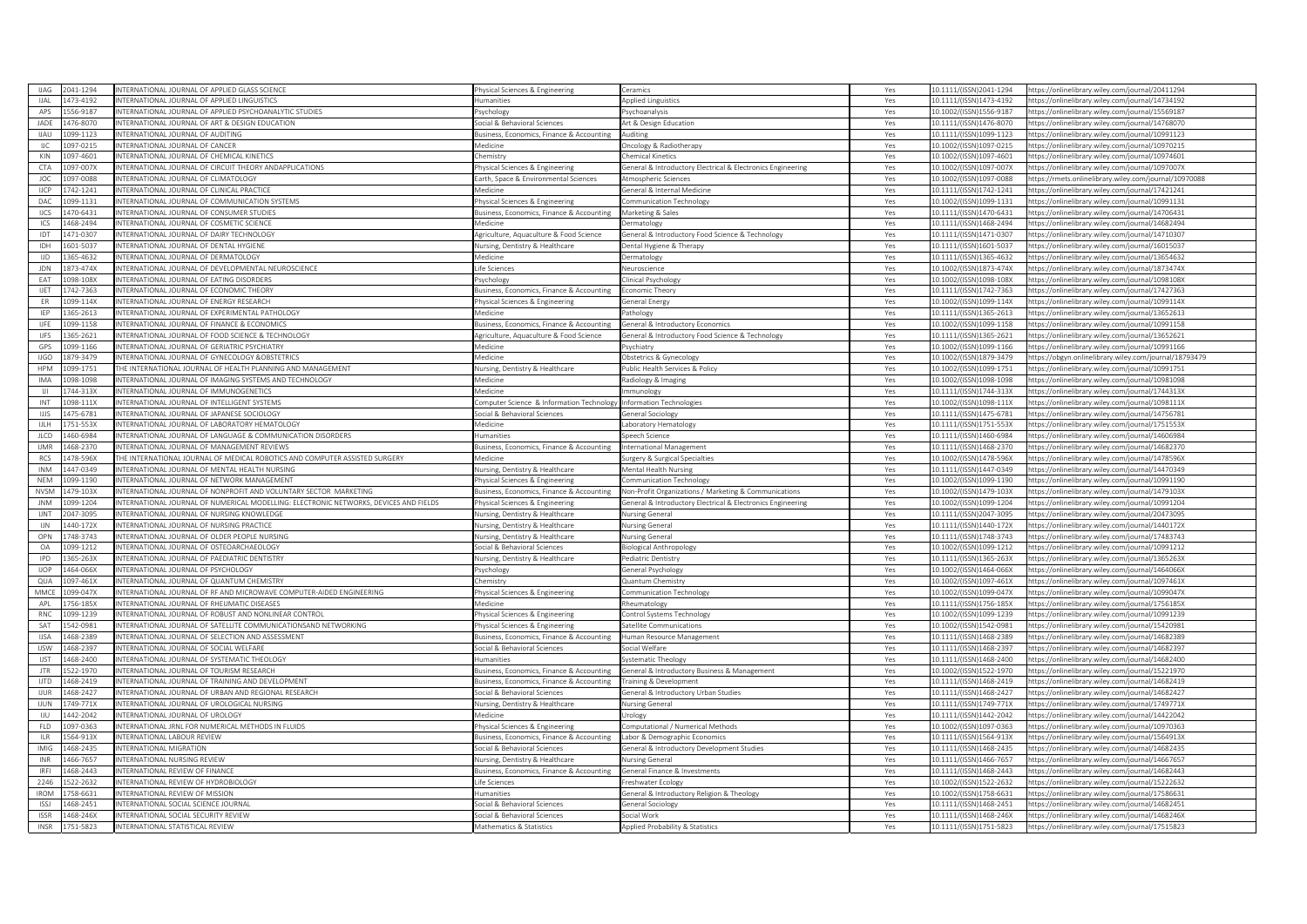| <b>IJAG</b>                           | 041-1294               | NTERNATIONAL JOURNAL OF APPLIED GLASS SCIENCE                                        | hysical Sciences & Engineering             | Ceramics                                                      | Yes | 0.1111/(ISSN)2041-1294  | https://onlinelibrary.wiley.com/journal/20411294       |
|---------------------------------------|------------------------|--------------------------------------------------------------------------------------|--------------------------------------------|---------------------------------------------------------------|-----|-------------------------|--------------------------------------------------------|
| <b>IJAL</b>                           | 1473-4192              | NTERNATIONAL JOURNAL OF APPLIED LINGUISTICS                                          | <b>lumanities</b>                          | <b>Applied Linguistics</b>                                    | Yes | 10.1111/(ISSN)1473-4192 | https://onlinelibrary.wiley.com/journal/14734192       |
| APS                                   | 56-9187                | NTERNATIONAL JOURNAL OF APPLIED PSYCHOANALYTIC STUDIES                               | sychology                                  | Psychoanalysis                                                | Yes | LO.1002/(ISSN)1556-9187 | ttps://onlinelibrary.wiley.com/iournal/15569187        |
| JADE                                  | 176-8070               | NTERNATIONAL JOURNAL OF ART & DESIGN EDUCATION                                       | iocial & Behavioral Sciences               | Art & Design Education                                        | Yes | 0.1111/(ISSN)1476-8070  | ttps://onlinelibrary.wiley.com/journal/14768070        |
| <b>HAU</b>                            | 099-1123               | NTERNATIONAL IOURNAL OF AUDITING                                                     | usiness, Economics, Finance & Accounting   | Auditing                                                      | Yes | 0.1111/(ISSN)1099-1123  | nttps://onlinelibrary.wiley.com/iournal/10991123       |
| IJC                                   | 097-0215               | NTERNATIONAL JOURNAL OF CANCER                                                       | Medicine                                   | Oncology & Radiotherapy                                       | Yes | 10.1002/(ISSN)1097-0215 | https://onlinelibrary.wiley.com/journal/10970215       |
| KIN                                   | 097-4601               | NTERNATIONAL JOURNAL OF CHEMICAL KINETICS                                            | hemistry                                   | Chemical Kinetics                                             | Yes | 10.1002/(ISSN)1097-4601 | ttps://onlinelibrary.wiley.com/journal/10974601        |
| CTA                                   | 97-007X                | NTERNATIONAL JOURNAL OF CIRCUIT THEORY ANDAPPLICATIONS                               | hysical Sciences & Engineering             | General & Introductory Electrical & Electronics Engineering   | Yes | 10.1002/(ISSN)1097-007X | https://onlinelibrary.wiley.com/journal/1097007X       |
| JOC                                   | 197-0088               | NTERNATIONAL IOURNAL OF CLIMATOLOGY                                                  | arth, Space & Environmental Sciences       | Atmospheric Sciences                                          | Yes | 10.1002/(ISSN)1097-0088 | sttps://rmets.onlinelibrary.wiley.com/journal/10970088 |
| <b>IJCP</b>                           | 742-1241               | NTERNATIONAL JOURNAL OF CLINICAL PRACTICE                                            | Medicine                                   | General & Internal Medicine                                   | Yes | 10.1111/(ISSN)1742-1241 | https://onlinelibrary.wiley.com/journal/17421241       |
| DAC                                   | 09-1131                | NTERNATIONAL JOURNAL OF COMMUNICATION SYSTEMS                                        | hysical Sciences & Engineering             | Communication Technology                                      | Yes | 10.1002/(ISSN)1099-1131 | ittps://onlinelibrary.wiley.com/journal/10991131       |
| <b>IJCS</b>                           | $\overline{470}$ -6431 | NTERNATIONAL JOURNAL OF CONSUMER STUDIES                                             | usiness, Economics, Finance & Accounting   | Marketing & Sales                                             | Yes | 10.1111/(ISSN)1470-6431 | https://onlinelibrary.wiley.com/journal/14706431       |
| ICS                                   | 468-2494               | NTERNATIONAL JOURNAL OF COSMETIC SCIENCE                                             | Aedicine                                   | ermatology                                                    | Yes | 0.1111/(ISSN)1468-2494  | ttps://onlinelibrary.wiley.com/journal/14682494        |
|                                       |                        | NTERNATIONAL IOURNAL OF DAIRY TECHNOLOGY                                             |                                            |                                                               |     |                         |                                                        |
| IDT                                   | 471-0307               |                                                                                      | Agriculture, Aguaculture & Food Science    | General & Introductory Food Science & Technology              | Yes | 10.1111/(ISSN)1471-0307 | nttps://onlinelibrary.wiley.com/iournal/14710307       |
| IDH                                   | 601-5037               | NTERNATIONAL JOURNAL OF DENTAL HYGIENE                                               | Jursing, Dentistry & Healthcare            | ental Hygiene & Therapy                                       | Yes | 10.1111/(ISSN)1601-5037 | ittps://onlinelibrary.wiley.com/journal/16015037       |
| <b>IJD</b>                            | $\overline{5}$ -4632   | <b>NTERNATIONAL JOURNAL OF DERMATOLOGY</b>                                           | Medicine                                   | Jermatology                                                   | Yes | 10.1111/(ISSN)1365-4632 | ttps://onlinelibrary.wiley.com/journal/13654632        |
| <b>JDN</b>                            | 373-474X               | NTERNATIONAL JOURNAL OF DEVELOPMENTAL NEUROSCIENCE                                   | Life Sciences                              | Neuroscience                                                  | Yes | 10.1002/(ISSN)1873-474X | https://onlinelibrary.wiley.com/journal/1873474X       |
| EAT                                   | 098-108X               | NTERNATIONAL JOURNAL OF EATING DISORDERS                                             | 'svchology                                 | Clinical Psychology                                           | Yes | 10.1002/(ISSN)1098-108X | ttps://onlinelibrary.wiley.com/iournal/1098108X        |
| <b>IJET</b>                           | 742-7363               | NTERNATIONAL JOURNAL OF ECONOMIC THEORY                                              | usiness, Economics, Finance & Accounting   | Economic Theory                                               | Yes | 10.1111/(ISSN)1742-7363 | https://onlinelibrary.wiley.com/journal/17427363       |
| ER                                    | 099-114X               | NTERNATIONAL JOURNAL OF ENERGY RESEARCH                                              | hysical Sciences & Engineering             | Seneral Energy                                                | Yes | 10.1002/(ISSN)1099-114X | ttps://onlinelibrary.wiley.com/journal/1099114X        |
| <b>IFP</b>                            | 65-2613                | NTERNATIONAL JOURNAL OF EXPERIMENTAL PATHOLOGY                                       | Medicine                                   | athology                                                      | Yes | 10.1111/(ISSN)1365-2613 | https://onlinelibrary.wiley.com/journal/13652613       |
| <b>UFE</b>                            | 199-1158               | NTERNATIONAL JOURNAL OF FINANCE & ECONOMICS                                          | usiness, Economics, Finance & Accounting   | General & Introductory Economics                              | Yes | 0.1002/(ISSN)1099-1158  | ttps://onlinelibrary.wiley.com/journal/10991158        |
| <b>IJFS</b>                           | 365-2621               | NTERNATIONAL JOURNAL OF FOOD SCIENCE & TECHNOLOGY                                    | Agriculture, Aquaculture & Food Science    | General & Introductory Food Science & Technology              | Yes | 10.1111/(ISSN)1365-2621 | https://onlinelibrary.wiley.com/journal/13652621       |
| GPS                                   | 099-1166               | NTERNATIONAL JOURNAL OF GERIATRIC PSYCHIATRY                                         | Medicine                                   | Psychiatry                                                    | Yes | 10.1002/(ISSN)1099-1166 | ttps://onlinelibrary.wiley.com/iournal/10991166        |
| <b>IJGO</b>                           | 379-3479               | NTERNATIONAL JOURNAL OF GYNECOLOGY &OBSTETRICS                                       | Medicine                                   | Obstetrics & Gynecology                                       | Yes | 10.1002/(ISSN)1879-3479 | ttps://obgyn.onlinelibrary.wiley.com/journal/18793479  |
| <b>HPM</b>                            | 99-1751                | HE INTERNATIONAL JOURNAL OF HEALTH PLANNING AND MANAGEMENT                           | Nursing, Dentistry & Healthcare            | Public Health Services & Policy                               | Yes | LO.1002/(ISSN)1099-1751 | ittps://onlinelibrary.wiley.com/journal/10991751       |
| <b>IMA</b>                            | 098-1098               | NTERNATIONAL JOURNAL OF IMAGING SYSTEMS AND TECHNOLOGY                               | Medicine                                   | Radiology & Imaging                                           | Yes | 10.1002/(ISSN)1098-1098 | https://onlinelibrary.wiley.com/journal/10981098       |
| $\begin{array}{c} \hline \end{array}$ | 744-313X               | NTERNATIONAL JOURNAL OF IMMUNOGENETICS                                               | Medicine                                   | mmunology                                                     | Yes | 10.1111/(ISSN)1744-313X | https://onlinelibrary.wiley.com/journal/1744313X       |
| INT                                   | 098-111X               | NTERNATIONAL JOURNAL OF INTELLIGENT SYSTEMS                                          | omputer Science & Information Technology   | nformation Technologies                                       | Yes | 10.1002/(ISSN)1098-111X | https://onlinelibrary.wiley.com/journal/1098111X       |
| IJJS                                  | 475-6781               | NTERNATIONAL JOURNAL OF JAPANESE SOCIOLOGY                                           | ocial & Behavioral Sciences                | eneral Sociology                                              | Yes | 10.1111/(ISSN)1475-6781 | ttps://onlinelibrary.wiley.com/journal/14756781        |
| <b>ULH</b>                            | '51-553X               | NTERNATIONAL IOURNAL OF LABORATORY HEMATOLOGY                                        | <i>A</i> edicine                           | aboratory Hematology                                          | Yes | LO.1111/(ISSN)1751-553X | https://onlinelibrary.wiley.com/journal/1751553>       |
| <b>JLCD</b>                           | 460-6984               | NTERNATIONAL JOURNAL OF LANGUAGE & COMMUNICATION DISORDERS                           | Humanities                                 | peech Science                                                 | Yes | 10.1111/(ISSN)1460-6984 | https://onlinelibrary.wiley.com/journal/14606984       |
| <b>UMR</b>                            | 468-2370               | NTERNATIONAL JOURNAL OF MANAGEMENT REVIEWS                                           | usiness, Economics, Finance & Accounting   | nternational Management                                       | Yes | 10.1111/(ISSN)1468-2370 | ttps://onlinelibrary.wiley.com/journal/14682370        |
| RCS                                   | 478-596X               | HE INTERNATIONAL JOURNAL OF MEDICAL ROBOTICS AND COMPUTER ASSISTED SURGERY           | Medicine                                   |                                                               | Yes | 10.1002/(ISSN)1478-596X | https://onlinelibrary.wiley.com/journal/1478596X       |
| <b>INM</b>                            | 447-0349               | NTERNATIONAL JOURNAL OF MENTAL HEALTH NURSING                                        | Nursing, Dentistry & Healthcare            | urgery & Surgical Specialties<br><b>Mental Health Nursing</b> |     | 0.1111/(ISSN)1447-0349  | ttps://onlinelibrary.wiley.com/iournal/14470349        |
|                                       |                        |                                                                                      |                                            |                                                               | Yes |                         |                                                        |
| <b>NFM</b>                            | 199-1190               | NTERNATIONAL JOURNAL OF NETWORK MANAGEMENT                                           | hysical Sciences & Engineering             | Communication Technology                                      | Yes | 10.1002/(ISSN)1099-1190 | https://onlinelibrary.wiley.com/journal/10991190       |
| <b>NVSM</b>                           | 479-103X               | NTERNATIONAL JOURNAL OF NONPROFIT AND VOLUNTARY SECTOR MARKETING                     | usiness, Economics, Finance & Accounting   | Non-Profit Organizations / Marketing & Communications         | Yes | 10.1002/(ISSN)1479-103X | ttps://onlinelibrary.wiley.com/journal/1479103X        |
| <b>JNM</b>                            | 099-1204               | NTERNATIONAL JOURNAL OF NUMERICAL MODELLING: ELECTRONIC NETWORKS, DEVICES AND FIELDS | hysical Sciences & Engineering             | Seneral & Introductory Electrical & Electronics Engineering   | Yes | 10.1002/(ISSN)1099-1204 | ttps://onlinelibrary.wiley.com/journal/10991204        |
| <b>IJNT</b>                           | 047-3095               | NTERNATIONAL JOURNAL OF NURSING KNOWLEDGE                                            | <b>Nursing, Dentistry &amp; Healthcare</b> | Nursing General                                               | Yes | 10.1111/(ISSN)2047-3095 | ttps://onlinelibrary.wiley.com/journal/20473095        |
| <b>IJN</b>                            | 440-172X               | NTERNATIONAL JOURNAL OF NURSING PRACTICE                                             | <b>Jursing, Dentistry &amp; Healthcare</b> | Nursing General                                               | Yes | 10.1111/(ISSN)1440-172X | https://onlinelibrary.wiley.com/journal/1440172X       |
| OPN                                   | 748-3743               | NTERNATIONAL JOURNAL OF OLDER PEOPLE NURSING                                         | lursing, Dentistry & Healthcare            | <b>Nursing General</b>                                        | Yes | 10.1111/(ISSN)1748-3743 | ttps://onlinelibrary.wiley.com/journal/17483743        |
| OA                                    | 199-1212               | NTERNATIONAL JOURNAL OF OSTEOARCHAEOLOGY                                             | ocial & Behavioral Sciences                | iological Anthropology                                        | Yes | 10.1002/(ISSN)1099-1212 | ttps://onlinelibrary.wiley.com/journal/10991212        |
| <b>IPD</b>                            | 365-263X               | NTERNATIONAL JOURNAL OF PAEDIATRIC DENTISTRY                                         | Nursing, Dentistry & Healthcare            | Pediatric Dentistry                                           | Yes | 10.1111/(ISSN)1365-263X | ttps://onlinelibrary.wiley.com/journal/1365263X        |
| <b>HOP</b>                            | 464-066X               | NTERNATIONAL JOURNAL OF PSYCHOLOGY                                                   | Psychology                                 | General Psychology                                            | Yes | 10.1002/(ISSN)1464-066X | https://onlinelibrary.wiley.com/journal/1464066X       |
| QUA                                   | 097-461X               | NTERNATIONAL JOURNAL OF QUANTUM CHEMISTRY                                            | Chemistry                                  | Quantum Chemistry                                             | Yes | 10.1002/(ISSN)1097-461X | https://onlinelibrary.wiley.com/journal/1097461X       |
| MMCE                                  | 199-047X               | VTERNATIONAL JOURNAL OF RF AND MICROWAVE COMPUTER-AIDED ENGINEERING                  | hysical Sciences & Engineering             | Communication Technology                                      | Yes | 10.1002/(ISSN)1099-047X | ttps://onlinelibrary.wiley.com/journal/1099047X        |
| APL                                   | 56-185X                | NTERNATIONAL JOURNAL OF RHEUMATIC DISEASES                                           | Medicine                                   | Rheumatology                                                  | Yes | 10.1111/(ISSN)1756-185X | ittps://onlinelibrary.wiley.com/journal/1756185X       |
| <b>RNC</b>                            | 199-1239               | NTERNATIONAL JOURNAL OF ROBUST AND NONLINEAR CONTROL                                 | hysical Sciences & Engineering             | Control Systems Technology                                    | Yes | LO.1002/(ISSN)1099-1239 | nttps://onlinelibrary.wiley.com/iournal/10991239       |
| SAT                                   | 542-0981               | NTERNATIONAL JOURNAL OF SATELLITE COMMUNICATIONSAND NETWORKING                       | hysical Sciences & Engineering             | Satellite Communications                                      | Yes | 10.1002/(ISSN)1542-0981 | https://onlinelibrary.wiley.com/journal/15420981       |
| <b>IJSA</b>                           | 468-2389               | NTERNATIONAL JOURNAL OF SELECTION AND ASSESSMENT                                     | usiness. Economics. Finance & Accounting   | <b>Human Resource Management</b>                              | Yes | 10.1111/(ISSN)1468-2389 | ttps://onlinelibrary.wiley.com/iournal/14682389        |
| <b>IJSW</b>                           | 468-2397               | NTERNATIONAL JOURNAL OF SOCIAL WELFARE                                               | iocial & Behavioral Sciences               | Social Welfare                                                | Yes | 10.1111/(ISSN)1468-2397 | ttps://onlinelibrary.wiley.com/journal/14682397        |
| <b>IJST</b>                           | 468-2400               | NTERNATIONAL JOURNAL OF SYSTEMATIC THEOLOGY                                          | Humanities                                 | Systematic Theology                                           | Yes | 0.1111/(ISSN)1468-2400  | ttps://onlinelibrary.wiley.com/journal/14682400        |
| <b>JTR</b>                            | 522-1970               | NTERNATIONAL JOURNAL OF TOURISM RESEARCH                                             | usiness, Economics, Finance & Accounting   | General & Introductory Business & Management                  | Yes | 10.1002/(ISSN)1522-1970 | nttps://onlinelibrary.wiley.com/journal/15221970       |
| <b>UTD</b>                            | 468-2419               | NTERNATIONAL JOURNAL OF TRAINING AND DEVELOPMENT                                     | usiness, Economics, Finance & Accounting   | Training & Development                                        | Yes | 10.1111/(ISSN)1468-2419 | ttps://onlinelibrary.wiley.com/journal/14682419        |
| <b>IJUR</b>                           | 468-2427               | NTERNATIONAL IOURNAL OF URBAN AND REGIONAL RESEARCH                                  | iocial & Behavioral Science                | Seneral & Introductory Urban Studies                          | Yes | 10.1111/(ISSN)1468-2427 | https://onlinelibrary.wiley.com/journal/14682427       |
| <b>IJUN</b>                           | 749-771X               | NTERNATIONAL JOURNAL OF UROLOGICAL NURSING                                           | Jursing, Dentistry & Healthcare            | <b>Nursing General</b>                                        | Yes | 0.1111/(ISSN)1749-771X  | ittps://onlinelibrary.wiley.com/journal/1749771X       |
|                                       |                        |                                                                                      |                                            |                                                               |     |                         |                                                        |
| IJU                                   | 442-2042               | NTERNATIONAL JOURNAL OF UROLOGY                                                      | Medicine                                   | Jrology                                                       | Yes | 10.1111/(ISSN)1442-2042 | https://onlinelibrary.wiley.com/journal/14422042       |
| <b>FLD</b>                            | 197-0363               | NTERNATIONAL JRNL FOR NUMERICAL METHODS IN FLUIDS                                    | hysical Sciences & Engineering             | Computational / Numerical Methods                             | Yes | 10.1002/(ISSN)1097-0363 | ttps://onlinelibrary.wiley.com/journal/10970363        |
| <b>ILR</b>                            | 64-913X                | NTERNATIONAL LABOUR REVIEW                                                           | usiness, Economics, Finance & Accounting   | abor & Demographic Economics                                  | Yes | 10.1111/(ISSN)1564-913X | ittps://onlinelibrary.wiley.com/journal/1564913X       |
| IMIG                                  | 168-2435               | NTERNATIONAL MIGRATION                                                               | ocial & Behavioral Sciences                | General & Introductory Development Studies                    | Yes | 10.1111/(ISSN)1468-2435 | ttps://onlinelibrary.wiley.com/iournal/14682435        |
| <b>INR</b>                            | 466-7657               | <b>NTERNATIONAL NURSING REVIEW</b>                                                   | <b>Jursing, Dentistry &amp; Healthcare</b> | <b>Nursing General</b>                                        | Yes | 10.1111/(ISSN)1466-7657 | ttps://onlinelibrary.wiley.com/journal/14667657        |
| <b>IRFI</b>                           | 468-2443               | NTERNATIONAL REVIEW OF FINANCE                                                       | Business, Economics, Finance & Accounting  | General Finance & Investments                                 | Yes | 10.1111/(ISSN)1468-2443 | ttps://onlinelibrary.wiley.com/journal/14682443        |
| 2246                                  | 22-2632                | NTERNATIONAL REVIEW OF HYDROBIOLOGY                                                  | ife Sciences                               | reshwater Ecology                                             | Yes | 10.1002/(ISSN)1522-2632 | ttps://onlinelibrary.wiley.com/journal/15222632        |
| <b>IROM</b>                           | 58-6631                | NTERNATIONAL REVIEW OF MISSION                                                       | <b>lumanities</b>                          | seneral & Introductory Religion & Theology                    | Yes | 10.1002/(ISSN)1758-6631 | ttps://onlinelibrary.wiley.com/journal/17586631        |
| <b>ISSI</b>                           | 168-2451               | <b>NTERNATIONAL SOCIAL SCIENCE JOURNAL</b>                                           | ocial & Behavioral Sciences                | ieneral Sociology                                             | Yes | 10.1111/(ISSN)1468-2451 | ttps://onlinelibrary.wiley.com/iournal/14682451        |
| <b>ISSR</b>                           | 468-246X               | NTERNATIONAL SOCIAL SECURITY REVIEW                                                  | iocial & Behavioral Sciences               | Social Work                                                   | Yes | 10.1111/(ISSN)1468-246X | https://onlinelibrary.wiley.com/journal/1468246X       |
| <b>INSR</b>                           | 751-5823               | NTERNATIONAL STATISTICAL REVIEW                                                      | Mathematics & Statistics                   | Applied Probability & Statistics                              | Yes | 10.1111/(ISSN)1751-5823 | https://onlinelibrary.wiley.com/journal/17515823       |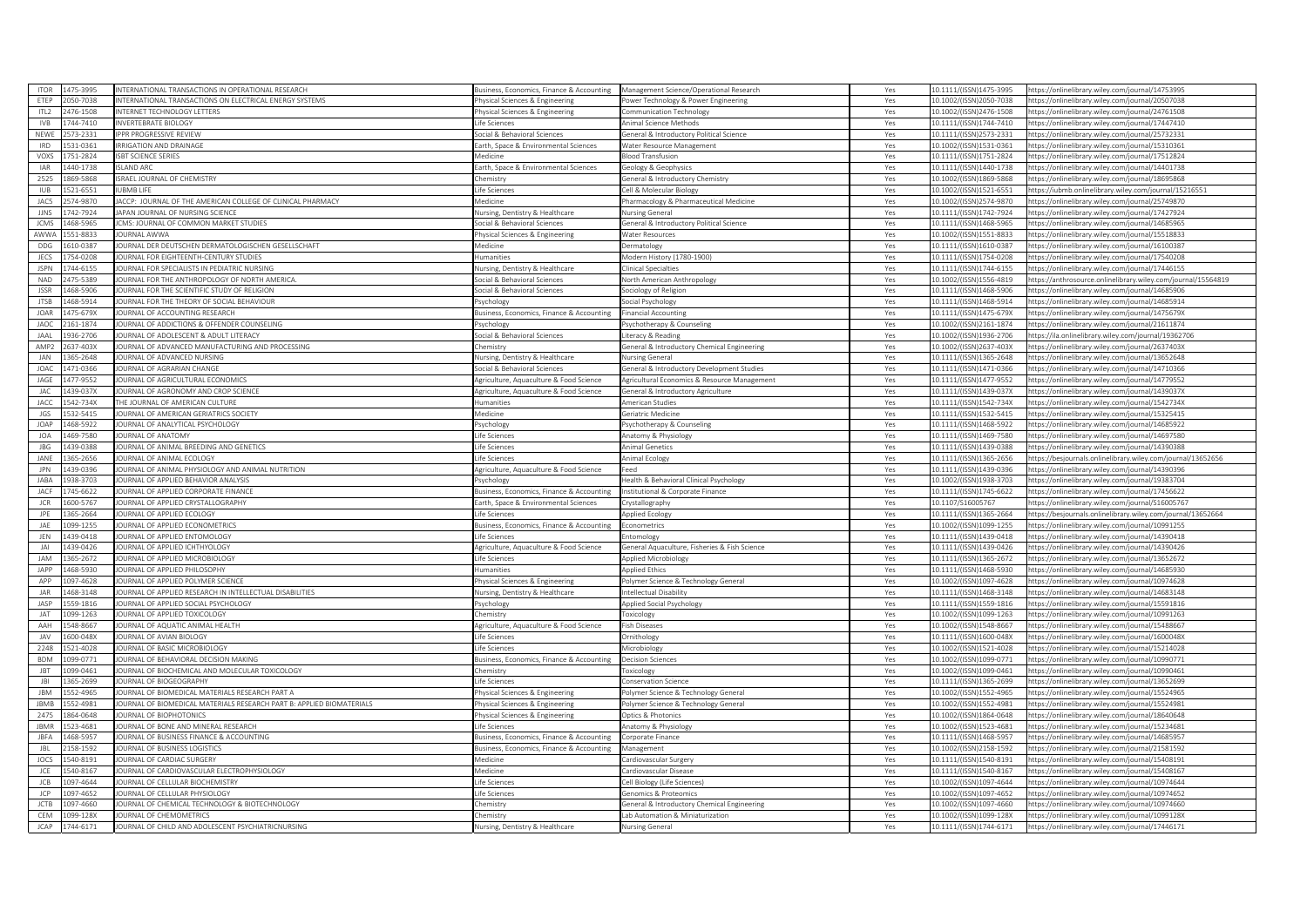| <b>ITOR</b>        | 475-3995             | NTERNATIONAL TRANSACTIONS IN OPERATIONAL RESEARCH                             | Business, Economics, Finance & Accounting Management Science/Operational Research |                                                             | Yes        | 10.1111/(ISSN)1475-3995                            | https://onlinelibrary.wiley.com/iournal/14753995                                                     |
|--------------------|----------------------|-------------------------------------------------------------------------------|-----------------------------------------------------------------------------------|-------------------------------------------------------------|------------|----------------------------------------------------|------------------------------------------------------------------------------------------------------|
| ETEP               | 050-7038             | NTERNATIONAL TRANSACTIONS ON ELECTRICAL ENERGY SYSTEMS                        | hysical Sciences & Engineering                                                    | Power Technology & Power Engineering                        | Yes        | 10.1002/(ISSN)2050-7038                            | https://onlinelibrary.wiley.com/journal/20507038                                                     |
| ITI2               | 476-1508             | NTERNET TECHNOLOGY LETTERS                                                    | hysical Sciences & Engineering                                                    | <b>Communication Technology</b>                             | Yes        | 10.1002/(ISSN)2476-1508                            | https://onlinelibrary.wiley.com/journal/24761508                                                     |
| <b>IVB</b>         | 744-7410             | <b>INVERTEBRATE BIOLOGY</b>                                                   | ife Sciences                                                                      | Animal Science Methods                                      | Yes        | 10.1111/(ISSN)1744-7410                            | nttps://onlinelibrary.wiley.com/iournal/17447410                                                     |
| NEWE               | 573-2331             | PPR PROGRESSIVE REVIEW                                                        | ocial & Behavioral Sciences                                                       | ieneral & Introductory Political Science                    | Yes        | 10.1111/(ISSN)2573-2331                            | https://onlinelibrary.wiley.com/journal/25732331                                                     |
| <b>IRD</b>         | 531-0361             | RRIGATION AND DRAINAGE                                                        | arth, Space & Environmental Sciences                                              | Water Resource Management                                   | Yes        | 10.1002/(ISSN)1531-0361                            | https://onlinelibrary.wiley.com/journal/15310361                                                     |
| VOXS               | '51-2824             | <b>SBT SCIENCE SERIES</b>                                                     | <i><b>Aedicine</b></i>                                                            | <b>Blood Transfusion</b>                                    | Yes        | 10.1111/(ISSN)1751-2824                            | https://onlinelibrary.wiley.com/journal/17512824                                                     |
| <b>IAR</b>         | 440-1738             | <b>SLAND ARC</b>                                                              | arth, Space & Environmental Sciences                                              | Geology & Geophysics                                        | Yes        | 10.1111/(ISSN)1440-1738                            | https://onlinelibrary.wiley.com/journal/14401738                                                     |
| 2525               | 869-5868             | <b>ISRAEL JOURNAL OF CHEMISTRY</b>                                            | Chemistry                                                                         | General & Introductory Chemistry                            | Yes        | 10.1002/(ISSN)1869-5868                            | https://onlinelibrary.wiley.com/journal/18695868                                                     |
| <b>IUB</b>         | 521-6551             | <b>IRMR LIFE</b>                                                              | ife Sciences                                                                      | Cell & Molecular Biology                                    | Yes        | 10.1002/(ISSN)1521-6551                            | https://iubmb.onlinelibrary.wiley.com/journal/15216551                                               |
| JAC5               | 574-9870             | ACCP: JOURNAL OF THE AMERICAN COLLEGE OF CLINICAL PHARMACY                    | Aedicine                                                                          | Pharmacology & Pharmaceutical Medicine                      | Yes        | 10.1002/(ISSN)2574-9870                            | https://onlinelibrary.wiley.com/journal/25749870                                                     |
| <b>JJNS</b>        | 742-7924             | APAN JOURNAL OF NURSING SCIENCE                                               |                                                                                   |                                                             |            | 10.1111/(ISSN)1742-7924                            | https://onlinelibrary.wiley.com/journal/17427924                                                     |
| <b>JCMS</b>        | 468-596              | CMS: JOURNAL OF COMMON MARKET STUDIES                                         | ursing, Dentistry & Healthcare<br>ocial & Behavioral Sciences                     | Nursing General<br>ieneral & Introductory Political Science | Yes<br>Yes | 10.1111/(ISSN)1468-5965                            | https://onlinelibrary.wiley.com/journal/14685965                                                     |
|                    |                      | OURNAL AWWA                                                                   |                                                                                   |                                                             |            |                                                    |                                                                                                      |
| AWW/               | 551-8833             |                                                                               | hysical Sciences & Engineering                                                    | <b>Nater Resources</b>                                      | Yes        | 10.1002/(ISSN)1551-8833                            | https://onlinelibrary.wiley.com/journal/15518833                                                     |
| DDG                | 610-0387             | OURNAL DER DEUTSCHEN DERMATOLOGISCHEN GESELLSCHAFT                            | Aedicine                                                                          | ermatology                                                  | Yes        | 10.1111/(ISSN)1610-0387                            | https://onlinelibrary.wiley.com/journal/16100387                                                     |
| <b>JECS</b>        | 754-0208             | <b>OURNAL FOR EIGHTEENTH-CENTURY STUDIES</b>                                  | umanities                                                                         | Modern History (1780-1900)                                  | Yes        | 10.1111/(ISSN)1754-0208                            | https://onlinelibrary.wiley.com/iournal/17540208                                                     |
| <b>JSPN</b>        | 744-6155             | OURNAL FOR SPECIALISTS IN PEDIATRIC NURSING                                   | lursing, Dentistry & Healthcare                                                   | linical Specialties                                         | Yes        | 10.1111/(ISSN)1744-6155                            | https://onlinelibrary.wiley.com/journal/17446155                                                     |
| <b>NAD</b>         | 175-5389             | OURNAL FOR THE ANTHROPOLOGY OF NORTH AMERICA                                  | ocial & Behavioral Sciences                                                       | North American Anthropology                                 | Yes        | 10.1002/(ISSN)1556-4819                            | https://anthrosource.onlinelibrary.wiley.com/journal/15564819                                        |
| <b>JSSR</b>        | 468-5906             | OURNAL FOR THE SCIENTIFIC STUDY OF RELIGION                                   | ocial & Behavioral Sciences                                                       | ociology of Religion                                        | Yes        | 10.1111/(ISSN)1468-5906                            | https://onlinelibrary.wiley.com/journal/14685906                                                     |
| <b>JTSB</b>        | 168-5914             | OURNAL FOR THE THEORY OF SOCIAL BEHAVIOUR                                     | svchology                                                                         | Social Psychology                                           | Yes        | 10.1111/(ISSN)1468-5914                            | https://onlinelibrary.wiley.com/iournal/14685914                                                     |
| <b>JOAR</b>        | 475-679X             | JOURNAL OF ACCOUNTING RESEARCH                                                | usiness, Economics, Finance & Accounting                                          | inancial Accountine                                         | Yes        | 10.1111/(ISSN)1475-679X                            | https://onlinelibrary.wiley.com/journal/1475679X                                                     |
| <b>JAOC</b>        | 161-1874             | JOURNAL OF ADDICTIONS & OFFENDER COUNSELING                                   | sychology                                                                         | sychotherapy & Counseling                                   | Yes        | 10.1002/(ISSN)2161-1874                            | https://onlinelibrary.wiley.com/journal/21611874                                                     |
| JAAL               | 36-2706              | JOURNAL OF ADOLESCENT & ADULT LITERACY                                        | ocial & Behavioral Sciences                                                       | iteracy & Reading                                           | Yes        | 10.1002/(ISSN)1936-2706                            | https://ila.onlinelibrary.wiley.com/journal/19362706                                                 |
| AMP <sub>2</sub>   | 637-403X             | OURNAL OF ADVANCED MANUFACTURING AND PROCESSING                               | hemistry                                                                          | ieneral & Introductory Chemical Engineering                 | Yes        | 10.1002/(ISSN)2637-403X                            | ttps://onlinelibrary.wiley.com/journal/2637403X                                                      |
| <b>JAN</b>         | 365-2648             | OURNAL OF ADVANCED NURSING                                                    | <b>Nursing, Dentistry &amp; Healthcare</b>                                        | Nursing General                                             | Yes        | 10.1111/(ISSN)1365-2648                            | https://onlinelibrary.wiley.com/journal/13652648                                                     |
| <b>JOAC</b>        | 171-0366             | OURNAL OF AGRARIAN CHANGE                                                     | ocial & Behavioral Sciences                                                       | ieneral & Introductory Development Studies                  | Yes        | 10.1111/(ISSN)1471-0366                            | https://onlinelibrary.wiley.com/journal/14710366                                                     |
| JAGE               | 177-9552             | OURNAL OF AGRICULTURAL ECONOMICS                                              | Agriculture, Aquaculture & Food Science                                           | Agricultural Economics & Resource Management                | Yes        | 10.1111/(ISSN)1477-9552                            | https://onlinelibrary.wiley.com/journal/14779552                                                     |
| JAC                | 439-037X             | OURNAL OF AGRONOMY AND CROP SCIENCE                                           | Agriculture, Aquaculture & Food Science                                           | Seneral & Introductory Agriculture                          | Yes        | 10.1111/(ISSN)1439-037X                            | https://onlinelibrary.wiley.com/journal/1439037X                                                     |
| <b>JACC</b>        | 542-734X             | HE JOURNAL OF AMERICAN CULTURE                                                | umanities                                                                         | merican Studies                                             | Yes        | 10.1111/(ISSN)1542-734X                            | https://onlinelibrary.wiley.com/journal/1542734X                                                     |
| JGS                | 32-5415              | OURNAL OF AMERICAN GERIATRICS SOCIETY                                         | Aedicine                                                                          | ieriatric Medicine                                          | Yes        | 10.1111/(ISSN)1532-5415                            | https://onlinelibrary.wiley.com/journal/15325415                                                     |
| <b>IOAP</b>        | 168-5922             | OURNAL OF ANALYTICAL PSYCHOLOGY                                               | sychology                                                                         | 'sychotherapy & Counseling                                  | Yes        | 10.1111/(ISSN)1468-5922                            | https://onlinelibrary.wiley.com/journal/14685922                                                     |
| <b>JOA</b>         | 469-7580             | OURNAL OF ANATOMY                                                             | ife Sciences                                                                      | Anatomy & Physiology                                        | Yes        | 10.1111/(ISSN)1469-7580                            | https://onlinelibrary.wiley.com/journal/14697580                                                     |
| <b>JBG</b>         | 439-0388             | OURNAL OF ANIMAL BREEDING AND GENETICS                                        | fe Sciences                                                                       | Animal Genetics                                             | Yes        | 10.1111/(ISSN)1439-0388                            | https://onlinelibrary.wiley.com/journal/14390388                                                     |
|                    |                      |                                                                               |                                                                                   |                                                             |            |                                                    |                                                                                                      |
| JANE<br><b>IPN</b> | 65-2656<br>139-0396  | OURNAL OF ANIMAL ECOLOGY                                                      | fe Sciences                                                                       | Animal Ecology                                              | Yes        | 10.1111/(ISSN)1365-2656                            | ttps://besjournals.onlinelibrary.wiley.com/journal/13652656                                          |
|                    |                      | OURNAL OF ANIMAL PHYSIOLOGY AND ANIMAL NUTRITION                              | griculture, Aquaculture & Food Science                                            | Feed                                                        | Yes        | 10.1111/(ISSN)1439-0396                            | https://onlinelibrary.wiley.com/journal/14390396                                                     |
| <b>IARA</b>        | 938-3703             | JOURNAL OF APPLIED BEHAVIOR ANALYSIS                                          | sychology                                                                         | Health & Behavioral Clinical Psychology                     | Yes        | 10.1002/(ISSN)1938-3703                            | https://onlinelibrary.wiley.com/journal/19383704                                                     |
| JACF               | 745-6622             | OURNAL OF APPLIED CORPORATE FINANCE                                           | usiness, Economics, Finance & Accounting                                          | Institutional & Corporate Finance                           | Yes        | 10.1111/(ISSN)1745-6622                            | https://onlinelibrary.wiley.com/journal/17456622                                                     |
| <b>JCR</b>         | 600-5767             | OURNAL OF APPLIED CRYSTALLOGRAPHY                                             | arth, Space & Environmental Sciences                                              | rystallography                                              | Yes        | 10.1107/S16005767                                  | https://onlinelibrary.wiley.com/journal/S16005767                                                    |
| JPE                | 65-2664              | OURNAL OF APPLIED ECOLOGY                                                     | fe Sciences                                                                       | Applied Ecology                                             | Yes        | 10.1111/(ISSN)1365-2664                            | https://besiournals.onlinelibrary.wiley.com/iournal/13652664                                         |
| JAE                | 099-1255             | JOURNAL OF APPLIED ECONOMETRICS                                               | Business, Economics, Finance & Accounting                                         | conometrics                                                 | Yes        | 10.1002/(ISSN)1099-1255                            | https://onlinelibrary.wiley.com/journal/10991255                                                     |
| JEN                | 439-0418             | <b>OURNAL OF APPLIED ENTOMOLOGY</b>                                           | ife Sciences                                                                      | ntomology                                                   | Yes        | 10.1111/(ISSN)1439-0418                            | https://onlinelibrary.wiley.com/journal/14390418                                                     |
| IAI                | 139-0426             | OURNAL OF APPLIED ICHTHYOLOGY                                                 | griculture, Aquaculture & Food Science                                            | Seneral Aquaculture, Fisheries & Fish Science               | Yes        | 10.1111/(ISSN)1439-0426                            | https://onlinelibrary.wiley.com/journal/14390426                                                     |
| JAM                | 365-2672             | JOURNAL OF APPLIED MICROBIOLOGY                                               | ife Sciences                                                                      | Applied Microbiology                                        | Yes        | 10.1111/(ISSN)1365-2672                            | https://onlinelibrary.wiley.com/journal/13652672                                                     |
| <b>JAPP</b>        | 468-5930             | JOURNAL OF APPLIED PHILOSOPHY                                                 | lumanities                                                                        | <b>Applied Ethics</b>                                       | Yes        | 10.1111/(ISSN)1468-5930                            | https://onlinelibrary.wiley.com/journal/14685930                                                     |
| APP                | 097-4628             | OURNAL OF APPLIED POLYMER SCIENCE                                             | hysical Sciences & Engineering                                                    | Polymer Science & Technology General                        | Yes        | 10.1002/(ISSN)1097-4628                            | https://onlinelibrary.wiley.com/journal/10974628                                                     |
| $1\Delta$ B        | 468-3148             | OURNAL OF APPLIED RESEARCH IN INTELLECTUAL DISABILITIES                       | lursing, Dentistry & Healthcare                                                   | Intellectual Disability                                     | Yes        | 10.1111/(ISSN)1468-3148                            | https://onlinelibrary.wiley.com/journal/14683148                                                     |
| JASP               | 559-1816             | JOURNAL OF APPLIED SOCIAL PSYCHOLOGY                                          | sychology                                                                         | Applied Social Psychology                                   | Yes        | 10.1111/(ISSN)1559-1816                            | https://onlinelibrary.wiley.com/journal/15591816                                                     |
| JAT                | 099-1263             | JOURNAL OF APPLIED TOXICOLOGY                                                 | hemistry                                                                          | oxicology                                                   | Yes        | 10.1002/(ISSN)1099-1263                            | https://onlinelibrary.wiley.com/journal/10991263                                                     |
| AAH                | 548-8667             | OURNAL OF AQUATIC ANIMAL HEALTH                                               | Agriculture, Aquaculture & Food Science                                           | ish Diseases                                                | Yes        | 10.1002/(ISSN)1548-8667                            | https://onlinelibrary.wiley.com/journal/15488667                                                     |
| <b>JAV</b>         | 600-048X             | <b>OURNAL OF AVIAN BIOLOGY</b>                                                | fe Sciences                                                                       | <b>Inithology</b>                                           | Yes        | 10.1111/(ISSN)1600-048X                            | https://onlinelibrary.wiley.com/journal/1600048X                                                     |
| 2248               | 521-4028             | OURNAL OF BASIC MICROBIOLOGY                                                  | ife Sciences                                                                      | Microbiology                                                | Yes        | 10.1002/(ISSN)1521-4028                            | https://onlinelibrary.wiley.com/journal/15214028                                                     |
| <b>BDM</b>         | 099-0771             | OURNAL OF BEHAVIORAL DECISION MAKING                                          | Business, Economics, Finance & Accounting                                         | Decision Sciences                                           | Yes        | 10.1002/(ISSN)1099-0771                            | https://onlinelibrary.wiley.com/journal/10990771                                                     |
| <b>JBT</b>         | 099-0461             | JOURNAL OF BIOCHEMICAL AND MOLECULAR TOXICOLOGY                               | Chemistry                                                                         | oxicology                                                   | Yes        | 10.1002/(ISSN)1099-0461                            | https://onlinelibrary.wiley.com/journal/10990461                                                     |
| B                  | 365-2699             | <b>OURNAL OF BIOGEOGRAPHY</b>                                                 | fe Sciences                                                                       | onservation Science                                         | Yes        | 10.1111/(ISSN)1365-2699                            | ttps://onlinelibrary.wiley.com/journal/13652699                                                      |
| <b>IBM</b>         | 52-4965              | OURNAL OF BIOMEDICAL MATERIALS RESEARCH PART A                                | nysical Sciences & Engineering                                                    | olymer Science & Technology General                         | Yes        | 10.1002/(ISSN)1552-4965                            | https://onlinelibrary.wiley.com/journal/15524965                                                     |
| <b>JBMB</b>        |                      |                                                                               |                                                                                   |                                                             |            |                                                    |                                                                                                      |
|                    |                      |                                                                               |                                                                                   |                                                             |            |                                                    |                                                                                                      |
|                    | 52-4981              | OURNAL OF BIOMEDICAL MATERIALS RESEARCH PART B: APPLIED BIOMATERIALS          | hysical Sciences & Engineering                                                    | olymer Science & Technology General                         | Yes        | 10.1002/(ISSN)1552-4981                            | https://onlinelibrary.wiley.com/journal/15524981                                                     |
| 2475               | 864-0648             | OURNAL OF BIOPHOTONICS                                                        | hysical Sciences & Engineering                                                    | Optics & Photonics                                          | Yes        | 10.1002/(ISSN)1864-0648                            | https://onlinelibrary.wiley.com/journal/18640648                                                     |
| <b>JBMR</b>        | 523-4681             | OURNAL OF BONE AND MINERAL RESEARCH                                           | fe Sciences                                                                       | Anatomy & Physiology                                        | Yes        | 10.1002/(ISSN)1523-4681                            | https://onlinelibrary.wiley.com/iournal/15234681                                                     |
| <b>JBFA</b>        | 468-5957             | OURNAL OF BUSINESS FINANCE & ACCOUNTING                                       | usiness, Economics, Finance & Accounting                                          | Corporate Finance                                           | Yes        | 10.1111/(ISSN)1468-5957                            | https://onlinelibrary.wiley.com/journal/14685957                                                     |
| <b>JBL</b>         | 58-1592              | OURNAL OF BUSINESS LOGISTICS                                                  | Business, Economics, Finance & Accounting                                         | Management                                                  | Yes        | 10.1002/(ISSN)2158-1592                            | https://onlinelibrary.wiley.com/journal/21581592                                                     |
| JOCS               | 540-8191             | <b>OURNAL OF CARDIAC SURGERY</b>                                              | Medicine                                                                          | Cardiovascular Surgerv                                      | Yes        | 10.1111/(ISSN)1540-8191                            | https://onlinelibrary.wiley.com/journal/15408191                                                     |
| JCE                | 540-8167             | OURNAL OF CARDIOVASCULAR ELECTROPHYSIOLOGY                                    | Aedicine                                                                          | Cardiovascular Disease                                      | Yes        | 10.1111/(ISSN)1540-8167                            | https://onlinelibrary.wiley.com/journal/15408167                                                     |
| JCB                | 097-4644             | JOURNAL OF CELLULAR BIOCHEMISTRY                                              | ife Sciences                                                                      | Cell Biology (Life Sciences)                                | Yes        | 10.1002/(ISSN)1097-4644                            | https://onlinelibrary.wiley.com/journal/10974644                                                     |
| JCP                | 197-4652             | OURNAL OF CELLULAR PHYSIOLOGY                                                 | fe Sciences                                                                       | enomics & Proteomics                                        | Yes        | 10.1002/(ISSN)1097-4652                            | ittps://onlinelibrary.wiley.com/journal/10974652                                                     |
| <b>ICTB</b>        | 097-4660             | OURNAL OF CHEMICAL TECHNOLOGY & BIOTECHNOLOGY                                 | hemistrv                                                                          | seneral & Introductory Chemical Engineering                 | Yes        | 10.1002/(ISSN)1097-4660                            | https://onlinelibrary.wiley.com/journal/10974660                                                     |
| CEM<br><b>JCAP</b> | 099-128X<br>744-6171 | JOURNAL OF CHEMOMETRICS<br>JOURNAL OF CHILD AND ADOLESCENT PSYCHIATRICNURSING | Chemistry<br>Nursing, Dentistry & Healthcare                                      | ab Automation & Miniaturization<br><b>Nursing General</b>   | Yes<br>Yes | 10.1002/(ISSN)1099-128X<br>10.1111/(ISSN)1744-6171 | https://onlinelibrary.wiley.com/journal/1099128X<br>https://onlinelibrary.wiley.com/journal/17446171 |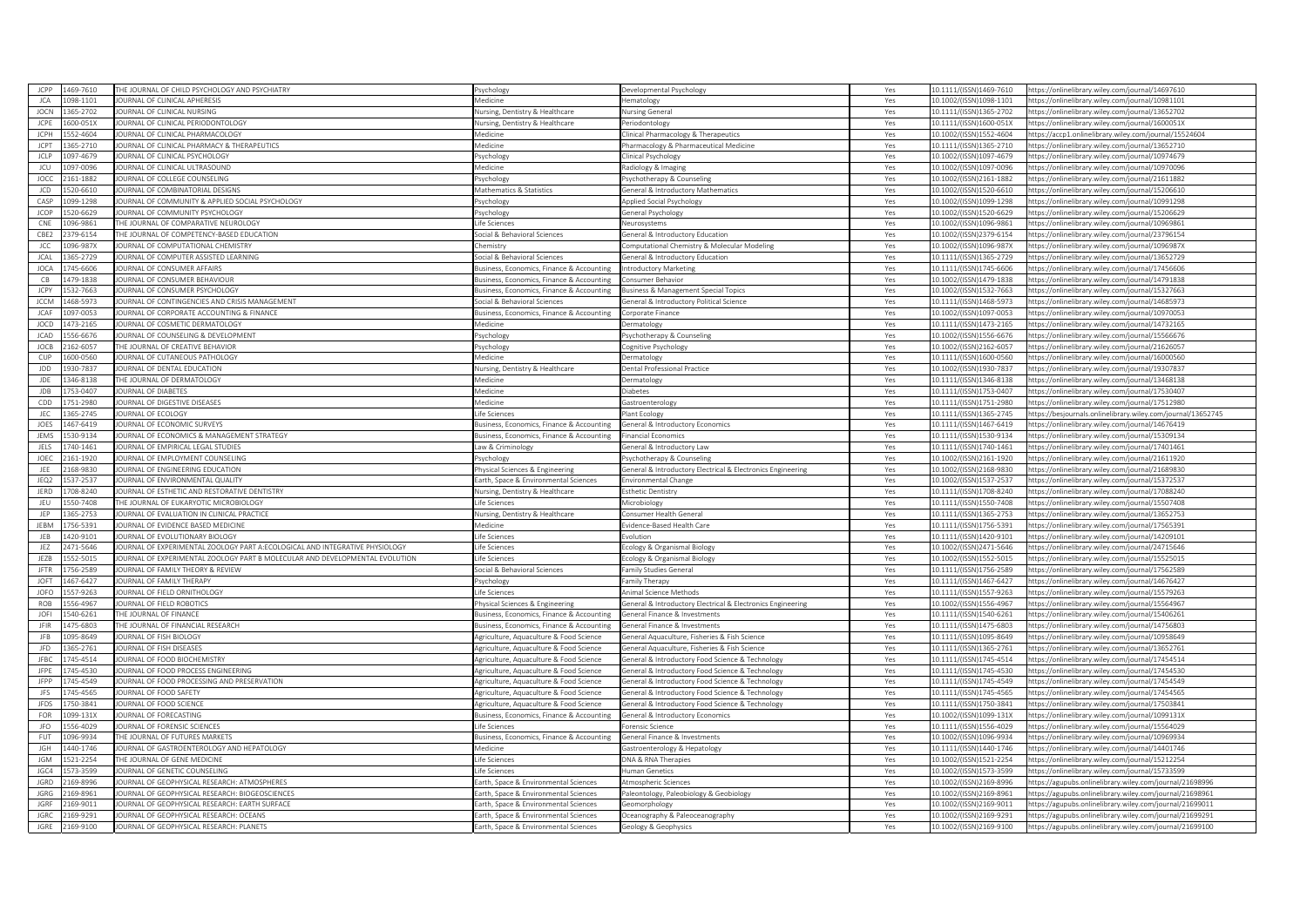|             | 1469-7610 | HE JOURNAL OF CHILD PSYCHOLOGY AND PSYCHIATRY                               | 'sychology                                 | Developmental Psychology                                    | Yes        | 0.1111/(ISSN)1469-7610  | https://onlinelibrary.wiley.com/iournal/14697610                                                   |
|-------------|-----------|-----------------------------------------------------------------------------|--------------------------------------------|-------------------------------------------------------------|------------|-------------------------|----------------------------------------------------------------------------------------------------|
| JCA         | 098-1101  | OURNAL OF CLINICAL APHERESIS                                                | Medicine                                   | lematology                                                  | Yes        | 10.1002/(ISSN)1098-1101 | https://onlinelibrary.wiley.com/journal/10981101                                                   |
| <b>IOCN</b> | 365-2702  | <b>OURNAL OF CLINICAL NURSING</b>                                           | <b>Nursing, Dentistry &amp; Healthcare</b> | <b>Nursing General</b>                                      | Yes        | 10.1111/(ISSN)1365-2702 | ttps://onlinelibrary.wiley.com/journal/13652702                                                    |
| <b>JCPE</b> | 600-051X  | OURNAL OF CLINICAL PERIODONTOLOGY                                           | <b>Jursing, Dentistry &amp; Healthcare</b> | Periodontology                                              | Yes        | 10.1111/(ISSN)1600-051X | https://onlinelibrary.wiley.com/iournal/1600051X                                                   |
| JCPH        | 52-4604   | OURNAL OF CLINICAL PHARMACOLOGY                                             | ledicine                                   | linical Pharmacology & Therapeutics                         | Yes        | 10.1002/(ISSN)1552-4604 | ttps://accp1.onlinelibrary.wiley.com/journal/15524604                                              |
| JCPT        | 365-2710  | OURNAL OF CLINICAL PHARMACY & THERAPEUTICS                                  | Medicine                                   | Pharmacology & Pharmaceutical Medicine                      | Yes        | 10.1111/(ISSN)1365-2710 | https://onlinelibrary.wiley.com/journal/13652710                                                   |
| <b>JCLP</b> | 197-4679  | <b>OURNAL OF CLINICAL PSYCHOLOGY</b>                                        | sychology                                  | linical Psychology                                          | Yes        | 10.1002/(ISSN)1097-4679 | ttps://onlinelibrary.wiley.com/journal/10974679                                                    |
| JCU         | 197-0096  | OURNAL OF CLINICAL ULTRASOUND                                               | Medicine                                   | tadiology & Imaging                                         | Yes        | 10.1002/(ISSN)1097-0096 | ttps://onlinelibrary.wiley.com/journal/10970096                                                    |
| JOCC        | 161-1882  | OURNAL OF COLLEGE COUNSELING                                                | sychology                                  | <sup>9</sup> sychotherapy & Counseling                      | Yes        | 10.1002/(ISSN)2161-1882 | https://onlinelibrary.wiley.com/journal/21611882                                                   |
| JCD         | 20-6610   | OURNAL OF COMBINATORIAL DESIGNS                                             | Mathematics & Statistics                   | Seneral & Introductory Mathematics                          | Yes        | 10.1002/(ISSN)1520-6610 | https://onlinelibrary.wiley.com/journal/15206610                                                   |
| CASP        | 199-1298  | OURNAL OF COMMUNITY & APPLIED SOCIAL PSYCHOLOGY                             | 'svchology                                 | Applied Social Psychology                                   | Yes        | 10.1002/(ISSN)1099-1298 | https://onlinelibrary.wiley.com/journal/10991298                                                   |
| JCOP        | 20-6629   | <b>OURNAL OF COMMUNITY PSYCHOLOGY</b>                                       | sychology                                  |                                                             | Yes        | 10.1002/(ISSN)1520-6629 | ttps://onlinelibrary.wiley.com/journal/15206629                                                    |
| CNE         |           |                                                                             |                                            | Seneral Psychology                                          |            |                         |                                                                                                    |
|             | 096-9861  | THE JOURNAL OF COMPARATIVE NEUROLOGY                                        | ife Sciences                               | Neurosystems                                                | Yes        | 10.1002/(ISSN)1096-9861 | nttps://onlinelibrary.wiley.com/journal/10969861                                                   |
| CBE2        | 379-6154  | HE JOURNAL OF COMPETENCY-BASED EDUCATION                                    | ocial & Behavioral Sciences                | Seneral & Introductory Education                            | Yes        | LO.1002/(ISSN)2379-6154 | ttps://onlinelibrary.wiley.com/iournal/23796154                                                    |
| JCC         | 096-987X  | OURNAL OF COMPUTATIONAL CHEMISTRY                                           | Chemistry                                  | Computational Chemistry & Molecular Modeling                | Yes        | 10.1002/(ISSN)1096-987X | https://onlinelibrary.wiley.com/journal/1096987X                                                   |
| <b>JCAL</b> | 365-2729  | OURNAL OF COMPUTER ASSISTED LEARNING                                        | ocial & Behavioral Sciences                | General & Introductory Education                            | Yes        | 10.1111/(ISSN)1365-2729 | ttps://onlinelibrary.wiley.com/iournal/13652729                                                    |
| <b>JOCA</b> | 745-6606  | OURNAL OF CONSUMER AFFAIRS                                                  | usiness, Economics, Finance & Accounting   | ntroductory Marketing                                       | Yes        | 10.1111/(ISSN)1745-6606 | ttps://onlinelibrary.wiley.com/journal/17456606                                                    |
| CB          | 479-1838  | OURNAL OF CONSUMER BEHAVIOUR                                                | usiness, Economics, Finance & Accounting   | Consumer Behavior                                           | Yes        | LO.1002/(ISSN)1479-1838 | ttps://onlinelibrary.wiley.com/journal/14791838                                                    |
| JCPY        | 532-7663  | OURNAL OF CONSUMER PSYCHOLOGY                                               | Business, Economics, Finance & Accounting  | <b>Business &amp; Management Special Topics</b>             | Yes        | 10.1002/(ISSN)1532-7663 | https://onlinelibrary.wiley.com/journal/15327663                                                   |
| <b>JCCM</b> | 468-5973  | OURNAL OF CONTINGENCIES AND CRISIS MANAGEMENT                               | ocial & Behavioral Sciences                | General & Introductory Political Science                    | Yes        | 10.1111/(ISSN)1468-5973 | ttps://onlinelibrary.wiley.com/journal/14685973                                                    |
| JCAF        | 097-0053  | OURNAL OF CORPORATE ACCOUNTING & FINANCE                                    | usiness, Economics, Finance & Accounting   | Corporate Finance                                           | Yes        | 10.1002/(ISSN)1097-0053 | https://onlinelibrary.wiley.com/journal/10970053                                                   |
| <b>JOCD</b> | 473-2165  | OURNAL OF COSMETIC DERMATOLOGY                                              | ledicine                                   | ermatology                                                  | Yes        | 0.1111/(ISSN)1473-2165  | ttps://onlinelibrary.wiley.com/journal/14732165                                                    |
| <b>JCAD</b> | 56-6676   | OURNAL OF COUNSELING & DEVELOPMENT                                          | 'sychology                                 | 'sychotherapy & Counseling                                  | Yes        | 10.1002/(ISSN)1556-6676 | https://onlinelibrary.wiley.com/journal/15566676                                                   |
| JOCB        | 62-6057   | HE JOURNAL OF CREATIVE BEHAVIOR                                             | sychology                                  | Cognitive Psychology                                        | Yes        | 10.1002/(ISSN)2162-6057 | ttps://onlinelibrary.wiley.com/journal/21626057                                                    |
| CUP         | 00-0560   | OURNAL OF CUTANEOUS PATHOLOGY                                               | Aedicine                                   | <b>Dermatology</b>                                          | Yes        | 10.1111/(ISSN)1600-0560 | ttps://onlinelibrary.wiley.com/journal/16000560                                                    |
| JDD         | 30-7837   | OURNAL OF DENTAL EDUCATION                                                  | <b>Nursing, Dentistry &amp; Healthcare</b> | Dental Professional Practice                                | Yes        | 10.1002/(ISSN)1930-7837 | ttps://onlinelibrary.wiley.com/journal/19307837                                                    |
| <b>JDE</b>  | 146-8138  | HE JOURNAL OF DERMATOLOGY                                                   | Medicine                                   | ermatology                                                  | Yes        | 0.1111/(ISSN)1346-8138  | ttps://onlinelibrary.wiley.com/journal/13468138                                                    |
| JDB         | '53-0407  | OURNAL OF DIABETES                                                          | Medicine                                   | <b>Diabetes</b>                                             | Yes        | 10.1111/(ISSN)1753-0407 | ttps://onlinelibrary.wiley.com/journal/17530407                                                    |
| CDD         | 51-2980   | OURNAL OF DIGESTIVE DISEASES                                                | Medicine                                   | iastroenterology                                            | Yes        | 10.1111/(ISSN)1751-2980 | ttps://onlinelibrary.wiley.com/journal/17512980                                                    |
| JEC         | 65-2745   | OURNAL OF ECOLOGY                                                           | ife Sciences                               | lant Ecology                                                | Yes        | 10.1111/(ISSN)1365-2745 | ttps://besjournals.onlinelibrary.wiley.com/journal/13652745                                        |
| JOES        | 467-6419  | <b>OURNAL OF ECONOMIC SURVEYS</b>                                           | usiness, Economics, Finance & Accounting   | General & Introductory Economics                            | Yes        | 0.1111/(ISSN)1467-6419  | ttps://onlinelibrary.wiley.com/iournal/14676419                                                    |
|             |           |                                                                             |                                            |                                                             |            |                         |                                                                                                    |
| JEMS        | 530-9134  | OURNAL OF ECONOMICS & MANAGEMENT STRATEGY                                   | Business, Economics, Finance & Accounting  | <b>Financial Economics</b>                                  | Yes        | 10.1111/(ISSN)1530-9134 | https://onlinelibrary.wiley.com/journal/15309134                                                   |
| JELS        | 740-1461  | OURNAL OF EMPIRICAL LEGAL STUDIES                                           | Law & Criminology                          | General & Introductory Law                                  | Yes        | 10.1111/(ISSN)1740-1461 | ttps://onlinelibrary.wiley.com/journal/17401461                                                    |
| JOEC        | 161-1920  | OURNAL OF EMPLOYMENT COUNSELING                                             | 'sychology                                 | Sychotherapy & Counseling                                   | Yes        | 10.1002/(ISSN)2161-1920 | https://onlinelibrary.wiley.com/journal/21611920                                                   |
| JEE         | 68-9830   | OURNAL OF ENGINEERING EDUCATION                                             | hysical Sciences & Engineering             | General & Introductory Electrical & Electronics Engineering | Yes        | 0.1002/(ISSN)2168-9830  | ttps://onlinelibrary.wiley.com/journal/21689830                                                    |
| JEQ2        |           |                                                                             |                                            |                                                             |            | 10.1002/(ISSN)1537-2537 |                                                                                                    |
|             | 537-2537  | OURNAL OF ENVIRONMENTAL QUALITY                                             | Earth, Space & Environmental Sciences      | Environmental Change                                        | Yes        |                         | https://onlinelibrary.wiley.com/journal/15372537                                                   |
| JERD        | 708-8240  | OURNAL OF ESTHETIC AND RESTORATIVE DENTISTRY                                | <b>Nursing, Dentistry &amp; Healthcare</b> | sthetic Dentistry                                           | Yes        | 10.1111/(ISSN)1708-8240 | ttps://onlinelibrary.wiley.com/journal/17088240                                                    |
| JEU         | 50-7408   | THE JOURNAL OF EUKARYOTIC MICROBIOLOGY                                      | ife Sciences                               | Microbiology                                                | Yes        | 10.1111/(ISSN)1550-7408 | https://onlinelibrary.wiley.com/journal/15507408                                                   |
| JEP         | 365-2753  | OURNAL OF EVALUATION IN CLINICAL PRACTICE                                   | <b>Nursing, Dentistry &amp; Healthcare</b> | Consumer Health General                                     | Yes        | 0.1111/(ISSN)1365-2753  | ttps://onlinelibrary.wiley.com/journal/13652753                                                    |
| JEBM        | 756-5391  | OURNAL OF EVIDENCE BASED MEDICINE                                           | Vedicine                                   | vidence-Based Health Care                                   | Yes        | 10.1111/(ISSN)1756-5391 | https://onlinelibrary.wiley.com/journal/17565391                                                   |
| JEB         | 420-9101  | <b>OURNAL OF EVOLUTIONARY BIOLOGY</b>                                       | ife Sciences                               | volution                                                    | Yes        | 10.1111/(ISSN)1420-9101 | ttps://onlinelibrary.wiley.com/journal/14209101                                                    |
| JEZ         | 471-5646  | OURNAL OF EXPERIMENTAL ZOOLOGY PART A:ECOLOGICAL AND INTEGRATIVE PHYSIOLOGY | ife Sciences                               | cology & Organismal Biology                                 | Yes        | 10.1002/(ISSN)2471-5646 | ttps://onlinelibrary.wiley.com/journal/24715646                                                    |
| JEZB        | 52-5015   | OURNAL OF EXPERIMENTAL ZOOLOGY PART B MOLECULAR AND DEVELOPMENTAL EVOLUTION | ife Sciences                               | cology & Organismal Biology                                 | Yes        | 0.1002/(ISSN)1552-5015  | ttps://onlinelibrary.wiley.com/journal/15525015                                                    |
| <b>IFTR</b> | 56-2589   | OURNAL OF FAMILY THEORY & REVIEW                                            | iocial & Behavioral Sciences               | amily Studies General                                       | Yes        | 10.1111/(ISSN)1756-2589 | https://onlinelibrary.wiley.com/journal/17562589                                                   |
| <b>JOFT</b> | 167-6427  | OURNAL OF FAMILY THERAPY                                                    |                                            | amily Therapy                                               |            | 10.1111/(ISSN)1467-6427 |                                                                                                    |
| JOFO        | 57-9263   | <b>OURNAL OF FIELD ORNITHOLOGY</b>                                          | 'sychology<br>ife Sciences                 | Animal Science Methods                                      | Yes<br>Yes | 10.1111/(ISSN)1557-9263 | ttps://onlinelibrary.wiley.com/journal/14676427<br>ttps://onlinelibrary.wiley.com/journal/15579263 |
| ROB         | 56-4967   | OURNAL OF FIELD ROBOTICS                                                    | hysical Sciences & Engineering             | Seneral & Introductory Electrical & Electronics Engineering | Yes        | 10.1002/(ISSN)1556-4967 | https://onlinelibrary.wiley.com/journal/15564967                                                   |
|             |           | HE JOURNAL OF FINANCE                                                       |                                            | General Finance & Investments                               |            |                         |                                                                                                    |
| JOFI        | 40-6261   |                                                                             | usiness, Economics, Finance & Accounting   |                                                             | Yes        | 10.1111/(ISSN)1540-6261 | ttps://onlinelibrary.wiley.com/journal/15406261                                                    |
| JFIR        | 475-6803  | THE JOURNAL OF FINANCIAL RESEARCH                                           | Business, Economics, Finance & Accounting  | General Finance & Investments                               | Yes        | 10.1111/(ISSN)1475-6803 | https://onlinelibrary.wiley.com/journal/14756803                                                   |
| <b>JFB</b>  | 095-8649  | OURNAL OF FISH BIOLOGY                                                      | griculture, Aquaculture & Food Science     | Seneral Aquaculture, Fisheries & Fish Science               | Yes        | 10.1111/(ISSN)1095-8649 | ttps://onlinelibrary.wiley.com/journal/10958649                                                    |
| JFD         | 65-2761   | OURNAL OF FISH DISEASES                                                     | Agriculture, Aquaculture & Food Science    | General Aquaculture, Fisheries & Fish Science               | Yes        | 10.1111/(ISSN)1365-2761 | https://onlinelibrary.wiley.com/journal/13652761                                                   |
| JFBC        | 745-4514  | OURNAL OF FOOD BIOCHEMISTRY                                                 | Agriculture, Aquaculture & Food Science    | seneral & Introductory Food Science & Technology            | Yes        | 0.1111/(ISSN)1745-4514  | ttps://onlinelibrary.wiley.com/journal/17454514                                                    |
| JFPE        | 745-4530  | OURNAL OF FOOD PROCESS ENGINEERING                                          | Agriculture, Aquaculture & Food Science    | General & Introductory Food Science & Technology            | Yes        | 10.1111/(ISSN)1745-4530 | nttps://onlinelibrary.wiley.com/journal/17454530                                                   |
| JFPP        | 745-4549  | OURNAL OF FOOD PROCESSING AND PRESERVATION                                  | Agriculture, Aquaculture & Food Science    | General & Introductory Food Science & Technology            | Yes        | 10.1111/(ISSN)1745-4549 | ttps://onlinelibrary.wiley.com/journal/17454549                                                    |
| <b>JFS</b>  | 745-4565  | OURNAL OF FOOD SAFETY                                                       | Agriculture, Aquaculture & Food Science    | General & Introductory Food Science & Technology            | Yes        | 10.1111/(ISSN)1745-4565 | https://onlinelibrary.wiley.com/journal/17454565                                                   |
| JFDS        | 50-3841   | <b>OURNAL OF FOOD SCIENCE</b>                                               | Agriculture, Aquaculture & Food Science    | ieneral & Introductory Food Science & Technology            | Yes        | 10.1111/(ISSN)1750-3841 | ttps://onlinelibrary.wiley.com/journal/17503841                                                    |
| FOR         | 09-131X   | <b>OURNAL OF FORECASTING</b>                                                | Business, Economics, Finance & Accounting  | General & Introductory Economics                            | Yes        | 10.1002/(ISSN)1099-131X | https://onlinelibrary.wiley.com/journal/1099131X                                                   |
| <b>JFO</b>  | 556-4029  | <b>OURNAL OF FORENSIC SCIENCES</b>                                          | ife Sciences                               | orensic Science                                             | Yes        | 10.1111/(ISSN)1556-4029 | ttps://onlinelibrary.wiley.com/journal/15564029                                                    |
| FUT         | 096-9934  | HE JOURNAL OF FUTURES MARKETS                                               | usiness, Economics, Finance & Accounting   | General Finance & Investments                               | Yes        | 10.1002/(ISSN)1096-9934 | ttps://onlinelibrary.wiley.com/journal/10969934                                                    |
| <b>JGH</b>  | 440-1746  | OURNAL OF GASTROENTEROLOGY AND HEPATOLOGY                                   | Medicine                                   | Sastroenterology & Hepatology                               | Yes        | 10.1111/(ISSN)1440-1746 | ttps://onlinelibrary.wiley.com/journal/14401746                                                    |
| <b>IGM</b>  | 21-2254   | HE JOURNAL OF GENE MEDICINE                                                 | ife Sciences                               | DNA & RNA Therapies                                         | Yes        | 10.1002/(ISSN)1521-2254 | ttps://onlinelibrary.wiley.com/journal/15212254                                                    |
| JGC4        | 73-3599   | OURNAL OF GENETIC COUNSELING                                                | ife Sciences                               | <b>Human Genetics</b>                                       | Yes        | 10.1002/(ISSN)1573-3599 | ttps://onlinelibrary.wiley.com/journal/15733599                                                    |
| <b>JGRD</b> | 69-8996   | OURNAL OF GEOPHYSICAL RESEARCH: ATMOSPHERES                                 | arth, Space & Environmental Sciences       | Atmospheric Sciences                                        | Yes        | 10.1002/(ISSN)2169-8996 | ttps://agupubs.onlinelibrary.wiley.com/journal/21698996                                            |
| <b>JGRG</b> | 69-8961   | OURNAL OF GEOPHYSICAL RESEARCH: BIOGEOSCIENCES                              | arth, Space & Environmental Sciences       | aleontology, Paleobiology & Geobiology                      | Yes        | 10.1002/(ISSN)2169-8961 | ttps://agupubs.onlinelibrary.wiley.com/journal/21698961                                            |
| <b>JGRF</b> | 169-9011  | OURNAL OF GEOPHYSICAL RESEARCH: EARTH SURFACE                               | arth, Space & Environmental Sciences       | ieomornhology                                               | Yes        | 10.1002/(ISSN)2169-9011 | ttps://agupubs.onlinelibrary.wiley.com/iournal/21699011                                            |
| <b>JGRC</b> | 169-9291  | OURNAL OF GEOPHYSICAL RESEARCH: OCEANS                                      | Earth, Space & Environmental Sciences      | Oceanography & Paleoceanography                             | Yes        | 10.1002/(ISSN)2169-9291 | https://agupubs.onlinelibrary.wiley.com/journal/21699291                                           |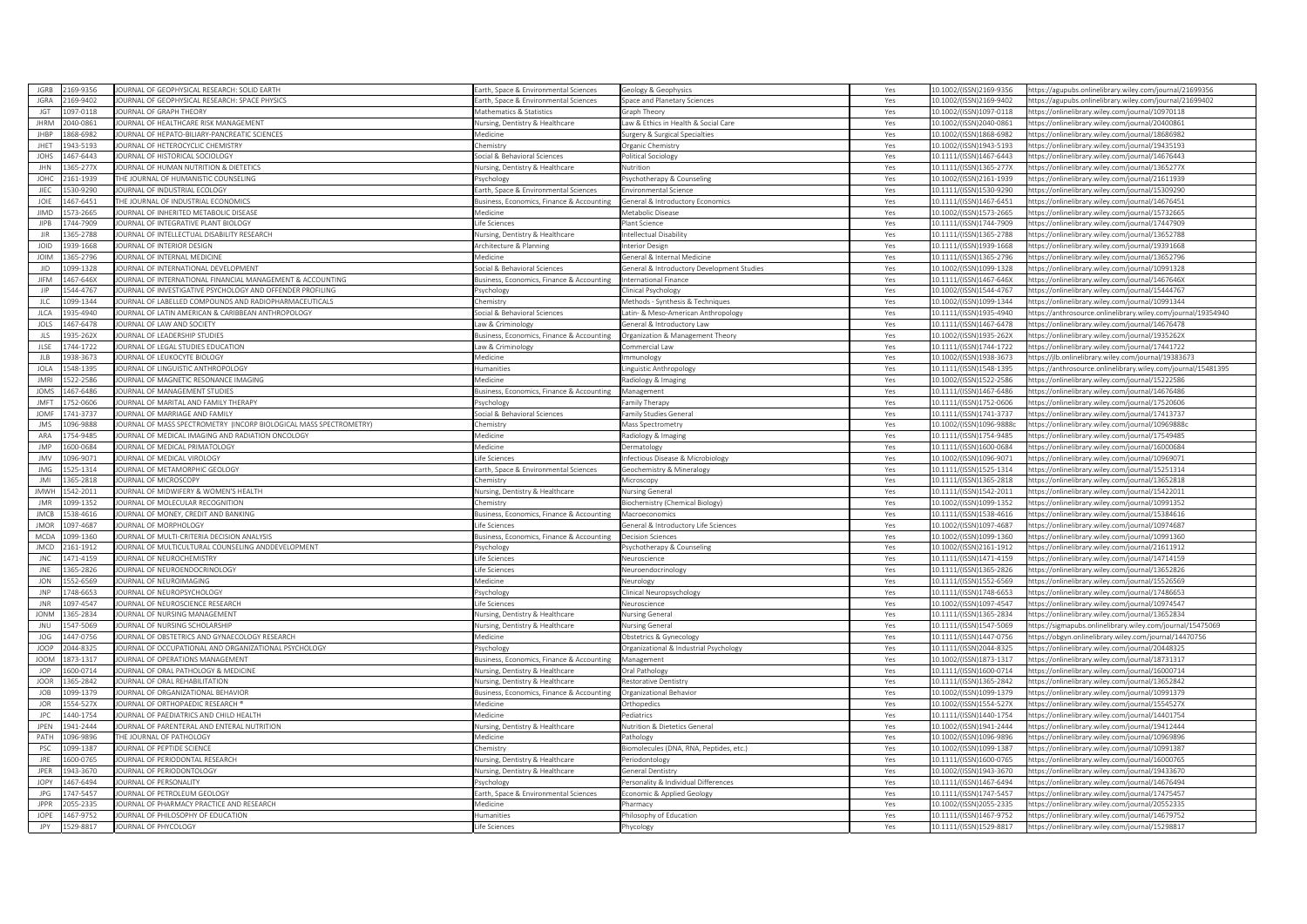| JGRB                       | 2169-9356            | OURNAL OF GEOPHYSICAL RESEARCH: SOLID EARTH                       | arth, Space & Environmental Sciences                                 | Geology & Geophysics                       | Yes        | 10.1002/(ISSN)2169-9356  | https://agupubs.onlinelibrary.wiley.com/journal/21699356      |
|----------------------------|----------------------|-------------------------------------------------------------------|----------------------------------------------------------------------|--------------------------------------------|------------|--------------------------|---------------------------------------------------------------|
| <b>IGRA</b>                | 169-9402             | OURNAL OF GEOPHYSICAL RESEARCH: SPACE PHYSICS                     | arth, Space & Environmental Sciences                                 | Space and Planetary Sciences               | Yes        | 10.1002/(ISSN)2169-9402  | https://agupubs.onlinelibrary.wiley.com/journal/21699402      |
| <b>IGT</b>                 | 097-0118             | <b>OURNAL OF GRAPH THEORY</b>                                     | Mathematics & Statistics                                             | <b>Graph Theory</b>                        | Yes        | 10.1002/(ISSN)1097-0118  | https://onlinelibrary.wiley.com/journal/10970118              |
| <b>IHRM</b>                | 140-0861             | OURNAL OF HEALTHCARE RISK MANAGEMENT                              | <b>Nursing, Dentistry &amp; Healthcare</b>                           | aw & Ethics in Health & Social Care        | Yes        | 10.1002/(ISSN)2040-0861  | https://onlinelibrary.wiley.com/journal/20400861              |
| JHBP                       | 68-6982              | OURNAL OF HEPATO-BILIARY-PANCREATIC SCIENCES                      | dedicine                                                             | surgery & Surgical Specialties             | Yes        | 10.1002/(ISSN)1868-6982  | ttps://onlinelibrary.wiley.com/journal/18686982               |
| JHET                       | 943-5193             | OURNAL OF HETEROCYCLIC CHEMISTRY                                  | hemistry:                                                            | Organic Chemistry                          | Yes        | 10.1002/(ISSN)1943-5193  | https://onlinelibrary.wiley.com/journal/19435193              |
| JOHS                       | 467-6443             | <b>OURNAL OF HISTORICAL SOCIOLOGY</b>                             | ocial & Behavioral Sciences                                          | Political Sociology                        | Yes        | 10.1111/(ISSN)1467-6443  | ttps://onlinelibrary.wiley.com/journal/14676443               |
| JHN                        | 65-277X              | OURNAL OF HUMAN NUTRITION & DIETETICS                             | <b>Nursing, Dentistry &amp; Healthcare</b>                           | <b>Nutrition</b>                           | Yes        | 10.1111/(ISSN)1365-277X  | ttps://onlinelibrary.wiley.com/journal/1365277X               |
| JOHC                       | 161-1939             | THE JOURNAL OF HUMANISTIC COUNSELING                              | sychology                                                            | 'sychotherapy & Counseling                 | Yes        | 10.1002/(ISSN)2161-1939  | https://onlinelibrary.wiley.com/journal/21611939              |
| JIEC                       | 30-9290              | OURNAL OF INDUSTRIAL ECOLOGY                                      | arth, Space & Environmental Sciences                                 | Invironmental Science                      | Yes        | 10.1111/(ISSN)1530-9290  | https://onlinelibrary.wiley.com/journal/15309290              |
| JOIE                       | 167-6451             | THE JOURNAL OF INDUSTRIAL ECONOMICS                               | susiness, Economics, Finance & Accounting                            | General & Introductory Economics           | Yes        | 10.1111/(ISSN)1467-6451  | https://onlinelibrary.wiley.com/journal/14676451              |
| <b>JIMD</b>                | 73-2665              | OURNAL OF INHERITED METABOLIC DISEASE                             | Aedicine                                                             | Metabolic Disease                          | Yes        | 10.1002/(ISSN)1573-2665  | ttps://onlinelibrary.wiley.com/journal/15732665               |
| <b>JIPB</b>                | 744-7909             | OURNAL OF INTEGRATIVE PLANT BIOLOGY                               | ife Sciences                                                         | lant Science                               | Yes        | 10.1111/(ISSN)1744-7909  | https://onlinelibrary.wiley.com/journal/17447909              |
| $\overline{\text{IIR}}$    | 65-2788              | OURNAL OF INTELLECTUAL DISABILITY RESEARCH                        |                                                                      |                                            |            | 10.1111/(ISSN)1365-2788  | https://onlinelibrary.wiley.com/iournal/13652788              |
| JOID                       | 939-1668             | OURNAL OF INTERIOR DESIGN                                         | <b>Nursing, Dentistry &amp; Healthcare</b><br>cchitecture & Planning | ntellectual Disability<br>nterior Desigr   | Yes<br>Yes | 10.1111/(ISSN)1939-1668  | https://onlinelibrary.wiley.com/journal/19391668              |
|                            |                      |                                                                   |                                                                      |                                            |            |                          |                                                               |
| <b>JOIM</b>                | 365-2796             | OURNAL OF INTERNAL MEDICINE                                       | <b>Aedicine</b>                                                      | Seneral & Internal Medicine                | Yes        | 10.1111/(ISSN)1365-2796  | ttps://onlinelibrary.wiley.com/iournal/13652796               |
| $_{\rm JID}$               | 99-1328              | OURNAL OF INTERNATIONAL DEVELOPMENT                               | ocial & Behavioral Sciences                                          | General & Introductory Development Studies | Yes        | 10.1002/(ISSN)1099-1328  | https://onlinelibrary.wiley.com/journal/10991328              |
| <b>JIFM</b>                | 467-646X             | OURNAL OF INTERNATIONAL FINANCIAL MANAGEMENT & ACCOUNTING         | susiness, Economics, Finance & Accounting                            | International Finance                      | Yes        | 10.1111/(ISSN)1467-646X  | ttps://onlinelibrary.wiley.com/journal/1467646X               |
| IIP                        | 544-4767             | OURNAL OF INVESTIGATIVE PSYCHOLOGY AND OFFENDER PROFILING         | 'sychology                                                           | <b>Inical Psychology</b>                   | Yes        | 10.1002/(ISSN)1544-4767  | https://onlinelibrary.wiley.com/journal/15444767              |
| <b>JLC</b>                 | 199-1344             | OURNAL OF LABELLED COMPOUNDS AND RADIOPHARMACEUTICALS             | hemistry                                                             | Methods - Synthesis & Techniques           | Yes        | 10.1002/(ISSN)1099-1344  | https://onlinelibrary.wiley.com/journal/10991344              |
| <b>JLCA</b>                | 335-4940             | OURNAL OF LATIN AMERICAN & CARIBBEAN ANTHROPOLOGY                 | iocial & Behavioral Sciences                                         | atin- & Meso-American Anthropology         | Yes        | 10.1111/(ISSN)1935-4940  | https://anthrosource.onlinelibrary.wiley.com/journal/19354940 |
| JOLS                       | 467-6478             | OURNAL OF LAW AND SOCIETY                                         | aw & Criminology                                                     | ieneral & Introductory Law                 | Yes        | 10.1111/(ISSN)1467-6478  | ttps://onlinelibrary.wiley.com/journal/14676478               |
| JLS                        | 35-262X              | <b>OURNAL OF LEADERSHIP STUDIES</b>                               | usiness, Economics, Finance & Accounting                             | Organization & Management Theory           | Yes        | 10.1002/(ISSN)1935-262X  | https://onlinelibrary.wiley.com/journal/1935262X              |
| JLSE                       | 744-1722             | OURNAL OF LEGAL STUDIES EDUCATION                                 | Law & Criminology                                                    | Commercial Law                             | Yes        | 10.1111/(ISSN)1744-1722  | ttps://onlinelibrary.wiley.com/journal/17441722               |
| JLB                        | 38-3673              | OURNAL OF LEUKOCYTE BIOLOGY                                       | Aedicine                                                             | mmunology                                  | Yes        | 10.1002/(ISSN)1938-3673  | https://jlb.onlinelibrary.wiley.com/journal/19383675          |
| JOLA                       | 48-1395              | OURNAL OF LINGUISTIC ANTHROPOLOGY                                 | lumanities                                                           | inguistic Anthropology.                    | Yes        | 10.1111/(ISSN)1548-1395  | https://anthrosource.onlinelibrary.wiley.com/journal/15481395 |
| IMR                        | 22-2586              | OURNAL OF MAGNETIC RESONANCE IMAGING                              | Aedicine                                                             | Radiology & Imaging                        | Yes        | 10.1002/(ISSN)1522-2586  | https://onlinelibrary.wiley.com/iournal/15222586              |
| <b>JOMS</b>                | 467-6486             | OURNAL OF MANAGEMENT STUDIES                                      | usiness, Economics, Finance & Accounting                             | Managemen <sup>®</sup>                     | Yes        | 10.1111/(ISSN)1467-6486  | https://onlinelibrary.wiley.com/journal/14676486              |
| IMF                        | 52-0606              | OURNAL OF MARITAL AND FAMILY THERAPY                              | sychology                                                            | amily Therapy                              | Yes        | 10.1111/(ISSN)1752-0606  | https://onlinelibrary.wiley.com/journal/17520606              |
| <b>JOMF</b>                | 41-3737              | OURNAL OF MARRIAGE AND FAMILY                                     | ocial & Behavioral Sciences                                          | amily Studies Genera                       | Yes        | 10.1111/(ISSN)1741-3737  | ttps://onlinelibrary.wiley.com/iournal/17413737               |
| <b>JMS</b>                 | 96-9888              | OURNAL OF MASS SPECTROMETRY (INCORP BIOLOGICAL MASS SPECTROMETRY) | hemistry                                                             | <b>Mass Spectrometry</b>                   | Yes        | 10.1002/(ISSN)1096-98886 | https://onlinelibrary.wiley.com/iournal/10969888c             |
| ARA                        | 754-9485             | OURNAL OF MEDICAL IMAGING AND RADIATION ONCOLOGY                  | Medicine                                                             | Radiology & Imaging                        | Yes        | 10.1111/(ISSN)1754-9485  | https://onlinelibrary.wiley.com/journal/17549485              |
| <b>JMP</b>                 | 600-0684             | OURNAL OF MEDICAL PRIMATOLOGY                                     | <b>Aedicine</b>                                                      | <b>Dermatology</b>                         | Yes        | 10.1111/(ISSN)1600-0684  | ttps://onlinelibrary.wiley.com/journal/16000684               |
| <b>JMV</b>                 | 096-9071             | OURNAL OF MEDICAL VIROLOGY                                        | ife Sciences                                                         | nfectious Disease & Microbiology           | Yes        | 10.1002/(ISSN)1096-9071  | nttps://onlinelibrary.wiley.com/journal/10969071              |
| <b>JMG</b>                 | 25-1314              | OURNAL OF METAMORPHIC GEOLOGY                                     | arth, Space & Environmental Sciences                                 | Geochemistry & Mineralogy                  | Yes        | 10.1111/(ISSN)1525-1314  | https://onlinelibrary.wiley.com/journal/15251314              |
| IMI                        | 365-2818             | OURNAL OF MICROSCOPY                                              | hemistry                                                             | Microscopy                                 | Yes        | 10.1111/(ISSN)1365-2818  | https://onlinelibrary.wiley.com/journal/13652818              |
| <b>IMWH</b>                | 542-2011             | OURNAL OF MIDWIFERY & WOMEN'S HEALTH                              | <b>Nursing, Dentistry &amp; Healthcare</b>                           | <b>Nursing General</b>                     | Yes        | 10.1111/(ISSN)1542-2011  | https://onlinelibrary.wiley.com/journal/15422011              |
|                            |                      |                                                                   |                                                                      |                                            |            |                          |                                                               |
| <b>JMR</b>                 | 099-1352             | OURNAL OF MOLECULAR RECOGNITION                                   | hemistry                                                             | Biochemistry (Chemical Biology)            | Yes        | 10.1002/(ISSN)1099-1352  | sttps://onlinelibrary.wiley.com/iournal/10991352              |
| <b>JMCB</b><br><b>IMOR</b> | 538-4616             | OURNAL OF MONEY, CREDIT AND BANKING                               | usiness, Economics, Finance & Accounting                             | Macroeconomics                             | Yes        | 10.1111/(ISSN)1538-4616  | ttps://onlinelibrary.wiley.com/journal/15384616               |
|                            | 097-4687             | <b>OURNAL OF MORPHOLOGY</b>                                       | ife Sciences                                                         | General & Introductory Life Sciences       | Yes        | 10.1002/(ISSN)1097-4687  | https://onlinelibrary.wiley.com/journal/10974687              |
| MCDA                       | 199-1360             | OURNAL OF MULTI-CRITERIA DECISION ANALYSIS                        | usiness, Economics, Finance & Accounting                             | Jecision Science                           | Yes        | 10.1002/(ISSN)1099-1360  | https://onlinelibrary.wiley.com/journal/10991360              |
| <b>JMCD</b>                | 161-1912             | OURNAL OF MULTICULTURAL COUNSELING ANDDEVELOPMENT                 | sychology                                                            | 'sychotherapy & Counseling                 | Yes        | 10.1002/(ISSN)2161-1912  | https://onlinelibrary.wiley.com/journal/21611912              |
| <b>JNC</b>                 | 471-4159             | OURNAL OF NEUROCHEMISTRY                                          | ife Sciences                                                         | Veuroscience                               | Yes        | 10.1111/(ISSN)1471-4159  | ttps://onlinelibrary.wiley.com/journal/14714159               |
| JNE                        | 65-2826              | OURNAL OF NEUROENDOCRINOLOGY                                      | ife Sciences                                                         | Veuroendocrinology                         | Yes        | 10.1111/(ISSN)1365-2826  | https://onlinelibrary.wiley.com/journal/13652826              |
| JON                        | 52-6569              | OURNAL OF NEUROIMAGING                                            | edicine                                                              | Veurology                                  | Yes        | 10.1111/(ISSN)1552-6569  | https://onlinelibrary.wiley.com/journal/15526569              |
| <b>JNP</b>                 | 48-6653              | <b>OURNAL OF NEUROPSYCHOLOGY</b>                                  | sychology                                                            | Clinical Neuropsychology                   | Yes        | 10.1111/(ISSN)1748-6653  | ttps://onlinelibrary.wiley.com/journal/17486653               |
| <b>JNR</b>                 | 097-4547             | OURNAL OF NEUROSCIENCE RESEARCH                                   | ife Sciences                                                         | Veuroscience                               | Yes        | 10.1002/(ISSN)1097-4547  | https://onlinelibrary.wiley.com/journal/10974547              |
| <b>IONM</b>                | 65-2834              | <b>OURNAL OF NURSING MANAGEMENT</b>                               | Jursing, Dentistry & Healthcare                                      | <b>Nursing Genera</b>                      | Yes        | 10.1111/(ISSN)1365-2834  | https://onlinelibrary.wiley.com/journal/13652834              |
| JNU                        | 547-5069             | OURNAL OF NURSING SCHOLARSHIP                                     | <b>Nursing, Dentistry &amp; Healthcare</b>                           | <b>Nursing General</b>                     | Yes        | 10.1111/(ISSN)1547-5069  | https://sigmapubs.onlinelibrary.wiley.com/journal/15475069    |
| JOG                        | 447-0756             | OURNAL OF OBSTETRICS AND GYNAECOLOGY RESEARCH                     | <b>Aedicine</b>                                                      | Obstetrics & Gynecology                    | Yes        | 10.1111/(ISSN)1447-0756  | ttps://obgyn.onlinelibrary.wiley.com/journal/14470756         |
| JOOP                       | 144-8325             | OURNAL OF OCCUPATIONAL AND ORGANIZATIONAL PSYCHOLOGY              | sychology                                                            | Organizational & Industrial Psychology     | Yes        | 10.1111/(ISSN)2044-8325  | https://onlinelibrary.wiley.com/journal/20448325              |
| <b>JOOM</b>                | 873-1317             | OURNAL OF OPERATIONS MANAGEMENT                                   | susiness, Economics, Finance & Accounting                            | Management                                 | Yes        | 10.1002/(ISSN)1873-1317  | ttps://onlinelibrary.wiley.com/journal/18731317               |
| <b>IOP</b>                 | 600-0714             | OURNAL OF ORAL PATHOLOGY & MEDICINE                               | <b>Nursing, Dentistry &amp; Healthcare</b>                           | Oral Pathology                             | Yes        | 10.1111/(ISSN)1600-0714  | https://onlinelibrary.wiley.com/journal/16000714              |
| <b>JOOR</b>                | 365-2842             | OURNAL OF ORAL REHABILITATION                                     | <b>Nursing, Dentistry &amp; Healthcare</b>                           | Restorative Dentistry                      | Yes        | 10.1111/(ISSN)1365-2842  | https://onlinelibrary.wiley.com/journal/13652842              |
| <b>JOB</b>                 | 199-1379             | OURNAL OF ORGANIZATIONAL BEHAVIOR                                 | usiness, Economics, Finance & Accounting                             | Organizational Behavior                    | Yes        | 10.1002/(ISSN)1099-1379  | https://onlinelibrary.wiley.com/journal/10991379              |
| JOR                        | 54-527X              | OURNAL OF ORTHOPAEDIC RESEARCH *                                  | <i><b>Medicine</b></i>                                               | Orthopedics                                | Yes        | 10.1002/(ISSN)1554-527X  | ttps://onlinelibrary.wiley.com/journal/1554527X               |
| <b>JPC</b>                 | 440-1754             | OURNAL OF PAEDIATRICS AND CHILD HEALTH                            | Medicine                                                             | ediatrics                                  | Yes        | 10.1111/(ISSN)1440-1754  | https://onlinelibrary.wiley.com/journal/14401754              |
| JPEN                       | 941-2444             | OURNAL OF PARENTERAL AND ENTERAL NUTRITION                        | Nursing, Dentistry & Healthcare                                      | <b>Nutrition &amp; Dietetics General</b>   | Yes        | 10.1002/(ISSN)1941-2444  | ttps://onlinelibrary.wiley.com/journal/19412444               |
| PATH                       | 196-9896             | HE JOURNAL OF PATHOLOGY                                           | <b>Medicine</b>                                                      | Pathology                                  | Yes        | 10.1002/(ISSN)1096-9896  | https://onlinelibrary.wiley.com/journal/10969896              |
| PSC                        | 99-1387              | OURNAL OF PEPTIDE SCIENCE                                         | hemistry                                                             | iomolecules (DNA, RNA, Peptides, etc.)     | Yes        | 10.1002/(ISSN)1099-1387  | ttps://onlinelibrary.wiley.com/journal/10991387               |
| JRE                        | 600-0765             | OURNAL OF PERIODONTAL RESEARCH                                    | Vursing, Dentistry & Healthcare                                      | Periodontology                             |            | 10.1111/(ISSN)1600-0765  | https://onlinelibrary.wiley.com/journal/16000765              |
| JPER                       | 943-3670             | OURNAL OF PERIODONTOLOGY                                          |                                                                      | Seneral Dentistr                           | Yes        | 10.1002/(ISSN)1943-3670  |                                                               |
|                            | 167-6494             |                                                                   | <b>Nursing, Dentistry &amp; Healthcare</b>                           |                                            | Yes        |                          | https://onlinelibrary.wiley.com/journal/19433670              |
| JOPY                       |                      | OURNAL OF PERSONALITY                                             | sychology                                                            | Personality & Individual Differences       | Yes        | 10.1111/(ISSN)1467-6494  | https://onlinelibrary.wiley.com/journal/14676494              |
| JPG                        | 747-5457             | OURNAL OF PETROLEUM GEOLOGY                                       | arth, Space & Environmental Sciences                                 | conomic & Applied Geology                  | Yes        | 10.1111/(ISSN)1747-5457  | https://onlinelibrary.wiley.com/journal/17475457              |
| JPPR                       | 55-2335              | OURNAL OF PHARMACY PRACTICE AND RESEARCH                          | Medicine                                                             | Pharmacy                                   | Yes        | 10.1002/(ISSN)2055-2335  | https://onlinelibrary.wiley.com/iournal/20552335              |
|                            |                      | OURNAL OF PHILOSOPHY OF EDUCATION                                 | lumanities                                                           | hilosophy of Education                     | Yes        | 10.1111/(ISSN)1467-9752  | https://onlinelibrary.wiley.com/journal/14679752              |
| JOPE<br>JPY                | 467-9752<br>529-8817 | JOURNAL OF PHYCOLOGY                                              | ife Sciences                                                         | hycology                                   | Yes        | 10.1111/(ISSN)1529-8817  | https://onlinelibrary.wiley.com/journal/15298817              |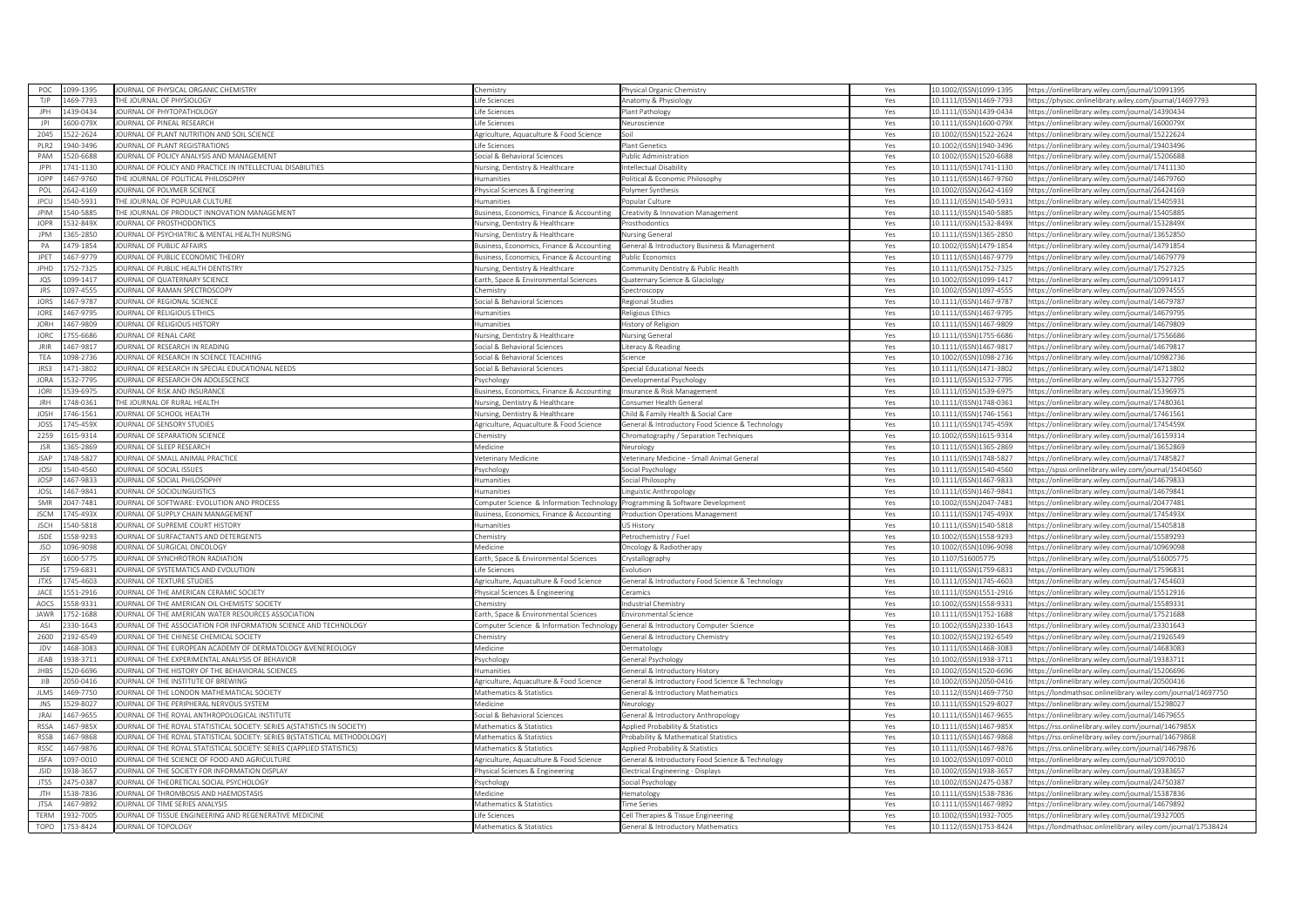| POC.                | 099-1395             | JOURNAL OF PHYSICAL ORGANIC CHEMISTRY                                         | hemistry                                                                  | Physical Organic Chemistry                                                | Yes        | 10.1002/(ISSN)1099-1395                            | https://onlinelibrary.wiley.com/journal/10991395                                                                 |
|---------------------|----------------------|-------------------------------------------------------------------------------|---------------------------------------------------------------------------|---------------------------------------------------------------------------|------------|----------------------------------------------------|------------------------------------------------------------------------------------------------------------------|
| TJP                 | 469-7793             | HE JOURNAL OF PHYSIOLOGY                                                      | ife Sciences                                                              | Anatomy & Physiology                                                      | Yes        | 10.1111/(ISSN)1469-7793                            | https://physoc.onlinelibrary.wiley.com/journal/14697793                                                          |
| IPH                 | 439-0434             | OURNAL OF PHYTOPATHOLOGY                                                      | fe Sciences                                                               | lant Pathology                                                            | Yes        | 10.1111/(ISSN)1439-0434                            | https://onlinelibrary.wiley.com/journal/14390434                                                                 |
| P                   | 600-079X             | JOURNAL OF PINEAL RESEARCH                                                    | ife Sciences                                                              | Neuroscience                                                              | Yes        | 10.1111/(ISSN)1600-079X                            | https://onlinelibrary.wiley.com/journal/1600079)                                                                 |
| 2045                | 22-2624              | OURNAL OF PLANT NUTRITION AND SOIL SCIENCE                                    | griculture, Aquaculture & Food Science                                    |                                                                           | Yes        | 10.1002/(ISSN)1522-2624                            | https://onlinelibrary.wiley.com/journal/15222624                                                                 |
| PLR2                | 940-3496             | JOURNAL OF PLANT REGISTRATIONS                                                | ife Sciences                                                              | Plant Genetics                                                            | Yes        | 10.1002/(ISSN)1940-3496                            | https://onlinelibrary.wiley.com/journal/19403496                                                                 |
| PAM                 | 520-6688             | OURNAL OF POLICY ANALYSIS AND MANAGEMENT                                      | ocial & Behavioral Sciences                                               | ublic Administration                                                      | Yes        | 10.1002/(ISSN)1520-6688                            | https://onlinelibrary.wiley.com/journal/15206688                                                                 |
| JPPI                | 741-1130             | OURNAL OF POLICY AND PRACTICE IN INTELLECTUAL DISABILITIES                    | lursing, Dentistry & Healthcare                                           | ntellectual Disability                                                    | Yes        | 10.1111/(ISSN)1741-1130                            | https://onlinelibrary.wiley.com/journal/17411130                                                                 |
| JOPP                | 467-9760             | HE JOURNAL OF POLITICAL PHILOSOPHY                                            | umanities                                                                 | olitical & Economic Philosophy                                            | Yes        | 10.1111/(ISSN)1467-9760                            | https://onlinelibrary.wiley.com/journal/14679760                                                                 |
| POL                 | 642-4169             | OURNAL OF POLYMER SCIENCE                                                     | hysical Sciences & Engineering                                            | Polymer Synthesis                                                         | Yes        | 10.1002/(ISSN)2642-4169                            | https://onlinelibrary.wiley.com/journal/26424169                                                                 |
| JPCU                | 540-5931             | HE JOURNAL OF POPULAR CULTURE                                                 | umanities                                                                 | Popular Culture                                                           | Yes        | 10.1111/(ISSN)1540-5931                            | https://onlinelibrary.wiley.com/journal/15405931                                                                 |
| <b>JPIM</b>         | 540-5885             | HE JOURNAL OF PRODUCT INNOVATION MANAGEMENT                                   | usiness, Economics, Finance & Accounting                                  | Creativity & Innovation Management                                        | Yes        | 10.1111/(ISSN)1540-5885                            | ttps://onlinelibrary.wiley.com/journal/15405885                                                                  |
| <b>IOPR</b>         | 532-849X             | <b>IQURNAL OF PROSTHODONTICS</b>                                              | Jursing, Dentistry & Healthcare                                           | rosthodontics                                                             | Yes        | 10.1111/(ISSN)1532-849X                            | nttps://onlinelibrary.wiley.com/journal/1532849X                                                                 |
| <b>IPM</b>          | 65-2850              | OURNAL OF PSYCHIATRIC & MENTAL HEALTH NURSING                                 | lursing, Dentistry & Healthcare                                           | Nursing General                                                           | Yes        | 10.1111/(ISSN)1365-2850                            | https://onlinelibrary.wiley.com/iournal/13652850                                                                 |
| PA                  | 479-1854             | OURNAL OF PUBLIC AFFAIRS                                                      | Business, Economics, Finance & Accounting                                 | General & Introductory Business & Management                              | Yes        | 10.1002/(ISSN)1479-1854                            | https://onlinelibrary.wiley.com/journal/14791854                                                                 |
| JPET                | 467-9779             | OURNAL OF PUBLIC ECONOMIC THEORY                                              | usiness, Economics, Finance & Accounting                                  | ublic Economics                                                           | Yes        | 10.1111/(ISSN)1467-9779                            | ttps://onlinelibrary.wiley.com/iournal/14679779                                                                  |
| JPHD                | 752-7325             | OURNAL OF PUBLIC HEALTH DENTISTRY                                             | <b>Nursing, Dentistry &amp; Healthcare</b>                                | ommunity Dentistry & Public Health                                        | Yes        | 10.1111/(ISSN)1752-7325                            | https://onlinelibrary.wiley.com/journal/17527325                                                                 |
| JQS                 | 099-1417             | OURNAL OF QUATERNARY SCIENCE                                                  | arth, Space & Environmental Sciences                                      | Quaternary Science & Glaciology                                           | Yes        | 10.1002/(ISSN)1099-1417                            | https://onlinelibrary.wiley.com/journal/10991417                                                                 |
| <b>JRS</b>          | 097-4555             | OURNAL OF RAMAN SPECTROSCOPY                                                  | hemistry                                                                  | ipectroscopy                                                              | Yes        | 10.1002/(ISSN)1097-4555                            | nttps://onlinelibrary.wiley.com/journal/10974555                                                                 |
| JORS                | 467-9787             | OURNAL OF REGIONAL SCIENCE                                                    | ocial & Behavioral Sciences                                               | <b>Regional Studies</b>                                                   | Yes        | 10.1111/(ISSN)1467-9787                            | https://onlinelibrary.wiley.com/journal/14679787                                                                 |
| JORE                | 467-9795             | JOURNAL OF RELIGIOUS ETHICS                                                   | umanities                                                                 | Religious Ethics                                                          | Yes        | 10.1111/(ISSN)1467-9795                            | https://onlinelibrary.wiley.com/journal/14679795                                                                 |
| <b>JORH</b>         | 467-9809             | OURNAL OF RELIGIOUS HISTORY                                                   | <i>s</i> manities                                                         | listory of Religion                                                       | Yes        | 10.1111/(ISSN)1467-9809                            | ttps://onlinelibrary.wiley.com/journal/14679809                                                                  |
| <b>JORC</b>         | 55-6686              | <b>OURNAL OF RENAL CARE</b>                                                   | lursing, Dentistry & Healthcare                                           | Nursing General                                                           | Yes        | 10.1111/(ISSN)1755-6686                            | https://onlinelibrary.wiley.com/journal/17556686                                                                 |
| <b>IRIR</b>         | 467-9817             | OURNAL OF RESEARCH IN READING                                                 | ocial & Behavioral Sciences                                               | iteracy & Reading                                                         | Yes        | 10.1111/(ISSN)1467-9817                            | https://onlinelibrary.wiley.com/journal/14679817                                                                 |
| TEA                 | 098-2736             | OURNAL OF RESEARCH IN SCIENCE TEACHING                                        | ocial & Behavioral Sciences                                               | cience                                                                    | Yes        | 10.1002/(ISSN)1098-2736                            | https://onlinelibrary.wiley.com/journal/10982736                                                                 |
| JRS3                | 471-3802             | OURNAL OF RESEARCH IN SPECIAL EDUCATIONAL NEEDS                               | ocial & Behavioral Sciences                                               | ipecial Educational Needs                                                 | Yes        | 10.1111/(ISSN)1471-3802                            | https://onlinelibrary.wiley.com/journal/14713802                                                                 |
| <b>IORA</b>         | 32-7795              | OURNAL OF RESEARCH ON ADOLESCENCE                                             |                                                                           |                                                                           |            |                                                    |                                                                                                                  |
|                     |                      |                                                                               | sychology                                                                 | Developmental Psychology                                                  | Yes        | 10.1111/(ISSN)1532-7795                            | https://onlinelibrary.wiley.com/journal/15327795                                                                 |
| <b>JORI</b>         | 539-6975             | OURNAL OF RISK AND INSURANCE                                                  | usiness, Economics, Finance & Accounting                                  | nsurance & Risk Management                                                | Yes        | 10.1111/(ISSN)1539-6975                            | https://onlinelibrary.wiley.com/journal/15396975                                                                 |
| <b>IRH</b>          | 748-0361             | HE JOURNAL OF RURAL HEALTH                                                    | ursing, Dentistry & Healthcare                                            | onsumer Health Genera                                                     | Yes        | 10.1111/(ISSN)1748-0361                            | https://onlinelibrary.wiley.com/journal/17480361                                                                 |
| JOSH                | 746-1561             | OURNAL OF SCHOOL HEALTH                                                       | <b>Nursing, Dentistry &amp; Healthcare</b>                                | hild & Family Health & Social Care                                        | Yes        | 10.1111/(ISSN)1746-1561                            | https://onlinelibrary.wiley.com/journal/17461561                                                                 |
| <b>IOSS</b>         | 45-459X              | OURNAL OF SENSORY STUDIES                                                     | griculture, Aquaculture & Food Science                                    | General & Introductory Food Science & Technology                          | Yes        | 10.1111/(ISSN)1745-459X                            | https://onlinelibrary.wiley.com/journal/1745459X                                                                 |
| 2259                | 615-9314             | OURNAL OF SEPARATION SCIENCE                                                  | hemistry:                                                                 | Chromatography / Separation Techniques                                    | Yes        | 10.1002/(ISSN)1615-9314                            | https://onlinelibrary.wiley.com/journal/16159314                                                                 |
| <b>JSR</b>          | 365-2869             | OURNAL OF SLEEP RESEARCH                                                      | Medicine                                                                  | Neurology                                                                 | Yes        | 10.1111/(ISSN)1365-2869                            | https://onlinelibrary.wiley.com/journal/13652869                                                                 |
|                     |                      |                                                                               |                                                                           |                                                                           |            |                                                    |                                                                                                                  |
| <b>JSAP</b>         | 748-5827             | OURNAL OF SMALL ANIMAL PRACTICE                                               | eterinary Medicine                                                        | /eterinary Medicine - Small Animal General                                | Yes        | 10.1111/(ISSN)1748-5827                            | https://onlinelibrary.wiley.com/journal/17485827                                                                 |
| JOSI                | 40-4560              | OURNAL OF SOCIAL ISSUES                                                       | sychology                                                                 | ocial Psychology                                                          | Yes        | 10.1111/(ISSN)1540-4560                            | https://spssi.onlinelibrary.wiley.com/journal/15404560                                                           |
| JOSP                | 467-9833             | JOURNAL OF SOCIAL PHILOSOPHY                                                  | umanities                                                                 | Social Philosophy                                                         | Yes        | 10.1111/(ISSN)1467-9833                            | https://onlinelibrary.wiley.com/journal/14679833                                                                 |
| JOSL                | 467-9841             | OURNAL OF SOCIOLINGUISTICS                                                    | umanities                                                                 | inguistic Anthropology                                                    | Yes        | 10.1111/(ISSN)1467-9841                            | https://onlinelibrary.wiley.com/journal/14679841                                                                 |
| SMR                 | 047-7481             | OURNAL OF SOFTWARE: EVOLUTION AND PROCESS                                     | omputer Science & Information Technology                                  | rogramming & Software Development                                         | Yes        | 10.1002/(ISSN)2047-7481                            | ttps://onlinelibrary.wiley.com/iournal/20477481                                                                  |
| <b>JSCM</b>         | 745-493X             | OURNAL OF SUPPLY CHAIN MANAGEMENT                                             | usiness, Economics, Finance & Accounting                                  | Production Operations Management                                          | Yes        | 10.1111/(ISSN)1745-493X                            | https://onlinelibrary.wiley.com/journal/1745493X                                                                 |
| <b>JSCH</b>         | 540-5818             | JOURNAL OF SUPREME COURT HISTORY                                              | umanities                                                                 | JS History                                                                | Yes        | 10.1111/(ISSN)1540-5818                            | https://onlinelibrary.wiley.com/journal/15405818                                                                 |
| <b>JSDE</b>         | 558-9293             | OURNAL OF SURFACTANTS AND DETERGENTS                                          | hemistry                                                                  | Petrochemistry / Fuel                                                     | Yes        | 10.1002/(ISSN)1558-9293                            | https://onlinelibrary.wiley.com/journal/15589293                                                                 |
| <b>JSO</b>          | 096-9098             | <b>OURNAL OF SURGICAL ONCOLOGY</b>                                            | Aedicine                                                                  | Incology & Radiotherapy                                                   | Yes        | 10.1002/(ISSN)1096-9098                            | ttps://onlinelibrary.wiley.com/journal/10969098                                                                  |
| <b>JSY</b>          | 600-5775             | OURNAL OF SYNCHROTRON RADIATION                                               | arth, Space & Environmental Sciences                                      | Crystallography                                                           | Yes        | 10.1107/S16005775                                  | https://onlinelibrary.wiley.com/journal/S16005775                                                                |
| <b>JSE</b>          | 59-6831              | OURNAL OF SYSTEMATICS AND EVOLUTION                                           | ife Sciences                                                              | ivolution                                                                 |            | 10.1111/(ISSN)1759-6831                            | https://onlinelibrary.wiley.com/journal/17596831                                                                 |
| <b>JTXS</b>         | 745-4603             | OURNAL OF TEXTURE STUDIES                                                     |                                                                           |                                                                           | Yes<br>Yes | 10.1111/(ISSN)1745-4603                            | https://onlinelibrary.wiley.com/journal/17454603                                                                 |
| JACE                | 51-2916              | OURNAL OF THE AMERICAN CERAMIC SOCIETY                                        | Agriculture, Aquaculture & Food Science<br>hysical Sciences & Engineering | General & Introductory Food Science & Technology<br>eramics               | Yes        | 10.1111/(ISSN)1551-2916                            | https://onlinelibrary.wiley.com/journal/15512916                                                                 |
| AOCS                | 58-9331              | OURNAL OF THE AMERICAN OIL CHEMISTS' SOCIETY                                  | hemistry                                                                  | ndustrial Chemistry                                                       | Yes        | 10.1002/(ISSN)1558-9331                            | https://onlinelibrary.wiley.com/journal/15589331                                                                 |
| JAWR                |                      | OURNAL OF THE AMERICAN WATER RESOURCES ASSOCIATION                            | arth, Space & Environmental Sciences                                      | nvironmental Science                                                      |            |                                                    | https://onlinelibrary.wiley.com/iournal/17521688                                                                 |
| ASI                 | 52-1688<br>330-1643  | OURNAL OF THE ASSOCIATION FOR INFORMATION SCIENCE AND TECHNOLOGY              | omputer Science & Information Technology                                  | General & Introductory Computer Science                                   | Yes<br>Yes | 10.1111/(ISSN)1752-1688<br>10.1002/(ISSN)2330-1643 | https://onlinelibrary.wiley.com/journal/23301643                                                                 |
|                     |                      |                                                                               | hemistry                                                                  |                                                                           |            |                                                    |                                                                                                                  |
| 2600                | 192-6549             | OURNAL OF THE CHINESE CHEMICAL SOCIETY                                        |                                                                           | General & Introductory Chemistry                                          | Yes        | 10.1002/(ISSN)2192-6549                            | https://onlinelibrary.wiley.com/journal/21926549                                                                 |
| JDV                 | 468-3083             | OURNAL OF THE EUROPEAN ACADEMY OF DERMATOLOGY &VENEREOLOGY                    | Medicine                                                                  | <b>Dermatology</b>                                                        | Yes        | 10.1111/(ISSN)1468-3083                            | https://onlinelibrary.wiley.com/journal/14683083                                                                 |
| JEAB                | 938-3711             | OURNAL OF THE EXPERIMENTAL ANALYSIS OF BEHAVIOR                               | sychology                                                                 | General Psychology                                                        | Yes        | 10.1002/(ISSN)1938-3711                            | https://onlinelibrary.wiley.com/journal/19383711                                                                 |
| <b>IHBS</b>         | 520-6696             | OURNAL OF THE HISTORY OF THE BEHAVIORAL SCIENCES                              | umanities                                                                 | General & Introductory History                                            | Yes        | 10.1002/(ISSN)1520-6696                            | https://onlinelibrary.wiley.com/journal/15206696                                                                 |
| JIB                 | 050-0416             | OURNAL OF THE INSTITUTE OF BREWING                                            | Agriculture, Aquaculture & Food Science                                   | General & Introductory Food Science & Technology                          | Yes        | 10.1002/(ISSN)2050-0416                            | https://onlinelibrary.wiley.com/journal/20500416                                                                 |
| <b>IIMS</b>         | 469-7750             | JOURNAL OF THE LONDON MATHEMATICAL SOCIETY                                    | Mathematics & Statistics                                                  | Seneral & Introductory Mathematics                                        | Yes        | 10.1112/(ISSN)1469-7750                            | https://londmathsoc.onlinelibrary.wiley.com/journal/14697750                                                     |
| <b>JNS</b>          | 29-8027              | OURNAL OF THE PERIPHERAL NERVOUS SYSTEM                                       | <b>fedicine</b>                                                           | Veurology                                                                 | Yes        | 10.1111/(ISSN)1529-8027                            | ttps://onlinelibrary.wiley.com/journal/15298027                                                                  |
| <b>IRAI</b>         | 467-9655             | OURNAL OF THE ROYAL ANTHROPOLOGICAL INSTITUTE                                 | ocial & Behavioral Sciences                                               | General & Introductory Anthropology                                       | Yes        | 10.1111/(ISSN)1467-9655                            | https://onlinelibrary.wiley.com/iournal/14679655                                                                 |
| <b>RSSA</b>         | 467-985X             | OURNAL OF THE ROYAL STATISTICAL SOCIETY: SERIES A(STATISTICS IN SOCIETY       | Mathematics & Statistics                                                  | pplied Probability & Statistics                                           | Yes        | 10.1111/(ISSN)1467-985X                            | ttps://rss.onlinelibrary.wiley.com/journal/1467985X                                                              |
| <b>RSSB</b>         | 167-9868             | OURNAL OF THE ROYAL STATISTICAL SOCIETY: SERIES B(STATISTICAL METHODOLOGY)    | <b>Mathematics &amp; Statistics</b>                                       | robability & Mathematical Statistics                                      | Yes        | 10.1111/(ISSN)1467-9868                            | https://rss.onlinelibrary.wiley.com/journal/14679868                                                             |
| RSSC                | 467-9876             | OURNAL OF THE ROYAL STATISTICAL SOCIETY: SERIES C(APPLIED STATISTICS)         | Mathematics & Statistics                                                  | Applied Probability & Statistics                                          | Yes        | 10.1111/(ISSN)1467-9876                            | https://rss.onlinelibrary.wiley.com/journal/14679876                                                             |
| <b>JSFA</b>         | 097-0010             | OURNAL OF THE SCIENCE OF FOOD AND AGRICULTURE                                 | Agriculture, Aquaculture & Food Science                                   | General & Introductory Food Science & Technology                          | Yes        | 10.1002/(ISSN)1097-0010                            | https://onlinelibrary.wiley.com/journal/10970010                                                                 |
| <b>ISID</b>         | 338-3657             | OURNAL OF THE SOCIETY FOR INFORMATION DISPLAY                                 | hysical Sciences & Engineering                                            | lectrical Engineering - Displays                                          | Yes        | 10.1002/(ISSN)1938-3657                            | /1938365/https://onlinelibrary.wiley.com/journal                                                                 |
| JTS5                | 475-0387             | OURNAL OF THEORETICAL SOCIAL PSYCHOLOGY                                       | sychology                                                                 | ocial Psychology                                                          | Yes        | 10.1002/(ISSN)2475-0387                            | https://onlinelibrary.wiley.com/journal/24750387                                                                 |
| <b>JTH</b>          | 38-7836              | OURNAL OF THROMBOSIS AND HAEMOSTASIS                                          | Aedicine                                                                  | lematology                                                                | Yes        | 10.1111/(ISSN)1538-7836                            | https://onlinelibrary.wiley.com/journal/15387836                                                                 |
| <b>JTSA</b>         | 467-9892             | OURNAL OF TIME SERIES ANALYSIS                                                | Mathematics & Statistics                                                  | ime Series                                                                | Yes        | 10.1111/(ISSN)1467-9892                            | https://onlinelibrary.wiley.com/journal/14679892                                                                 |
| TERM<br><b>TOPO</b> | 932-7005<br>753-8424 | OURNAL OF TISSUE ENGINEERING AND REGENERATIVE MEDICINE<br>JOURNAL OF TOPOLOGY | ife Sciences<br>Mathematics & Statistics                                  | Cell Therapies & Tissue Engineering<br>General & Introductory Mathematics | Yes<br>Yes | 10.1002/(ISSN)1932-7005<br>10.1112/(ISSN)1753-8424 | https://onlinelibrary.wiley.com/journal/19327005<br>https://londmathsoc.onlinelibrary.wiley.com/journal/17538424 |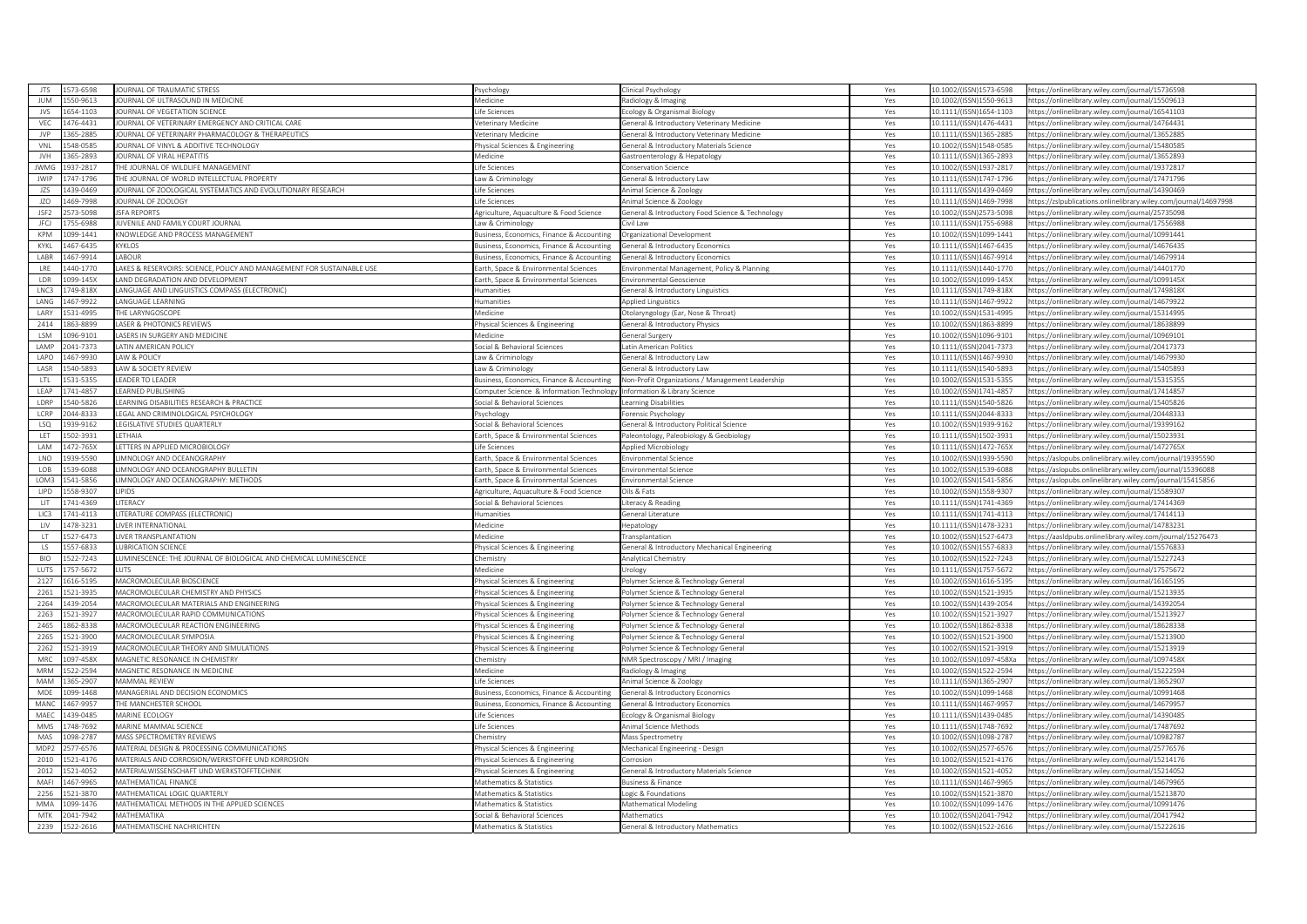| <b>ITS</b>       | 573-6598 | OURNAL OF TRAUMATIC STRESS                                             | svchology                                 | linical Psychology                               | Yes | 10.1002/(ISSN)1573-6598  | https://onlinelibrary.wiley.com/journal/15736598                 |
|------------------|----------|------------------------------------------------------------------------|-------------------------------------------|--------------------------------------------------|-----|--------------------------|------------------------------------------------------------------|
| <b>IUM</b>       | 550-9613 | JOURNAL OF ULTRASOUND IN MEDICINE                                      | Medicine                                  | Radiology & Imaging                              | Yes | 10.1002/(ISSN)1550-9613  | https://onlinelibrary.wiley.com/journal/15509613                 |
| <b>IVS</b>       | 554-1103 | OURNAL OF VEGETATION SCIENCE                                           | fe Sciences                               | cology & Organismal Biology                      | Yes | 10.1111/(ISSN)1654-1103  | https://onlinelibrary.wiley.com/journal/16541103                 |
| VFC              | 476-4431 | JOURNAL OF VETERINARY EMERGENCY AND CRITICAL CARE                      | eterinary Medicine                        | General & Introductory Veterinary Medicine       | Yes | 10.1111/(ISSN)1476-4431  | https://onlinelibrary.wiley.com/journal/14764431                 |
| <b>JVP</b>       | 65-2885  | OURNAL OF VETERINARY PHARMACOLOGY & THERAPEUTICS                       | eterinary Medicine                        | ieneral & Introductory Veterinary Medicine       | Yes | 10.1111/(ISSN)1365-2885  | https://onlinelibrary.wiley.com/journal/13652885                 |
| VNL              | 548-0585 | JOURNAL OF VINYL & ADDITIVE TECHNOLOGY                                 | hysical Sciences & Engineering            | General & Introductory Materials Science         | Yes | 10.1002/(ISSN)1548-0585  | https://onlinelibrary.wiley.com/journal/15480585                 |
| <b>IVH</b>       | 365-2893 | <b>OURNAL OF VIRAL HEPATITIS</b>                                       | <b>Medicine</b>                           | astroenterology & Hepatology                     | Yes | 10.1111/(ISSN)1365-2893  | https://onlinelibrary.wiley.com/journal/13652893                 |
| <b>JWMC</b>      | 37-2817  | HE JOURNAL OF WILDLIFE MANAGEMENT                                      | ife Sciences                              | onservation Science                              | Yes | 10.1002/(ISSN)1937-2817  | https://onlinelibrary.wiley.com/journal/19372817                 |
| <b>JWIP</b>      | 747-1796 | HE JOURNAL OF WORLD INTELLECTUAL PROPERTY                              | aw & Criminology                          | General & Introductory Law                       | Yes | 10.1111/(ISSN)1747-1796  | https://onlinelibrary.wiley.com/journal/17471796                 |
| 175              | 439-0469 | OURNAL OF ZOOLOGICAL SYSTEMATICS AND EVOLUTIONARY RESEARCH             | ife Sciences                              | Animal Science & Zoology                         | Yes | 10.1111/(ISSN)1439-0469  | https://onlinelibrary.wiley.com/journal/14390469                 |
| JZO              | 469-7998 | OURNAL OF ZOOLOGY                                                      | ife Sciences                              | Animal Science & Zoology                         | Yes | 10.1111/(ISSN)1469-7998  | https://zslpublications.onlinelibrary.wiley.com/iournal/14697998 |
| ISE2             | 73-5098  | <b>SFA REPORTS</b>                                                     | griculture, Aquaculture & Food Science    | General & Introductory Food Science & Technology | Yes | 10.1002/(ISSN)2573-5098  | https://onlinelibrary.wiley.com/journal/25735098                 |
| <b>JFCJ</b>      | 755-6988 | JUVENILE AND FAMILY COURT JOURNAL                                      | aw & Criminology                          | ivil Law                                         | Yes | 10.1111/(ISSN)1755-6988  | https://onlinelibrary.wiley.com/journal/17556988                 |
| <b>KPM</b>       | 099-1441 | (NOWLEDGE AND PROCESS MANAGEMENT                                       | usiness, Economics, Finance & Accounting  | Organizational Development                       | Yes | 10.1002/(ISSN)1099-1441  | nttps://onlinelibrary.wiley.com/iournal/10991441                 |
| KYKL             | 467-6435 | YKLOS                                                                  | Business, Economics, Finance & Accounting | General & Introductory Economics                 | Yes | 10.1111/(ISSN)1467-6435  | https://onlinelibrary.wiley.com/journal/14676435                 |
| LABR             | 467-9914 | ABOUR                                                                  | usiness, Economics, Finance & Accounting  | Seneral & Introductory Economic                  | Yes | 10.1111/(ISSN)1467-9914  | ttps://onlinelibrary.wiley.com/iournal/14679914                  |
| LRE              | 440-1770 | LAKES & RESERVOIRS: SCIENCE, POLICY AND MANAGEMENT FOR SUSTAINABLE USE | arth, Space & Environmental Sciences      | nvironmental Management, Policy & Planning       | Yes | 10.1111/(ISSN)1440-1770  | https://onlinelibrary.wiley.com/journal/14401770                 |
| LDR              | 09-145X  | AND DEGRADATION AND DEVELOPMENT                                        | arth, Space & Environmental Sciences      | invironmental Geoscience                         | Yes | 10.1002/(ISSN)1099-145X  | https://onlinelibrary.wiley.com/journal/1099145X                 |
| LNC3             | 749-818X | ANGUAGE AND LINGUISTICS COMPASS (ELECTRONIC)                           | lumanities                                | General & Introductory Linguistics               | Yes | 10.1111/(ISSN)1749-818X  | https://onlinelibrary.wiley.com/journal/1749818X                 |
| LANG             | 167-9922 | ANGUAGE LEARNING                                                       | umanities                                 | <b>Applied Linguistics</b>                       | Yes | 10.1111/(ISSN)1467-9922  | https://onlinelibrary.wiley.com/journal/14679922                 |
| LARY             | 531-4995 | HE LARYNGOSCOPE                                                        | Aedicine                                  | Otolaryngology (Ear, Nose & Throat)              | Yes | 10.1002/(ISSN)1531-4995  | https://onlinelibrary.wiley.com/journal/15314995                 |
| 2414             | 63-8899  | ASER & PHOTONICS REVIEWS                                               | nysical Sciences & Engineering            | ieneral & Introductory Physics                   | Yes | 0.1002/(ISSN)1863-8899   | ttps://onlinelibrary.wiley.com/journal/18638899                  |
| <b>ISM</b>       | 096-9101 | ASERS IN SURGERY AND MEDICINE                                          | Medicine                                  | General Surgery                                  | Yes | 10.1002/(ISSN)1096-9101  | https://onlinelibrary.wiley.com/journal/10969101                 |
| <b>LAMP</b>      | 041-7373 | <b>ATIN AMERICAN POLICY</b>                                            | ocial & Behavioral Sciences               | atin American Politics                           | Yes | 10.1111/(ISSN)2041-7373  | https://onlinelibrary.wiley.com/journal/20417373                 |
| LAPO             | 467-9930 | AW & POLICY                                                            | aw & Criminology                          | General & Introductory Law                       | Yes | 10.1111/(ISSN)1467-9930  | https://onlinelibrary.wiley.com/journal/14679930                 |
| LASR             | 540-5893 | AW & SOCIETY REVIEW                                                    | aw & Criminology                          | ieneral & Introductory Law                       | Yes | 10.1111/(ISSN)1540-5893  | ttps://onlinelibrary.wiley.com/journal/15405893                  |
| LTL              | 31-5355  | <b>EADER TO LEADER</b>                                                 | usiness, Economics, Finance & Accounting  | Non-Profit Organizations / Management Leadership | Yes | 10.1002/(ISSN)1531-5355  | https://onlinelibrary.wiley.com/journal/15315355                 |
| <b>IFAP</b>      | 741-4857 | <b>EARNED PUBLISHING</b>                                               | omputer Science & Information Technology  | Information & Library Science                    | Yes | 10.1002/(ISSN)1741-4857  | https://onlinelibrary.wiley.com/journal/17414857                 |
| LDRP             | 540-5826 | EARNING DISABILITIES RESEARCH & PRACTICE                               | ocial & Behavioral Sciences               | earning Disabilitie                              | Yes | 10.1111/(ISSN)1540-5826  | https://onlinelibrary.wiley.com/journal/15405826                 |
| LCRP             | 044-8333 | EGAL AND CRIMINOLOGICAL PSYCHOLOGY                                     | svchology                                 | orensic Psychology                               | Yes | 10.1111/(ISSN)2044-8333  | https://onlinelibrary.wiley.com/journal/20448333                 |
| <b>ISO</b>       | 339-9162 | EGISLATIVE STUDIES QUARTERLY                                           | ocial & Behavioral Sciences               | General & Introductory Political Science         | Yes | 10.1002/(ISSN)1939-9162  | https://onlinelibrary.wiley.com/journal/19399162                 |
| LET              | 502-3931 | ETHAIA                                                                 | arth, Space & Environmental Sciences      | Paleontology, Paleobiology & Geobiology          | Yes | 10.1111/(ISSN)1502-3931  | nttps://onlinelibrary.wiley.com/journal/15023931                 |
| LAM              | 472-765X | ETTERS IN APPLIED MICROBIOLOGY                                         | ife Sciences                              | <b>Applied Microbiology</b>                      | Yes | 10.1111/(ISSN)1472-765X  | https://onlinelibrary.wiley.com/journal/1472765X                 |
| LNO              | 939-5590 | IMNOLOGY AND OCEANOGRAPHY                                              | arth, Space & Environmental Sciences      | Invironmental Science                            | Yes | 10.1002/(ISSN)1939-5590  | https://aslopubs.onlinelibrary.wiley.com/journal/19395590        |
| LOB              | 39-6088  | IMNOLOGY AND OCEANOGRAPHY BULLETIN                                     | arth, Space & Environmental Sciences      | Invironmental Science                            | Yes | 10.1002/(ISSN)1539-6088  | ttps://aslopubs.onlinelibrary.wiley.com/iournal/15396088         |
| LOM3             | 541-5856 | IMNOLOGY AND OCEANOGRAPHY: METHODS                                     | Earth, Space & Environmental Sciences     | Environmental Science                            | Yes | 10.1002/(ISSN)1541-5856  | https://aslopubs.onlinelibrary.wiley.com/journal/15415856        |
| LIPD             | 558-9307 | <b>IPIDS</b>                                                           | Agriculture, Aquaculture & Food Science   | Dils & Fats                                      | Yes | 10.1002/(ISSN)1558-9307  | https://onlinelibrary.wiley.com/journal/1558930]                 |
| LIT              | 741-4369 | <b>ITERACY</b>                                                         | ocial & Behavioral Sciences               | iteracy & Reading                                | Yes | 10.1111/(ISSN)1741-4369  | https://onlinelibrary.wiley.com/journal/17414369                 |
| LIC3             | 741-4113 | TERATURE COMPASS (ELECTRONIC)                                          | umanities                                 | ieneral Literature                               | Yes | 10.1111/(ISSN)1741-4113  | https://onlinelibrary.wiley.com/journal/17414113                 |
| LIV              | 478-3231 | IVER INTERNATIONAL                                                     | Aedicine                                  | lepatology                                       | Yes | 10.1111/(ISSN)1478-3231  | https://onlinelibrary.wiley.com/journal/14783231                 |
| LT               | 527-6473 | <b>IVER TRANSPLANTATION</b>                                            | <b>fedicine</b>                           | ransplantation                                   | Yes | 10.1002/(ISSN)1527-6473  | https://aasldpubs.onlinelibrary.wiley.com/journal/15276473       |
| LS.              | 57-6833  | <b>JBRICATION SCIENC</b>                                               | hysical Sciences & Engineering            | ieneral & Introductory Mechanical Engineering    | Yes | 10.1002/(ISSN)1557-6833  | ttps://onlinelibrary.wiley.com/journal/15576833                  |
| <b>BIO</b>       | 522-7243 | UMINESCENCE: THE JOURNAL OF BIOLOGICAL AND CHEMICAL LUMINESCENCE       | hemistry                                  | Analytical Chemistry                             | Yes | 10.1002/(ISSN)1522-7243  | https://onlinelibrary.wiley.com/journal/15227243                 |
| <b>LUTS</b>      | 57-5672  |                                                                        | <i><b>Aedicine</b></i>                    | Jrology                                          | Yes | 10.1111/(ISSN)1757-5672  | https://onlinelibrary.wiley.com/journal/17575672                 |
| 2127             | 616-5195 | MACROMOLECULAR BIOSCIENCE                                              | hysical Sciences & Engineering            | Polymer Science & Technology General             | Yes | 10.1002/(ISSN)1616-5195  | https://onlinelibrary.wiley.com/journal/16165195                 |
| 2261             | 21-3935  | MACROMOLECULAR CHEMISTRY AND PHYSICS                                   | nysical Sciences & Engineering            | olymer Science & Technology General              | Yes | 10.1002/(ISSN)1521-3935  | https://onlinelibrary.wiley.com/journal/15213935                 |
| 2264             | 439-2054 | MACROMOLECULAR MATERIALS AND ENGINEERING                               | nysical Sciences & Engineering            | olymer Science & Technology General              | Yes | 10.1002/(ISSN)1439-2054  | https://onlinelibrary.wiley.com/journal/14392054                 |
| 2263             | 521-3927 | MACROMOLECULAR RAPID COMMUNICATIONS                                    | hysical Sciences & Engineering            | Polymer Science & Technology General             | Yes | 10.1002/(ISSN)1521-3927  | https://onlinelibrary.wiley.com/iournal/15213927                 |
| 2465             | 362-8338 | MACROMOLECULAR REACTION ENGINEERING                                    | nysical Sciences & Engineering            | olymer Science & Technology General              | Yes | 10.1002/(ISSN)1862-8338  | https://onlinelibrary.wiley.com/journal/18628338                 |
| 2265             | 521-3900 | <b>MACROMOLECULAR SYMPOSIA</b>                                         | hysical Sciences & Engineering            | Polymer Science & Technology General             | Yes | 10.1002/(ISSN)1521-3900  | https://onlinelibrary.wiley.com/journal/15213900                 |
| 2262             | 521-3919 | MACROMOLECULAR THEORY AND SIMULATIONS                                  | hysical Sciences & Engineering            | olymer Science & Technology General              | Yes | 10.1002/(ISSN)1521-3919  | https://onlinelibrary.wiley.com/journal/15213919                 |
| MRC              | 097-458X | MAGNETIC RESONANCE IN CHEMISTRY                                        | hemistry                                  | NMR Spectroscopy / MRI / Imaging                 | Yes | 10.1002/(ISSN)1097-458Xa | https://onlinelibrary.wiley.com/journal/1097458X                 |
| MRM              | 522-2594 | MAGNETIC RESONANCE IN MEDICINE                                         | Aedicine                                  | Radiology & Imaging                              | Yes | 10.1002/(ISSN)1522-2594  | https://onlinelibrary.wiley.com/journal/15222594                 |
| MAM              | 365-2907 | <b>MAMMAL REVIEW</b>                                                   | ife Sciences                              | Animal Science & Zoology                         | Yes | 10.1111/(ISSN)1365-2907  | https://onlinelibrary.wiley.com/journal/13652907                 |
| MDE              | 099-1468 | MANAGERIAL AND DECISION ECONOMICS                                      | usiness, Economics, Finance & Accounting  | General & Introductory Economics                 | Yes | 10.1002/(ISSN)1099-1468  | https://onlinelibrary.wiley.com/journal/10991468                 |
| MANO             | 167-9957 | HE MANCHESTER SCHOOL                                                   | usiness, Economics, Finance & Accounting  | ieneral & Introductory Economics                 | Yes | 10.1111/(ISSN)1467-9957  | ttps://onlinelibrary.wiley.com/journal/14679957                  |
| MAFC             | 439-0485 | MARINE ECOLOGY                                                         | ife Sciences                              | cology & Organismal Biology                      | Yes | 10.1111/(ISSN)1439-0485  | https://onlinelibrary.wiley.com/iournal/14390485                 |
| <b>MMS</b>       | 748-7692 | <b>MARINE MAMMAL SCIENCE</b>                                           | fe Sciences                               | Animal Science Methods                           | Yes | 10.1111/(ISSN)1748-7692  | ttps://onlinelibrary.wiley.com/journal/17487692                  |
| MAS              | 098-2787 | MASS SPECTROMETRY REVIEWS                                              | hemistry                                  | Mass Spectrometry                                | Yes | 10.1002/(ISSN)1098-2787  | https://onlinelibrary.wiley.com/journal/10982787                 |
| MDP <sub>2</sub> | 77-6576  | MATERIAL DESIGN & PROCESSING COMMUNICATIONS                            | hysical Sciences & Engineering            | Mechanical Engineering - Design                  | Yes | 10.1002/(ISSN)2577-6576  | https://onlinelibrary.wiley.com/journal/25776576                 |
| 2010             | 521-4176 | MATERIALS AND CORROSION/WERKSTOFFE UND KORROSION                       | hysical Sciences & Engineering            | Corrosion                                        | Yes | 10.1002/(ISSN)1521-4176  | https://onlinelibrary.wiley.com/journal/15214176                 |
| 2012             | 521-4052 | MATERIALWISSENSCHAFT UND WERKSTOFFTECHNIK                              | hysical Sciences & Engineering            | General & Introductory Materials Science         | Yes | 10.1002/(ISSN)1521-4052  | https://onlinelibrary.wiley.com/journal/15214052                 |
| MAF              | 167-9965 | <b>MATHEMATICAL FINANCE</b>                                            | Aathematics & Statistics                  | usiness & Finance                                | Yes | 10.1111/(ISSN)1467-9965  | https://onlinelibrary.wiley.com/journal/14679965                 |
| 2256             | 21-3870  | MATHEMATICAL LOGIC QUARTERLY                                           | Aathematics & Statistics                  | ogic & Foundation                                | Yes | 10.1002/(ISSN)1521-3870  | https://onlinelibrary.wiley.com/journal/15213870                 |
| <b>MMA</b>       | 199-1476 | MATHEMATICAL METHODS IN THE APPLIED SCIENCES                           | Mathematics & Statistics                  | Mathematical Modeling                            | Yes | 10.1002/(ISSN)1099-1476  | https://onlinelibrary.wiley.com/iournal/10991476                 |
| MTK              | 041-7942 | ΜΑΤΗΕΜΑΤΙΚΑ                                                            | ocial & Behavioral Sciences               | Mathematics                                      | Yes | 10.1002/(ISSN)2041-7942  | https://onlinelibrary.wiley.com/journal/20417942                 |
| 2239             | 522-2616 | MATHEMATISCHE NACHRICHTEN                                              | Mathematics & Statistics                  | <b>General &amp; Introductory Mathematics</b>    | Yes | 10.1002/(ISSN)1522-2616  | https://onlinelibrary.wiley.com/journal/15222616                 |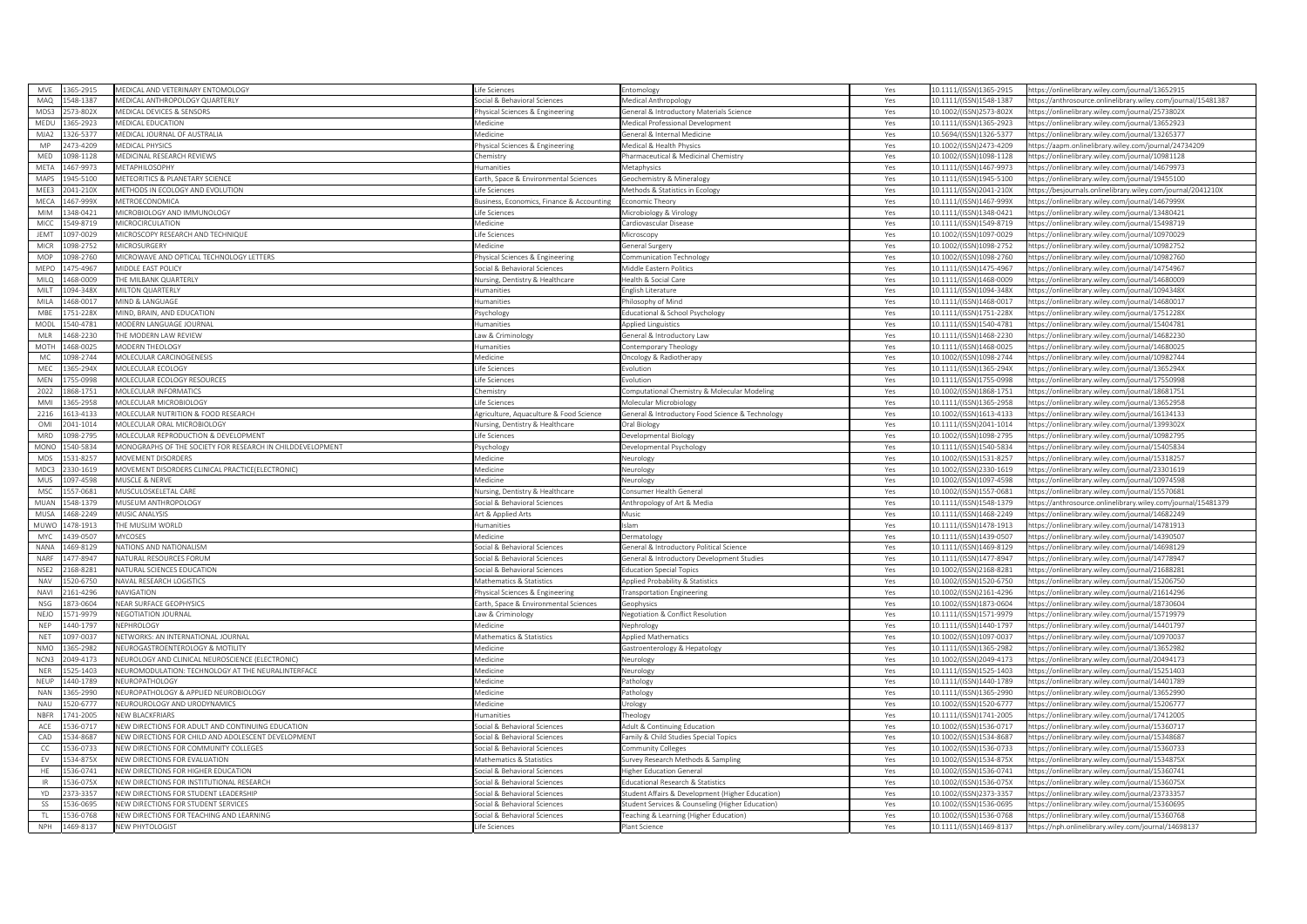| MVE                | 365-2915             | MEDICAL AND VETERINARY ENTOMOLOGY                              | ife Sciences                                             | Entomology                                       | Yes        | 10.1111/(ISSN)1365-2915                            | nttps://onlinelibrary.wiley.com/journal/13652915                                                     |
|--------------------|----------------------|----------------------------------------------------------------|----------------------------------------------------------|--------------------------------------------------|------------|----------------------------------------------------|------------------------------------------------------------------------------------------------------|
| MAQ                | 548-1387             | MEDICAL ANTHROPOLOGY QUARTERLY                                 | ocial & Behavioral Sciences                              | Medical Anthropology                             | Yes        | 10.1111/(ISSN)1548-1387                            | https://anthrosource.onlinelibrary.wiley.com/journal/15481387                                        |
| MDS <sup>3</sup>   | 573-802X             | <b><i>AEDICAL DEVICES &amp; SENSORS</i></b>                    | hysical Sciences & Engineering                           | ieneral & Introductory Materials Science         | Yes        | 10.1002/(ISSN)2573-802X                            | https://onlinelibrary.wiley.com/journal/2573802X                                                     |
| MEDU               | 365-2923             | MEDICAL EDUCATION                                              | Aedicine                                                 | Medical Professional Development                 | Yes        | 10.1111/(ISSN)1365-2923                            | https://onlinelibrary.wiley.com/iournal/13652923                                                     |
| MJA2               | 126-5377             | AFDICAL IOURNAL OF AUSTRALIA                                   | ledicine                                                 | eneral & Internal Medicine                       | Yes        | 10.5694/(ISSN)1326-5377                            | https://onlinelibrary.wiley.com/journal/13265377                                                     |
| MP                 | 473-4209             | MEDICAL PHYSICS                                                | hysical Sciences & Engineering                           | Medical & Health Physics                         | Yes        | 10.1002/(ISSN)2473-4209                            | https://aapm.onlinelibrary.wiley.com/journal/24734209                                                |
| MED                | 098-1128             | <b><i>AEDICINAL RESEARCH REVIEWS</i></b>                       | <b>nemistry</b>                                          | harmaceutical & Medicinal Chemistry              | Yes        | 10.1002/(ISSN)1098-1128                            | https://onlinelibrary.wiley.com/journal/10981128                                                     |
| META               | 167-9973             | <b>AETAPHILOSOPHY</b>                                          | umanities                                                | Metaphysics                                      | Yes        | 10.1111/(ISSN)1467-9973                            | https://onlinelibrary.wiley.com/journal/14679973                                                     |
| MAPS               | 945-5100             | METEORITICS & PLANETARY SCIENCE                                | arth, Space & Environmental Sciences                     | Seochemistry & Mineralogy                        | Yes        | 10.1111/(ISSN)1945-5100                            | https://onlinelibrary.wiley.com/journal/19455100                                                     |
| MEE3               | 041-210X             | METHODS IN ECOLOGY AND EVOLUTION                               | ife Sciences                                             | Methods & Statistics in Ecology                  | Yes        | 10.1111/(ISSN)2041-210X                            | https://besjournals.onlinelibrary.wiley.com/journal/2041210X                                         |
| MECA               | 467-999X             | <b>METROECONOMICA</b>                                          | usiness, Economics, Finance & Accounting                 | conomic Theory                                   | Yes        | 10.1111/(ISSN)1467-999X                            | https://onlinelibrary.wiley.com/journal/1467999X                                                     |
| <b>MIM</b>         | 348-0421             | <b><i>AICROBIOLOGY AND IMMUNOLOGY</i></b>                      | fe Sciences                                              | Microbiology & Virology                          | Yes        | 10.1111/(ISSN)1348-0421                            | https://onlinelibrary.wiley.com/journal/13480421                                                     |
| MICC               | 549-8719             | MICROCIRCULATION                                               | Medicine                                                 | Cardiovascular Disease                           | Yes        | 10.1111/(ISSN)1549-8719                            | https://onlinelibrary.wiley.com/iournal/15498719                                                     |
| <b>IFMT</b>        | 097-0029             | MICROSCOPY RESEARCH AND TECHNIQUE                              | fe Sciences                                              | Vicroscopy                                       | Yes        | 10.1002/(ISSN)1097-0029                            | https://onlinelibrary.wiley.com/journal/10970029                                                     |
| <b>MICR</b>        | 098-2752             | MICROSURGERY                                                   | Medicine                                                 | General Surgery                                  | Yes        | 10.1002/(ISSN)1098-2752                            | https://onlinelibrary.wiley.com/journal/10982752                                                     |
| MOP                | 098-2760             | AICROWAVE AND OPTICAL TECHNOLOGY LETTERS                       | hysical Sciences & Engineering                           | <b>Communication Technology</b>                  | Yes        | 10.1002/(ISSN)1098-2760                            | ttps://onlinelibrary.wiley.com/journal/10982760                                                      |
| MEPC               | 475-4967             | <b><i>AIDDLE EAST POLICY</i></b>                               | ocial & Behavioral Sciences                              | Middle Eastern Politics                          | Yes        | 10.1111/(ISSN)1475-4967                            | https://onlinelibrary.wiley.com/journal/14754967                                                     |
| MILO               | 168-0009             | HE MILBANK QUARTERLY                                           | Vursing, Dentistry & Healthcare                          | lealth & Social Care                             | Yes        | 10.1111/(ISSN)1468-0009                            | https://onlinelibrary.wiley.com/journal/14680009                                                     |
| MILT               | 094-348X             | MILTON QUARTERLY                                               | umanities                                                | Inglish Literature                               | Yes        | 10.1111/(ISSN)1094-348X                            | https://onlinelibrary.wiley.com/journal/1094348X                                                     |
| MILA               | 168-0017             | <b>MIND &amp; LANGUAGE</b>                                     | umanities                                                | hilosophy of Mind                                | Yes        | 10.1111/(ISSN)1468-0017                            | https://onlinelibrary.wiley.com/journal/14680017                                                     |
| MBE                | 751-228X             | MIND, BRAIN, AND EDUCATION                                     | sychology                                                | Educational & School Psychology                  | Yes        | 10.1111/(ISSN)1751-228X                            | https://onlinelibrary.wiley.com/iournal/1751228X                                                     |
| MODI               | 540-4781             | <b><i>AODERN LANGUAGE JOURNAL</i></b>                          | manities                                                 | Applied Linguistics                              | Yes        | 10.1111/(ISSN)1540-4781                            | ttps://onlinelibrary.wiley.com/journal/15404781                                                      |
| MLR                | 168-2230             | HE MODERN LAW REVIEW                                           | aw & Criminology                                         | ieneral & Introductory Law                       | Yes        | 10.1111/(ISSN)1468-2230                            | https://onlinelibrary.wiley.com/journal/14682230                                                     |
| <b>MOTH</b>        | 468-0025             | <b><i>AODERN THEOLOGY</i></b>                                  | umanities                                                | ontemporary Theology                             | Yes        | 10.1111/(ISSN)1468-0025                            | https://onlinelibrary.wiley.com/journal/14680025                                                     |
| MC                 | 098-2744             | <b>MOLECULAR CARCINOGENESIS</b>                                | Aedicine                                                 | ncology & Radiotherapy                           | Yes        | 10.1002/(ISSN)1098-2744                            | https://onlinelibrary.wiley.com/journal/10982744                                                     |
| MEC                | 65-294X              | <b>MOLECULAR ECOLOGY</b>                                       | fe Sciences                                              | volution                                         | Yes        | 10.1111/(ISSN)1365-294X                            | https://onlinelibrary.wiley.com/journal/1365294X                                                     |
| MEN                | 55-0998              | <b>JOLECULAR ECOLOGY RESOURCES</b>                             | fe Sciences                                              | volution                                         | Yes        | 10.1111/(ISSN)1755-0998                            | https://onlinelibrary.wiley.com/journal/17550998                                                     |
| 2022               | 368-1751             | <b>MOLECULAR INFORMATICS</b>                                   | hemistry                                                 | omputational Chemistry & Molecular Modeling      | Yes        | 10.1002/(ISSN)1868-1751                            | https://onlinelibrary.wiley.com/journal/18681751                                                     |
| <b>MM</b>          | 65-2958              | <b>JOLECULAR MICROBIOLOGY</b>                                  | fe Sciences                                              | Molecular Microbiology                           | Yes        | 10.1111/(ISSN)1365-2958                            | ttps://onlinelibrary.wiley.com/journal/13652958                                                      |
| 2216               | 613-4133             | MOLECULAR NUTRITION & FOOD RESEARCH                            | griculture, Aquaculture & Food Science                   | General & Introductory Food Science & Technology | Yes        | 10.1002/(ISSN)1613-4133                            | https://onlinelibrary.wiley.com/journal/16134133                                                     |
| OMI                | 041-1014             | <b><i>AOLECULAR ORAL MICROBIOLOGY</i></b>                      | <b>Nursing, Dentistry &amp; Healthcare</b>               | Oral Biology                                     | Yes        | 10.1111/(ISSN)2041-1014                            | https://onlinelibrary.wiley.com/journal/1399302X                                                     |
| MRD                | 098-2795             | MOLECULAR REPRODUCTION & DEVELOPMENT                           | ife Sciences                                             | Developmental Biology                            | Yes        | 10.1002/(ISSN)1098-2795                            | https://onlinelibrary.wiley.com/journal/10982795                                                     |
| MONC               | 540-5834             | MONOGRAPHS OF THE SOCIETY FOR RESEARCH IN CHILDDEVELOPMENT     | sychology                                                | Developmental Psychology                         | Yes        | 10.1111/(ISSN)1540-5834                            | https://onlinelibrary.wiley.com/journal/15405834                                                     |
| <b>MDS</b>         | 531-8257             | <b><i>AOVEMENT DISORDERS</i></b>                               | <i>Aedicine</i>                                          | Neurology                                        | Yes        | 10.1002/(ISSN)1531-8257                            | https://onlinelibrary.wiley.com/journal/15318257                                                     |
| MDC3               | 330-1619             | <b><i>AOVEMENT DISORDERS CLINICAL PRACTICE(ELECTRONIC)</i></b> | Aedicine                                                 | Neurology                                        | Yes        | 10.1002/(ISSN)2330-1619                            | https://onlinelibrary.wiley.com/journal/23301619                                                     |
| MUS                | 097-4598             | MUSCLE & NERVE                                                 | Medicine                                                 | Neurology                                        | Yes        | 10.1002/(ISSN)1097-4598                            | https://onlinelibrary.wiley.com/journal/10974598                                                     |
| MSC                | 557-0681             | <b>MUSCULOSKELETAL CARE</b>                                    | ursing, Dentistry & Healthcare                           | onsumer Health General                           | Yes        | 10.1002/(ISSN)1557-0681                            | https://onlinelibrary.wiley.com/journal/15570681                                                     |
| <b>MUAN</b>        | 548-1379             | <b><i>AUSEUM ANTHROPOLOGY</i></b>                              | ocial & Behavioral Sciences                              | inthropology of Art & Media                      | Yes        | 10.1111/(ISSN)1548-1379                            | https://anthrosource.onlinelibrary.wiley.com/journal/15481379                                        |
| MUSA               | 168-2249             | AUSIC ANALYSIS                                                 | rt & Applied Arts                                        | Ausic                                            | Yes        | 10.1111/(ISSN)1468-2249                            | ttps://onlinelibrary.wiley.com/journal/14682249                                                      |
| MU <sub>W</sub>    | 178-1913             | HE MUSLIM WORLD                                                | umanities                                                | slam                                             | Yes        | 10.1111/(ISSN)1478-1913                            | https://onlinelibrary.wiley.com/journal/14781913                                                     |
| MYC                | 439-0507             | <b>MYCOSES</b>                                                 | Aedicine                                                 | Dermatology                                      | Yes        | 10.1111/(ISSN)1439-0507                            | https://onlinelibrary.wiley.com/journal/14390507                                                     |
| <b>NANA</b>        | 469-8129             | <b>JATIONS AND NATIONALISM</b>                                 | ocial & Behavioral Sciences                              | ieneral & Introductory Political Science         | Yes        | 10.1111/(ISSN)1469-8129                            | ttps://onlinelibrary.wiley.com/iournal/14698129                                                      |
| NARF               | 177-8947             | <b>NATURAL RESOURCES FORUM</b>                                 | ocial & Behavioral Sciences                              | ieneral & Introductory Development Studies       | Yes        | 10.1111/(ISSN)1477-8947                            | https://onlinelibrary.wiley.com/journal/14778947                                                     |
| NSE <sub>2</sub>   | 168-8281             | <b>NATURAL SCIENCES EDUCATION</b>                              | ocial & Behavioral Sciences                              |                                                  |            | 10.1002/(ISSN)2168-8281                            | https://onlinelibrary.wiley.com/iournal/21688281                                                     |
|                    |                      |                                                                |                                                          | ducation Special Topics                          | Yes        |                                                    |                                                                                                      |
| NAV                | 520-6750             | NAVAL RESEARCH LOGISTICS<br>VAVIGATION                         | Mathematics & Statistics                                 | Applied Probability & Statistics                 | Yes        | 10.1002/(ISSN)1520-6750                            | https://onlinelibrary.wiley.com/journal/15206750                                                     |
| NAVI<br><b>NSG</b> | 161-4296<br>873-0604 | NEAR SURFACE GEOPHYSICS                                        | hysical Sciences & Engineering                           | ransportation Engineering<br>ieophysics          | Yes        | 10.1002/(ISSN)2161-4296<br>10.1002/(ISSN)1873-0604 | https://onlinelibrary.wiley.com/journal/21614296<br>https://onlinelibrary.wiley.com/journal/18730604 |
|                    |                      |                                                                | arth, Space & Environmental Sciences<br>aw & Criminology |                                                  | Yes        |                                                    |                                                                                                      |
| NEJO               | 571-9979             | <b><i>NEGOTIATION JOURNAL</i></b><br>NEPHROLOGY                |                                                          | Negotiation & Conflict Resolution                | Yes        | 10.1111/(ISSN)1571-9979                            | https://onlinelibrary.wiley.com/journal/15719979                                                     |
| NEP<br>NET         | 440-1797<br>097-0037 | <b>NETWORKS: AN INTERNATIONAL JOURNAL</b>                      | Medicine<br>Aathematics & Statistics                     | Nephrology<br>Applied Mathematics                | Yes<br>Yes | 10.1111/(ISSN)1440-1797<br>10.1002/(ISSN)1097-0037 | https://onlinelibrary.wiley.com/journal/14401797<br>ittps://onlinelibrary.wiley.com/journal/10970037 |
| <b>NMO</b>         | 365-2982             | NEUROGASTROENTEROLOGY & MOTILITY                               | Aedicine                                                 |                                                  |            |                                                    |                                                                                                      |
|                    |                      |                                                                |                                                          | Gastroenterology & Hepatology                    | Yes        | 10.1111/(ISSN)1365-2982                            | https://onlinelibrary.wiley.com/journal/13652982                                                     |
| NCN3               | 049-4173             | NEUROLOGY AND CLINICAL NEUROSCIENCE (ELECTRONIC)               | Aedicine                                                 | Neurology                                        | Yes        | 10.1002/(ISSN)2049-4173                            | https://onlinelibrary.wiley.com/journal/20494173                                                     |
| <b>NFR</b>         | 525-1403             | NEUROMODULATION: TECHNOLOGY AT THE NEURALINTERFACE             | Medicine                                                 | Neurology                                        | Yes        | 10.1111/(ISSN)1525-1403                            | https://onlinelibrary.wiley.com/journal/15251403                                                     |
| NEUP               | 440-1789             | IEUROPATHOLOGY                                                 | ledicine                                                 | athology                                         | Yes        | 10.1111/(ISSN)1440-1789                            | https://onlinelibrary.wiley.com/journal/14401789                                                     |
| <b>NAN</b>         | 65-2990              | <b>IEUROPATHOLOGY &amp; APPLIED NEUROBIOLOGY</b>               | Aedicine                                                 | athology                                         | Yes        | 10.1111/(ISSN)1365-2990                            | https://onlinelibrary.wiley.com/journal/13652990                                                     |
| <b>NAU</b>         | 520-6777             | NEUROUROLOGY AND URODYNAMICS                                   | Medicine                                                 | rology                                           | Yes        | 10.1002/(ISSN)1520-6777                            | https://onlinelibrary.wiley.com/journal/15206777                                                     |
| NBFR               | 741-2005             | <b>NEW BLACKFRIARS</b>                                         | umanities                                                | heology                                          | Yes        | 10.1111/(ISSN)1741-2005                            | https://onlinelibrary.wiley.com/journal/17412005                                                     |
| ACE                | 536-0717             | NEW DIRECTIONS FOR ADULT AND CONTINUING EDUCATION              | ocial & Behavioral Sciences                              | Adult & Continuing Education                     | Yes        | 10.1002/(ISSN)1536-0717                            | https://onlinelibrary.wiley.com/journal/15360717                                                     |
| CAD                | 534-8687             | VEW DIRECTIONS FOR CHILD AND ADOLESCENT DEVELOPMENT            | ncial & Behavioral Sciences                              | amily & Child Studies Special Topics             | Yes        | 10.1002/(ISSN)1534-8687                            | ttps://onlinelibrary.wiley.com/journal/15348687                                                      |
| cc                 | 36-0733              | NEW DIRECTIONS FOR COMMUNITY COLLEGES                          | ocial & Behavioral Sciences                              | Community Colleges                               | Yes        | 10.1002/(ISSN)1536-0733                            | https://onlinelibrary.wiley.com/journal/15360733                                                     |
| EV                 | 34-875X              | <b>NEW DIRECTIONS FOR EVALUATION</b>                           | Mathematics & Statistics                                 | survey Research Methods & Sampling               | Yes        | 10.1002/(ISSN)1534-875X                            | https://onlinelibrary.wiley.com/journal/1534875X                                                     |
| HE                 | 536-0741             | NEW DIRECTIONS FOR HIGHER EDUCATION                            | ocial & Behavioral Sciences                              | Higher Education General                         | Yes        | 10.1002/(ISSN)1536-0741                            | nttps://onlinelibrary.wiley.com/journal/15360741                                                     |
| <b>IR</b>          | 536-075X             | NEW DIRECTIONS FOR INSTITUTIONAL RESEARCH                      | ocial & Behavioral Sciences                              | Educational Research & Statistics                | Yes        | 10.1002/(ISSN)1536-075X                            | https://onlinelibrary.wiley.com/journal/1536075X                                                     |
| YD                 | 373-3357             | NEW DIRECTIONS FOR STUDENT LEADERSHIP                          | ocial & Behavioral Sciences                              | Student Affairs & Development (Higher Education) | Yes        | 10.1002/(ISSN)2373-3357                            | https://onlinelibrary.wiley.com/journal/23733357                                                     |
| SS                 | 36-0695              | <b>IEW DIRECTIONS FOR STUDENT SERVICES</b>                     | ocial & Behavioral Sciences                              | student Services & Counseling (Higher Education) | Yes        | 0.1002/(ISSN)1536-0695                             | ttps://onlinelibrary.wiley.com/journal/15360695                                                      |
| TL.                | 38-0768              | NEW DIRECTIONS FOR TEACHING AND LEARNING                       | ocial & Behavioral Sciences                              | Teaching & Learning (Higher Education)           | Yes        | 10.1002/(ISSN)1536-0768                            | https://onlinelibrary.wiley.com/journal/15360768                                                     |
| NPH                | 469-8137             | <b>NEW PHYTOLOGIST</b>                                         | ife Sciences                                             | Plant Science                                    | Yes        | 10.1111/(ISSN)1469-8137                            | https://nph.onlinelibrary.wiley.com/journal/14698137                                                 |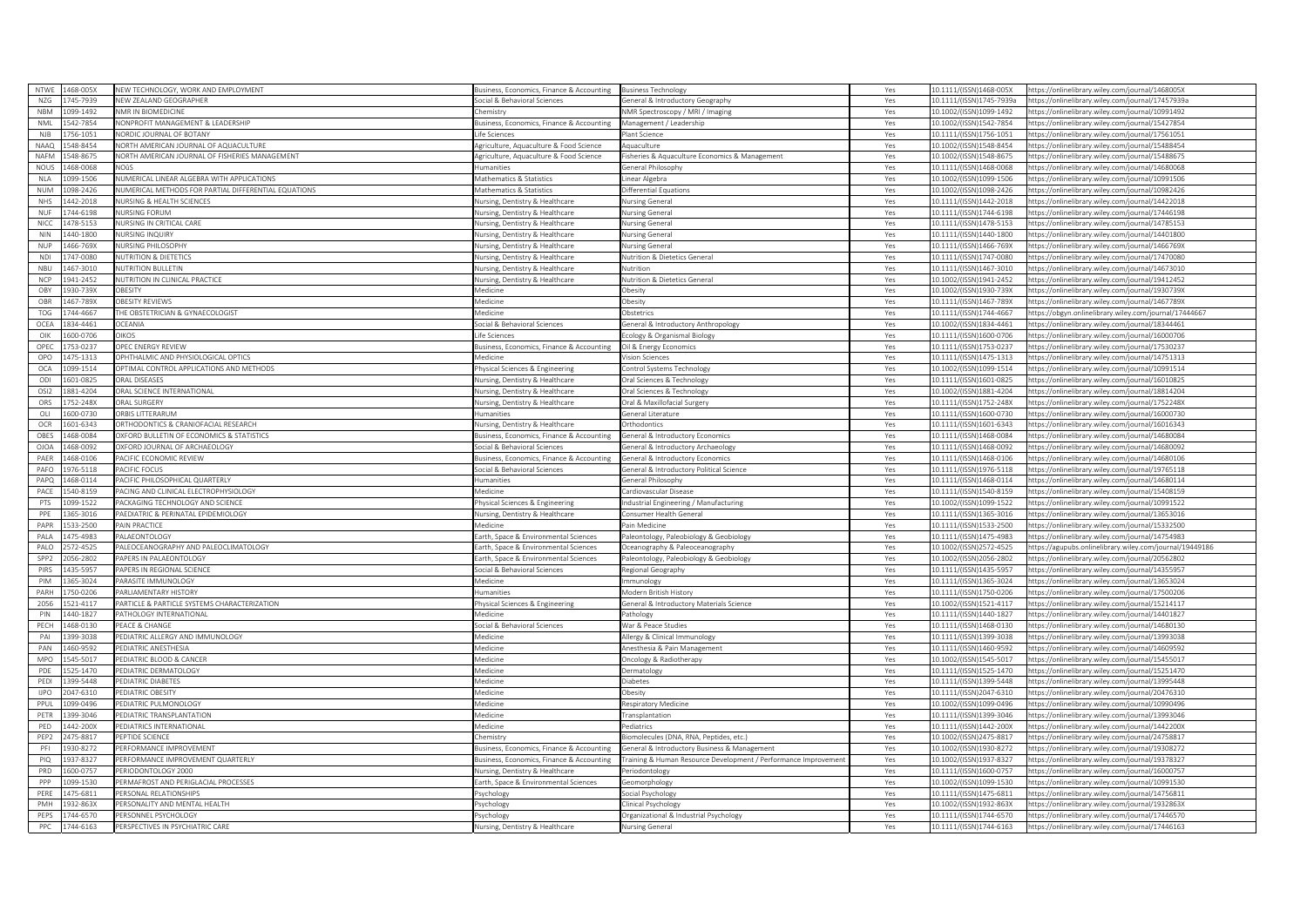| <b>NTWF</b>      | 468-005X             | NEW TECHNOLOGY, WORK AND EMPLOYMENT                            | usiness, Economics, Finance & Accounting                                     | <b>Business Technology</b>                                      | Yes        | 10.1111/(ISSN)1468-005X                            | https://onlinelibrary.wiley.com/journal/1468005X                                                     |
|------------------|----------------------|----------------------------------------------------------------|------------------------------------------------------------------------------|-----------------------------------------------------------------|------------|----------------------------------------------------|------------------------------------------------------------------------------------------------------|
| NZG              | 745-7939             | NEW ZEALAND GEOGRAPHER                                         | ocial & Behavioral Sciences                                                  | General & Introductory Geography                                | Yes        | 10.1111/(ISSN)1745-7939a                           | https://onlinelibrary.wiley.com/journal/17457939a                                                    |
| <b>NBM</b>       | 199-1492             | <b>VMR IN BIOMEDICINE</b>                                      | hemistry                                                                     | NMR Spectroscopy / MRI / Imaging                                | Yes        | 10.1002/(ISSN)1099-1492                            | ttps://onlinelibrary.wiley.com/journal/10991492                                                      |
| <b>NMI</b>       | 542-7854             | NONPROFIT MANAGEMENT & LEADERSHIP                              | usiness, Economics, Finance & Accounting                                     | Management / Leadership                                         | Yes        | 10.1002/(ISSN)1542-7854                            | https://onlinelibrary.wiley.com/iournal/15427854                                                     |
| <b>NJB</b>       | 56-1051              | JORDIC JOURNAL OF BOTANY                                       | fe Sciences                                                                  | lant Science                                                    | Yes        | 10.1111/(ISSN)1756-1051                            | ittps://onlinelibrary.wiley.com/journal/17561051                                                     |
| <b>NAAQ</b>      | 548-8454             | NORTH AMERICAN JOURNAL OF AQUACULTURE                          | Agriculture, Aguaculture & Food Science                                      | Aquaculture                                                     | Yes        | 10.1002/(ISSN)1548-8454                            | https://onlinelibrary.wiley.com/journal/15488454                                                     |
| <b>NAFM</b>      | 548-8675             | JORTH AMERICAN JOURNAL OF FISHERIES MANAGEMENT                 | griculture, Aquaculture & Food Science                                       | isheries & Aquaculture Economics & Management                   | Yes        | 0.1002/(ISSN)1548-8675                             | ttps://onlinelibrary.wiley.com/journal/1548867!                                                      |
| NOUS             | 168-0068             | JOÛS                                                           | lumanities                                                                   | eneral Philosophy                                               | Yes        | 10.1111/(ISSN)1468-0068                            | ttps://onlinelibrary.wiley.com/journal/14680068                                                      |
| <b>NLA</b>       | 099-1506             | NUMERICAL LINEAR ALGEBRA WITH APPLICATIONS                     | Mathematics & Statistics                                                     | inear Algebra                                                   | Yes        | 10.1002/(ISSN)1099-1506                            | ttps://onlinelibrary.wiley.com/journal/10991506                                                      |
| <b>NIJM</b>      | 098-2426             | NUMERICAL METHODS FOR PARTIAL DIFFERENTIAL EQUATIONS           | Mathematics & Statistics                                                     | Differential Equations                                          | Yes        | 10.1002/(ISSN)1098-2426                            | https://onlinelibrary.wiley.com/journal/10982426                                                     |
| <b>NHS</b>       | 442-2018             | <b>NURSING &amp; HEALTH SCIENCES</b>                           | <b>Nursing, Dentistry &amp; Healthcare</b>                                   | <b>Nursing Genera</b>                                           | Yes        | 10.1111/(ISSN)1442-2018                            | https://onlinelibrary.wiley.com/journal/14422018                                                     |
| <b>NUI</b>       | 744-6198             | <b>JURSING FORUM</b>                                           | ursing, Dentistry & Healthcare                                               | lursing General                                                 | Yes        | 10.1111/(ISSN)1744-6198                            | ttps://onlinelibrary.wiley.com/journal/17446198                                                      |
| <b>NICC</b>      | 178-5153             | NURSING IN CRITICAL CARE                                       | lursing, Dentistry & Healthcare                                              | <b>Jursing General</b>                                          | Yes        | 10.1111/(ISSN)1478-5153                            | https://onlinelibrary.wiley.com/journal/14785153                                                     |
| NIN              | 140-1800             | <b>NURSING INQUIRY</b>                                         | Iursing, Dentistry & Healthcare                                              | <b>Nursing General</b>                                          | Yes        | 10.1111/(ISSN)1440-1800                            | https://onlinelibrary.wiley.com/iournal/14401800                                                     |
| <b>NUP</b>       | 466-769X             | <b>NURSING PHILOSOPHY</b>                                      | Jursing, Dentistry & Healthcare                                              | <b>Nursing General</b>                                          | Yes        | 10.1111/(ISSN)1466-769X                            | https://onlinelibrary.wiley.com/journal/1466769X                                                     |
| <b>NDI</b>       | 747-0080             | <b>JUTRITION &amp; DIETETICS</b>                               | ursing. Dentistry & Healthcare                                               | <b>Jutrition &amp; Dietetics General</b>                        | Yes        | 10.1111/(ISSN)1747-0080                            | ttps://onlinelibrary.wiley.com/iournal/17470080                                                      |
| NBU              | 467-3010             | <b>NUTRITION BULLETIN</b>                                      | lursing, Dentistry & Healthcare                                              | <b>Nutrition</b>                                                | Yes        | 10.1111/(ISSN)1467-3010                            | ttps://onlinelibrary.wiley.com/journal/14673010                                                      |
| <b>NCP</b>       | 941-2452             | <b>NUTRITION IN CLINICAL PRACTICE</b>                          | Nursing, Dentistry & Healthcare                                              | Nutrition & Dietetics General                                   | Yes        | 0.1002/(ISSN)1941-2452                             | sttps://onlinelibrary.wiley.com/journal/19412452                                                     |
| OBY              | 930-739X             | <b>BESITY</b>                                                  | <i>Aedicine</i>                                                              | Obesity                                                         | Yes        | 10.1002/(ISSN)1930-739X                            | https://onlinelibrary.wiley.com/journal/1930739X                                                     |
| OBR              | 467-789X             | BESITY REVIEWS                                                 | Medicine                                                                     | besity                                                          | Yes        | 10.1111/(ISSN)1467-789X                            | ttps://onlinelibrary.wiley.com/journal/1467789X                                                      |
| TOG              | 744-4667             | HE OBSTETRICIAN & GYNAECOLOGIST                                | Aedicine                                                                     | Obstetrics                                                      | Yes        | 10.1111/(ISSN)1744-4667                            | https://obgyn.onlinelibrary.wiley.com/journal/17444667                                               |
| OCEA             | 334-4461             | <b>CEANIA</b>                                                  | ocial & Behavioral Sciences                                                  | eneral & Introductory Anthropology                              | Yes        | 0.1002/(ISSN)1834-4461                             | ttps://onlinelibrary.wiley.com/journal/18344461                                                      |
| $O$ IK           | 600-0706             | <b>JIKOS</b>                                                   | fe Sciences                                                                  | cology & Organismal Biology                                     | Yes        | 10.1111/(ISSN)1600-0706                            | https://onlinelibrary.wiley.com/journal/16000706                                                     |
| OPEC             | 53-0237              | <b>DPEC ENERGY REVIEW</b>                                      | usiness, Economics, Finance & Accounting                                     | Oil & Energy Economics                                          | Yes        | 10.1111/(ISSN)1753-0237                            | ttps://onlinelibrary.wiley.com/journal/17530237                                                      |
| OPO              | 475-1313             | OPHTHALMIC AND PHYSIOLOGICAL OPTICS                            | <b>Iedicine</b>                                                              | sion Sciences                                                   | Yes        | 10.1111/(ISSN)1475-1313                            | ttps://onlinelibrary.wiley.com/journal/14751313                                                      |
| OCA              | 199-1514             | OPTIMAL CONTROL APPLICATIONS AND METHODS                       | hysical Sciences & Engineering                                               | ontrol Systems Technology                                       | Yes        | 0.1002/(ISSN)1099-1514                             | ttps://onlinelibrary.wiley.com/journal/10991514                                                      |
| ODI              | 601-0825             | RAI DISEASES                                                   | Jursing, Dentistry & Healthcare                                              | Oral Sciences & Technology                                      | Yes        | 10.1111/(ISSN)1601-0825                            | https://onlinelibrary.wiley.com/iournal/16010825                                                     |
| OSI2             | 881-4204             | <b>DRAL SCIENCE INTERNATIONAL</b>                              | Iursing. Dentistry & Healthcare                                              | Oral Sciences & Technology                                      | Yes        | 10.1002/(ISSN)1881-4204                            | 1ttps://onlinelibrary.wiley.com/journal/18814204                                                     |
| ORS              | 752-248X             | RAL SURGERY                                                    | ursing, Dentistry & Healthcare                                               | Oral & Maxillofacial Surgery                                    | Yes        | 10.1111/(ISSN)1752-248X                            | https://onlinelibrary.wiley.com/iournal/1752248X                                                     |
| OLI              | 600-0730             | RBIS LITTERARUM                                                | <i>i</i> manities                                                            | eneral Literature                                               | Yes        | 0.1111/(ISSN)1600-0730                             | ittps://onlinelibrary.wiley.com/iournal/1600073                                                      |
| OCR              | 601-6343             | RTHODONTICS & CRANIOFACIAL RESEARCH                            | Jursing, Dentistry & Healthcare                                              | <b>Orthodontics</b>                                             | Yes        | 10.1111/(ISSN)1601-6343                            | https://onlinelibrary.wiley.com/iournal/16016343                                                     |
| OBES             | 468-0084             | <b>DXFORD BULLETIN OF ECONOMICS &amp; STATISTICS</b>           | Business, Economics, Finance & Accounting                                    | General & Introductory Economics                                | Yes        | 10.1111/(ISSN)1468-0084                            | https://onlinelibrary.wiley.com/journal/14680084                                                     |
| <b>OJOA</b>      | 168-0092             | XFORD JOURNAL OF ARCHAEOLOGY                                   | ocial & Behavioral Sciences                                                  | eneral & Introductory Archaeology                               | Yes        | 10.1111/(ISSN)1468-0092                            | sttps://onlinelibrary.wiley.com/journal/14680092                                                     |
| PAER             | 468-0106             | ACIFIC ECONOMIC REVIEW                                         | usiness, Economics, Finance & Accounting                                     | General & Introductory Economics                                | Yes        | 10.1111/(ISSN)1468-0106                            | https://onlinelibrary.wiley.com/journal/14680106                                                     |
| PAFO             | 76-5118              | <b>ACIFIC FOCUS</b>                                            | ocial & Behavioral Sciences                                                  | eneral & Introductory Political Science                         | Yes        | 0.1111/(ISSN)1976-5118                             | ttps://onlinelibrary.wiley.com/iournal/19765118                                                      |
| PAPO             | 468-0114             | ACIFIC PHILOSOPHICAL OUARTERLY                                 | lumanities                                                                   | <b>General Philosophy</b>                                       | Yes        | 10.1111/(ISSN)1468-0114                            | https://onlinelibrary.wiley.com/journal/14680114                                                     |
| PACE             | 540-8159             | ACING AND CLINICAL ELECTROPHYSIOLOGY                           | <b>Medicine</b>                                                              | Cardiovascular Disease                                          | Yes        | 10.1111/(ISSN)1540-8159                            | ttps://onlinelibrary.wiley.com/journal/15408159                                                      |
| PTS              | 099-1522             | ACKAGING TECHNOLOGY AND SCIENCE                                |                                                                              |                                                                 |            | 10.1002/(ISSN)1099-1522                            | https://onlinelibrary.wiley.com/iournal/10991522                                                     |
| PPE              |                      |                                                                | hysical Sciences & Engineering<br><b>Nursing, Dentistry &amp; Healthcare</b> | ndustrial Engineering / Manufacturing<br>onsumer Health General | Yes<br>Yes | 0.1111/(ISSN)1365-3016                             | ttps://onlinelibrary.wiley.com/journal/13653016                                                      |
|                  |                      |                                                                |                                                                              |                                                                 |            |                                                    |                                                                                                      |
|                  | 65-3016              | AEDIATRIC & PERINATAL EPIDEMIOLOGY                             |                                                                              |                                                                 |            |                                                    |                                                                                                      |
| PAPR             | 533-2500             | AIN PRACTICE                                                   | Aedicine                                                                     | Pain Medicine                                                   | Yes        | 10.1111/(ISSN)1533-2500                            | https://onlinelibrary.wiley.com/journal/15332500                                                     |
| PALA             | 475-4983             | ALAEONTOLOGY                                                   | arth, Space & Environmental Sciences                                         | Paleontology, Paleobiology & Geobiology                         | Yes        | 10.1111/(ISSN)1475-4983                            | ttps://onlinelibrary.wiley.com/journal/14754983                                                      |
| PALO             | 572-4525             | ALEOCEANOGRAPHY AND PALEOCLIMATOLOGY                           | arth, Space & Environmental Sciences                                         | Oceanography & Paleoceanography                                 | Yes        | 10.1002/(ISSN)2572-4525                            | https://agupubs.onlinelibrary.wiley.com/journal/19449186                                             |
| SPP <sub>2</sub> | 056-2802             | APERS IN PALAEONTOLOGY                                         | arth, Space & Environmental Sciences                                         | aleontology, Paleobiology & Geobiology                          | Yes        | 0.1002/(ISSN)2056-2802                             | ttps://onlinelibrary.wiley.com/journal/20562802                                                      |
| PIRS             | 435-5957             | APERS IN REGIONAL SCIENCE                                      | ocial & Behavioral Sciences                                                  | Regional Geography                                              | Yes        | 10.1111/(ISSN)1435-5957                            | https://onlinelibrary.wiley.com/journal/14355957                                                     |
| PIM              | 365-3024             | ARASITE IMMUNOLOGY                                             | Aedicine                                                                     | munology                                                        | Yes        | 10.1111/(ISSN)1365-3024                            | https://onlinelibrary.wiley.com/journal/13653024                                                     |
| PARH             | 50-0206              | ARLIAMENTARY HISTORY                                           | umanities                                                                    | Modern British History                                          | Yes        | 10.1111/(ISSN)1750-0206                            | ttps://onlinelibrary.wiley.com/journal/17500206                                                      |
| 2056             | 521-4117             | PARTICLE & PARTICLE SYSTEMS CHARACTERIZATION                   | hysical Sciences & Engineering                                               | ieneral & Introductory Materials Science                        | Yes        | 10.1002/(ISSN)1521-4117                            | https://onlinelibrary.wiley.com/journal/15214111                                                     |
| PIN              | 140-1827             | ATHOLOGY INTERNATIONAL                                         | 1edicine                                                                     | athology                                                        | Yes        | 10.1111/(ISSN)1440-1827                            | https://onlinelibrary.wiley.com/journal/14401827                                                     |
| PECH             | 468-0130             | <b>PEACE &amp; CHANGE</b>                                      | ocial & Behavioral Sciences                                                  | War & Peace Studies                                             | Yes        | 10.1111/(ISSN)1468-0130                            | https://onlinelibrary.wiley.com/journal/14680130                                                     |
| PAI              | 399-3038             | EDIATRIC ALLERGY AND IMMUNOLOGY                                | Aedicine                                                                     | llergy & Clinical Immunology                                    | Yes        | 10.1111/(ISSN)1399-3038                            | ttps://onlinelibrary.wiley.com/journal/13993038                                                      |
| PAN              | 460-9592             | <b>EDIATRIC ANESTHESIA</b>                                     | Aedicine                                                                     | nesthesia & Pain Management                                     | Yes        | 10.1111/(ISSN)1460-9592                            | https://onlinelibrary.wiley.com/journal/14609592                                                     |
| <b>MPO</b>       | 545-5017             | <b>EDIATRIC BLOOD &amp; CANCER</b>                             | Aedicine                                                                     | Oncology & Radiotherapy                                         | Yes        | LO.1002/(ISSN)1545-5017                            | ttps://onlinelibrary.wiley.com/journal/15455017                                                      |
| PDE              | 525-1470             | <b>EDIATRIC DERMATOLOGY</b>                                    | Aedicine                                                                     | ermatology                                                      | Yes        | 10.1111/(ISSN)1525-1470                            | https://onlinelibrary.wiley.com/journal/15251470                                                     |
| PEDI             | 399-5448             | <b>FDIATRIC DIABETES</b>                                       | Aedicine                                                                     | iabetes                                                         | Yes        | 10.1111/(ISSN)1399-5448                            | https://onlinelibrary.wiley.com/journal/13995448                                                     |
| <b>UPO</b>       | 047-6310             | PEDIATRIC ORESITY                                              | <b>Iedicine</b>                                                              | besity                                                          | Yes        | 10.1111/(ISSN)2047-6310                            | https://onlinelibrary.wiley.com/journal/20476310                                                     |
| PPU              | 199-0496             | <b>FDIATRIC PUI MONOLOGY</b>                                   | ledicine                                                                     | espiratory Medicine                                             | Yes        | 0.1002/(ISSN)1099-0496                             | ttps://onlinelibrary.wiley.com/journal/10990496                                                      |
| PETR             | 399-3046             | PEDIATRIC TRANSPI ANTATION                                     | <i>Aedicine</i>                                                              | ransplantation                                                  | Yes        | 10.1111/(ISSN)1399-3046                            | https://onlinelibrary.wiley.com/iournal/13993046                                                     |
| PED              | 442-200X             | <b>EDIATRICS INTERNATIONAL</b>                                 | Aedicine                                                                     | ediatrics                                                       | Yes        | 10.1111/(ISSN)1442-200X                            | ttps://onlinelibrary.wiley.com/journal/1442200X                                                      |
| PEP <sub>2</sub> | 475-8817             | <b>EPTIDE SCIENCE</b>                                          | hemistry                                                                     | iomolecules (DNA, RNA, Peptides, etc.                           | Yes        | 10.1002/(ISSN)2475-8817                            | ittps://onlinelibrary.wiley.com/journal/24758817                                                     |
| PFI              | 330-8272             | <b>ERFORMANCE IMPROVEMENT</b>                                  | siness, Economics, Finance & Accounting                                      | General & Introductory Business & Management                    | Yes        | 0.1002/(ISSN)1930-8272                             | ttps://onlinelibrary.wiley.com/journal/19308272                                                      |
| PIQ              | 337-8327             | ERFORMANCE IMPROVEMENT QUARTERLY                               | usiness, Economics, Finance & Accounting                                     | Training & Human Resource Development / Performance Improvemer  | Yes        | 10.1002/(ISSN)1937-8327                            | ittps://onlinelibrary.wiley.com/journal/19378327                                                     |
| PRD              | 500-0757             | <b>ERIODONTOLOGY 2000</b>                                      | lursing, Dentistry & Healthcare                                              | Periodontology                                                  | Yes        | 10.1111/(ISSN)1600-0757                            | https://onlinelibrary.wiley.com/journal/16000757                                                     |
| PPP              | 099-1530             | ERMAFROST AND PERIGLACIAL PROCESSES                            | arth, Space & Environmental Sciences                                         | eomorphology                                                    | Yes        | 10.1002/(ISSN)1099-1530                            | ttps://onlinelibrary.wiley.com/journal/10991530                                                      |
| PERE             | 475-6811             | ERSONAL RELATIONSHIP!                                          | svchology                                                                    | ocial Psychology                                                | Yes        | 10.1111/(ISSN)1475-6811                            | ttps://onlinelibrary.wiley.com/journal/14756811                                                      |
| PMH              | 332-863X             | ERSONALITY AND MENTAL HEALTH                                   | svchology                                                                    | linical Psychology                                              | Yes        | 10.1002/(ISSN)1932-863X                            | sttps://onlinelibrary.wiley.com/journal/1932863)                                                     |
| PEPS<br>PPC      | 744-6570<br>744-6163 | <b>ERSONNEL PSYCHOLOGY</b><br>PERSPECTIVES IN PSYCHIATRIC CARE | sychology<br><b>Nursing, Dentistry &amp; Healthcare</b>                      | Organizational & Industrial Psychology                          | Yes        | 10.1111/(ISSN)1744-6570<br>10.1111/(ISSN)1744-6163 | https://onlinelibrary.wiley.com/journal/17446570<br>https://onlinelibrary.wiley.com/journal/17446163 |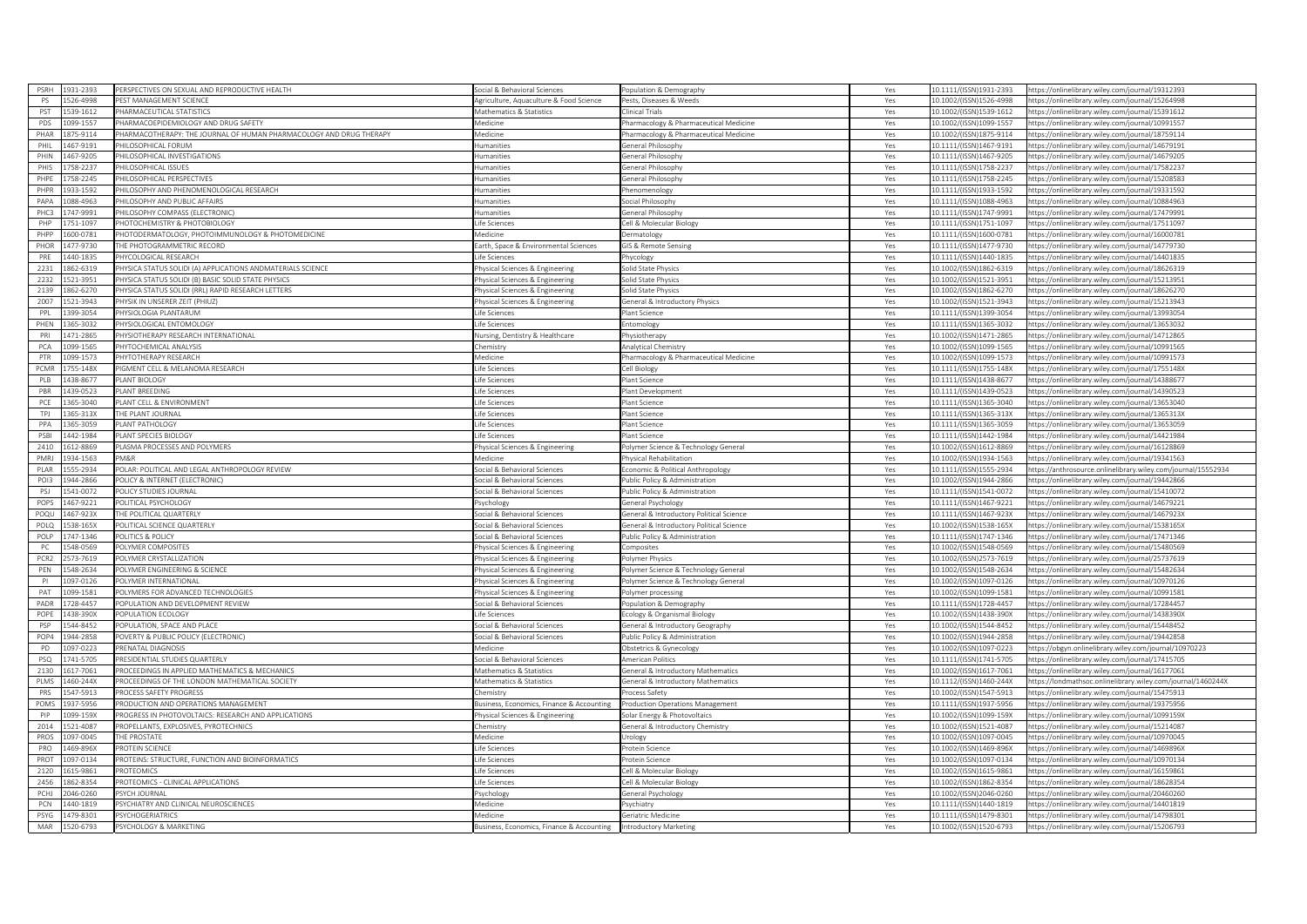| PSRH             | 1931-2393 | PERSPECTIVES ON SEXUAL AND REPRODUCTIVE HEALTH                      | ocial & Behavioral Sciences                                      | Population & Demography                  | Yes        | 0.1111/(ISSN)1931-2393  | https://onlinelibrary.wiley.com/journal/19312393              |
|------------------|-----------|---------------------------------------------------------------------|------------------------------------------------------------------|------------------------------------------|------------|-------------------------|---------------------------------------------------------------|
| PS               | 526-4998  | PEST MANAGEMENT SCIENCE                                             | Agriculture, Aquaculture & Food Science                          | Pests, Diseases & Weeds                  | Yes        | LO.1002/(ISSN)1526-4998 | https://onlinelibrary.wiley.com/journal/15264998              |
| PST              | 539-1612  | PHARMACEUTICAL STATISTICS                                           | Mathematics & Statistics                                         | linical Trials                           | Yes        | 0.1002/(ISSN)1539-1612  | sttps://onlinelibrary.wiley.com/journal/15391612              |
| PDS              | 099-1557  | PHARMACOEPIDEMIOLOGY AND DRUG SAFETY                                | Aedicine                                                         | harmacology & Pharmaceutical Medicine    | Yes        | 10.1002/(ISSN)1099-1557 | https://onlinelibrary.wiley.com/journal/10991557              |
| PHAR             | 875-9114  | PHARMACOTHERAPY: THE JOURNAL OF HUMAN PHARMACOLOGY AND DRUG THERAPY | edicine                                                          | harmacology & Pharmaceutical Medicine    | Yes        | 0.1002/(ISSN)1875-9114  | https://onlinelibrary.wiley.com/iournal/18759114              |
| PHIL             | 467-9191  | PHILOSOPHICAL FORUM                                                 | <b>lumanities</b>                                                | Seneral Philosophy                       | Yes        | 10.1111/(ISSN)1467-9191 | https://onlinelibrary.wiley.com/journal/14679191              |
| PHIN             | 467-9205  | HILOSOPHICAL INVESTIGATIONS                                         | umanities                                                        | eneral Philosophy                        | Yes        | 0.1111/(ISSN)1467-9205  | ttps://onlinelibrary.wiley.com/journal/14679205               |
| PHIS             | 758-2237  | PHILOSOPHICAL ISSUES                                                | umanities                                                        | eneral Philosophy                        | Yes        | 10.1111/(ISSN)1758-2237 | https://onlinelibrary.wiley.com/journal/17582237              |
| PHPE             | 758-2245  | <b>PHILOSOPHICAL PERSPECTIVES</b>                                   | lumanities                                                       | Seneral Philosophy                       | Yes        | 10.1111/(ISSN)1758-2245 | ittps://onlinelibrary.wiley.com/journal/15208583              |
| PHPR             | 933-1592  | PHILOSOPHY AND PHENOMENOLOGICAL RESEARCH                            | lumanities                                                       |                                          |            | 10.1111/(ISSN)1933-1592 | https://onlinelibrary.wiley.com/journal/19331592              |
| PAPA             | 088-4963  | HILOSOPHY AND PUBLIC AFFAIRS                                        | umanities                                                        | henomenology<br>ocial Philosophy         | Yes<br>Yes | 10.1111/(ISSN)1088-4963 |                                                               |
| PHC <sup>3</sup> |           |                                                                     |                                                                  |                                          |            |                         | ttps://onlinelibrary.wiley.com/journal/10884963               |
|                  | 47-9991   | <b>PHILOSOPHY COMPASS (ELECTRONIC</b>                               | <i>a</i> manities                                                | eneral Philosophy                        | Yes        | 0.1111/(ISSN)1747-9991  | ttps://onlinelibrary.wiley.com/journal/17479991               |
| PHP              | 751-1097  | HOTOCHEMISTRY & PHOTOBIOLOGY                                        | ife Sciences                                                     | ell & Molecular Biology                  | Yes        | 0.1111/(ISSN)1751-1097  | ittps://onlinelibrary.wiley.com/iournal/17511097              |
| PHPP             | 600-0781  | HOTODERMATOLOGY, PHOTOIMMUNOLOGY & PHOTOMEDICINE                    | ledicine                                                         | ermatology                               | Yes        | 10.1111/(ISSN)1600-0781 | nttps://onlinelibrary.wiley.com/journal/16000781              |
| PHOR             | 477-9730  | THE PHOTOGRAMMETRIC RECORD                                          | arth, Space & Environmental Sciences                             | <b>IS &amp; Remote Sensing</b>           | Yes        | 0.1111/(ISSN)1477-9730  | ttps://onlinelibrary.wiley.com/journal/14779730               |
| PRF              | 440-1835  | PHYCOLOGICAL RESEARCH                                               | ife Sciences                                                     | <b>ycology</b>                           | Yes        | 0.1111/(ISSN)1440-1835  | ttps://onlinelibrary.wiley.com/journal/14401835               |
| 2231             | 362-6319  | PHYSICA STATUS SOLIDI (A) APPLICATIONS ANDMATERIALS SCIENCE         | nysical Sciences & Engineering                                   | olid State Physics                       | Yes        | 0.1002/(ISSN)1862-6319  | ttps://onlinelibrary.wiley.com/journal/18626319               |
| 2232             | 521-3951  | PHYSICA STATUS SOLIDI (B) BASIC SOLID STATE PHYSICS                 | hysical Sciences & Engineering                                   | olid State Physics                       | Yes        | LO.1002/(ISSN)1521-3951 | https://onlinelibrary.wiley.com/journal/15213951              |
| 2139             | 862-6270  | PHYSICA STATUS SOLIDI (RRL) RAPID RESEARCH LETTERS                  | hysical Sciences & Engineering                                   | Solid State Physics                      | Yes        | 0.1002/(ISSN)1862-6270  | https://onlinelibrary.wiley.com/journal/18626270              |
| 2007             | 521-3943  | PHYSIK IN UNSERER ZEIT (PHIUZ)                                      | hysical Sciences & Engineering                                   | ieneral & Introductory Physics           | Yes        | 0.1002/(ISSN)1521-3943  | https://onlinelibrary.wiley.com/journal/15213943              |
| PPL              | 399-3054  | PHYSIOI OGIA PI ANTARUM                                             | fe Sciences                                                      | lant Science                             | Yes        | 0.1111/(ISSN)1399-3054  | https://onlinelibrary.wiley.com/journal/13993054              |
| PHEN             | 865-3032  | PHYSIOLOGICAL ENTOMOLOGY                                            | ife Sciences                                                     | ntomology                                | Yes        | 0.1111/(ISSN)1365-3032  | sttps://onlinelibrary.wiley.com/iournal/13653032              |
| PRI              | 471-2865  | PHYSIOTHERAPY RESEARCH INTERNATIONAL                                | lursing, Dentistry & Healthcare                                  | hysiotherapy                             | Yes        | 0.1002/(ISSN)1471-2865  | https://onlinelibrary.wiley.com/journal/14712865              |
| PCA              | 099-1565  | PHYTOCHEMICAL ANALYSIS                                              | hemistry                                                         | nalytical Chemistry                      | Yes        | 0.1002/(ISSN)1099-1565  | ttps://onlinelibrary.wiley.com/journal/10991565               |
| PTR              | 099-1573  | PHYTOTHERAPY RESEARCH                                               | Medicine                                                         | Pharmacology & Pharmaceutical Medicine   | Yes        | 10.1002/(ISSN)1099-1573 | nttps://onlinelibrary.wiley.com/journal/10991573              |
| PCMR             | 755-148X  | PIGMENT CELL & MELANOMA RESEARCH                                    | ife Sciences                                                     | ell Biology                              | Yes        | 0.1111/(ISSN)1755-148X  | ttps://onlinelibrary.wiley.com/journal/1755148X               |
| PLB              | 438-8677  | PLANT BIOLOGY                                                       | ife Sciences                                                     | lant Science                             | Yes        | 10.1111/(ISSN)1438-8677 | https://onlinelibrary.wiley.com/journal/14388677              |
| PBR              | 439-0523  | PLANT BREEDING                                                      | ife Sciences                                                     | lant Development                         | Yes        | 10.1111/(ISSN)1439-0523 | ittps://onlinelibrary.wiley.com/journal/14390523              |
| PCE              | 365-3040  | PLANT CELL & ENVIRONMENT                                            |                                                                  |                                          |            | 0.1111/(ISSN)1365-3040  | ttps://onlinelibrary.wiley.com/iournal/13653040               |
|                  | 865-313X  | THE PLANT IOURNAL                                                   | fe Sciences                                                      | lant Science                             | Yes        |                         |                                                               |
| TPJ              |           |                                                                     | fe Sciences                                                      | lant Science                             | Yes        | 0.1111/(ISSN)1365-313X  | ttps://onlinelibrary.wiley.com/journal/1365313X               |
| PPA              | 365-3059  | PLANT PATHOLOGY                                                     | ife Sciences                                                     | lant Science                             | Yes        | 10.1111/(ISSN)1365-3059 | https://onlinelibrary.wiley.com/journal/13653059              |
| PSBI             | 442-1984  | PLANT SPECIES BIOLOGY                                               | fe Sciences                                                      | lant Science                             | Yes        | 0.1111/(ISSN)1442-1984  | ttps://onlinelibrary.wiley.com/journal/14421984               |
| 2410             | 612-8869  | LASMA PROCESSES AND POLYMERS                                        | hysical Sciences & Engineering                                   | 'olymer Science & Technology General     | Yes        | 10.1002/(ISSN)1612-8869 | ttps://onlinelibrary.wiley.com/journal/16128869               |
| PMRJ             | 34-1563   | PM&R                                                                | ledicine                                                         | <b>ysical Rehabilitation</b>             | Yes        | 0.1002/(ISSN)1934-1563  | ttps://onlinelibrary.wiley.com/journal/19341563               |
| PIAR             | 555-2934  | POLAR: POLITICAL AND LEGAL ANTHROPOLOGY REVIEW                      | ocial & Behavioral Sciences                                      | conomic & Political Anthropology         | Yes        | 10.1111/(ISSN)1555-2934 | https://anthrosource.onlinelibrary.wiley.com/journal/15552934 |
| POI3             | 944-2866  | POLICY & INTERNET (ELECTRONIC)                                      | ocial & Behavioral Sciences                                      | Public Policy & Administration           | Yes        | 10.1002/(ISSN)1944-2866 | https://onlinelibrary.wiley.com/journal/19442866              |
| PSJ              | 541-0072  | OLICY STUDIES JOURNAL                                               | ocial & Behavioral Sciences                                      | ublic Policy & Administration            | Yes        | 0.1111/(ISSN)1541-0072  | sttps://onlinelibrary.wiley.com/journal/15410072              |
| POPS             | 467-9221  | OLITICAL PSYCHOLOGY                                                 | svchology                                                        | eneral Psychology                        | Yes        | 0.1111/(ISSN)1467-9221  | ittps://onlinelibrary.wiley.com/journal/14679221              |
| POQU             | 467-923X  | <b>HE POLITICAL QUARTERLY</b>                                       | ocial & Behavioral Sciences                                      | eneral & Introductory Political Science  | Yes        | 0.1111/(ISSN)1467-923X  | https://onlinelibrary.wiley.com/journal/1467923>              |
| POLQ             | 538-165X  | POLITICAL SCIENCE QUARTERLY                                         | ocial & Behavioral Sciences                                      | ieneral & Introductory Political Science | Yes        | 10.1002/(ISSN)1538-165X | https://onlinelibrary.wiley.com/journal/1538165X              |
| POLP             | 747-1346  | POLITICS & POLICY                                                   | ocial & Behavioral Sciences                                      | ublic Policy & Administration            | Yes        | 0.1111/(ISSN)1747-1346  | ttps://onlinelibrary.wiley.com/journal/17471346               |
| PC               | 548-0569  | POLYMER COMPOSITES                                                  | hysical Sciences & Engineering                                   | omposites                                | Yes        | 0.1002/(ISSN)1548-0569  | ttps://onlinelibrary.wiley.com/journal/15480569               |
| PCR <sub>2</sub> | 573-7619  | POLYMER CRYSTALLIZATION                                             | hysical Sciences & Engineering                                   | 'olymer Physics                          | Yes        | LO.1002/(ISSN)2573-7619 | https://onlinelibrary.wiley.com/journal/25737619              |
| PEN              | 548-2634  | POLYMER ENGINEERING & SCIENCE                                       | hysical Sciences & Engineering                                   | olymer Science & Technology General      | Yes        | LO.1002/(ISSN)1548-2634 | https://onlinelibrary.wiley.com/journal/15482634              |
| P1               | 097-0126  | POLYMER INTERNATIONAL                                               | hysical Sciences & Engineering                                   | Polymer Science & Technology General     | Yes        | LO.1002/(ISSN)1097-0126 | https://onlinelibrary.wiley.com/journal/10970126              |
| PAT              | 099-1581  | POLYMERS FOR ADVANCED TECHNOLOGIES                                  | nysical Sciences & Engineering                                   | olymer processing                        | Yes        | 10.1002/(ISSN)1099-1581 | https://onlinelibrary.wiley.com/journal/10991581              |
| PADR             | 728-4457  | POPULATION AND DEVELOPMENT REVIEW                                   | ocial & Behavioral Sciences                                      | opulation & Demography                   | Yes        | 0.1111/(ISSN)1728-4457  | https://onlinelibrary.wiley.com/journal/17284457              |
| POPE             | 438-390X  | POPULATION ECOLOGY                                                  | ife Sciences                                                     | cology & Organismal Biology              | Yes        | LO.1002/(ISSN)1438-390X | https://onlinelibrary.wiley.com/journal/1438390X              |
| PSP              | 544-8452  | POPULATION, SPACE AND PLACE                                         | ocial & Behavioral Sciences                                      | eneral & Introductory Geography          | Yes        | 0.1002/(ISSN)1544-8452  | ttps://onlinelibrary.wiley.com/journal/15448452               |
| POP4             | 944-2858  | POVERTY & PUBLIC POLICY (ELECTRONIC)                                | ocial & Behavioral Sciences                                      | ublic Policy & Administration            | Yes        | 10.1002/(ISSN)1944-2858 | ttps://onlinelibrary.wiley.com/journal/19442858               |
|                  | 197-0223  | <b>RENATAL DIAGNOSIS</b>                                            | ledicine                                                         |                                          |            |                         |                                                               |
| PD               |           |                                                                     |                                                                  | Obstetrics & Gynecology                  | Yes        | 0.1002/(ISSN)1097-0223  | ttps://obgyn.onlinelibrary.wiley.com/journal/10970223         |
| PSQ              | 741-5705  | PRESIDENTIAL STUDIES QUARTERLY                                      | ocial & Behavioral Sciences                                      | American Politics                        | Yes        | I0.1111/(ISSN)1741-5705 | nttps://onlinelibrary.wiley.com/journal/17415705              |
| 2130             | 617-7061  | PROCEEDINGS IN APPLIED MATHEMATICS & MECHANICS                      | <b>Aathematics &amp; Statistics</b>                              | eneral & Introductory Mathematics        | Yes        | LO.1002/(ISSN)1617-7061 | ttps://onlinelibrary.wiley.com/journal/16177061               |
| PLMS             | 460-244X  | ROCEEDINGS OF THE LONDON MATHEMATICAL SOCIETY                       | <b>Aathematics &amp; Statistics</b>                              | eneral & Introductory Mathematics        | Yes        | 0.1112/(ISSN)1460-244X  | ttps://londmathsoc.onlinelibrary.wiley.com/journal/1460244X   |
| PRS              | 647-5913  | <b>PROCESS SAFETY PROGRESS</b>                                      | hemistrv                                                         | ocess Safety                             | Yes        | 0.1002/(ISSN)1547-5913  | ttps://onlinelibrary.wiley.com/journal/15475913               |
| POMS             | 937-5956  | PRODUCTION AND OPERATIONS MANAGEMENT                                | usiness, Economics, Finance & Accounting                         | roduction Operations Management          | Yes        | 0.1111/(ISSN)1937-5956  | https://onlinelibrary.wiley.com/journal/19375956              |
| PIP              | 099-159X  | <b>PROGRESS IN PHOTOVOLTAICS: RESEARCH AND APPLICATIONS</b>         | hysical Sciences & Engineering                                   | plar Energy & Photovoltaics              | Yes        | 0.1002/(ISSN)1099-159X  | ittps://onlinelibrary.wiley.com/journal/1099159>              |
| 2014             | 521-4087  | PROPELLANTS, EXPLOSIVES, PYROTECHNICS                               | <b>nemistry</b>                                                  | eneral & Introductory Chemistry          | Yes        | 10.1002/(ISSN)1521-4087 | https://onlinelibrary.wiley.com/journal/15214087              |
| PROS             | 97-0045   | <b>HE PROSTATE</b>                                                  | dedicine                                                         | rology                                   | Yes        | 0.1002/(ISSN)1097-0045  | ttps://onlinelibrary.wiley.com/journal/10970045               |
| PRO              | 469-896X  | ROTEIN SCIENCI                                                      | ife Sciences                                                     | rotein Science                           | Yes        | 10.1002/(ISSN)1469-896X | https://onlinelibrary.wiley.com/journal/1469896X              |
| PROT             | 097-0134  | PROTEINS: STRUCTURE, FUNCTION AND BIOINFORMATICS                    | ife Sciences                                                     | rotein Science                           | Yes        | 10.1002/(ISSN)1097-0134 | https://onlinelibrary.wiley.com/journal/10970134              |
| 2120             | 615-9861  | PROTEOMICS                                                          | ife Sciences                                                     | ell & Molecular Biology                  | Yes        | 10.1002/(ISSN)1615-9861 | https://onlinelibrary.wiley.com/journal/16159861              |
| 2456             | 862-8354  | ROTEOMICS - CLINICAL APPLICATIONS                                   | fe Sciences                                                      | ell & Molecular Biology                  | Yes        | 0.1002/(ISSN)1862-8354  | ttps://onlinelibrary.wiley.com/iournal/18628354               |
| PCHI             | 146-0260  | <b>SYCH IOURNAL</b>                                                 | sychology                                                        | eneral Psychology                        | Yes        | 0.1002/(ISSN)2046-0260  | https://onlinelibrary.wiley.com/journal/20460260              |
| PCN              | 440-1819  | <b>SYCHIATRY AND CLINICAL NEUROSCIENCES</b>                         | Medicine                                                         | sychiatry                                | Yes        | I0.1111/(ISSN)1440-1819 | https://onlinelibrary.wiley.com/journal/14401819              |
| PSYG             | 479-8301  | PSYCHOGERIATRICS                                                    | Medicine                                                         | Geriatric Medicine                       | Yes        | 0.1111/(ISSN)1479-8301  | https://onlinelibrary.wiley.com/journal/14798301              |
| MAR              | 520-6793  | PSYCHOLOGY & MARKETING                                              | Business, Economics, Finance & Accounting Introductory Marketing |                                          | Yes        | 10.1002/(ISSN)1520-6793 | https://onlinelibrary.wiley.com/journal/15206793              |
|                  |           |                                                                     |                                                                  |                                          |            |                         |                                                               |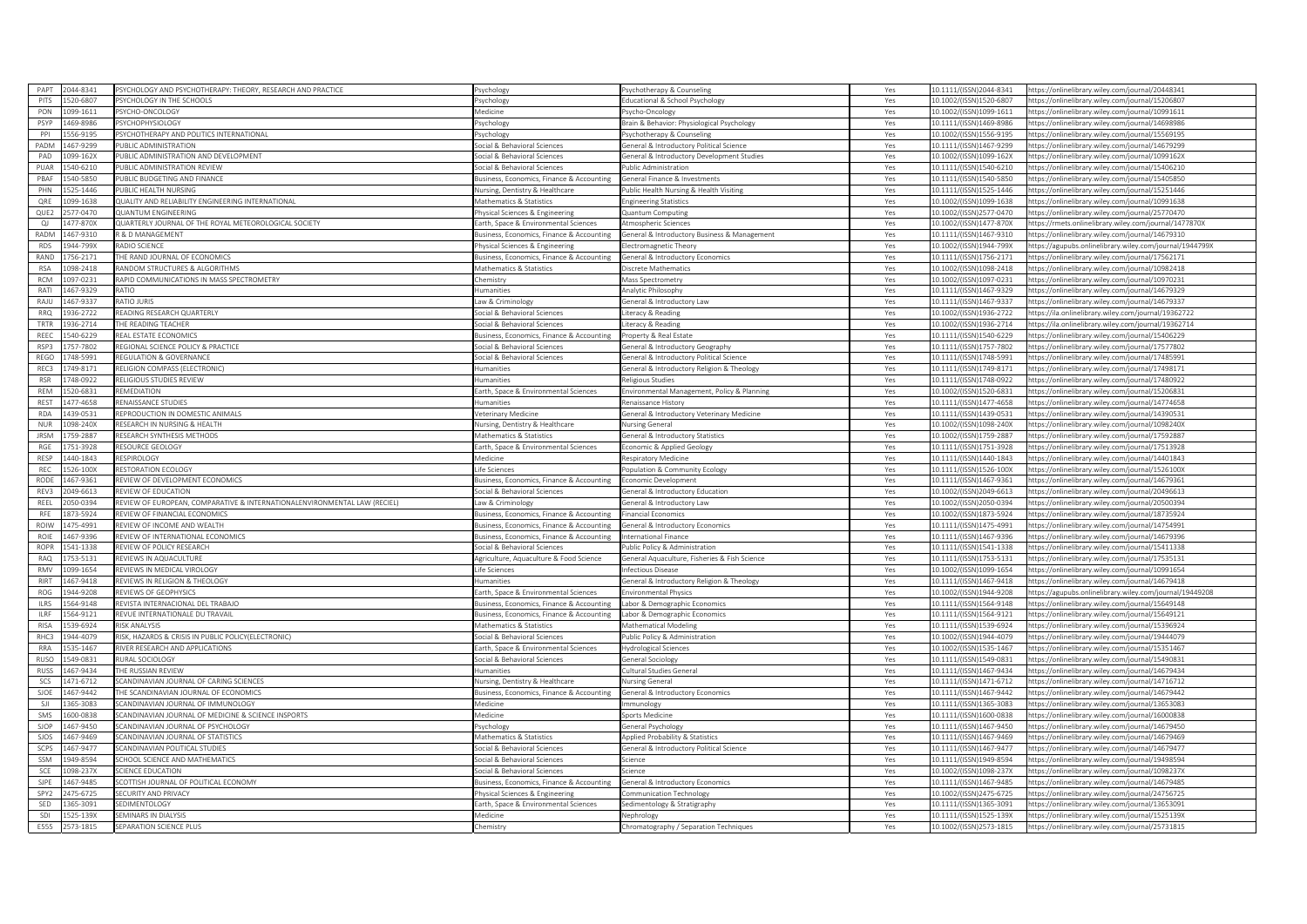|                  | 044-8341 | SYCHOLOGY AND PSYCHOTHERAPY: THEORY, RESEARCH AND PRACTICE               | svchology                                  | 'sychotherapy & Counseling                                  | Yes | 10.1111/(ISSN)2044-8341 | https://onlinelibrary.wiley.com/journal/20448341         |
|------------------|----------|--------------------------------------------------------------------------|--------------------------------------------|-------------------------------------------------------------|-----|-------------------------|----------------------------------------------------------|
| PITS             | 520-6807 | <b>PSYCHOLOGY IN THE SCHOOLS</b>                                         | sychology                                  | Educational & School Psychology                             | Yes | 10.1002/(ISSN)1520-6807 | https://onlinelibrary.wiley.com/journal/15206807         |
| PON              | 099-1611 | <b>PSYCHO-ONCOLOGY</b>                                                   | ledicine                                   | svcho-Oncology                                              | Yes | 10.1002/(ISSN)1099-1611 | nttps://onlinelibrary.wiley.com/journal/10991611         |
| PSYP             | 169-8986 | 'SYCHOPHYSIOLOG'                                                         | sychology                                  | Brain & Behavior: Physiological Psychology                  | Yes | 10.1111/(ISSN)1469-8986 | https://onlinelibrary.wiley.com/iournal/14698986         |
| PPI              | 56-919   | SYCHOTHERAPY AND POLITICS INTERNATIONAL                                  | sychology                                  | sychotherapy & Counseling                                   | Yes | 10.1002/(ISSN)1556-9195 | ttps://onlinelibrary.wiley.com/iournal/1556919           |
| PADM             | 167-9299 | UBLIC ADMINISTRATION                                                     | ocial & Behavioral Sciences                | General & Introductory Political Science                    | Yes | 10.1111/(ISSN)1467-9299 | https://onlinelibrary.wiley.com/journal/14679299         |
| PAD              | 099-162X | PUBLIC ADMINISTRATION AND DEVELOPMENT                                    | ocial & Behavioral Sciences                | General & Introductory Development Studies                  | Yes | 10.1002/(ISSN)1099-162X | https://onlinelibrary.wiley.com/journal/1099162X         |
| PUAR             | 540-6210 | UBLIC ADMINISTRATION REVIEW                                              | ocial & Behavioral Sciences                | Public Administration                                       | Yes | 10.1111/(ISSN)1540-6210 | ttps://onlinelibrary.wiley.com/journal/15406210          |
| PBAF             | 540-5850 | UBLIC BUDGETING AND FINANCE                                              | usiness, Economics, Finance & Accounting   | General Finance & Investments                               | Yes | 10.1111/(ISSN)1540-5850 | https://onlinelibrary.wiley.com/journal/15405850         |
| PHN              | 25-1446  | UBLIC HEALTH NURSING                                                     | Iursing, Dentistry & Healthcare            | ublic Health Nursing & Health Visiting                      | Yes | 10.1111/(ISSN)1525-1446 | https://onlinelibrary.wiley.com/journal/15251446         |
| QRE              | 099-1638 | QUALITY AND RELIABILITY ENGINEERING INTERNATIONAL                        | Mathematics & Statistics                   | Ingineering Statistics                                      | Yes | 10.1002/(ISSN)1099-1638 | https://onlinelibrary.wiley.com/journal/10991638         |
| QUE2             | 577-0470 | <b>UANTUM ENGINEERING</b>                                                | hysical Sciences & Engineering             | <b>Quantum Computing</b>                                    | Yes | 10.1002/(ISSN)2577-0470 | https://onlinelibrary.wiley.com/journal/25770470         |
| $\Omega$         | 477-870X | QUARTERLY JOURNAL OF THE ROYAL METEOROLOGICAL SOCIETY                    | arth. Space & Environmental Sciences       | Atmospheric Sciences                                        | Yes | 10.1002/(ISSN)1477-870X | https://rmets.onlinelibrary.wiley.com/journal/1477870X   |
|                  |          |                                                                          |                                            |                                                             |     |                         |                                                          |
| RADM             | 167-9310 | R & D MANAGEMENT                                                         | Business, Economics, Finance & Accounting  | <b>General &amp; Introductory Business &amp; Management</b> | Yes | 10.1111/(ISSN)1467-9310 | https://onlinelibrary.wiley.com/journal/14679310         |
| RDS              | 944-799X | RADIO SCIENCE                                                            | hysical Sciences & Engineering             | lectromagnetic Theory                                       | Yes | 10.1002/(ISSN)1944-799X | https://agupubs.onlinelibrary.wiley.com/journal/1944799X |
| RAND             | 756-2171 | HE RAND JOURNAL OF ECONOMICS                                             | usiness, Economics, Finance & Accounting   | ieneral & Introductory Economics                            | Yes | 10.1111/(ISSN)1756-2171 | https://onlinelibrary.wiley.com/journal/17562171         |
| <b>RSA</b>       | 098-2418 | RANDOM STRUCTURES & ALGORITHMS                                           | Mathematics & Statistics                   | iscrete Mathematics                                         | Yes | 10.1002/(ISSN)1098-2418 | https://onlinelibrary.wiley.com/journal/10982418         |
| <b>RCM</b>       | 097-0231 | RAPID COMMUNICATIONS IN MASS SPECTROMETRY                                | hemistry                                   | Mass Spectrometry                                           | Yes | 10.1002/(ISSN)1097-0231 | https://onlinelibrary.wiley.com/journal/10970231         |
| RATI             | 467-9329 | <b>OITA</b>                                                              | umanities                                  | Analytic Philosophy                                         | Yes | 10.1111/(ISSN)1467-9329 | https://onlinelibrary.wiley.com/journal/14679329         |
| RAJU             | 467-9337 | <b>RATIO ILIRIS</b>                                                      | aw & Criminology                           | ieneral & Introductory Law                                  | Yes | 10.1111/(ISSN)1467-9337 | https://onlinelibrary.wiley.com/journal/14679337         |
| <b>RRO</b>       | 36-2722  | EADING RESEARCH QUARTERLY                                                | ocial & Behavioral Sciences                | iteracy & Reading                                           | Yes | 10.1002/(ISSN)1936-2722 | https://ila.onlinelibrary.wiley.com/journal/19362722     |
| TRTR             | 936-2714 | HE READING TEACHER                                                       | ocial & Behavioral Sciences                | iteracy & Reading                                           | Yes | 10.1002/(ISSN)1936-2714 | https://ila.onlinelibrary.wiley.com/journal/19362714     |
| REEC             | 540-6229 | REAL ESTATE ECONOMICS                                                    | Business, Economics, Finance & Accounting  | Property & Real Estate                                      | Yes | 10.1111/(ISSN)1540-6229 | https://onlinelibrary.wiley.com/journal/15406229         |
| RSP3             | 757-7802 | EGIONAL SCIENCE POLICY & PRACTICE                                        | ocial & Behavioral Science                 | ieneral & Introductory Geography                            | Yes | 10.1111/(ISSN)1757-7802 | https://onlinelibrary.wiley.com/journal/17577802         |
| REGO             | 748-5991 | <b><i>REGULATION &amp; GOVERNANCE</i></b>                                | ocial & Behavioral Sciences                | General & Introductory Political Science                    | Yes | 10.1111/(ISSN)1748-5991 | https://onlinelibrary.wiley.com/journal/17485991         |
| REC3             | 749-8171 | ELIGION COMPASS (ELECTRONIC)                                             | umanities                                  | General & Introductory Religion & Theology                  | Yes | 10.1111/(ISSN)1749-8171 | https://onlinelibrary.wiley.com/journal/17498171         |
| <b>RSR</b>       | 48-0922  | RELIGIOUS STUDIES REVIEW                                                 | umanities                                  | Religious Studies                                           | Yes | 10.1111/(ISSN)1748-0922 | https://onlinelibrary.wiley.com/journal/17480922         |
| REM              | 520-6831 | REMEDIATION                                                              | arth, Space & Environmental Sciences       | Environmental Management, Policy & Planning                 | Yes | 10.1002/(ISSN)1520-6831 | nttps://onlinelibrary.wiley.com/journal/15206831         |
| <b>REST</b>      | 477-4658 | <b>ENAISSANCE STUDIES</b>                                                | umanities                                  | Renaissance History                                         | Yes | 10.1111/(ISSN)1477-4658 | sttps://onlinelibrary.wiley.com/journal/14774658         |
| <b>RDA</b>       | 439-0531 | EPRODUCTION IN DOMESTIC ANIMALS                                          | eterinary Medicine                         | ieneral & Introductory Veterinary Medicine                  | Yes | 10.1111/(ISSN)1439-0531 | https://onlinelibrary.wiley.com/journal/14390531         |
| NUR              | 98-240X  | ESEARCH IN NURSING & HEALTH                                              | <b>Jursing, Dentistry &amp; Healthcare</b> | Nursing General                                             | Yes | 10.1002/(ISSN)1098-240X | https://onlinelibrary.wiley.com/journal/1098240X         |
| <b>IRSM</b>      | 759-2887 | RESEARCH SYNTHESIS METHODS                                               | Mathematics & Statistics                   | General & Introductory Statistics                           | Yes | 10.1002/(ISSN)1759-2887 | https://onlinelibrary.wiley.com/journal/17592887         |
| RGE              | 751-3928 | RESOURCE GEOLOGY                                                         |                                            |                                                             |     |                         |                                                          |
|                  |          |                                                                          | arth, Space & Environmental Sciences       | conomic & Applied Geology                                   | Yes | 10.1111/(ISSN)1751-3928 | https://onlinelibrary.wiley.com/journal/17513928         |
| RESP             | 440-1843 | RESPIROLOGY                                                              | Medicine                                   | Respiratory Medicine                                        | Yes | 10.1111/(ISSN)1440-1843 | https://onlinelibrary.wiley.com/journal/14401843         |
| REC              | 26-100X  | <b>IFSTORATION FCOLOGY</b>                                               | fe Sciences                                | Population & Community Ecology                              | Yes | 10.1111/(ISSN)1526-100X | https://onlinelibrary.wiley.com/journal/1526100X         |
| RODE             | 467-9361 | REVIEW OF DEVELOPMENT ECONOMICS                                          | Business, Economics, Finance & Accounting  | Economic Development                                        | Yes | 10.1111/(ISSN)1467-9361 | nttps://onlinelibrary.wiley.com/journal/14679361         |
|                  |          |                                                                          |                                            |                                                             |     |                         |                                                          |
| REV3             | 049-6613 | <b>IEVIEW OF EDUCATION</b>                                               | ocial & Behavioral Sciences                | eneral & Introductory Education                             | Yes | 10.1002/(ISSN)2049-6613 | nttps://onlinelibrary.wiley.com/iournal/20496613         |
| REEL             | 050-0394 | EVIEW OF EUROPEAN, COMPARATIVE & INTERNATIONALENVIRONMENTAL LAW (RECIEL) | aw & Criminology                           | ieneral & Introductory Law                                  | Yes | 10.1002/(ISSN)2050-0394 | https://onlinelibrary.wiley.com/iournal/20500394         |
| RFE              | 873-5924 | <b>FVIEW OF FINANCIAL ECONOMICS</b>                                      | usiness, Economics, Finance & Accounting   | inancial Economics                                          | Yes | 10.1002/(ISSN)1873-5924 | https://onlinelibrary.wiley.com/journal/18735924         |
| ROIW             | 175-4991 | REVIEW OF INCOME AND WEALTH                                              | Business, Economics, Finance & Accounting  | General & Introductory Economics                            | Yes | 10.1111/(ISSN)1475-4991 | nttps://onlinelibrary.wiley.com/journal/14754991         |
| ROIE             | 467-9396 | EVIEW OF INTERNATIONAL ECONOMICS                                         | usiness, Economics, Finance & Accounting   | nternational Finance                                        | Yes | 10.1111/(ISSN)1467-9396 | https://onlinelibrary.wiley.com/journal/14679396         |
| <b>ROPR</b>      | 541-1338 | <b>EVIEW OF POLICY RESEARCH</b>                                          | ocial & Behavioral Sciences                | ublic Policy & Administration                               | Yes | 10.1111/(ISSN)1541-1338 | https://onlinelibrary.wiley.com/journal/15411338         |
| RAQ              | 53-5131  | EVIEWS IN AQUACULTURE                                                    | griculture, Aquaculture & Food Science     | General Aquaculture, Fisheries & Fish Science               | Yes | 10.1111/(ISSN)1753-5131 | ttps://onlinelibrary.wiley.com/journal/17535131          |
| <b>RMV</b>       | 199-1654 | EVIEWS IN MEDICAL VIROLOGY                                               | ife Sciences                               | Infectious Disease                                          | Yes | 10.1002/(ISSN)1099-1654 | nttps://onlinelibrary.wiley.com/journal/10991654         |
| RIRT             | 467-9418 | REVIEWS IN RELIGION & THEOLOGY                                           | umanities                                  | General & Introductory Religion & Theology                  | Yes | 10.1111/(ISSN)1467-9418 | https://onlinelibrary.wiley.com/journal/14679418         |
| ROG              | 944-9208 | <b>EVIEWS OF GEOPHYSICS</b>                                              | arth, Space & Environmental Sciences       | nvironmental Physics                                        | Yes | 10.1002/(ISSN)1944-9208 | https://agupubs.onlinelibrary.wiley.com/journal/19449208 |
| <b>ILRS</b>      | 564-9148 | REVISTA INTERNACIONAL DEL TRABAJO                                        | usiness, Economics, Finance & Accounting   | abor & Demographic Economics                                | Yes | 10.1111/(ISSN)1564-9148 | https://onlinelibrary.wiley.com/journal/15649148         |
| <b>IIRE</b>      | 64-9121  |                                                                          |                                            |                                                             | Yes | 10.1111/(ISSN)1564-9121 | ttps://onlinelibrary.wiley.com/iournal/15649121          |
| <b>RISA</b>      |          | <b><i>EVUE INTERNATIONALE DU TRAVAIL</i></b><br><b>RISK ANALYSIS</b>     | usiness, Economics, Finance & Accounting   | abor & Demographic Economics                                |     |                         |                                                          |
|                  | 539-6924 |                                                                          | Mathematics & Statistics                   | Mathematical Modeling                                       | Yes | 10.1111/(ISSN)1539-6924 | https://onlinelibrary.wiley.com/journal/15396924         |
| RHC3             | 944-4079 | RISK, HAZARDS & CRISIS IN PUBLIC POLICY(ELECTRONIC)                      | ocial & Behavioral Sciences                | ublic Policy & Administration                               | Yes | 10.1002/(ISSN)1944-4079 | https://onlinelibrary.wiley.com/journal/19444079         |
| <b>RRA</b>       | 535-1467 | <b>RIVER RESEARCH AND APPLICATIONS</b>                                   | arth, Space & Environmental Sciences       | <b>Hydrological Sciences</b>                                | Yes | 10.1002/(ISSN)1535-1467 | https://onlinelibrary.wiley.com/journal/15351467         |
| RUSO             | 549-0831 | <b>IURAL SOCIOLOGY</b>                                                   | Social & Behavioral Sciences               | General Sociology                                           | Yes | 10.1111/(ISSN)1549-0831 | https://onlinelibrary.wiley.com/journal/15490831         |
| RUSS             | 467-9434 | HE RUSSIAN REVIEW                                                        | umanities                                  | Cultural Studies General                                    | Yes | 10.1111/(ISSN)1467-9434 | https://onlinelibrary.wiley.com/journal/14679434         |
| <b>SCS</b>       | 471-6712 | CANDINAVIAN JOURNAL OF CARING SCIENCES                                   | lursing, Dentistry & Healthcare            | <b>Nursing General</b>                                      | Yes | 10.1111/(ISSN)1471-6712 | https://onlinelibrary.wiley.com/journal/14716712         |
| SJOE             | 467-9442 | HE SCANDINAVIAN JOURNAL OF ECONOMICS                                     | usiness. Economics. Finance & Accounting   | General & Introductory Economics                            | Yes | 10.1111/(ISSN)1467-9442 | https://onlinelibrary.wiley.com/journal/14679442         |
| SJI              | 65-3083  | CANDINAVIAN JOURNAL OF IMMUNOLOGY                                        | ledicine                                   | mmunology                                                   | Yes | 10.1111/(ISSN)1365-3083 | ttps://onlinelibrary.wiley.com/journal/13653083          |
| SMS              | 600-0838 | CANDINAVIAN JOURNAL OF MEDICINE & SCIENCE INSPORTS                       | Medicine                                   | ports Medicine                                              | Yes | 10.1111/(ISSN)1600-0838 | https://onlinelibrary.wiley.com/iournal/16000838         |
| SJOP             | 467-9450 | CANDINAVIAN JOURNAL OF PSYCHOLOGY                                        | sychology                                  | eneral Psychology                                           | Yes | 10.1111/(ISSN)1467-9450 | https://onlinelibrary.wiley.com/journal/14679450         |
| SJOS             | 467-9469 | CANDINAVIAN JOURNAL OF STATISTICS                                        | <b>Mathematics &amp; Statistics</b>        | pplied Probability & Statistics                             | Yes | 10.1111/(ISSN)1467-9469 | https://onlinelibrary.wiley.com/journal/14679469         |
| SCPS             | 467-9477 | CANDINAVIAN POLITICAL STUDIES                                            | ocial & Behavioral Sciences                | ieneral & Introductory Political Science                    | Yes | 10.1111/(ISSN)1467-9477 | https://onlinelibrary.wiley.com/journal/14679477         |
| SSM              | 949-8594 | CHOOL SCIENCE AND MATHEMATICS                                            | ocial & Behavioral Sciences                | icience                                                     | Yes | 10.1111/(ISSN)1949-8594 | https://onlinelibrary.wiley.com/journal/19498594         |
| SCE              | 198-237) | CIENCE EDUCATION                                                         | ocial & Behavioral Sciences                | icience                                                     | Yes | 10.1002/(ISSN)1098-237X | https://onlinelibrary.wiley.com/journal/1098237X         |
| SIPE             | 467-9485 | COTTISH JOURNAL OF POLITICAL ECONOMY                                     | usiness, Economics, Finance & Accounting   | General & Introductory Economics                            | Yes | 10.1111/(ISSN)1467-9485 | https://onlinelibrary.wiley.com/journal/14679485         |
| SPY <sub>2</sub> | 475-6725 | ECURITY AND PRIVACY                                                      | nysical Sciences & Engineerin              | ommunication Technology                                     | Yes | 10.1002/(ISSN)2475-6725 | https://onlinelibrary.wiley.com/journal/24756725         |
| SED              | 65-3091  | EDIMENTOLOGY                                                             | arth, Space & Environmental Sciences       | iedimentology & Stratigraphy                                | Yes | 10.1111/(ISSN)1365-3091 | ttps://onlinelibrary.wiley.com/journal/13653091          |
| SDI              | 525-139X | SEMINARS IN DIALYSIS                                                     | Aedicine                                   | Nephrology                                                  | Yes | 10.1111/(ISSN)1525-139X | https://onlinelibrary.wiley.com/journal/1525139X         |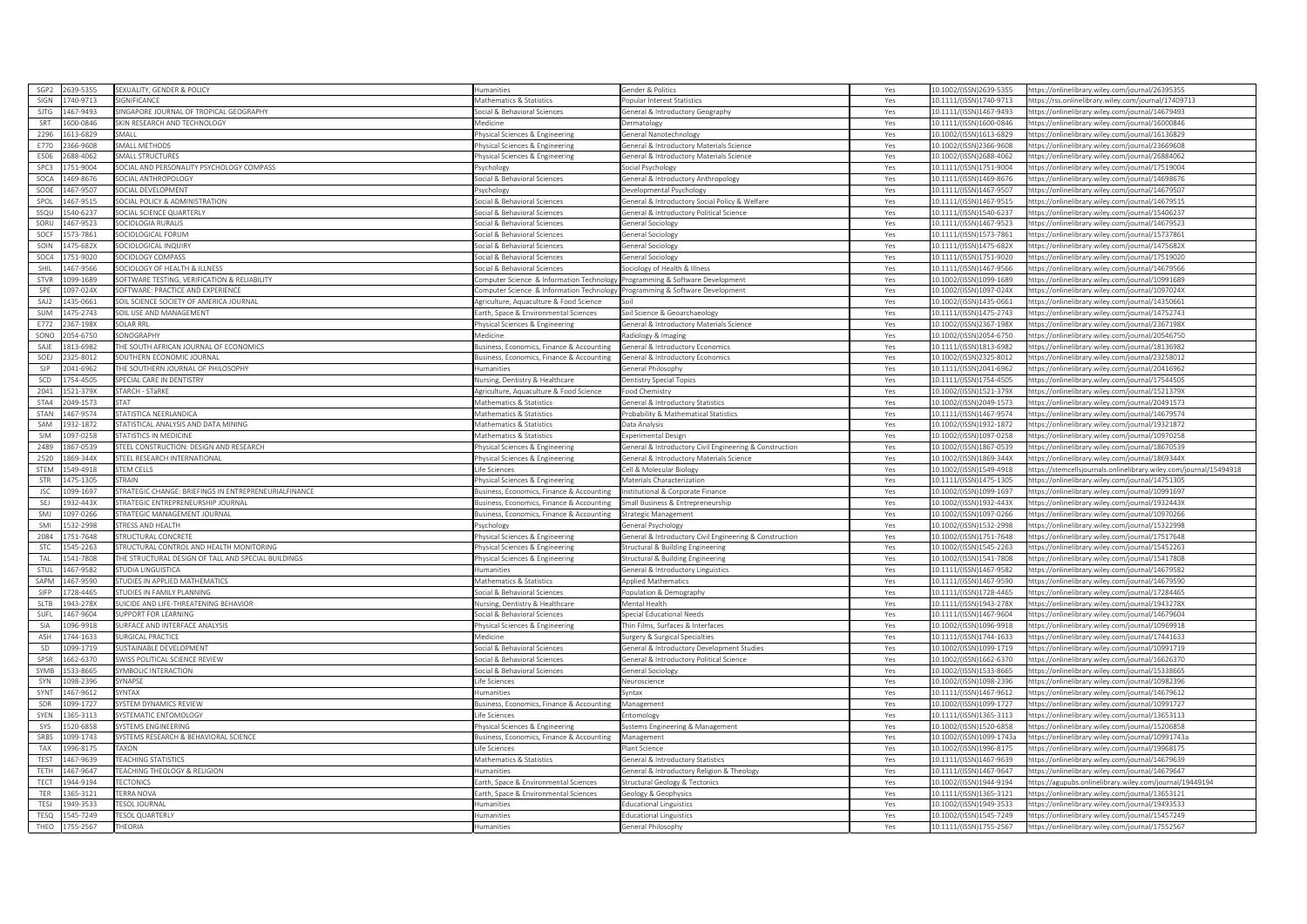| SGP <sub>2</sub> | 2639-5355 | SEXUALITY, GENDER & POLICY                           | umanities                                 | ender & Politics                                       | Yes | 10.1002/(ISSN)2639-5355  | nttps://onlinelibrary.wiley.com/journal/26395355                   |
|------------------|-----------|------------------------------------------------------|-------------------------------------------|--------------------------------------------------------|-----|--------------------------|--------------------------------------------------------------------|
| SIGN             | 740-9713  | <b>IGNIFICANCE</b>                                   | Mathematics & Statistics                  | opular Interest Statistics                             | Yes | 10.1111/(ISSN)1740-9713  | https://rss.onlinelibrary.wiley.com/journal/17409713               |
| SITG             | 467-9493  | <b>INGAPORE IOURNAL OF TROPICAL GEOGRAPHY</b>        | ocial & Behavioral Sciences               | eneral & Introductory Geography                        | Yes | 10.1111/(ISSN)1467-9493  | ttps://onlinelibrary.wiley.com/journal/14679493                    |
| SRT              | 600-0846  | SKIN RESEARCH AND TECHNOLOGY                         | Aedicine                                  | ermatology                                             | Yes | 10.1111/(ISSN)1600-0846  | https://onlinelibrary.wiley.com/journal/16000846                   |
| 2296             | 513-6829  | <b>MALL</b>                                          | hysical Sciences & Engineering            | eneral Nanotechnology                                  | Yes | 0.1002/(ISSN)1613-6829   | ttps://onlinelibrary.wiley.com/journal/16136829                    |
| E770             | 366-9608  | SMALL METHODS                                        | hysical Sciences & Engineering            | ieneral & Introductory Materials Science               | Yes | 10.1002/(ISSN)2366-9608  | https://onlinelibrary.wiley.com/journal/23669608                   |
| E506             | 68-4062   | SMALL STRUCTURES                                     | hysical Sciences & Engineering            | eneral & Introductory Materials Science                | Yes | 10.1002/(ISSN)2688-4062  | ttps://onlinelibrary.wiley.com/journal/26884062                    |
| SPC3             | 751-9004  | OCIAL AND PERSONALITY PSYCHOLOGY COMPASS             | 'sychology                                | ocial Psychology                                       | Yes | 10.1111/(ISSN)1751-9004  | ttps://onlinelibrary.wiley.com/journal/17519004                    |
| SOCA             | 469-8676  | SOCIAL ANTHROPOLOGY                                  | ocial & Behavioral Sciences               | ieneral & Introductory Anthropology                    | Yes | 10.1111/(ISSN)1469-8676  | https://onlinelibrary.wiley.com/journal/14698676                   |
| SODE             | 467-9507  | <b>OCIAL DEVELOPMENT</b>                             | Psychology                                | evelopmental Psychology                                | Yes | 10.1111/(ISSN)1467-9507  | https://onlinelibrary.wiley.com/journal/14679507                   |
| SPOL             | 467-9515  | <b>OCIAL POLICY &amp; ADMINISTRATION</b>             | Social & Behavioral Sciences              | eneral & Introductory Social Policy & Welfare          | Yes | 10.1111/(ISSN)1467-9515  | nttps://onlinelibrary.wiley.com/journal/14679515                   |
| SSOL             | 540-6237  | OCIAL SCIENCE QUARTERLY                              | ocial & Behavioral Sciences               | eneral & Introductory Political Science                | Yes | 10.1111/(ISSN)1540-6237  | ttps://onlinelibrary.wiley.com/journal/15406237                    |
| SORU             |           | SOCIOLOGIA RURALIS                                   |                                           |                                                        |     |                          |                                                                    |
|                  | 467-9523  |                                                      | ocial & Behavioral Sciences               | eneral Sociology                                       | Yes | 0.1111/(ISSN)1467-9523   | https://onlinelibrary.wiley.com/journal/14679523                   |
| SOCF             | 573-7861  | SOCIOLOGICAL FORUM                                   | ocial & Behavioral Sciences               | eneral Sociology                                       | Yes | 10.1111/(ISSN)1573-7861  | https://onlinelibrary.wiley.com/journal/15737861                   |
| SOIN             | 475-682X  | OCIOLOGICAL INQUIRY                                  | ocial & Behavioral Sciences               | eneral Sociology                                       | Yes | 10.1111/(ISSN)1475-682X  | https://onlinelibrary.wiley.com/journal/1475682X                   |
| SOC4             | 751-9020  | <b>OCIOLOGY COMPASS</b>                              | ocial & Behavioral Sciences               | eneral Sociology                                       | Yes | 10.1111/(ISSN)1751-9020  | https://onlinelibrary.wiley.com/iournal/17519020                   |
| SHIL             | 467-9566  | OCIOLOGY OF HEALTH & ILLNESS                         | ocial & Behavioral Sciences               | ociology of Health & Illness                           | Yes | 10.1111/(ISSN)1467-9566  | ttps://onlinelibrary.wiley.com/journal/14679566                    |
| STVR             | 099-1689  | OFTWARE TESTING, VERIFICATION & RELIABILITY          | mputer Science & Information Technology   | rogramming & Software Development                      | Yes | 10.1002/(ISSN)1099-1689  | ttps://onlinelibrary.wiley.com/journal/10991689                    |
| SPE              | 097-024X  | OFTWARE: PRACTICE AND EXPERIENCE                     | omputer Science & Information Technology  | Programming & Software Development                     | Yes | 10.1002/(ISSN)1097-024X  | https://onlinelibrary.wiley.com/journal/1097024X                   |
| SAJ2             | 435-0661  | SOIL SCIENCE SOCIETY OF AMERICA JOURNAL              | griculture, Aquaculture & Food Science    |                                                        | Yes | 10.1002/(ISSN)1435-0661  | https://onlinelibrary.wiley.com/journal/14350661                   |
| SUM              | 475-2743  | SOIL USE AND MANAGEMENT                              | Earth, Space & Environmental Sciences     | ioil Science & Geoarchaeology                          | Yes | 10.1111/(ISSN)1475-2743  | https://onlinelibrary.wiley.com/journal/14752743                   |
| F772             | 367-198X  | OI AR RRI                                            | nysical Sciences & Engineering            | eneral & Introductory Materials Science                | Yes | 0.1002/(ISSN)2367-198X   | tps://onlinelibrary.wiley.com/journal/2367198X                     |
| SONC             | 054-6750  | <b>ONOGRAPHY</b>                                     | <b>Medicine</b>                           | adiology & Imaging                                     | Yes | 10.1002/(ISSN)2054-6750  | nttps://onlinelibrary.wiley.com/journal/20546750                   |
| SAJE             | 813-6982  | THE SOUTH AFRICAN JOURNAL OF ECONOMICS               | usiness, Economics, Finance & Accounting  | eneral & Introductory Economics                        | Yes | 10.1111/(ISSN)1813-6982  | ttps://onlinelibrary.wiley.com/journal/18136982                    |
| SOEJ             | 325-8012  | <b>OUTHERN ECONOMIC JOURNAL</b>                      | usiness, Economics, Finance & Accounting  | eneral & Introductory Economics                        | Yes | 10.1002/(ISSN)2325-8012  | ttps://onlinelibrary.wiley.com/journal/23258012                    |
| <b>SJP</b>       | 141-6962  | HE SOUTHERN JOURNAL OF PHILOSOPHY                    | umanities                                 | eneral Philosophy                                      | Yes | 0.1111/(ISSN)2041-6962   | ttps://onlinelibrary.wiley.com/journal/20416962                    |
| SCD              | 754-4505  | SPECIAL CARE IN DENTISTRY                            | Nursing, Dentistry & Healthcare           | entistry Special Topics                                | Yes | 10.1111/(ISSN)1754-4505  | https://onlinelibrary.wiley.com/journal/17544505                   |
| 2041             | 521-379X  | TARCH - STäRKE                                       | Agriculture, Aquaculture & Food Science   | ood Chemistry                                          | Yes | 10.1002/(ISSN)1521-379X  | https://onlinelibrary.wiley.com/journal/1521379X                   |
| STA4             | 049-1573  | <b>TAT</b>                                           | <b>Aathematics &amp; Statistics</b>       | eneral & Introductory Statistics                       | Yes | 10.1002/(ISSN)2049-1573  | ttps://onlinelibrary.wiley.com/journal/20491573                    |
| STAN             | 167-9574  | TATISTICA NEERLANDICA                                | Mathematics & Statistics                  | robability & Mathematical Statistics                   | Yes | 0.1111/(ISSN)1467-9574   | ttps://onlinelibrary.wiley.com/iournal/14679574                    |
| SAM              | 932-1872  | TATISTICAL ANALYSIS AND DATA MINING                  | Mathematics & Statistics                  | ata Analysis                                           | Yes | 10.1002/(ISSN)1932-1872  | https://onlinelibrary.wiley.com/journal/19321872                   |
| SIM              | 097-0258  | <b>STATISTICS IN MEDICINE</b>                        | Mathematics & Statistics                  | xperimental Design                                     | Yes | 10.1002/(ISSN)1097-0258  | https://onlinelibrary.wiley.com/journal/10970258                   |
| 2489             | 867-0539  | STEEL CONSTRUCTION: DESIGN AND RESEARCH              | hysical Sciences & Engineering            | eneral & Introductory Civil Engineering & Construction | Yes | 10.1002/(ISSN)1867-0539  | ttps://onlinelibrary.wiley.com/journal/18670539                    |
|                  |           |                                                      |                                           |                                                        |     |                          |                                                                    |
|                  |           |                                                      |                                           |                                                        |     |                          |                                                                    |
| 2520             | 869-344X  | <b>TEEL RESEARCH INTERNATIONAL</b>                   | hysical Sciences & Engineering            | eneral & Introductory Materials Science                | Yes | 10.1002/(ISSN)1869-344X  | https://onlinelibrary.wiley.com/journal/1869344X                   |
| STEM             | 49-4918   | <b>TEM CELLS</b>                                     | ife Sciences                              | ell & Molecular Biology                                | Yes | 10.1002/(ISSN)1549-4918  | https://stemcellsjournals.onlinelibrary.wiley.com/journal/15494918 |
| STR              | 475-1305  | <b>TRAIN</b>                                         | Physical Sciences & Engineering           | Materials Characterization                             | Yes | 10.1111/(ISSN)1475-1305  | https://onlinelibrary.wiley.com/journal/14751305                   |
| ISC.             | 099-1697  | TRATEGIC CHANGE: BRIEFINGS IN ENTREPRENEURIALEINANCE | susiness. Economics. Finance & Accounting | nstitutional & Corporate Finance                       | Yes | 10.1002/(ISSN)1099-1697  | https://onlinelibrary.wiley.com/journal/10991697                   |
| SEJ              | 932-443X  | TRATEGIC ENTREPRENEURSHIP JOURNAL                    | usiness, Economics, Finance & Accounting  | imall Business & Entrepreneurship                      | Yes | 10.1002/(ISSN)1932-443X  | https://onlinelibrary.wiley.com/iournal/1932443X                   |
| SMJ              | 097-0266  | TRATEGIC MANAGEMENT JOURNAL                          | usiness, Economics, Finance & Accounting  | trategic Management                                    | Yes | 0.1002/(ISSN)1097-0266   | https://onlinelibrary.wiley.com/journal/10970266                   |
| SMI              | 532-2998  | <b>TRESS AND HEALTH</b>                              | <sup>2</sup> sychology                    | eneral Psychology                                      | Yes | 10.1002/(ISSN)1532-2998  | https://onlinelibrary.wiley.com/journal/15322998                   |
| 2084             | 751-7648  | <b>TRUCTURAL CONCRET</b>                             | hysical Sciences & Engineering            | eneral & Introductory Civil Engineering & Construction | Yes | 10.1002/(ISSN)1751-7648  | ttps://onlinelibrary.wiley.com/journal/17517648                    |
| <b>STC</b>       | 545-2263  | <b>TRUCTURAL CONTROL AND HEALTH MONITORING</b>       | hysical Sciences & Engineering            | tructural & Building Engineering                       | Yes | 10.1002/(ISSN)1545-2263  | https://onlinelibrary.wiley.com/journal/15452263                   |
| TAL              | 41-7808   | HE STRUCTURAL DESIGN OF TALL AND SPECIAL BUILDINGS   | hysical Sciences & Engineering            | tructural & Building Engineering                       | Yes | 0.1002/(ISSN)1541-7808   | ttps://onlinelibrary.wiley.com/journal/15417808                    |
| STUL             | 467-9582  | TUDIA LINGUISTICA                                    | lumanities                                | eneral & Introductory Linguistics                      | Yes | 10.1111/(ISSN)1467-9582  | https://onlinelibrary.wiley.com/journal/14679582                   |
| SAPM             | 467-9590  | TUDIES IN APPLIED MATHEMATICS                        | Aathematics & Statistics                  | Applied Mathematics                                    | Yes | 10.1111/(ISSN)1467-9590  | https://onlinelibrary.wiley.com/journal/14679590                   |
| SIFP             | 728-4465  | TUDIES IN FAMILY PLANNING                            | ocial & Behavioral Sciences               | opulation & Demography                                 | Yes | 10.1111/(ISSN)1728-4465  | ttps://onlinelibrary.wiley.com/journal/17284465                    |
| <b>SLTB</b>      | 943-278X  | JUICIDE AND LIFE-THREATENING BEHAVIOR                | ursing, Dentistry & Healthcare            | Mental Health                                          | Yes | .0.1111/(ISSN)1943-278X  | ttps://onlinelibrary.wiley.com/journal/1943278X                    |
| SUFL             | 467-9604  | UPPORT FOR LEARNING                                  | ocial & Behavioral Sciences               | pecial Educational Needs                               | Yes | 10.1111/(ISSN)1467-9604  | https://onlinelibrary.wiley.com/journal/14679604                   |
| SIA              | 096-9918  | URFACE AND INTERFACE ANALYSIS                        | hysical Sciences & Engineering            | Thin Films, Surfaces & Interfaces                      | Yes | 10.1002/(ISSN)1096-9918  | https://onlinelibrary.wiley.com/journal/10969918                   |
|                  |           |                                                      |                                           |                                                        |     |                          |                                                                    |
| ASH              | 744-1633  | URGICAL PRACTICE                                     | edicine                                   | urgery & Surgical Specialties                          | Yes | 10.1111/(ISSN)1744-1633  | ttps://onlinelibrary.wiley.com/journal/17441633                    |
| SD               | 099-1719  | USTAINABLE DEVELOPMENT                               | ocial & Behavioral Sciences               | eneral & Introductory Development Studies              | Yes | 10.1002/(ISSN)1099-1719  | ttps://onlinelibrary.wiley.com/journal/10991719                    |
| SPSR             | 62-6370   | WISS POLITICAL SCIENCE REVIEW                        | ocial & Behavioral Sciences               | eneral & Introductory Political Science                | Yes | 10.1002/(ISSN)1662-6370  | ttps://onlinelibrary.wiley.com/journal/16626370                    |
| SYMF             | 533-8665  | YMBOLIC INTERACTION                                  | Social & Behavioral Sciences              | eneral Sociology                                       | Yes | 10.1002/(ISSN)1533-8665  | https://onlinelibrary.wiley.com/journal/15338665                   |
| SYN              | 098-2396  | <b>YNAPSE</b>                                        | Life Sciences                             | leuroscience                                           | Yes | 10.1002/(ISSN)1098-2396  | ttps://onlinelibrary.wiley.com/journal/10982396                    |
| SYNT             | 467-9612  | <b>YNTAX</b>                                         | umanities                                 | yntax                                                  | Yes | 10.1111/(ISSN)1467-9612  | https://onlinelibrary.wiley.com/journal/14679612                   |
| SDR              | 99-1727   | YSTEM DYNAMICS REVIEW                                | usiness, Economics, Finance & Accounting  | Management                                             | Yes | 0.1002/(ISSN)1099-1727   | ttps://onlinelibrary.wiley.com/journal/10991727                    |
| SYEN             | 365-3113  | YSTEMATIC ENTOMOLOGY                                 | ife Sciences                              | ntomology                                              | Yes | 10.1111/(ISSN)1365-3113  | https://onlinelibrary.wiley.com/iournal/13653113                   |
| SYS              | 520-6858  | YSTEMS ENGINEERING                                   | hysical Sciences & Engineering            | ystems Engineering & Management                        | Yes | 10.1002/(ISSN)1520-6858  | ttps://onlinelibrary.wiley.com/journal/15206858                    |
| SRBS             | 099-1743  | YSTEMS RESEARCH & BEHAVIORAL SCIENCE                 | usiness, Economics, Finance & Accounting  | Management                                             | Yes | 10.1002/(ISSN)1099-1743a | ttps://onlinelibrary.wiley.com/journal/10991743a                   |
| TAX              | 996-8175  | <b>TAXON</b>                                         | ife Sciences                              | lant Science                                           | Yes | 10.1002/(ISSN)1996-8175  | ttps://onlinelibrary.wiley.com/journal/19968175                    |
| <b>TEST</b>      | 467-9639  | <b>FEACHING STATISTICS</b>                           | Mathematics & Statistics                  | eneral & Introductory Statistics                       | Yes | 10.1111/(ISSN)1467-9639  | https://onlinelibrary.wiley.com/journal/14679639                   |
| TFTH             | 467-9647  | EACHING THEOLOGY & RELIGION                          | umanities                                 | eneral & Introductory Religion & Theology              | Yes | 10.1111/(ISSN)1467-9647  | https://onlinelibrary.wiley.com/journal/14679647                   |
| TECT             | 944-9194  | <b>FCTONICS</b>                                      | arth, Space & Environmental Sciences      | tructural Geology & Tectonics                          | Yes | 10.1002/(ISSN)1944-9194  | ttps://agupubs.onlinelibrary.wiley.com/journal/19449194            |
| TER              | 365-3121  | <b>FRRA NOVA</b>                                     | arth, Space & Environmental Sciences      | eology & Geophysics                                    | Yes | 0.1111/(ISSN)1365-3121   | ttps://onlinelibrary.wiley.com/iournal/1365312                     |
| TESJ             | 949-3533  | <b>TESOL JOURNAL</b>                                 | lumanities                                | ducational Linguistics                                 | Yes | 10.1002/(ISSN)1949-3533  | https://onlinelibrary.wiley.com/iournal/19493533                   |
| TESQ             | 545-7249  | <b>TESOL QUARTERLY</b>                               | lumanities                                | ducational Linguistics                                 | Yes | 10.1002/(ISSN)1545-7249  | https://onlinelibrary.wiley.com/journal/15457249                   |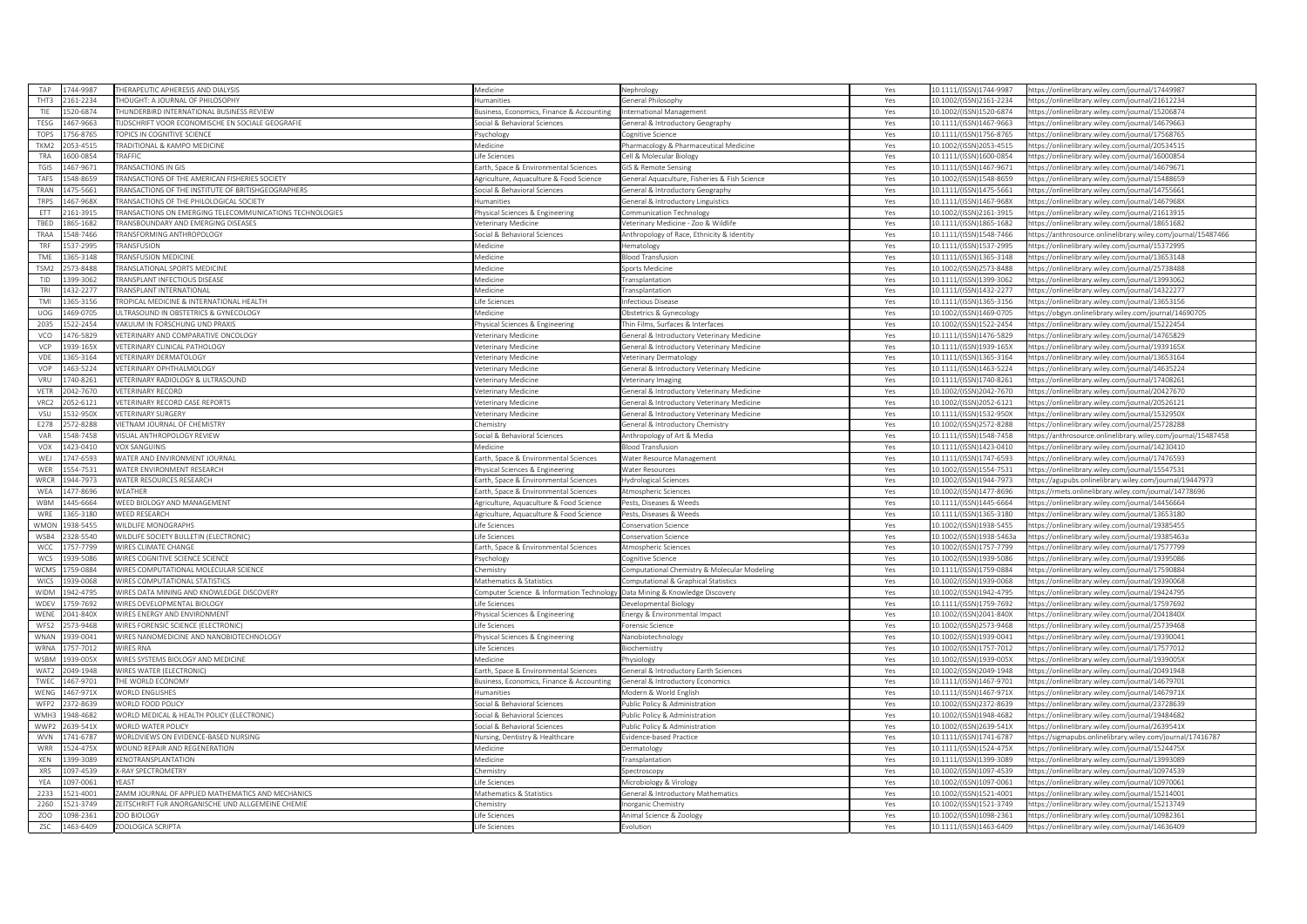| TAP              | 1744-9987 | HERAPEUTIC APHERESIS AND DIALYSIS                         | Medicine                                  | Vephrology                                    | Yes | 0.1111/(ISSN)1744-9987   | https://onlinelibrary.wiley.com/journal/17449987              |
|------------------|-----------|-----------------------------------------------------------|-------------------------------------------|-----------------------------------------------|-----|--------------------------|---------------------------------------------------------------|
| THT3             | 2161-2234 | HOUGHT: A JOURNAL OF PHILOSOPHY                           | <b>lumanities</b>                         | General Philosophy                            | Yes | 10.1002/(ISSN)2161-2234  | https://onlinelibrary.wiley.com/journal/21612234              |
| TIF              | 520-6874  | HUNDERBIRD INTERNATIONAL BUSINESS REVIEW                  | usiness, Economics, Finance & Accounting  | nternational Management                       | Yes | 10.1002/(ISSN)1520-6874  | ttps://onlinelibrary.wiley.com/journal/15206874               |
| <b>TFSG</b>      | 467-9663  | <b>IJDSCHRIFT VOOR ECONOMISCHE EN SOCIALE GEOGRAFIE</b>   | Social & Behavioral Sciences              | General & Introductory Geography              | Yes | 10.1111/(ISSN)1467-9663  | https://onlinelibrary.wiley.com/iournal/14679663              |
| <b>TOPS</b>      | 756-8765  | OPICS IN COGNITIVE SCIENCE                                | svchology                                 | ognitive Science                              | Yes | 10.1111/(ISSN)1756-8765  | ttps://onlinelibrary.wiley.com/journal/17568765               |
| TKM2             | 053-4515  | <b>TRADITIONAL &amp; KAMPO MEDICINE</b>                   | Medicine                                  | harmacology & Pharmaceutical Medicine         | Yes | 10.1002/(ISSN)2053-4515  | https://onlinelibrary.wiley.com/journal/20534515              |
| TRA              | 600-0854  | <b>RAFFIC</b>                                             | ife Sciences                              | ell & Molecular Biology                       | Yes | 10.1111/(ISSN)1600-0854  | https://onlinelibrary.wiley.com/journal/16000854              |
| TGIS             | 467-9671  | RANSACTIONS IN GIS                                        | arth, Space & Environmental Sciences      | <b>SIS &amp; Remote Sensing</b>               | Yes | 10.1111/(ISSN)1467-9671  | ttps://onlinelibrary.wiley.com/journal/14679671               |
| TAFS             | 548-8659  | RANSACTIONS OF THE AMERICAN FISHERIES SOCIETY             | Agriculture, Aquaculture & Food Science   | General Aquaculture, Fisheries & Fish Science | Yes | 10.1002/(ISSN)1548-8659  | ttps://onlinelibrary.wiley.com/journal/15488659               |
| TRAN             | 475-5661  | <b>RANSACTIONS OF THE INSTITUTE OF BRITISHGEOGRAPHERS</b> | Social & Behavioral Sciences              | General & Introductory Geography              | Yes | 10.1111/(ISSN)1475-5661  | https://onlinelibrary.wiley.com/journal/14755661              |
| <b>TRPS</b>      | 467-968X  | RANSACTIONS OF THE PHILOLOGICAL SOCIETY                   | <b>Humanities</b>                         | General & Introductory Linguistics            | Yes | 10.1111/(ISSN)1467-968X  | https://onlinelibrary.wiley.com/journal/1467968X              |
| ETT              | 161-3915  | RANSACTIONS ON EMERGING TELECOMMUNICATIONS TECHNOLOGIES   | hysical Sciences & Engineering            | Communication Technology                      | Yes | 10.1002/(ISSN)2161-3915  | ttps://onlinelibrary.wiley.com/journal/21613915               |
| TBED             | 865-1682  | TRANSBOUNDARY AND EMERGING DISEASES                       | eterinary Medicine                        | /eterinary Medicine - Zoo & Wildlife          | Yes | 10.1111/(ISSN)1865-1682  | https://onlinelibrary.wiley.com/journal/18651682              |
|                  |           |                                                           |                                           |                                               |     |                          |                                                               |
| TRAA             | 548-7466  | RANSFORMING ANTHROPOLOGY                                  | ocial & Behavioral Sciences               | Anthropology of Race, Ethnicity & Identity    | Yes | 10.1111/(ISSN)1548-7466  | https://anthrosource.onlinelibrary.wiley.com/journal/15487466 |
| TRF              | 537-2995  | RANSFUSION                                                | <b>Aedicine</b>                           | lematology                                    | Yes | 10.1111/(ISSN)1537-2995  | https://onlinelibrary.wiley.com/journal/15372995              |
| TME              | 365-3148  | RANSFUSION MEDICINE                                       | Aedicine                                  | <b>Bood Transfusion</b>                       | Yes | 10.1111/(ISSN)1365-3148  | ttps://onlinelibrary.wiley.com/journal/13653148               |
| TSM <sub>2</sub> | 573-8488  | RANSLATIONAL SPORTS MEDICINE                              | Aedicine                                  | ports Medicine                                | Yes | 10.1002/(ISSN)2573-8488  | ttps://onlinelibrary.wiley.com/journal/25738488               |
| TID              | 399-3062  | RANSPLANT INFECTIOUS DISEASE                              | <b>Aedicine</b>                           | <b>Transplantation</b>                        | Yes | 0.1111/(ISSN)1399-3062   | ttps://onlinelibrary.wiley.com/journal/13993062               |
| TRI              | 432-2277  | RANSPLANT INTERNATIONAL                                   | <b>Aedicine</b>                           | ransplantation                                | Yes | 10.1111/(ISSN)1432-2277  | https://onlinelibrary.wiley.com/journal/14322277              |
| TMI              | 365-3156  | ROPICAL MEDICINE & INTERNATIONAL HEALTH                   | ife Sciences                              | nfectious Disease                             | Yes | 10.1111/(ISSN)1365-3156  | ttps://onlinelibrary.wiley.com/iournal/13653156               |
| UOG              | 469-0705  | ULTRASOUND IN OBSTETRICS & GYNECOLOGY                     | Medicine                                  | Obstetrics & Gynecology                       | Yes | 10.1002/(ISSN)1469-0705  | https://obgyn.onlinelibrary.wiley.com/journal/14690705        |
| 2035             | 522-2454  | AKUUM IN FORSCHUNG UND PRAXIS                             | hysical Sciences & Engineering            | hin Films, Surfaces & Interfaces              | Yes | 0.1002/(ISSN)1522-2454   | ttps://onlinelibrary.wiley.com/journal/15222454               |
| VCO              | 476-5829  | ETERINARY AND COMPARATIVE ONCOLOGY                        | eterinary Medicine                        | General & Introductory Veterinary Medicine    | Yes | 10.1111/(ISSN)1476-5829  | https://onlinelibrary.wiley.com/journal/14765829              |
| VCP              | 939-165X  | /ETERINARY CLINICAL PATHOLOGY                             | eterinary Medicine                        | General & Introductory Veterinary Medicine    | Yes | 10.1111/(ISSN)1939-165X  | ttps://onlinelibrary.wiley.com/journal/1939165X               |
| VDE              | 365-3164  | /ETERINARY DERMATOLOGY                                    | eterinary Medicine                        | /eterinary Dermatology                        | Yes | 10.1111/(ISSN)1365-3164  | ttps://onlinelibrary.wiley.com/journal/13653164               |
| VOP              | 463-5224  | <b>FTERINARY OPHTHAI MOLOGY</b>                           | eterinary Medicine                        | ieneral & Introductory Veterinary Medicine    | Yes | 0.1111/(ISSN)1463-5224   | ittps://onlinelibrary.wiley.com/journal/14635224              |
| VRU              | 740-8261  | /ETERINARY RADIOLOGY & ULTRASOUND                         | eterinary Medicine                        | /eterinary Imaging                            | Yes | 10.1111/(ISSN)1740-8261  | nttps://onlinelibrary.wiley.com/journal/17408261              |
| VETR             | 042-7670  | <b>ETERINARY RECORD</b>                                   | eterinary Medicine                        | General & Introductory Veterinary Medicine    | Yes | 10.1002/(ISSN)2042-7670  | ttps://onlinelibrary.wiley.com/journal/20427670               |
| VRC2             | 052-6121  | <b>/ETERINARY RECORD CASE REPORTS</b>                     | eterinary Medicine                        | General & Introductory Veterinary Medicine    | Yes | 10.1002/(ISSN)2052-6121  | ittps://onlinelibrary.wiley.com/journal/20526121              |
| VSU              | 32-950X   | ETERINARY SURGERY                                         | eterinary Medicine                        | ieneral & Introductory Veterinary Medicine    | Yes | 10.1111/(ISSN)1532-950X  | https://onlinelibrary.wiley.com/journal/1532950X              |
| F278             | 572-8288  | <b>IETNAM JOURNAL OF CHEMISTRY</b>                        | hemistry                                  | General & Introductory Chemistry              | Yes | 0.1002/(ISSN)2572-8288   | ttps://onlinelibrary.wiley.com/journal/25728288               |
| VAR              | 548-7458  | ISUAL ANTHROPOLOGY REVIEW                                 | ocial & Behavioral Sciences               | Anthropology of Art & Media                   | Yes | 10.1111/(ISSN)1548-7458  | ttps://anthrosource.onlinelibrary.wiley.com/journal/15487458  |
| <b>VOX</b>       | 423-0410  | <b>OX SANGUINIS</b>                                       | <i><b>Aedicine</b></i>                    | <b>Bood Transfusion</b>                       | Yes | 10.1111/(ISSN)1423-0410  | ttps://onlinelibrary.wiley.com/journal/14230410               |
|                  |           |                                                           |                                           |                                               |     |                          |                                                               |
| WEJ              | 747-6593  | VATER AND ENVIRONMENT JOURNAL                             | arth, Space & Environmental Sciences      | Water Resource Management                     | Yes | 10.1111/(ISSN)1747-6593  | ttps://onlinelibrary.wiley.com/journal/17476593               |
| WFR              | 54-7531   | VATER ENVIRONMENT RESEARCH                                | hysical Sciences & Engineering            | Water Resources                               | Yes | 0.1002/(ISSN)1554-7531   | ittps://onlinelibrary.wiley.com/journal/15547531              |
| WRCR             | 944-7973  | WATER RESOURCES RESEARCH                                  | Earth, Space & Environmental Sciences     | Hydrological Sciences                         | Yes | 10.1002/(ISSN)1944-7973  | https://agupubs.onlinelibrary.wiley.com/journal/19447973      |
| WEA              | 477-8696  | <b>NEATHER</b>                                            | arth, Space & Environmental Sciences      | Atmospheric Sciences                          | Yes | 10.1002/(ISSN)1477-8696  | ttps://rmets.onlinelibrary.wiley.com/journal/14778696         |
| WBM              | 445-6664  | <b>VEED BIOLOGY AND MANAGEMENT</b>                        | griculture, Aquaculture & Food Science    | ests, Diseases & Weeds                        | Yes | 0.1111/(ISSN)1445-6664   | ttps://onlinelibrary.wiley.com/journal/14456664               |
| WRE              | 365-3180  | <b><i>NEED RESEARCH</i></b>                               | griculture, Aquaculture & Food Science    | Pests. Diseases & Weeds                       | Yes | 0.1111/(ISSN)1365-3180   | ttps://onlinelibrary.wiley.com/journal/13653180               |
| <b>WMON</b>      | 938-5455  | WILDLIFE MONOGRAPHS                                       | ife Sciences                              | Conservation Science                          | Yes | 10.1002/(ISSN)1938-5455  | https://onlinelibrary.wiley.com/journal/19385455              |
| WSB4             | 328-5540  | <b>WILDLIFE SOCIETY BULLETIN (ELECTRONIC)</b>             | ife Sciences                              | <b>Conservation Science</b>                   | Yes | 10.1002/(ISSN)1938-5463a | ttps://onlinelibrary.wiley.com/journal/19385463a              |
| WCC              | 757-7799  | VIRES CLIMATE CHANGE                                      | arth, Space & Environmental Sciences      | Atmospheric Sciences                          | Yes | 10.1002/(ISSN)1757-7799  | https://onlinelibrary.wiley.com/journal/17577799              |
| WCS              | 939-5086  | VIRES COGNITIVE SCIENCE SCIENCE                           | Psychology                                | Cognitive Science                             | Yes | 10.1002/(ISSN)1939-5086  | ttps://onlinelibrary.wiley.com/journal/19395086               |
| WCMS             | 759-0884  | WIRES COMPUTATIONAL MOLECULAR SCIENCE                     | Chemistry                                 | Computational Chemistry & Molecular Modeling  | Yes | 10.1111/(ISSN)1759-0884  | https://onlinelibrary.wiley.com/journal/17590884              |
| WICS             | 939-0068  | <b>WIRES COMPUTATIONAL STATISTICS</b>                     | Mathematics & Statistics                  | Computational & Graphical Statistics          | Yes | 10.1002/(ISSN)1939-0068  | ttps://onlinelibrary.wiley.com/journal/19390068               |
| WIDM             | 942-4795  | WIRES DATA MINING AND KNOWLEDGE DISCOVERY                 | omputer Science & Information Technology  | Data Mining & Knowledge Discovery             | Yes | 10.1002/(ISSN)1942-4795  | ttps://onlinelibrary.wiley.com/journal/19424795               |
| WDEV             | 759-7692  | <b>WIRES DEVELOPMENTAL BIOLOGY</b>                        | ife Sciences                              | Developmental Biology                         | Yes | 10.1111/(ISSN)1759-7692  | ttps://onlinelibrary.wiley.com/journal/17597692               |
| WENE             | 041-840X  | <b>WIRES ENERGY AND ENVIRONMENT</b>                       | hysical Sciences & Engineering            | <b>Energy &amp; Environmental Impact</b>      | Yes | 10.1002/(ISSN)2041-840X  | https://onlinelibrary.wiley.com/journal/2041840X              |
| WFS2             | 573-9468  | VIRES FORENSIC SCIENCE (ELECTRONIC                        | ife Sciences                              | orensic Science                               | Yes | 10.1002/(ISSN)2573-9468  | ttps://onlinelibrary.wiley.com/journal/25739468               |
| <b>WNAN</b>      | 39-0041   | VIRES NANOMEDICINE AND NANOBIOTECHNOLOGY                  | hysical Sciences & Engineering            | Nanobiotechnology                             | Yes | 10.1002/(ISSN)1939-0041  | ttps://onlinelibrary.wiley.com/journal/19390041               |
| WRNA             | 757-7012  | <b>VIRES RNA</b>                                          | ife Sciences                              | <b>Biochemistry</b>                           | Yes | 10.1002/(ISSN)1757-7012  | https://onlinelibrary.wiley.com/journal/17577012              |
| WSBM             | 39-005X   | VIRES SYSTEMS BIOLOGY AND MEDICINE                        | Aedicine                                  | hysiology                                     | Yes | LO.1002/(ISSN)1939-005X  | ittps://onlinelibrary.wiley.com/journal/1939005X              |
| WAT2             | 049-1948  | WIRES WATER (ELECTRONIC)                                  | arth, Space & Environmental Sciences      | General & Introductory Earth Sciences         | Yes | 10.1002/(ISSN)2049-1948  | https://onlinelibrary.wiley.com/journal/20491948              |
| TWEC             | 467-9701  | HE WORLD ECONOMY                                          | susiness, Economics, Finance & Accounting | <b>General &amp; Introductory Economics</b>   | Yes | 10.1111/(ISSN)1467-9701  | ttps://onlinelibrary.wiley.com/journal/14679701               |
|                  |           |                                                           |                                           |                                               |     |                          |                                                               |
| WENG             | 467-971X  | <b>NORLD ENGLISHES</b>                                    | umanities                                 | Modern & World English                        | Yes | 10.1111/(ISSN)1467-971X  | ittps://onlinelibrary.wiley.com/journal/1467971X              |
| WFP2             | 372-8639  | VORLD FOOD POLICY                                         | ocial & Behavioral Sciences               | ublic Policy & Administration                 | Yes | 0.1002/(ISSN)2372-8639   | ttps://onlinelibrary.wiley.com/journal/23728639               |
| WMH <sup>3</sup> | 948-4682  | WORLD MEDICAL & HEALTH POLICY (ELECTRONIC)                | ocial & Behavioral Sciences               | ublic Policy & Administration                 | Yes | 10.1002/(ISSN)1948-4682  | https://onlinelibrary.wiley.com/journal/19484682              |
| WWP2             | 639-541X  | VORLD WATER POLICY                                        | ocial & Behavioral Sciences               | ublic Policy & Administration                 | Yes | 10.1002/(ISSN)2639-541X  | ttps://onlinelibrary.wiley.com/iournal/2639541X               |
| WVN              | 741-6787  | VORLDVIEWS ON EVIDENCE-BASED NURSING                      | Jursing, Dentistry & Healthcare           | vidence-based Practice                        | Yes | 10.1111/(ISSN)1741-6787  | ttps://sigmapubs.onlinelibrary.wiley.com/journal/17416787     |
| WRR              | 524-475X  | VOUND REPAIR AND REGENERATION                             | Medicine                                  | Dermatology                                   | Yes | 10.1111/(ISSN)1524-475X  | ttps://onlinelibrary.wiley.com/journal/1524475X               |
| XEN              | 399-3089  | KENOTRANSPLANTATION                                       | <i>Aedicine</i>                           | <b>Fransplantation</b>                        | Yes | 10.1111/(ISSN)1399-3089  | https://onlinelibrary.wiley.com/journal/13993089              |
| XRS              | 097-4539  | K-RAY SPECTROMETRY                                        | hemistry                                  | ipectroscopy                                  | Yes | 10.1002/(ISSN)1097-4539  | ttps://onlinelibrary.wiley.com/journal/10974539               |
| YEA              | 097-0061  | <b>VEAST</b>                                              | ife Sciences                              | Microbiology & Virology                       | Yes | 10.1002/(ISSN)1097-0061  | https://onlinelibrary.wiley.com/journal/10970061              |
| 2233             | 521-4001  | ZAMM JOURNAL OF APPLIED MATHEMATICS AND MECHANICS         | Aathematics & Statistics                  | ieneral & Introductory Mathematics            | Yes | 0.1002/(ISSN)1521-4001   | ttps://onlinelibrary.wiley.com/journal/15214001               |
| 2260             | 521-3749  | EITSCHRIFT FÜR ANORGANISCHE UND ALLGEMEINE CHEMIE         | hemistry                                  | norganic Chemistry                            | Yes | LO.1002/(ISSN)1521-3749  | https://onlinelibrary.wiley.com/iournal/15213749              |
|                  |           |                                                           |                                           |                                               |     |                          |                                                               |
| ZOO              | 098-2361  | ZOO BIOLOGY                                               | ife Sciences                              | Animal Science & Zoology                      | Yes | 10.1002/(ISSN)1098-2361  | https://onlinelibrary.wiley.com/journal/10982361              |